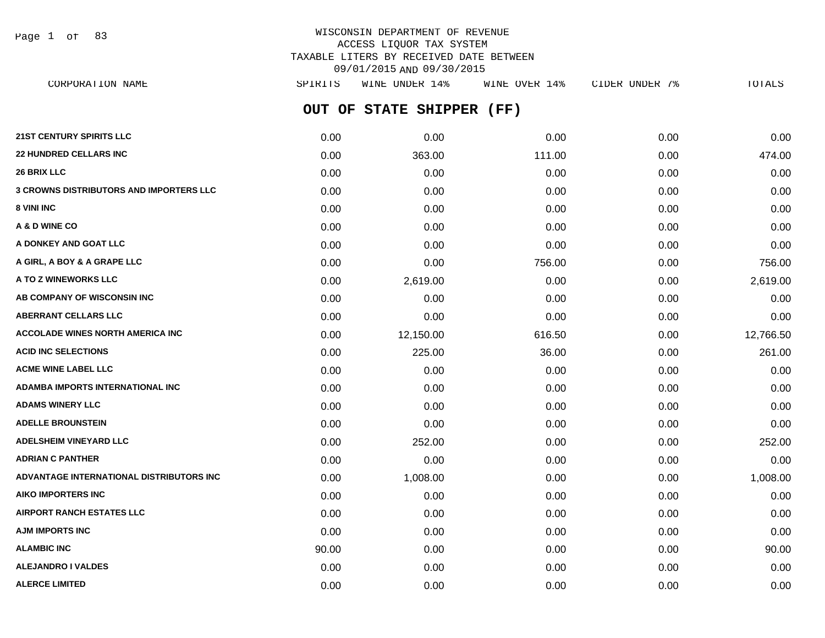Page 1 of 83

# WISCONSIN DEPARTMENT OF REVENUE ACCESS LIQUOR TAX SYSTEM TAXABLE LITERS BY RECEIVED DATE BETWEEN 09/01/2015 AND 09/30/2015

**OUT OF STATE SHIPPER (FF) 21ST CENTURY SPIRITS LLC** 0.00 0.00 0.00 0.00 0.00 **22 HUNDRED CELLARS INC** 0.00 363.00 111.00 0.00 474.00 **26 BRIX LLC** 0.00 0.00 0.00 0.00 0.00 **3 CROWNS DISTRIBUTORS AND IMPORTERS LLC** 0.00 0.00 0.00 0.00 0.00 **8 VINI INC** 0.00 0.00 0.00 0.00 0.00 **A & D WINE CO** 0.00 0.00 0.00 0.00 0.00 **A DONKEY AND GOAT LLC** 0.00 0.00 0.00 0.00 0.00 **A GIRL, A BOY & A GRAPE LLC** 0.00 0.00 756.00 0.00 756.00 **A TO Z WINEWORKS LLC** 0.00 2,619.00 0.00 0.00 2,619.00 **AB COMPANY OF WISCONSIN INC**  $0.00$   $0.00$   $0.00$   $0.00$   $0.00$   $0.00$   $0.00$   $0.00$   $0.00$   $0.00$   $0.00$   $0.00$   $0.00$   $0.00$   $0.00$   $0.00$   $0.00$   $0.00$   $0.00$   $0.00$   $0.00$   $0.00$   $0.00$   $0.00$   $0.00$   $0.00$   $0.00$   $0.$ **ABERRANT CELLARS LLC** 0.00 0.00 0.00 0.00 0.00 **ACCOLADE WINES NORTH AMERICA INC** 0.00 12,150.00 616.50 0.00 12,766.50 **ACID INC SELECTIONS** 225.00 261.00 225.00 36.00 36.00 0.00 225.00 261.00 **ACME WINE LABEL LLC** 0.00 0.00 0.00 0.00 0.00 **ADAMBA IMPORTS INTERNATIONAL INC** 0.00 0.00 0.00 0.00 0.00 **ADAMS WINERY LLC** 0.00 0.00 0.00 0.00 0.00 **ADELLE BROUNSTEIN** 0.00 0.00 0.00 0.00 0.00 **ADELSHEIM VINEYARD LLC** 0.00 252.00 0.00 0.00 252.00 **ADRIAN C PANTHER** 0.00 0.00 0.00 0.00 0.00 **ADVANTAGE INTERNATIONAL DISTRIBUTORS INC** 0.00 1,008.00 0.00 0.00 1,008.00 **AIKO IMPORTERS INC** 0.00 0.00 0.00 0.00 0.00 **AIRPORT RANCH ESTATES LLC** 0.00 0.00 0.00 0.00 0.00 **AJM IMPORTS INC** 0.00 0.00 0.00 0.00 0.00 **ALAMBIC INC** 90.00 0.00 0.00 0.00 90.00 **ALEJANDRO I VALDES** 0.00 0.00 0.00 0.00 0.00 CORPORATION NAME SPIRITS WINE UNDER 14% WINE OVER 14% CIDER UNDER 7% TOTALS

**ALERCE LIMITED** 0.00 0.00 0.00 0.00 0.00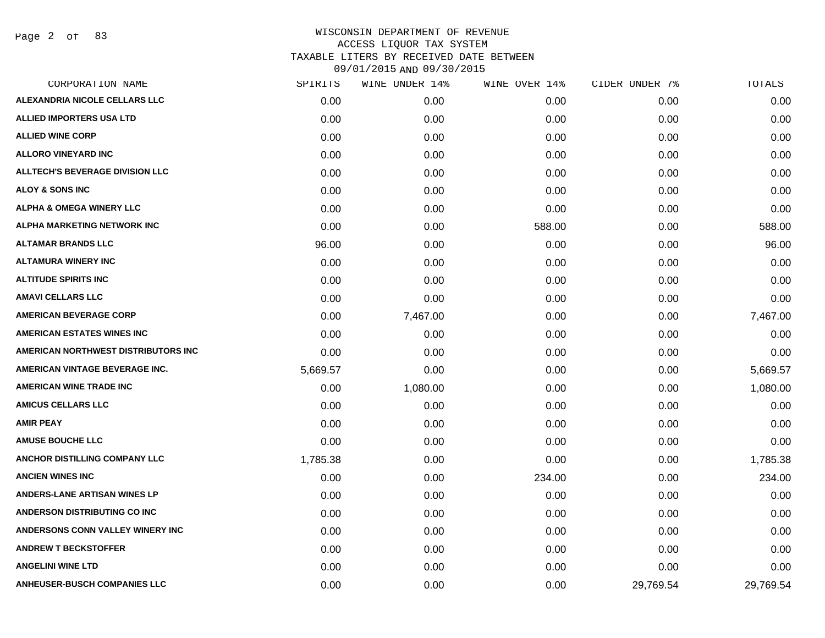Page 2 of 83

| SPIRITS  | WINE UNDER 14% | WINE OVER 14% | CIDER UNDER 7% | TOTALS    |
|----------|----------------|---------------|----------------|-----------|
| 0.00     | 0.00           | 0.00          | 0.00           | 0.00      |
| 0.00     | 0.00           | 0.00          | 0.00           | 0.00      |
| 0.00     | 0.00           | 0.00          | 0.00           | 0.00      |
| 0.00     | 0.00           | 0.00          | 0.00           | 0.00      |
| 0.00     | 0.00           | 0.00          | 0.00           | 0.00      |
| 0.00     | 0.00           | 0.00          | 0.00           | 0.00      |
| 0.00     | 0.00           | 0.00          | 0.00           | 0.00      |
| 0.00     | 0.00           | 588.00        | 0.00           | 588.00    |
| 96.00    | 0.00           | 0.00          | 0.00           | 96.00     |
| 0.00     | 0.00           | 0.00          | 0.00           | 0.00      |
| 0.00     | 0.00           | 0.00          | 0.00           | 0.00      |
| 0.00     | 0.00           | 0.00          | 0.00           | 0.00      |
| 0.00     | 7,467.00       | 0.00          | 0.00           | 7,467.00  |
| 0.00     | 0.00           | 0.00          | 0.00           | 0.00      |
| 0.00     | 0.00           | 0.00          | 0.00           | 0.00      |
| 5,669.57 | 0.00           | 0.00          | 0.00           | 5,669.57  |
| 0.00     | 1,080.00       | 0.00          | 0.00           | 1,080.00  |
| 0.00     | 0.00           | 0.00          | 0.00           | 0.00      |
| 0.00     | 0.00           | 0.00          | 0.00           | 0.00      |
| 0.00     | 0.00           | 0.00          | 0.00           | 0.00      |
| 1,785.38 | 0.00           | 0.00          | 0.00           | 1,785.38  |
| 0.00     | 0.00           | 234.00        | 0.00           | 234.00    |
| 0.00     | 0.00           | 0.00          | 0.00           | 0.00      |
| 0.00     | 0.00           | 0.00          | 0.00           | 0.00      |
| 0.00     | 0.00           | 0.00          | 0.00           | 0.00      |
| 0.00     | 0.00           | 0.00          | 0.00           | 0.00      |
| 0.00     | 0.00           | 0.00          | 0.00           | 0.00      |
| 0.00     | 0.00           | 0.00          | 29,769.54      | 29,769.54 |
|          |                |               |                |           |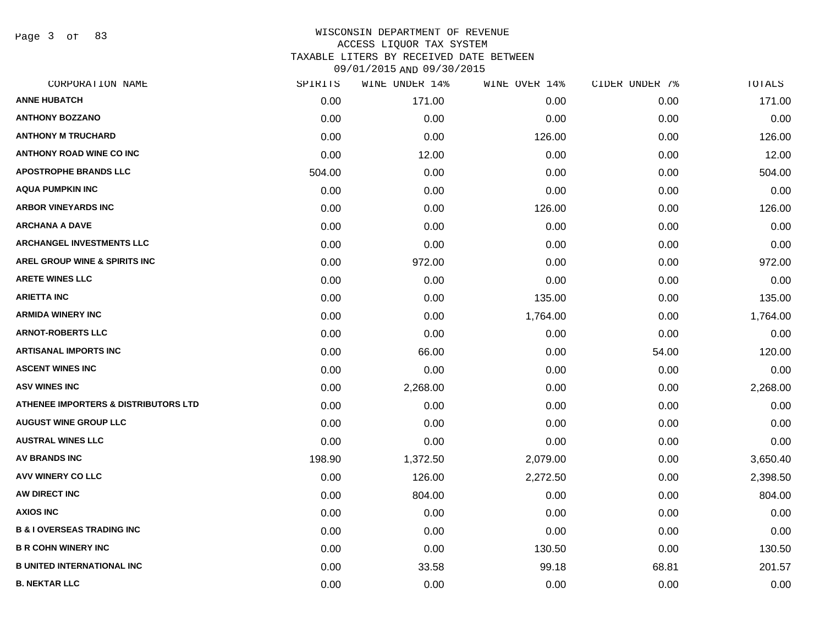Page 3 of 83

| CORPORATION NAME                      | SPIRITS | WINE UNDER 14% | WINE OVER 14% | CIDER UNDER 7% | TOTALS   |
|---------------------------------------|---------|----------------|---------------|----------------|----------|
| <b>ANNE HUBATCH</b>                   | 0.00    | 171.00         | 0.00          | 0.00           | 171.00   |
| <b>ANTHONY BOZZANO</b>                | 0.00    | 0.00           | 0.00          | 0.00           | 0.00     |
| <b>ANTHONY M TRUCHARD</b>             | 0.00    | 0.00           | 126.00        | 0.00           | 126.00   |
| <b>ANTHONY ROAD WINE CO INC</b>       | 0.00    | 12.00          | 0.00          | 0.00           | 12.00    |
| <b>APOSTROPHE BRANDS LLC</b>          | 504.00  | 0.00           | 0.00          | 0.00           | 504.00   |
| <b>AQUA PUMPKIN INC</b>               | 0.00    | 0.00           | 0.00          | 0.00           | 0.00     |
| <b>ARBOR VINEYARDS INC</b>            | 0.00    | 0.00           | 126.00        | 0.00           | 126.00   |
| <b>ARCHANA A DAVE</b>                 | 0.00    | 0.00           | 0.00          | 0.00           | 0.00     |
| ARCHANGEL INVESTMENTS LLC             | 0.00    | 0.00           | 0.00          | 0.00           | 0.00     |
| AREL GROUP WINE & SPIRITS INC         | 0.00    | 972.00         | 0.00          | 0.00           | 972.00   |
| <b>ARETE WINES LLC</b>                | 0.00    | 0.00           | 0.00          | 0.00           | 0.00     |
| <b>ARIETTA INC</b>                    | 0.00    | 0.00           | 135.00        | 0.00           | 135.00   |
| <b>ARMIDA WINERY INC</b>              | 0.00    | 0.00           | 1,764.00      | 0.00           | 1,764.00 |
| <b>ARNOT-ROBERTS LLC</b>              | 0.00    | 0.00           | 0.00          | 0.00           | 0.00     |
| <b>ARTISANAL IMPORTS INC</b>          | 0.00    | 66.00          | 0.00          | 54.00          | 120.00   |
| <b>ASCENT WINES INC</b>               | 0.00    | 0.00           | 0.00          | 0.00           | 0.00     |
| <b>ASV WINES INC</b>                  | 0.00    | 2,268.00       | 0.00          | 0.00           | 2,268.00 |
| ATHENEE IMPORTERS & DISTRIBUTORS LTD  | 0.00    | 0.00           | 0.00          | 0.00           | 0.00     |
| <b>AUGUST WINE GROUP LLC</b>          | 0.00    | 0.00           | 0.00          | 0.00           | 0.00     |
| <b>AUSTRAL WINES LLC</b>              | 0.00    | 0.00           | 0.00          | 0.00           | 0.00     |
| <b>AV BRANDS INC</b>                  | 198.90  | 1,372.50       | 2,079.00      | 0.00           | 3,650.40 |
| <b>AVV WINERY CO LLC</b>              | 0.00    | 126.00         | 2,272.50      | 0.00           | 2,398.50 |
| AW DIRECT INC                         | 0.00    | 804.00         | 0.00          | 0.00           | 804.00   |
| <b>AXIOS INC</b>                      | 0.00    | 0.00           | 0.00          | 0.00           | 0.00     |
| <b>B &amp; I OVERSEAS TRADING INC</b> | 0.00    | 0.00           | 0.00          | 0.00           | 0.00     |
| <b>B R COHN WINERY INC</b>            | 0.00    | 0.00           | 130.50        | 0.00           | 130.50   |
| <b>B UNITED INTERNATIONAL INC</b>     | 0.00    | 33.58          | 99.18         | 68.81          | 201.57   |
| <b>B. NEKTAR LLC</b>                  | 0.00    | 0.00           | 0.00          | 0.00           | 0.00     |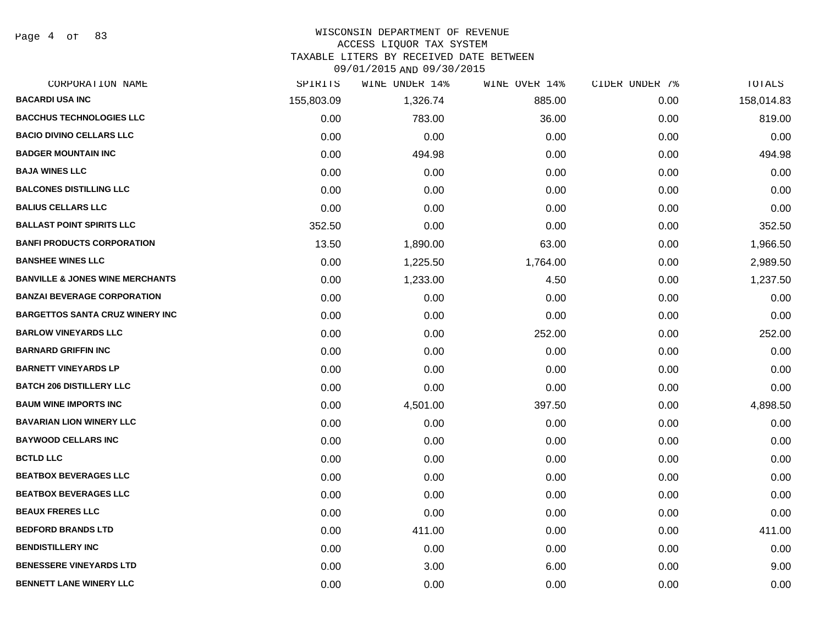Page 4 of 83

#### WISCONSIN DEPARTMENT OF REVENUE

#### ACCESS LIQUOR TAX SYSTEM

TAXABLE LITERS BY RECEIVED DATE BETWEEN

| CORPORATION NAME                           | SPIRITS    | WINE UNDER 14% | WINE OVER 14% | CIDER UNDER 7% | TOTALS     |
|--------------------------------------------|------------|----------------|---------------|----------------|------------|
| <b>BACARDI USA INC</b>                     | 155,803.09 | 1,326.74       | 885.00        | 0.00           | 158,014.83 |
| <b>BACCHUS TECHNOLOGIES LLC</b>            | 0.00       | 783.00         | 36.00         | 0.00           | 819.00     |
| <b>BACIO DIVINO CELLARS LLC</b>            | 0.00       | 0.00           | 0.00          | 0.00           | 0.00       |
| <b>BADGER MOUNTAIN INC</b>                 | 0.00       | 494.98         | 0.00          | 0.00           | 494.98     |
| <b>BAJA WINES LLC</b>                      | 0.00       | 0.00           | 0.00          | 0.00           | 0.00       |
| <b>BALCONES DISTILLING LLC</b>             | 0.00       | 0.00           | 0.00          | 0.00           | 0.00       |
| <b>BALIUS CELLARS LLC</b>                  | 0.00       | 0.00           | 0.00          | 0.00           | 0.00       |
| <b>BALLAST POINT SPIRITS LLC</b>           | 352.50     | 0.00           | 0.00          | 0.00           | 352.50     |
| <b>BANFI PRODUCTS CORPORATION</b>          | 13.50      | 1,890.00       | 63.00         | 0.00           | 1,966.50   |
| <b>BANSHEE WINES LLC</b>                   | 0.00       | 1,225.50       | 1,764.00      | 0.00           | 2,989.50   |
| <b>BANVILLE &amp; JONES WINE MERCHANTS</b> | 0.00       | 1,233.00       | 4.50          | 0.00           | 1,237.50   |
| <b>BANZAI BEVERAGE CORPORATION</b>         | 0.00       | 0.00           | 0.00          | 0.00           | 0.00       |
| <b>BARGETTOS SANTA CRUZ WINERY INC</b>     | 0.00       | 0.00           | 0.00          | 0.00           | 0.00       |
| <b>BARLOW VINEYARDS LLC</b>                | 0.00       | 0.00           | 252.00        | 0.00           | 252.00     |
| <b>BARNARD GRIFFIN INC</b>                 | 0.00       | 0.00           | 0.00          | 0.00           | 0.00       |
| <b>BARNETT VINEYARDS LP</b>                | 0.00       | 0.00           | 0.00          | 0.00           | 0.00       |
| <b>BATCH 206 DISTILLERY LLC</b>            | 0.00       | 0.00           | 0.00          | 0.00           | 0.00       |
| <b>BAUM WINE IMPORTS INC</b>               | 0.00       | 4,501.00       | 397.50        | 0.00           | 4,898.50   |
| <b>BAVARIAN LION WINERY LLC</b>            | 0.00       | 0.00           | 0.00          | 0.00           | 0.00       |
| <b>BAYWOOD CELLARS INC</b>                 | 0.00       | 0.00           | 0.00          | 0.00           | 0.00       |
| <b>BCTLD LLC</b>                           | 0.00       | 0.00           | 0.00          | 0.00           | 0.00       |
| <b>BEATBOX BEVERAGES LLC</b>               | 0.00       | 0.00           | 0.00          | 0.00           | 0.00       |
| <b>BEATBOX BEVERAGES LLC</b>               | 0.00       | 0.00           | 0.00          | 0.00           | 0.00       |
| <b>BEAUX FRERES LLC</b>                    | 0.00       | 0.00           | 0.00          | 0.00           | 0.00       |
| <b>BEDFORD BRANDS LTD</b>                  | 0.00       | 411.00         | 0.00          | 0.00           | 411.00     |
| <b>BENDISTILLERY INC</b>                   | 0.00       | 0.00           | 0.00          | 0.00           | 0.00       |
| <b>BENESSERE VINEYARDS LTD</b>             | 0.00       | 3.00           | 6.00          | 0.00           | 9.00       |
| <b>BENNETT LANE WINERY LLC</b>             | 0.00       | 0.00           | 0.00          | 0.00           | 0.00       |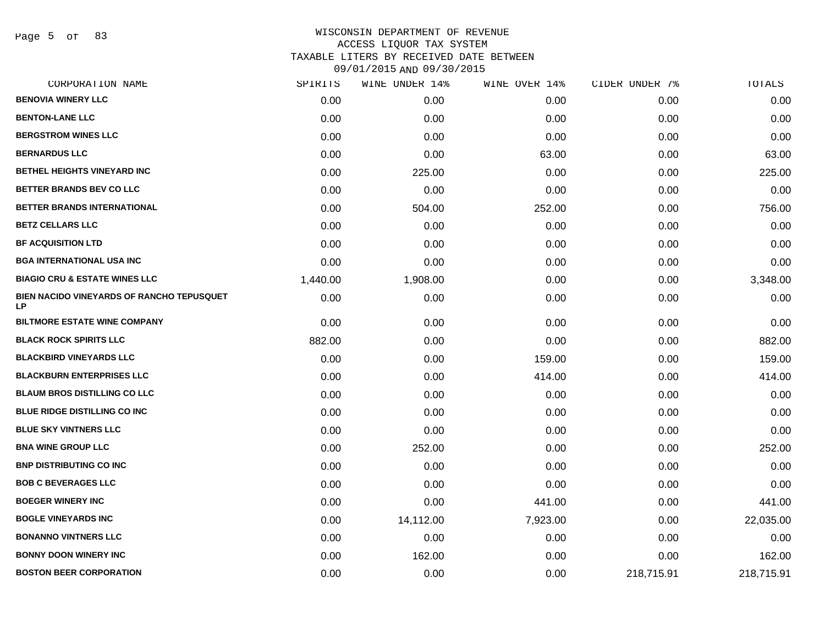Page 5 of 83

| CORPORATION NAME                                       | SPIRITS  | WINE UNDER 14% | WINE OVER 14% | CIDER UNDER 7% | TOTALS     |
|--------------------------------------------------------|----------|----------------|---------------|----------------|------------|
| <b>BENOVIA WINERY LLC</b>                              | 0.00     | 0.00           | 0.00          | 0.00           | 0.00       |
| <b>BENTON-LANE LLC</b>                                 | 0.00     | 0.00           | 0.00          | 0.00           | 0.00       |
| <b>BERGSTROM WINES LLC</b>                             | 0.00     | 0.00           | 0.00          | 0.00           | 0.00       |
| <b>BERNARDUS LLC</b>                                   | 0.00     | 0.00           | 63.00         | 0.00           | 63.00      |
| <b>BETHEL HEIGHTS VINEYARD INC</b>                     | 0.00     | 225.00         | 0.00          | 0.00           | 225.00     |
| BETTER BRANDS BEV CO LLC                               | 0.00     | 0.00           | 0.00          | 0.00           | 0.00       |
| BETTER BRANDS INTERNATIONAL                            | 0.00     | 504.00         | 252.00        | 0.00           | 756.00     |
| <b>BETZ CELLARS LLC</b>                                | 0.00     | 0.00           | 0.00          | 0.00           | 0.00       |
| <b>BF ACQUISITION LTD</b>                              | 0.00     | 0.00           | 0.00          | 0.00           | 0.00       |
| <b>BGA INTERNATIONAL USA INC</b>                       | 0.00     | 0.00           | 0.00          | 0.00           | 0.00       |
| <b>BIAGIO CRU &amp; ESTATE WINES LLC</b>               | 1,440.00 | 1,908.00       | 0.00          | 0.00           | 3,348.00   |
| BIEN NACIDO VINEYARDS OF RANCHO TEPUSQUET<br><b>LP</b> | 0.00     | 0.00           | 0.00          | 0.00           | 0.00       |
| <b>BILTMORE ESTATE WINE COMPANY</b>                    | 0.00     | 0.00           | 0.00          | 0.00           | 0.00       |
| <b>BLACK ROCK SPIRITS LLC</b>                          | 882.00   | 0.00           | 0.00          | 0.00           | 882.00     |
| <b>BLACKBIRD VINEYARDS LLC</b>                         | 0.00     | 0.00           | 159.00        | 0.00           | 159.00     |
| <b>BLACKBURN ENTERPRISES LLC</b>                       | 0.00     | 0.00           | 414.00        | 0.00           | 414.00     |
| <b>BLAUM BROS DISTILLING CO LLC</b>                    | 0.00     | 0.00           | 0.00          | 0.00           | 0.00       |
| <b>BLUE RIDGE DISTILLING CO INC</b>                    | 0.00     | 0.00           | 0.00          | 0.00           | 0.00       |
| <b>BLUE SKY VINTNERS LLC</b>                           | 0.00     | 0.00           | 0.00          | 0.00           | 0.00       |
| <b>BNA WINE GROUP LLC</b>                              | 0.00     | 252.00         | 0.00          | 0.00           | 252.00     |
| <b>BNP DISTRIBUTING CO INC</b>                         | 0.00     | 0.00           | 0.00          | 0.00           | 0.00       |
| <b>BOB C BEVERAGES LLC</b>                             | 0.00     | 0.00           | 0.00          | 0.00           | 0.00       |
| <b>BOEGER WINERY INC</b>                               | 0.00     | 0.00           | 441.00        | 0.00           | 441.00     |
| <b>BOGLE VINEYARDS INC</b>                             | 0.00     | 14,112.00      | 7,923.00      | 0.00           | 22,035.00  |
| <b>BONANNO VINTNERS LLC</b>                            | 0.00     | 0.00           | 0.00          | 0.00           | 0.00       |
| <b>BONNY DOON WINERY INC</b>                           | 0.00     | 162.00         | 0.00          | 0.00           | 162.00     |
| <b>BOSTON BEER CORPORATION</b>                         | 0.00     | 0.00           | 0.00          | 218,715.91     | 218,715.91 |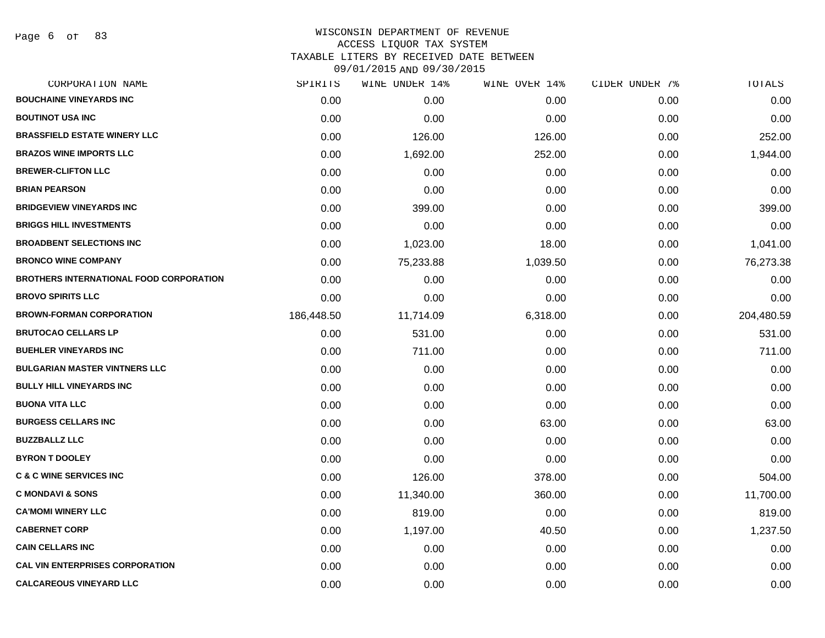Page 6 of 83

|            | WINE UNDER 14% |          |               | TOTALS         |
|------------|----------------|----------|---------------|----------------|
| 0.00       | 0.00           | 0.00     | 0.00          | 0.00           |
| 0.00       | 0.00           | 0.00     | 0.00          | 0.00           |
| 0.00       | 126.00         | 126.00   | 0.00          | 252.00         |
| 0.00       | 1,692.00       | 252.00   | 0.00          | 1,944.00       |
| 0.00       | 0.00           | 0.00     | 0.00          | 0.00           |
| 0.00       | 0.00           | 0.00     | 0.00          | 0.00           |
| 0.00       | 399.00         | 0.00     | 0.00          | 399.00         |
| 0.00       | 0.00           | 0.00     | 0.00          | 0.00           |
| 0.00       | 1,023.00       | 18.00    | 0.00          | 1,041.00       |
| 0.00       | 75,233.88      | 1,039.50 | 0.00          | 76,273.38      |
| 0.00       | 0.00           | 0.00     | 0.00          | 0.00           |
| 0.00       | 0.00           | 0.00     | 0.00          | 0.00           |
| 186,448.50 | 11,714.09      | 6,318.00 | 0.00          | 204,480.59     |
| 0.00       | 531.00         | 0.00     | 0.00          | 531.00         |
| 0.00       | 711.00         | 0.00     | 0.00          | 711.00         |
| 0.00       | 0.00           | 0.00     | 0.00          | 0.00           |
| 0.00       | 0.00           | 0.00     | 0.00          | 0.00           |
| 0.00       | 0.00           | 0.00     | 0.00          | 0.00           |
| 0.00       | 0.00           | 63.00    | 0.00          | 63.00          |
| 0.00       | 0.00           | 0.00     | 0.00          | 0.00           |
| 0.00       | 0.00           | 0.00     | 0.00          | 0.00           |
| 0.00       | 126.00         | 378.00   | 0.00          | 504.00         |
| 0.00       | 11,340.00      | 360.00   | 0.00          | 11,700.00      |
| 0.00       | 819.00         | 0.00     | 0.00          | 819.00         |
| 0.00       | 1,197.00       | 40.50    | 0.00          | 1,237.50       |
| 0.00       | 0.00           | 0.00     | 0.00          | 0.00           |
| 0.00       | 0.00           | 0.00     | 0.00          | 0.00           |
| 0.00       | 0.00           | 0.00     | 0.00          | 0.00           |
|            | SPIRITS        |          | WINE OVER 14% | CIDER UNDER 7% |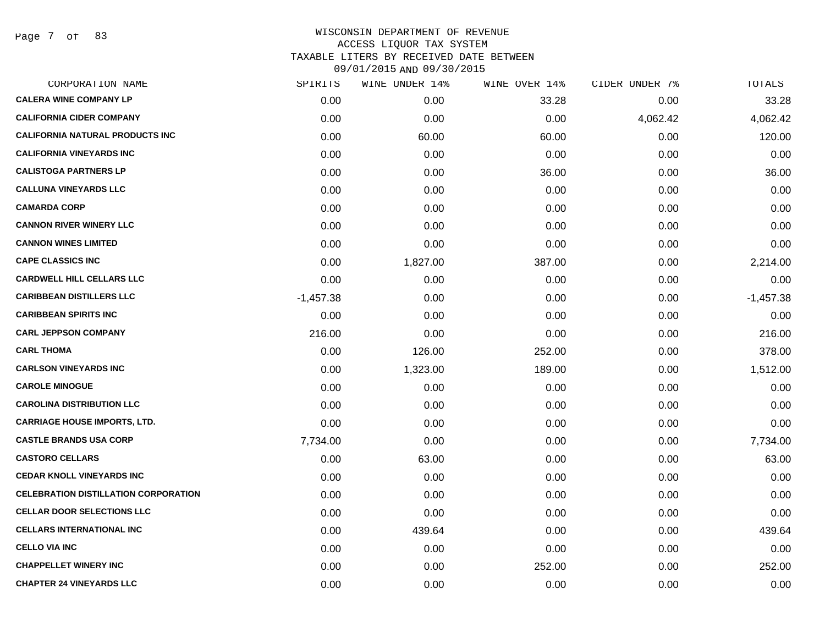Page 7 of 83

| CORPORATION NAME                            | SPIRITS     | WINE UNDER 14% | WINE OVER 14% | CIDER UNDER 7% | TOTALS      |
|---------------------------------------------|-------------|----------------|---------------|----------------|-------------|
| <b>CALERA WINE COMPANY LP</b>               | 0.00        | 0.00           | 33.28         | 0.00           | 33.28       |
| <b>CALIFORNIA CIDER COMPANY</b>             | 0.00        | 0.00           | 0.00          | 4,062.42       | 4,062.42    |
| <b>CALIFORNIA NATURAL PRODUCTS INC</b>      | 0.00        | 60.00          | 60.00         | 0.00           | 120.00      |
| <b>CALIFORNIA VINEYARDS INC</b>             | 0.00        | 0.00           | 0.00          | 0.00           | 0.00        |
| <b>CALISTOGA PARTNERS LP</b>                | 0.00        | 0.00           | 36.00         | 0.00           | 36.00       |
| <b>CALLUNA VINEYARDS LLC</b>                | 0.00        | 0.00           | 0.00          | 0.00           | 0.00        |
| <b>CAMARDA CORP</b>                         | 0.00        | 0.00           | 0.00          | 0.00           | 0.00        |
| <b>CANNON RIVER WINERY LLC</b>              | 0.00        | 0.00           | 0.00          | 0.00           | 0.00        |
| <b>CANNON WINES LIMITED</b>                 | 0.00        | 0.00           | 0.00          | 0.00           | 0.00        |
| <b>CAPE CLASSICS INC</b>                    | 0.00        | 1,827.00       | 387.00        | 0.00           | 2,214.00    |
| <b>CARDWELL HILL CELLARS LLC</b>            | 0.00        | 0.00           | 0.00          | 0.00           | 0.00        |
| <b>CARIBBEAN DISTILLERS LLC</b>             | $-1,457.38$ | 0.00           | 0.00          | 0.00           | $-1,457.38$ |
| <b>CARIBBEAN SPIRITS INC</b>                | 0.00        | 0.00           | 0.00          | 0.00           | 0.00        |
| <b>CARL JEPPSON COMPANY</b>                 | 216.00      | 0.00           | 0.00          | 0.00           | 216.00      |
| <b>CARL THOMA</b>                           | 0.00        | 126.00         | 252.00        | 0.00           | 378.00      |
| <b>CARLSON VINEYARDS INC</b>                | 0.00        | 1,323.00       | 189.00        | 0.00           | 1,512.00    |
| <b>CAROLE MINOGUE</b>                       | 0.00        | 0.00           | 0.00          | 0.00           | 0.00        |
| <b>CAROLINA DISTRIBUTION LLC</b>            | 0.00        | 0.00           | 0.00          | 0.00           | 0.00        |
| <b>CARRIAGE HOUSE IMPORTS, LTD.</b>         | 0.00        | 0.00           | 0.00          | 0.00           | 0.00        |
| <b>CASTLE BRANDS USA CORP</b>               | 7,734.00    | 0.00           | 0.00          | 0.00           | 7,734.00    |
| <b>CASTORO CELLARS</b>                      | 0.00        | 63.00          | 0.00          | 0.00           | 63.00       |
| <b>CEDAR KNOLL VINEYARDS INC</b>            | 0.00        | 0.00           | 0.00          | 0.00           | 0.00        |
| <b>CELEBRATION DISTILLATION CORPORATION</b> | 0.00        | 0.00           | 0.00          | 0.00           | 0.00        |
| <b>CELLAR DOOR SELECTIONS LLC</b>           | 0.00        | 0.00           | 0.00          | 0.00           | 0.00        |
| <b>CELLARS INTERNATIONAL INC</b>            | 0.00        | 439.64         | 0.00          | 0.00           | 439.64      |
| <b>CELLO VIA INC</b>                        | 0.00        | 0.00           | 0.00          | 0.00           | 0.00        |
| <b>CHAPPELLET WINERY INC</b>                | 0.00        | 0.00           | 252.00        | 0.00           | 252.00      |
| <b>CHAPTER 24 VINEYARDS LLC</b>             | 0.00        | 0.00           | 0.00          | 0.00           | 0.00        |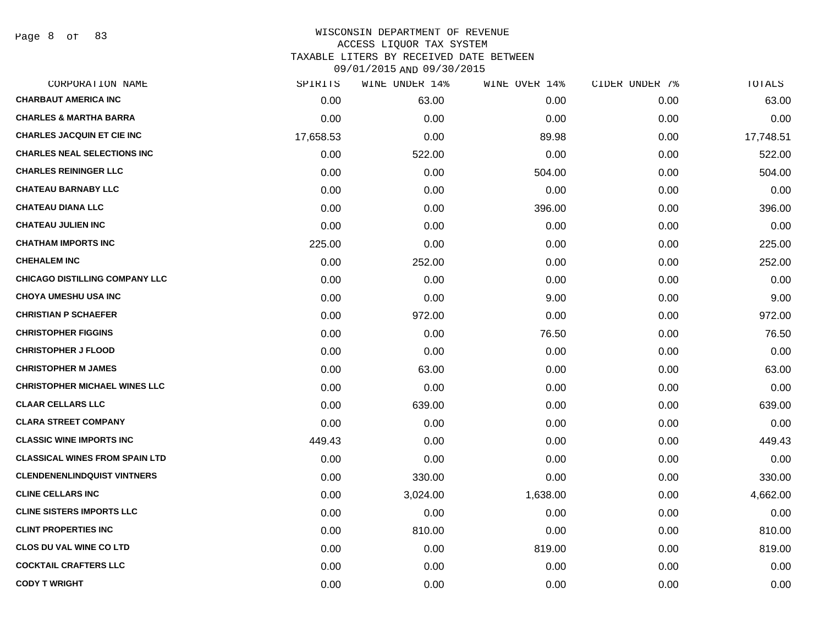Page 8 of 83

| CORPORATION NAME                      | SPIRITS   | WINE UNDER 14% | WINE OVER 14% | CIDER UNDER 7% | TOTALS    |
|---------------------------------------|-----------|----------------|---------------|----------------|-----------|
| <b>CHARBAUT AMERICA INC</b>           | 0.00      | 63.00          | 0.00          | 0.00           | 63.00     |
| <b>CHARLES &amp; MARTHA BARRA</b>     | 0.00      | 0.00           | 0.00          | 0.00           | 0.00      |
| <b>CHARLES JACQUIN ET CIE INC</b>     | 17,658.53 | 0.00           | 89.98         | 0.00           | 17,748.51 |
| <b>CHARLES NEAL SELECTIONS INC</b>    | 0.00      | 522.00         | 0.00          | 0.00           | 522.00    |
| <b>CHARLES REININGER LLC</b>          | 0.00      | 0.00           | 504.00        | 0.00           | 504.00    |
| <b>CHATEAU BARNABY LLC</b>            | 0.00      | 0.00           | 0.00          | 0.00           | 0.00      |
| <b>CHATEAU DIANA LLC</b>              | 0.00      | 0.00           | 396.00        | 0.00           | 396.00    |
| <b>CHATEAU JULIEN INC</b>             | 0.00      | 0.00           | 0.00          | 0.00           | 0.00      |
| <b>CHATHAM IMPORTS INC</b>            | 225.00    | 0.00           | 0.00          | 0.00           | 225.00    |
| <b>CHEHALEM INC</b>                   | 0.00      | 252.00         | 0.00          | 0.00           | 252.00    |
| <b>CHICAGO DISTILLING COMPANY LLC</b> | 0.00      | 0.00           | 0.00          | 0.00           | 0.00      |
| <b>CHOYA UMESHU USA INC</b>           | 0.00      | 0.00           | 9.00          | 0.00           | 9.00      |
| <b>CHRISTIAN P SCHAEFER</b>           | 0.00      | 972.00         | 0.00          | 0.00           | 972.00    |
| <b>CHRISTOPHER FIGGINS</b>            | 0.00      | 0.00           | 76.50         | 0.00           | 76.50     |
| <b>CHRISTOPHER J FLOOD</b>            | 0.00      | 0.00           | 0.00          | 0.00           | 0.00      |
| <b>CHRISTOPHER M JAMES</b>            | 0.00      | 63.00          | 0.00          | 0.00           | 63.00     |
| <b>CHRISTOPHER MICHAEL WINES LLC</b>  | 0.00      | 0.00           | 0.00          | 0.00           | 0.00      |
| <b>CLAAR CELLARS LLC</b>              | 0.00      | 639.00         | 0.00          | 0.00           | 639.00    |
| <b>CLARA STREET COMPANY</b>           | 0.00      | 0.00           | 0.00          | 0.00           | 0.00      |
| <b>CLASSIC WINE IMPORTS INC</b>       | 449.43    | 0.00           | 0.00          | 0.00           | 449.43    |
| <b>CLASSICAL WINES FROM SPAIN LTD</b> | 0.00      | 0.00           | 0.00          | 0.00           | 0.00      |
| <b>CLENDENENLINDQUIST VINTNERS</b>    | 0.00      | 330.00         | 0.00          | 0.00           | 330.00    |
| <b>CLINE CELLARS INC</b>              | 0.00      | 3,024.00       | 1,638.00      | 0.00           | 4,662.00  |
| <b>CLINE SISTERS IMPORTS LLC</b>      | 0.00      | 0.00           | 0.00          | 0.00           | 0.00      |
| <b>CLINT PROPERTIES INC</b>           | 0.00      | 810.00         | 0.00          | 0.00           | 810.00    |
| <b>CLOS DU VAL WINE CO LTD</b>        | 0.00      | 0.00           | 819.00        | 0.00           | 819.00    |
| <b>COCKTAIL CRAFTERS LLC</b>          | 0.00      | 0.00           | 0.00          | 0.00           | 0.00      |
| <b>CODY T WRIGHT</b>                  | 0.00      | 0.00           | 0.00          | 0.00           | 0.00      |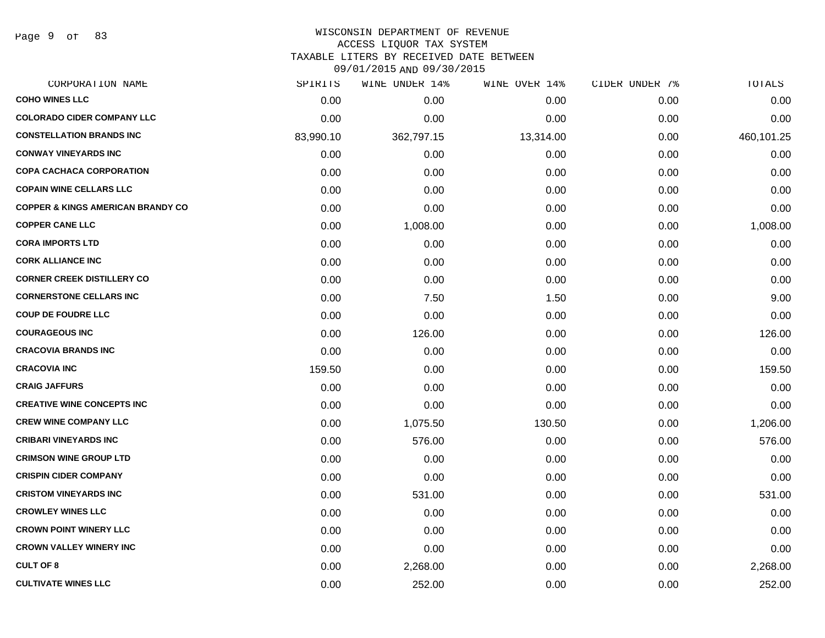Page 9 of 83

#### WISCONSIN DEPARTMENT OF REVENUE ACCESS LIQUOR TAX SYSTEM

TAXABLE LITERS BY RECEIVED DATE BETWEEN

| CORPORATION NAME                             | SPIRITS   | WINE UNDER 14% | WINE OVER 14% | CIDER UNDER 7% | TOTALS     |
|----------------------------------------------|-----------|----------------|---------------|----------------|------------|
| <b>COHO WINES LLC</b>                        | 0.00      | 0.00           | 0.00          | 0.00           | 0.00       |
| <b>COLORADO CIDER COMPANY LLC</b>            | 0.00      | 0.00           | 0.00          | 0.00           | 0.00       |
| <b>CONSTELLATION BRANDS INC</b>              | 83,990.10 | 362,797.15     | 13,314.00     | 0.00           | 460,101.25 |
| <b>CONWAY VINEYARDS INC</b>                  | 0.00      | 0.00           | 0.00          | 0.00           | 0.00       |
| <b>COPA CACHACA CORPORATION</b>              | 0.00      | 0.00           | 0.00          | 0.00           | 0.00       |
| <b>COPAIN WINE CELLARS LLC</b>               | 0.00      | 0.00           | 0.00          | 0.00           | 0.00       |
| <b>COPPER &amp; KINGS AMERICAN BRANDY CO</b> | 0.00      | 0.00           | 0.00          | 0.00           | 0.00       |
| <b>COPPER CANE LLC</b>                       | 0.00      | 1,008.00       | 0.00          | 0.00           | 1,008.00   |
| <b>CORA IMPORTS LTD</b>                      | 0.00      | 0.00           | 0.00          | 0.00           | 0.00       |
| <b>CORK ALLIANCE INC</b>                     | 0.00      | 0.00           | 0.00          | 0.00           | 0.00       |
| <b>CORNER CREEK DISTILLERY CO</b>            | 0.00      | 0.00           | 0.00          | 0.00           | 0.00       |
| <b>CORNERSTONE CELLARS INC</b>               | 0.00      | 7.50           | 1.50          | 0.00           | 9.00       |
| <b>COUP DE FOUDRE LLC</b>                    | 0.00      | 0.00           | 0.00          | 0.00           | 0.00       |
| <b>COURAGEOUS INC</b>                        | 0.00      | 126.00         | 0.00          | 0.00           | 126.00     |
| <b>CRACOVIA BRANDS INC</b>                   | 0.00      | 0.00           | 0.00          | 0.00           | 0.00       |
| <b>CRACOVIA INC</b>                          | 159.50    | 0.00           | 0.00          | 0.00           | 159.50     |
| <b>CRAIG JAFFURS</b>                         | 0.00      | 0.00           | 0.00          | 0.00           | 0.00       |
| <b>CREATIVE WINE CONCEPTS INC</b>            | 0.00      | 0.00           | 0.00          | 0.00           | 0.00       |
| <b>CREW WINE COMPANY LLC</b>                 | 0.00      | 1,075.50       | 130.50        | 0.00           | 1,206.00   |
| <b>CRIBARI VINEYARDS INC</b>                 | 0.00      | 576.00         | 0.00          | 0.00           | 576.00     |
| <b>CRIMSON WINE GROUP LTD</b>                | 0.00      | 0.00           | 0.00          | 0.00           | 0.00       |
| <b>CRISPIN CIDER COMPANY</b>                 | 0.00      | 0.00           | 0.00          | 0.00           | 0.00       |
| <b>CRISTOM VINEYARDS INC</b>                 | 0.00      | 531.00         | 0.00          | 0.00           | 531.00     |
| <b>CROWLEY WINES LLC</b>                     | 0.00      | 0.00           | 0.00          | 0.00           | 0.00       |
| <b>CROWN POINT WINERY LLC</b>                | 0.00      | 0.00           | 0.00          | 0.00           | 0.00       |
| <b>CROWN VALLEY WINERY INC</b>               | 0.00      | 0.00           | 0.00          | 0.00           | 0.00       |
| <b>CULT OF 8</b>                             | 0.00      | 2,268.00       | 0.00          | 0.00           | 2,268.00   |
| <b>CULTIVATE WINES LLC</b>                   | 0.00      | 252.00         | 0.00          | 0.00           | 252.00     |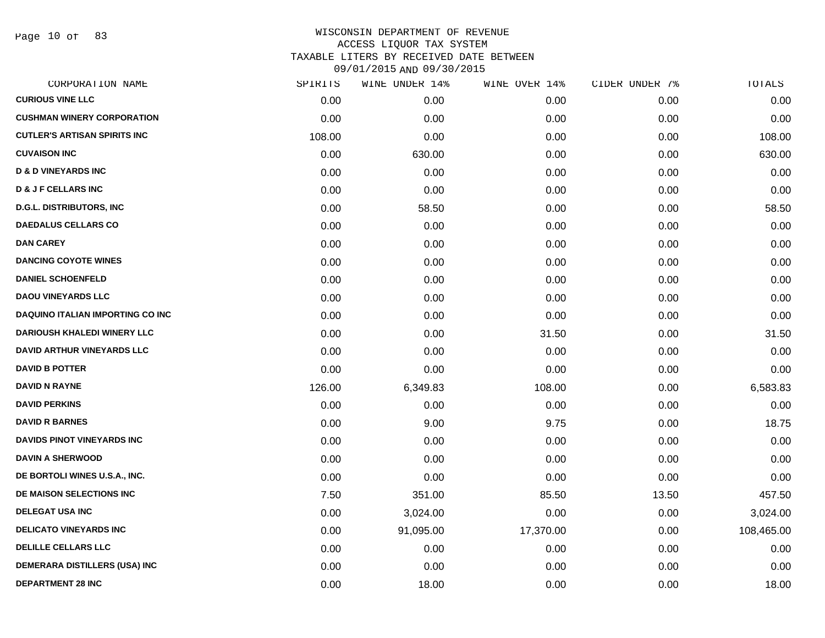Page 10 of 83

| SPIRITS | WINE UNDER 14% | WINE OVER 14% | CIDER UNDER 7% | TOTALS     |
|---------|----------------|---------------|----------------|------------|
| 0.00    | 0.00           | 0.00          | 0.00           | 0.00       |
| 0.00    | 0.00           | 0.00          | 0.00           | 0.00       |
| 108.00  | 0.00           | 0.00          | 0.00           | 108.00     |
| 0.00    | 630.00         | 0.00          | 0.00           | 630.00     |
| 0.00    | 0.00           | 0.00          | 0.00           | 0.00       |
| 0.00    | 0.00           | 0.00          | 0.00           | 0.00       |
| 0.00    | 58.50          | 0.00          | 0.00           | 58.50      |
| 0.00    | 0.00           | 0.00          | 0.00           | 0.00       |
| 0.00    | 0.00           | 0.00          | 0.00           | 0.00       |
| 0.00    | 0.00           | 0.00          | 0.00           | 0.00       |
| 0.00    | 0.00           | 0.00          | 0.00           | 0.00       |
| 0.00    | 0.00           | 0.00          | 0.00           | 0.00       |
| 0.00    | 0.00           | 0.00          | 0.00           | 0.00       |
| 0.00    | 0.00           | 31.50         | 0.00           | 31.50      |
| 0.00    | 0.00           | 0.00          | 0.00           | 0.00       |
| 0.00    | 0.00           | 0.00          | 0.00           | 0.00       |
| 126.00  | 6,349.83       | 108.00        | 0.00           | 6,583.83   |
| 0.00    | 0.00           | 0.00          | 0.00           | 0.00       |
| 0.00    | 9.00           | 9.75          | 0.00           | 18.75      |
| 0.00    | 0.00           | 0.00          | 0.00           | 0.00       |
| 0.00    | 0.00           | 0.00          | 0.00           | 0.00       |
| 0.00    | 0.00           | 0.00          | 0.00           | 0.00       |
| 7.50    | 351.00         | 85.50         | 13.50          | 457.50     |
| 0.00    | 3,024.00       | 0.00          | 0.00           | 3,024.00   |
| 0.00    | 91,095.00      | 17,370.00     | 0.00           | 108,465.00 |
| 0.00    | 0.00           | 0.00          | 0.00           | 0.00       |
| 0.00    | 0.00           | 0.00          | 0.00           | 0.00       |
| 0.00    | 18.00          | 0.00          | 0.00           | 18.00      |
|         |                |               |                |            |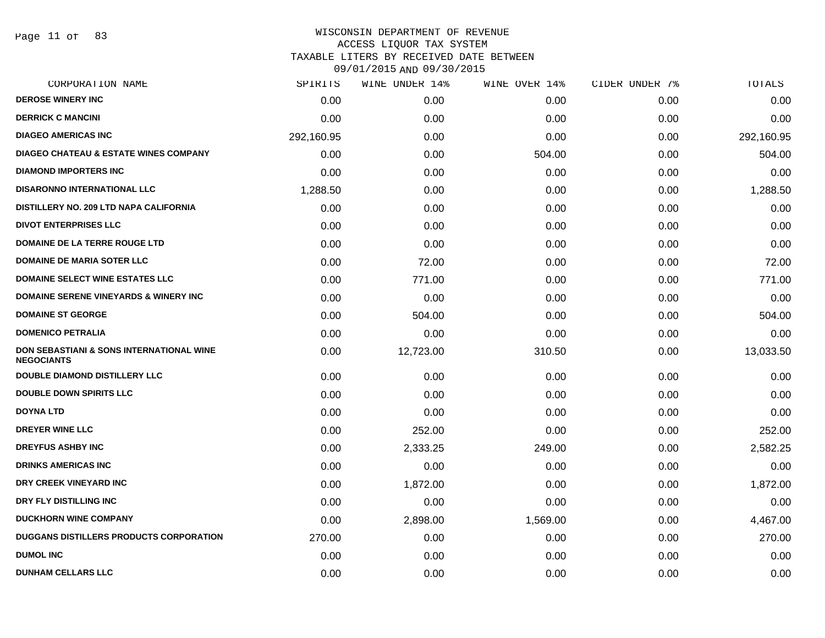| CORPORATION NAME                                                         | SPIRITS    | WINE UNDER 14% | WINE OVER 14% | CIDER UNDER 7% | TOTALS     |
|--------------------------------------------------------------------------|------------|----------------|---------------|----------------|------------|
| <b>DEROSE WINERY INC</b>                                                 | 0.00       | 0.00           | 0.00          | 0.00           | 0.00       |
| <b>DERRICK C MANCINI</b>                                                 | 0.00       | 0.00           | 0.00          | 0.00           | 0.00       |
| <b>DIAGEO AMERICAS INC</b>                                               | 292,160.95 | 0.00           | 0.00          | 0.00           | 292,160.95 |
| <b>DIAGEO CHATEAU &amp; ESTATE WINES COMPANY</b>                         | 0.00       | 0.00           | 504.00        | 0.00           | 504.00     |
| <b>DIAMOND IMPORTERS INC</b>                                             | 0.00       | 0.00           | 0.00          | 0.00           | 0.00       |
| <b>DISARONNO INTERNATIONAL LLC</b>                                       | 1,288.50   | 0.00           | 0.00          | 0.00           | 1,288.50   |
| DISTILLERY NO. 209 LTD NAPA CALIFORNIA                                   | 0.00       | 0.00           | 0.00          | 0.00           | 0.00       |
| <b>DIVOT ENTERPRISES LLC</b>                                             | 0.00       | 0.00           | 0.00          | 0.00           | 0.00       |
| <b>DOMAINE DE LA TERRE ROUGE LTD</b>                                     | 0.00       | 0.00           | 0.00          | 0.00           | 0.00       |
| <b>DOMAINE DE MARIA SOTER LLC</b>                                        | 0.00       | 72.00          | 0.00          | 0.00           | 72.00      |
| <b>DOMAINE SELECT WINE ESTATES LLC</b>                                   | 0.00       | 771.00         | 0.00          | 0.00           | 771.00     |
| <b>DOMAINE SERENE VINEYARDS &amp; WINERY INC</b>                         | 0.00       | 0.00           | 0.00          | 0.00           | 0.00       |
| <b>DOMAINE ST GEORGE</b>                                                 | 0.00       | 504.00         | 0.00          | 0.00           | 504.00     |
| <b>DOMENICO PETRALIA</b>                                                 | 0.00       | 0.00           | 0.00          | 0.00           | 0.00       |
| <b>DON SEBASTIANI &amp; SONS INTERNATIONAL WINE</b><br><b>NEGOCIANTS</b> | 0.00       | 12,723.00      | 310.50        | 0.00           | 13,033.50  |
| DOUBLE DIAMOND DISTILLERY LLC                                            | 0.00       | 0.00           | 0.00          | 0.00           | 0.00       |
| <b>DOUBLE DOWN SPIRITS LLC</b>                                           | 0.00       | 0.00           | 0.00          | 0.00           | 0.00       |
| <b>DOYNA LTD</b>                                                         | 0.00       | 0.00           | 0.00          | 0.00           | 0.00       |
| <b>DREYER WINE LLC</b>                                                   | 0.00       | 252.00         | 0.00          | 0.00           | 252.00     |
| <b>DREYFUS ASHBY INC</b>                                                 | 0.00       | 2,333.25       | 249.00        | 0.00           | 2,582.25   |
| <b>DRINKS AMERICAS INC</b>                                               | 0.00       | 0.00           | 0.00          | 0.00           | 0.00       |
| DRY CREEK VINEYARD INC                                                   | 0.00       | 1,872.00       | 0.00          | 0.00           | 1,872.00   |
| DRY FLY DISTILLING INC                                                   | 0.00       | 0.00           | 0.00          | 0.00           | 0.00       |
| <b>DUCKHORN WINE COMPANY</b>                                             | 0.00       | 2,898.00       | 1,569.00      | 0.00           | 4,467.00   |
| <b>DUGGANS DISTILLERS PRODUCTS CORPORATION</b>                           | 270.00     | 0.00           | 0.00          | 0.00           | 270.00     |
| <b>DUMOL INC</b>                                                         | 0.00       | 0.00           | 0.00          | 0.00           | 0.00       |
| <b>DUNHAM CELLARS LLC</b>                                                | 0.00       | 0.00           | 0.00          | 0.00           | 0.00       |
|                                                                          |            |                |               |                |            |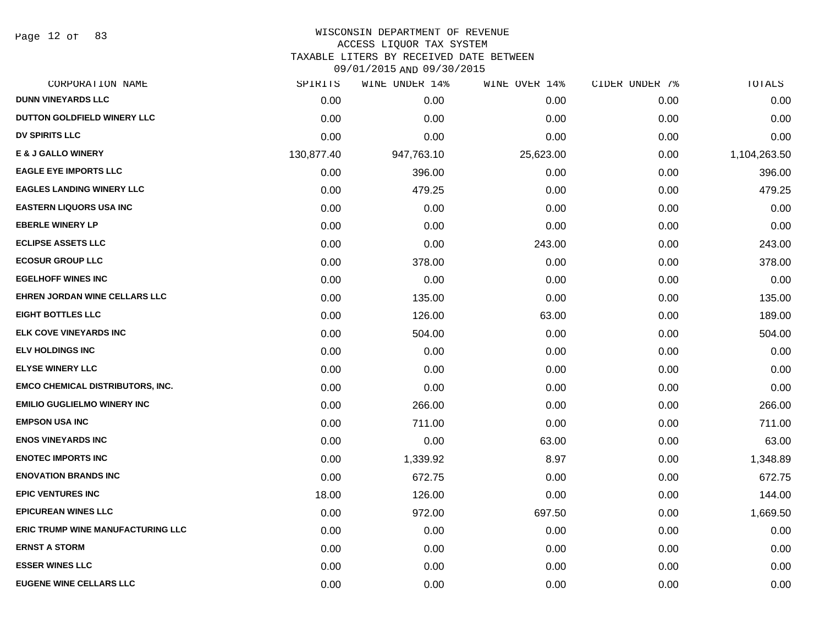Page 12 of 83

# WISCONSIN DEPARTMENT OF REVENUE

ACCESS LIQUOR TAX SYSTEM

TAXABLE LITERS BY RECEIVED DATE BETWEEN

| CORPORATION NAME                         | SPIRITS    | WINE UNDER 14% | WINE OVER 14% | CIDER UNDER 7% | TOTALS       |
|------------------------------------------|------------|----------------|---------------|----------------|--------------|
| <b>DUNN VINEYARDS LLC</b>                | 0.00       | 0.00           | 0.00          | 0.00           | 0.00         |
| DUTTON GOLDFIELD WINERY LLC              | 0.00       | 0.00           | 0.00          | 0.00           | 0.00         |
| <b>DV SPIRITS LLC</b>                    | 0.00       | 0.00           | 0.00          | 0.00           | 0.00         |
| <b>E &amp; J GALLO WINERY</b>            | 130,877.40 | 947,763.10     | 25,623.00     | 0.00           | 1,104,263.50 |
| <b>EAGLE EYE IMPORTS LLC</b>             | 0.00       | 396.00         | 0.00          | 0.00           | 396.00       |
| <b>EAGLES LANDING WINERY LLC</b>         | 0.00       | 479.25         | 0.00          | 0.00           | 479.25       |
| <b>EASTERN LIQUORS USA INC</b>           | 0.00       | 0.00           | 0.00          | 0.00           | 0.00         |
| <b>EBERLE WINERY LP</b>                  | 0.00       | 0.00           | 0.00          | 0.00           | 0.00         |
| <b>ECLIPSE ASSETS LLC</b>                | 0.00       | 0.00           | 243.00        | 0.00           | 243.00       |
| <b>ECOSUR GROUP LLC</b>                  | 0.00       | 378.00         | 0.00          | 0.00           | 378.00       |
| <b>EGELHOFF WINES INC</b>                | 0.00       | 0.00           | 0.00          | 0.00           | 0.00         |
| EHREN JORDAN WINE CELLARS LLC            | 0.00       | 135.00         | 0.00          | 0.00           | 135.00       |
| <b>EIGHT BOTTLES LLC</b>                 | 0.00       | 126.00         | 63.00         | 0.00           | 189.00       |
| ELK COVE VINEYARDS INC                   | 0.00       | 504.00         | 0.00          | 0.00           | 504.00       |
| <b>ELV HOLDINGS INC</b>                  | 0.00       | 0.00           | 0.00          | 0.00           | 0.00         |
| <b>ELYSE WINERY LLC</b>                  | 0.00       | 0.00           | 0.00          | 0.00           | 0.00         |
| <b>EMCO CHEMICAL DISTRIBUTORS, INC.</b>  | 0.00       | 0.00           | 0.00          | 0.00           | 0.00         |
| <b>EMILIO GUGLIELMO WINERY INC</b>       | 0.00       | 266.00         | 0.00          | 0.00           | 266.00       |
| <b>EMPSON USA INC</b>                    | 0.00       | 711.00         | 0.00          | 0.00           | 711.00       |
| <b>ENOS VINEYARDS INC</b>                | 0.00       | 0.00           | 63.00         | 0.00           | 63.00        |
| <b>ENOTEC IMPORTS INC</b>                | 0.00       | 1,339.92       | 8.97          | 0.00           | 1,348.89     |
| <b>ENOVATION BRANDS INC</b>              | 0.00       | 672.75         | 0.00          | 0.00           | 672.75       |
| <b>EPIC VENTURES INC</b>                 | 18.00      | 126.00         | 0.00          | 0.00           | 144.00       |
| <b>EPICUREAN WINES LLC</b>               | 0.00       | 972.00         | 697.50        | 0.00           | 1,669.50     |
| <b>ERIC TRUMP WINE MANUFACTURING LLC</b> | 0.00       | 0.00           | 0.00          | 0.00           | 0.00         |
| <b>ERNST A STORM</b>                     | 0.00       | 0.00           | 0.00          | 0.00           | 0.00         |
| <b>ESSER WINES LLC</b>                   | 0.00       | 0.00           | 0.00          | 0.00           | 0.00         |
| <b>EUGENE WINE CELLARS LLC</b>           | 0.00       | 0.00           | 0.00          | 0.00           | 0.00         |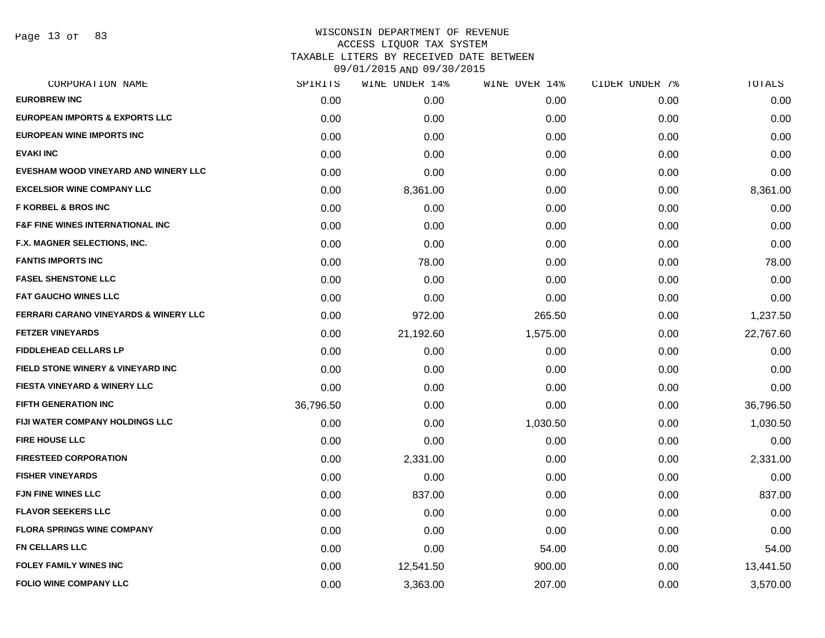Page 13 of 83

| CORPORATION NAME                                 | SPIRITS   | WINE UNDER 14% | WINE OVER 14% | CIDER UNDER 7% | TOTALS    |
|--------------------------------------------------|-----------|----------------|---------------|----------------|-----------|
| <b>EUROBREW INC</b>                              | 0.00      | 0.00           | 0.00          | 0.00           | 0.00      |
| <b>EUROPEAN IMPORTS &amp; EXPORTS LLC</b>        | 0.00      | 0.00           | 0.00          | 0.00           | 0.00      |
| <b>EUROPEAN WINE IMPORTS INC</b>                 | 0.00      | 0.00           | 0.00          | 0.00           | 0.00      |
| <b>EVAKI INC</b>                                 | 0.00      | 0.00           | 0.00          | 0.00           | 0.00      |
| EVESHAM WOOD VINEYARD AND WINERY LLC             | 0.00      | 0.00           | 0.00          | 0.00           | 0.00      |
| <b>EXCELSIOR WINE COMPANY LLC</b>                | 0.00      | 8,361.00       | 0.00          | 0.00           | 8,361.00  |
| <b>F KORBEL &amp; BROS INC</b>                   | 0.00      | 0.00           | 0.00          | 0.00           | 0.00      |
| <b>F&amp;F FINE WINES INTERNATIONAL INC</b>      | 0.00      | 0.00           | 0.00          | 0.00           | 0.00      |
| F.X. MAGNER SELECTIONS, INC.                     | 0.00      | 0.00           | 0.00          | 0.00           | 0.00      |
| <b>FANTIS IMPORTS INC</b>                        | 0.00      | 78.00          | 0.00          | 0.00           | 78.00     |
| <b>FASEL SHENSTONE LLC</b>                       | 0.00      | 0.00           | 0.00          | 0.00           | 0.00      |
| <b>FAT GAUCHO WINES LLC</b>                      | 0.00      | 0.00           | 0.00          | 0.00           | 0.00      |
| <b>FERRARI CARANO VINEYARDS &amp; WINERY LLC</b> | 0.00      | 972.00         | 265.50        | 0.00           | 1,237.50  |
| <b>FETZER VINEYARDS</b>                          | 0.00      | 21,192.60      | 1,575.00      | 0.00           | 22,767.60 |
| <b>FIDDLEHEAD CELLARS LP</b>                     | 0.00      | 0.00           | 0.00          | 0.00           | 0.00      |
| FIELD STONE WINERY & VINEYARD INC                | 0.00      | 0.00           | 0.00          | 0.00           | 0.00      |
| <b>FIESTA VINEYARD &amp; WINERY LLC</b>          | 0.00      | 0.00           | 0.00          | 0.00           | 0.00      |
| <b>FIFTH GENERATION INC</b>                      | 36,796.50 | 0.00           | 0.00          | 0.00           | 36,796.50 |
| FIJI WATER COMPANY HOLDINGS LLC                  | 0.00      | 0.00           | 1,030.50      | 0.00           | 1,030.50  |
| <b>FIRE HOUSE LLC</b>                            | 0.00      | 0.00           | 0.00          | 0.00           | 0.00      |
| <b>FIRESTEED CORPORATION</b>                     | 0.00      | 2,331.00       | 0.00          | 0.00           | 2,331.00  |
| <b>FISHER VINEYARDS</b>                          | 0.00      | 0.00           | 0.00          | 0.00           | 0.00      |
| <b>FJN FINE WINES LLC</b>                        | 0.00      | 837.00         | 0.00          | 0.00           | 837.00    |
| <b>FLAVOR SEEKERS LLC</b>                        | 0.00      | 0.00           | 0.00          | 0.00           | 0.00      |
| <b>FLORA SPRINGS WINE COMPANY</b>                | 0.00      | 0.00           | 0.00          | 0.00           | 0.00      |
| <b>FN CELLARS LLC</b>                            | 0.00      | 0.00           | 54.00         | 0.00           | 54.00     |
| <b>FOLEY FAMILY WINES INC</b>                    | 0.00      | 12,541.50      | 900.00        | 0.00           | 13,441.50 |
| <b>FOLIO WINE COMPANY LLC</b>                    | 0.00      | 3,363.00       | 207.00        | 0.00           | 3,570.00  |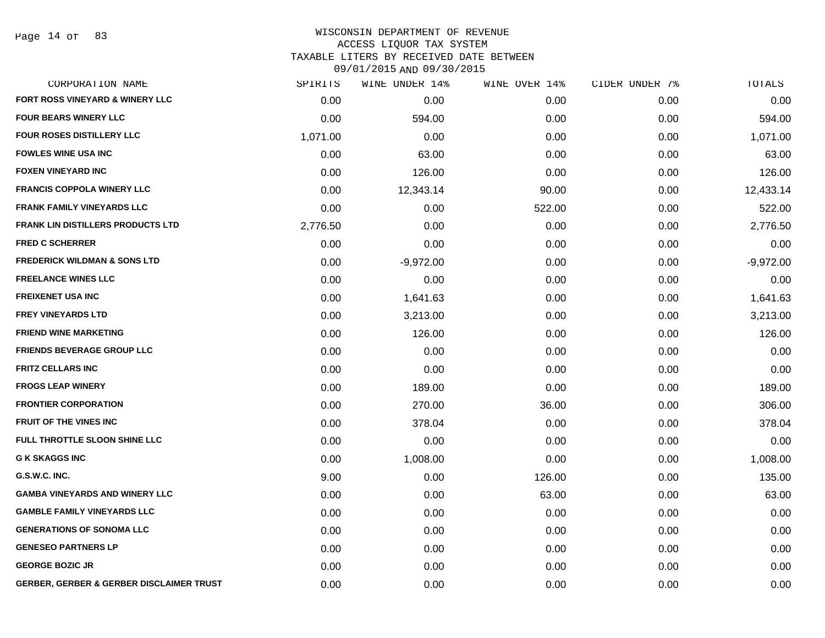Page 14 of 83

#### WISCONSIN DEPARTMENT OF REVENUE ACCESS LIQUOR TAX SYSTEM TAXABLE LITERS BY RECEIVED DATE BETWEEN

| CORPORATION NAME                                    | SPIRITS  | WINE UNDER 14% | WINE OVER 14% | CIDER UNDER 7% | TOTALS      |
|-----------------------------------------------------|----------|----------------|---------------|----------------|-------------|
| FORT ROSS VINEYARD & WINERY LLC                     | 0.00     | 0.00           | 0.00          | 0.00           | 0.00        |
| <b>FOUR BEARS WINERY LLC</b>                        | 0.00     | 594.00         | 0.00          | 0.00           | 594.00      |
| <b>FOUR ROSES DISTILLERY LLC</b>                    | 1,071.00 | 0.00           | 0.00          | 0.00           | 1,071.00    |
| <b>FOWLES WINE USA INC</b>                          | 0.00     | 63.00          | 0.00          | 0.00           | 63.00       |
| <b>FOXEN VINEYARD INC</b>                           | 0.00     | 126.00         | 0.00          | 0.00           | 126.00      |
| <b>FRANCIS COPPOLA WINERY LLC</b>                   | 0.00     | 12,343.14      | 90.00         | 0.00           | 12,433.14   |
| <b>FRANK FAMILY VINEYARDS LLC</b>                   | 0.00     | 0.00           | 522.00        | 0.00           | 522.00      |
| <b>FRANK LIN DISTILLERS PRODUCTS LTD</b>            | 2,776.50 | 0.00           | 0.00          | 0.00           | 2,776.50    |
| <b>FRED C SCHERRER</b>                              | 0.00     | 0.00           | 0.00          | 0.00           | 0.00        |
| <b>FREDERICK WILDMAN &amp; SONS LTD</b>             | 0.00     | $-9,972.00$    | 0.00          | 0.00           | $-9,972.00$ |
| <b>FREELANCE WINES LLC</b>                          | 0.00     | 0.00           | 0.00          | 0.00           | 0.00        |
| <b>FREIXENET USA INC</b>                            | 0.00     | 1,641.63       | 0.00          | 0.00           | 1,641.63    |
| <b>FREY VINEYARDS LTD</b>                           | 0.00     | 3,213.00       | 0.00          | 0.00           | 3,213.00    |
| <b>FRIEND WINE MARKETING</b>                        | 0.00     | 126.00         | 0.00          | 0.00           | 126.00      |
| <b>FRIENDS BEVERAGE GROUP LLC</b>                   | 0.00     | 0.00           | 0.00          | 0.00           | 0.00        |
| <b>FRITZ CELLARS INC</b>                            | 0.00     | 0.00           | 0.00          | 0.00           | 0.00        |
| <b>FROGS LEAP WINERY</b>                            | 0.00     | 189.00         | 0.00          | 0.00           | 189.00      |
| <b>FRONTIER CORPORATION</b>                         | 0.00     | 270.00         | 36.00         | 0.00           | 306.00      |
| <b>FRUIT OF THE VINES INC</b>                       | 0.00     | 378.04         | 0.00          | 0.00           | 378.04      |
| FULL THROTTLE SLOON SHINE LLC                       | 0.00     | 0.00           | 0.00          | 0.00           | 0.00        |
| <b>G K SKAGGS INC</b>                               | 0.00     | 1,008.00       | 0.00          | 0.00           | 1,008.00    |
| G.S.W.C. INC.                                       | 9.00     | 0.00           | 126.00        | 0.00           | 135.00      |
| <b>GAMBA VINEYARDS AND WINERY LLC</b>               | 0.00     | 0.00           | 63.00         | 0.00           | 63.00       |
| <b>GAMBLE FAMILY VINEYARDS LLC</b>                  | 0.00     | 0.00           | 0.00          | 0.00           | 0.00        |
| <b>GENERATIONS OF SONOMA LLC</b>                    | 0.00     | 0.00           | 0.00          | 0.00           | 0.00        |
| <b>GENESEO PARTNERS LP</b>                          | 0.00     | 0.00           | 0.00          | 0.00           | 0.00        |
| <b>GEORGE BOZIC JR</b>                              | 0.00     | 0.00           | 0.00          | 0.00           | 0.00        |
| <b>GERBER, GERBER &amp; GERBER DISCLAIMER TRUST</b> | 0.00     | 0.00           | 0.00          | 0.00           | 0.00        |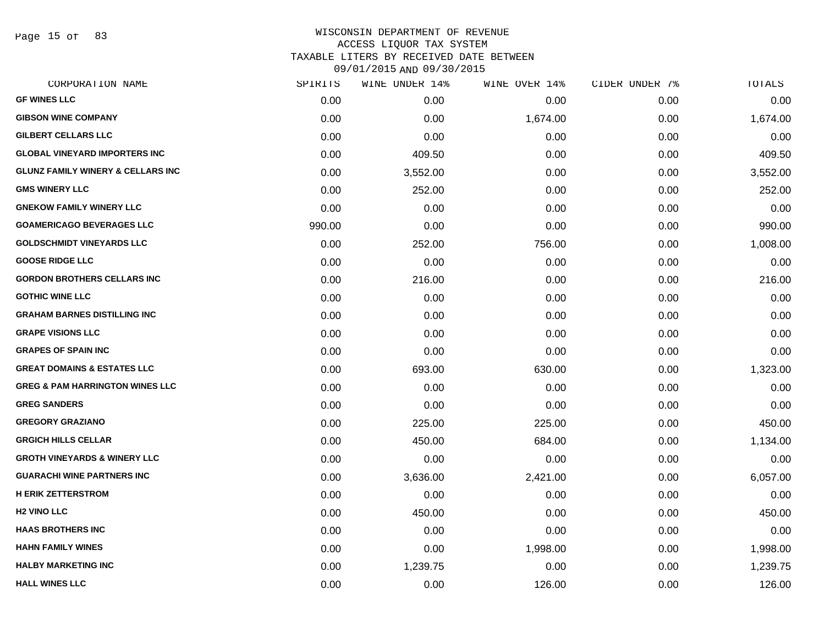Page 15 of 83

| SPIRITS | WINE UNDER 14% | WINE OVER 14% | CIDER UNDER 7% | TOTALS   |
|---------|----------------|---------------|----------------|----------|
| 0.00    | 0.00           | 0.00          | 0.00           | 0.00     |
| 0.00    | 0.00           | 1,674.00      | 0.00           | 1,674.00 |
| 0.00    | 0.00           | 0.00          | 0.00           | 0.00     |
| 0.00    | 409.50         | 0.00          | 0.00           | 409.50   |
| 0.00    | 3,552.00       | 0.00          | 0.00           | 3,552.00 |
| 0.00    | 252.00         | 0.00          | 0.00           | 252.00   |
| 0.00    | 0.00           | 0.00          | 0.00           | 0.00     |
| 990.00  | 0.00           | 0.00          | 0.00           | 990.00   |
| 0.00    | 252.00         | 756.00        | 0.00           | 1,008.00 |
| 0.00    | 0.00           | 0.00          | 0.00           | 0.00     |
| 0.00    | 216.00         | 0.00          | 0.00           | 216.00   |
| 0.00    | 0.00           | 0.00          | 0.00           | 0.00     |
| 0.00    | 0.00           | 0.00          | 0.00           | 0.00     |
| 0.00    | 0.00           | 0.00          | 0.00           | 0.00     |
| 0.00    | 0.00           | 0.00          | 0.00           | 0.00     |
| 0.00    | 693.00         | 630.00        | 0.00           | 1,323.00 |
| 0.00    | 0.00           | 0.00          | 0.00           | 0.00     |
| 0.00    | 0.00           | 0.00          | 0.00           | 0.00     |
| 0.00    | 225.00         | 225.00        | 0.00           | 450.00   |
| 0.00    | 450.00         | 684.00        | 0.00           | 1,134.00 |
| 0.00    | 0.00           | 0.00          | 0.00           | 0.00     |
| 0.00    | 3,636.00       | 2,421.00      | 0.00           | 6,057.00 |
| 0.00    | 0.00           | 0.00          | 0.00           | 0.00     |
| 0.00    | 450.00         | 0.00          | 0.00           | 450.00   |
| 0.00    | 0.00           | 0.00          | 0.00           | 0.00     |
| 0.00    | 0.00           | 1,998.00      | 0.00           | 1,998.00 |
| 0.00    | 1,239.75       | 0.00          | 0.00           | 1,239.75 |
| 0.00    | 0.00           | 126.00        | 0.00           | 126.00   |
|         |                |               |                |          |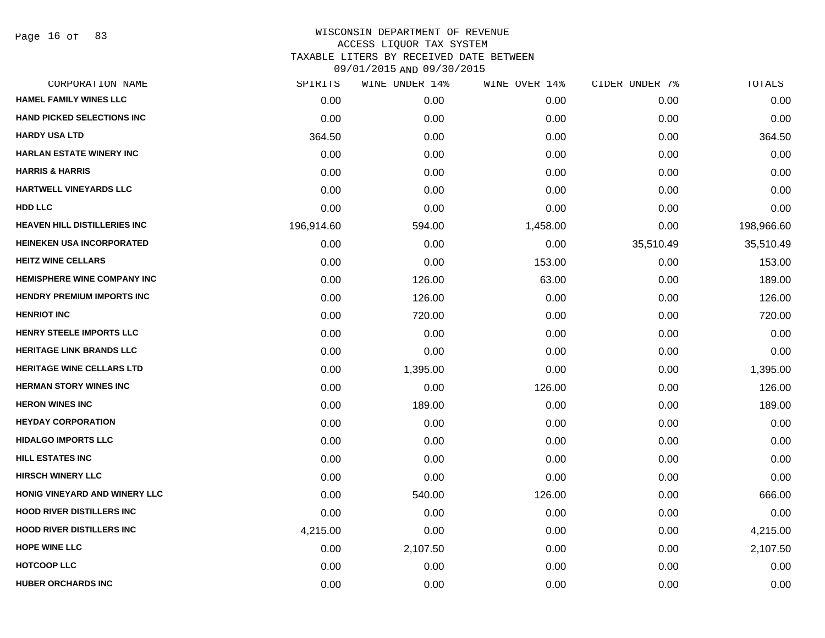Page 16 of 83

| 0.00<br>0.00<br>364.50<br>0.00<br>0.00<br>0.00<br>0.00 | 0.00<br>0.00<br>0.00<br>0.00<br>0.00<br>0.00 | 0.00<br>0.00<br>0.00<br>0.00<br>0.00 | 0.00<br>0.00<br>0.00<br>0.00<br>0.00 | 0.00<br>0.00<br>364.50<br>0.00<br>0.00 |
|--------------------------------------------------------|----------------------------------------------|--------------------------------------|--------------------------------------|----------------------------------------|
|                                                        |                                              |                                      |                                      |                                        |
|                                                        |                                              |                                      |                                      |                                        |
|                                                        |                                              |                                      |                                      |                                        |
|                                                        |                                              |                                      |                                      |                                        |
|                                                        |                                              |                                      |                                      |                                        |
|                                                        |                                              |                                      | 0.00                                 | 0.00                                   |
|                                                        |                                              | 0.00                                 | 0.00                                 | 0.00                                   |
|                                                        | 594.00                                       | 1,458.00                             | 0.00                                 | 198,966.60                             |
| 0.00                                                   | 0.00                                         | 0.00                                 | 35,510.49                            | 35,510.49                              |
| 0.00                                                   | 0.00                                         | 153.00                               | 0.00                                 | 153.00                                 |
| 0.00                                                   | 126.00                                       | 63.00                                | 0.00                                 | 189.00                                 |
| 0.00                                                   | 126.00                                       | 0.00                                 | 0.00                                 | 126.00                                 |
| 0.00                                                   | 720.00                                       | 0.00                                 | 0.00                                 | 720.00                                 |
| 0.00                                                   | 0.00                                         | 0.00                                 | 0.00                                 | 0.00                                   |
| 0.00                                                   | 0.00                                         | 0.00                                 | 0.00                                 | 0.00                                   |
| 0.00                                                   | 1,395.00                                     | 0.00                                 | 0.00                                 | 1,395.00                               |
| 0.00                                                   | 0.00                                         | 126.00                               | 0.00                                 | 126.00                                 |
| 0.00                                                   | 189.00                                       | 0.00                                 | 0.00                                 | 189.00                                 |
| 0.00                                                   | 0.00                                         | 0.00                                 | 0.00                                 | 0.00                                   |
| 0.00                                                   | 0.00                                         | 0.00                                 | 0.00                                 | 0.00                                   |
| 0.00                                                   | 0.00                                         | 0.00                                 | 0.00                                 | 0.00                                   |
| 0.00                                                   | 0.00                                         | 0.00                                 | 0.00                                 | 0.00                                   |
| 0.00                                                   | 540.00                                       | 126.00                               | 0.00                                 | 666.00                                 |
| 0.00                                                   | 0.00                                         | 0.00                                 | 0.00                                 | 0.00                                   |
| 4,215.00                                               | 0.00                                         | 0.00                                 | 0.00                                 | 4,215.00                               |
| 0.00                                                   | 2,107.50                                     | 0.00                                 | 0.00                                 | 2,107.50                               |
| 0.00                                                   | 0.00                                         | 0.00                                 | 0.00                                 | 0.00                                   |
| 0.00                                                   | 0.00                                         | 0.00                                 | 0.00                                 | 0.00                                   |
|                                                        | 196,914.60                                   | 0.00                                 | 0.00                                 |                                        |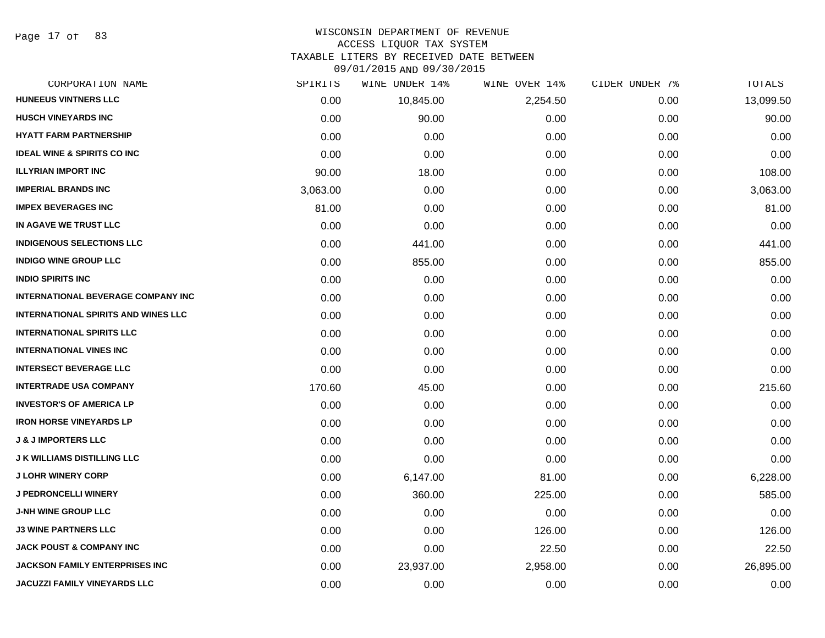Page 17 of 83

#### WISCONSIN DEPARTMENT OF REVENUE ACCESS LIQUOR TAX SYSTEM TAXABLE LITERS BY RECEIVED DATE BETWEEN

| CORPORATION NAME                           | SPIRITS  | WINE UNDER 14% | WINE OVER 14% | CIDER UNDER 7% | TOTALS    |
|--------------------------------------------|----------|----------------|---------------|----------------|-----------|
| <b>HUNEEUS VINTNERS LLC</b>                | 0.00     | 10,845.00      | 2,254.50      | 0.00           | 13,099.50 |
| <b>HUSCH VINEYARDS INC</b>                 | 0.00     | 90.00          | 0.00          | 0.00           | 90.00     |
| <b>HYATT FARM PARTNERSHIP</b>              | 0.00     | 0.00           | 0.00          | 0.00           | 0.00      |
| <b>IDEAL WINE &amp; SPIRITS CO INC</b>     | 0.00     | 0.00           | 0.00          | 0.00           | 0.00      |
| <b>ILLYRIAN IMPORT INC</b>                 | 90.00    | 18.00          | 0.00          | 0.00           | 108.00    |
| <b>IMPERIAL BRANDS INC</b>                 | 3,063.00 | 0.00           | 0.00          | 0.00           | 3,063.00  |
| <b>IMPEX BEVERAGES INC</b>                 | 81.00    | 0.00           | 0.00          | 0.00           | 81.00     |
| IN AGAVE WE TRUST LLC                      | 0.00     | 0.00           | 0.00          | 0.00           | 0.00      |
| <b>INDIGENOUS SELECTIONS LLC</b>           | 0.00     | 441.00         | 0.00          | 0.00           | 441.00    |
| <b>INDIGO WINE GROUP LLC</b>               | 0.00     | 855.00         | 0.00          | 0.00           | 855.00    |
| <b>INDIO SPIRITS INC</b>                   | 0.00     | 0.00           | 0.00          | 0.00           | 0.00      |
| <b>INTERNATIONAL BEVERAGE COMPANY INC</b>  | 0.00     | 0.00           | 0.00          | 0.00           | 0.00      |
| <b>INTERNATIONAL SPIRITS AND WINES LLC</b> | 0.00     | 0.00           | 0.00          | 0.00           | 0.00      |
| <b>INTERNATIONAL SPIRITS LLC</b>           | 0.00     | 0.00           | 0.00          | 0.00           | 0.00      |
| <b>INTERNATIONAL VINES INC</b>             | 0.00     | 0.00           | 0.00          | 0.00           | 0.00      |
| <b>INTERSECT BEVERAGE LLC</b>              | 0.00     | 0.00           | 0.00          | 0.00           | 0.00      |
| <b>INTERTRADE USA COMPANY</b>              | 170.60   | 45.00          | 0.00          | 0.00           | 215.60    |
| <b>INVESTOR'S OF AMERICA LP</b>            | 0.00     | 0.00           | 0.00          | 0.00           | 0.00      |
| <b>IRON HORSE VINEYARDS LP</b>             | 0.00     | 0.00           | 0.00          | 0.00           | 0.00      |
| <b>J &amp; J IMPORTERS LLC</b>             | 0.00     | 0.00           | 0.00          | 0.00           | 0.00      |
| <b>J K WILLIAMS DISTILLING LLC</b>         | 0.00     | 0.00           | 0.00          | 0.00           | 0.00      |
| <b>J LOHR WINERY CORP</b>                  | 0.00     | 6,147.00       | 81.00         | 0.00           | 6,228.00  |
| <b>J PEDRONCELLI WINERY</b>                | 0.00     | 360.00         | 225.00        | 0.00           | 585.00    |
| <b>J-NH WINE GROUP LLC</b>                 | 0.00     | 0.00           | 0.00          | 0.00           | 0.00      |
| <b>J3 WINE PARTNERS LLC</b>                | 0.00     | 0.00           | 126.00        | 0.00           | 126.00    |
| <b>JACK POUST &amp; COMPANY INC</b>        | 0.00     | 0.00           | 22.50         | 0.00           | 22.50     |
| <b>JACKSON FAMILY ENTERPRISES INC</b>      | 0.00     | 23,937.00      | 2,958.00      | 0.00           | 26,895.00 |
| <b>JACUZZI FAMILY VINEYARDS LLC</b>        | 0.00     | 0.00           | 0.00          | 0.00           | 0.00      |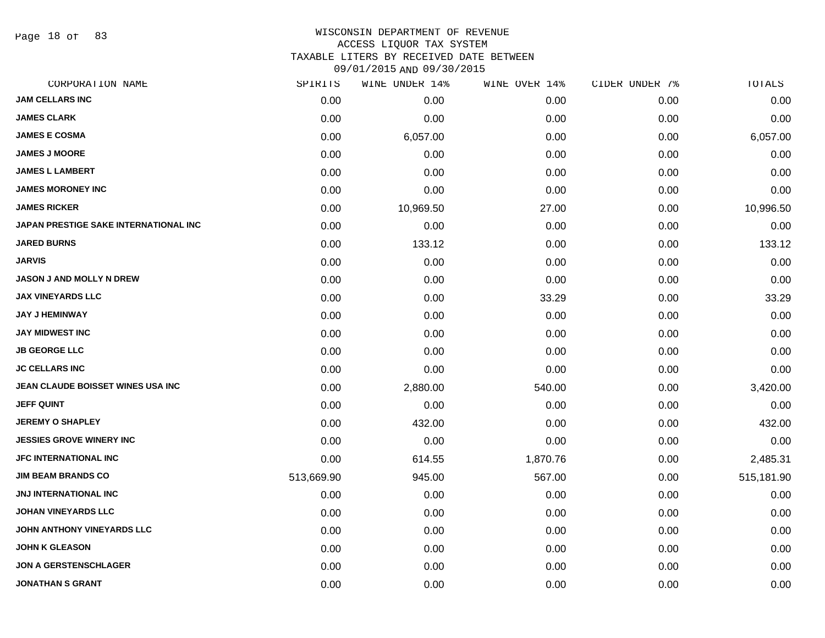Page 18 of 83

#### WISCONSIN DEPARTMENT OF REVENUE ACCESS LIQUOR TAX SYSTEM

TAXABLE LITERS BY RECEIVED DATE BETWEEN

| CORPORATION NAME                      | SPIRITS    | WINE UNDER 14% | WINE OVER 14% | CIDER UNDER 7% | TOTALS     |
|---------------------------------------|------------|----------------|---------------|----------------|------------|
| <b>JAM CELLARS INC</b>                | 0.00       | 0.00           | 0.00          | 0.00           | 0.00       |
| <b>JAMES CLARK</b>                    | 0.00       | 0.00           | 0.00          | 0.00           | 0.00       |
| <b>JAMES E COSMA</b>                  | 0.00       | 6,057.00       | 0.00          | 0.00           | 6,057.00   |
| <b>JAMES J MOORE</b>                  | 0.00       | 0.00           | 0.00          | 0.00           | 0.00       |
| <b>JAMES L LAMBERT</b>                | 0.00       | 0.00           | 0.00          | 0.00           | 0.00       |
| <b>JAMES MORONEY INC</b>              | 0.00       | 0.00           | 0.00          | 0.00           | 0.00       |
| <b>JAMES RICKER</b>                   | 0.00       | 10,969.50      | 27.00         | 0.00           | 10,996.50  |
| JAPAN PRESTIGE SAKE INTERNATIONAL INC | 0.00       | 0.00           | 0.00          | 0.00           | 0.00       |
| <b>JARED BURNS</b>                    | 0.00       | 133.12         | 0.00          | 0.00           | 133.12     |
| <b>JARVIS</b>                         | 0.00       | 0.00           | 0.00          | 0.00           | 0.00       |
| <b>JASON J AND MOLLY N DREW</b>       | 0.00       | 0.00           | 0.00          | 0.00           | 0.00       |
| <b>JAX VINEYARDS LLC</b>              | 0.00       | 0.00           | 33.29         | 0.00           | 33.29      |
| <b>JAY J HEMINWAY</b>                 | 0.00       | 0.00           | 0.00          | 0.00           | 0.00       |
| <b>JAY MIDWEST INC</b>                | 0.00       | 0.00           | 0.00          | 0.00           | 0.00       |
| <b>JB GEORGE LLC</b>                  | 0.00       | 0.00           | 0.00          | 0.00           | 0.00       |
| <b>JC CELLARS INC</b>                 | 0.00       | 0.00           | 0.00          | 0.00           | 0.00       |
| JEAN CLAUDE BOISSET WINES USA INC     | 0.00       | 2,880.00       | 540.00        | 0.00           | 3,420.00   |
| <b>JEFF QUINT</b>                     | 0.00       | 0.00           | 0.00          | 0.00           | 0.00       |
| <b>JEREMY O SHAPLEY</b>               | 0.00       | 432.00         | 0.00          | 0.00           | 432.00     |
| <b>JESSIES GROVE WINERY INC</b>       | 0.00       | 0.00           | 0.00          | 0.00           | 0.00       |
| <b>JFC INTERNATIONAL INC</b>          | 0.00       | 614.55         | 1,870.76      | 0.00           | 2,485.31   |
| <b>JIM BEAM BRANDS CO</b>             | 513,669.90 | 945.00         | 567.00        | 0.00           | 515,181.90 |
| JNJ INTERNATIONAL INC                 | 0.00       | 0.00           | 0.00          | 0.00           | 0.00       |
| <b>JOHAN VINEYARDS LLC</b>            | 0.00       | 0.00           | 0.00          | 0.00           | 0.00       |
| JOHN ANTHONY VINEYARDS LLC            | 0.00       | 0.00           | 0.00          | 0.00           | 0.00       |
| <b>JOHN K GLEASON</b>                 | 0.00       | 0.00           | 0.00          | 0.00           | 0.00       |
| <b>JON A GERSTENSCHLAGER</b>          | 0.00       | 0.00           | 0.00          | 0.00           | 0.00       |
| <b>JONATHAN S GRANT</b>               | 0.00       | 0.00           | 0.00          | 0.00           | 0.00       |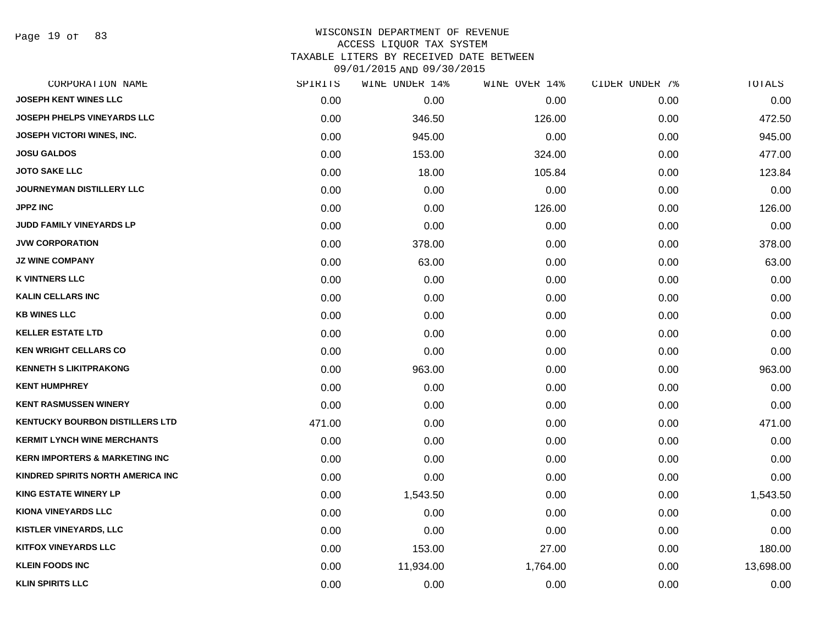Page 19 of 83

| CORPORATION NAME                          | SPIRITS | WINE UNDER 14% | WINE OVER 14% | CIDER UNDER 7% | TOTALS    |
|-------------------------------------------|---------|----------------|---------------|----------------|-----------|
| <b>JOSEPH KENT WINES LLC</b>              | 0.00    | 0.00           | 0.00          | 0.00           | 0.00      |
| JOSEPH PHELPS VINEYARDS LLC               | 0.00    | 346.50         | 126.00        | 0.00           | 472.50    |
| JOSEPH VICTORI WINES, INC.                | 0.00    | 945.00         | 0.00          | 0.00           | 945.00    |
| <b>JOSU GALDOS</b>                        | 0.00    | 153.00         | 324.00        | 0.00           | 477.00    |
| <b>JOTO SAKE LLC</b>                      | 0.00    | 18.00          | 105.84        | 0.00           | 123.84    |
| <b>JOURNEYMAN DISTILLERY LLC</b>          | 0.00    | 0.00           | 0.00          | 0.00           | 0.00      |
| JPPZ INC                                  | 0.00    | 0.00           | 126.00        | 0.00           | 126.00    |
| JUDD FAMILY VINEYARDS LP                  | 0.00    | 0.00           | 0.00          | 0.00           | 0.00      |
| <b>JVW CORPORATION</b>                    | 0.00    | 378.00         | 0.00          | 0.00           | 378.00    |
| <b>JZ WINE COMPANY</b>                    | 0.00    | 63.00          | 0.00          | 0.00           | 63.00     |
| <b>K VINTNERS LLC</b>                     | 0.00    | 0.00           | 0.00          | 0.00           | 0.00      |
| <b>KALIN CELLARS INC</b>                  | 0.00    | 0.00           | 0.00          | 0.00           | 0.00      |
| <b>KB WINES LLC</b>                       | 0.00    | 0.00           | 0.00          | 0.00           | 0.00      |
| <b>KELLER ESTATE LTD</b>                  | 0.00    | 0.00           | 0.00          | 0.00           | 0.00      |
| <b>KEN WRIGHT CELLARS CO</b>              | 0.00    | 0.00           | 0.00          | 0.00           | 0.00      |
| <b>KENNETH S LIKITPRAKONG</b>             | 0.00    | 963.00         | 0.00          | 0.00           | 963.00    |
| <b>KENT HUMPHREY</b>                      | 0.00    | 0.00           | 0.00          | 0.00           | 0.00      |
| <b>KENT RASMUSSEN WINERY</b>              | 0.00    | 0.00           | 0.00          | 0.00           | 0.00      |
| <b>KENTUCKY BOURBON DISTILLERS LTD</b>    | 471.00  | 0.00           | 0.00          | 0.00           | 471.00    |
| <b>KERMIT LYNCH WINE MERCHANTS</b>        | 0.00    | 0.00           | 0.00          | 0.00           | 0.00      |
| <b>KERN IMPORTERS &amp; MARKETING INC</b> | 0.00    | 0.00           | 0.00          | 0.00           | 0.00      |
| KINDRED SPIRITS NORTH AMERICA INC         | 0.00    | 0.00           | 0.00          | 0.00           | 0.00      |
| <b>KING ESTATE WINERY LP</b>              | 0.00    | 1,543.50       | 0.00          | 0.00           | 1,543.50  |
| <b>KIONA VINEYARDS LLC</b>                | 0.00    | 0.00           | 0.00          | 0.00           | 0.00      |
| KISTLER VINEYARDS, LLC                    | 0.00    | 0.00           | 0.00          | 0.00           | 0.00      |
| <b>KITFOX VINEYARDS LLC</b>               | 0.00    | 153.00         | 27.00         | 0.00           | 180.00    |
| <b>KLEIN FOODS INC</b>                    | 0.00    | 11,934.00      | 1,764.00      | 0.00           | 13,698.00 |
| <b>KLIN SPIRITS LLC</b>                   | 0.00    | 0.00           | 0.00          | 0.00           | 0.00      |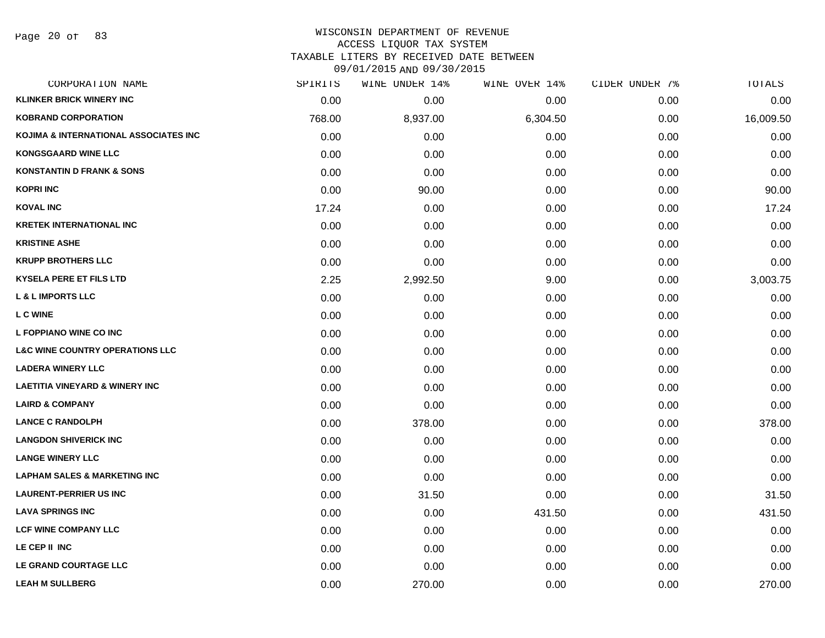# WISCONSIN DEPARTMENT OF REVENUE ACCESS LIQUOR TAX SYSTEM TAXABLE LITERS BY RECEIVED DATE BETWEEN

| CORPORATION NAME                           | SPIRITS | WINE UNDER 14% | WINE OVER 14% | CIDER UNDER 7% | TOTALS    |
|--------------------------------------------|---------|----------------|---------------|----------------|-----------|
| <b>KLINKER BRICK WINERY INC</b>            | 0.00    | 0.00           | 0.00          | 0.00           | 0.00      |
| <b>KOBRAND CORPORATION</b>                 | 768.00  | 8,937.00       | 6,304.50      | 0.00           | 16,009.50 |
| KOJIMA & INTERNATIONAL ASSOCIATES INC      | 0.00    | 0.00           | 0.00          | 0.00           | 0.00      |
| <b>KONGSGAARD WINE LLC</b>                 | 0.00    | 0.00           | 0.00          | 0.00           | 0.00      |
| <b>KONSTANTIN D FRANK &amp; SONS</b>       | 0.00    | 0.00           | 0.00          | 0.00           | 0.00      |
| <b>KOPRI INC</b>                           | 0.00    | 90.00          | 0.00          | 0.00           | 90.00     |
| <b>KOVAL INC</b>                           | 17.24   | 0.00           | 0.00          | 0.00           | 17.24     |
| <b>KRETEK INTERNATIONAL INC</b>            | 0.00    | 0.00           | 0.00          | 0.00           | 0.00      |
| <b>KRISTINE ASHE</b>                       | 0.00    | 0.00           | 0.00          | 0.00           | 0.00      |
| <b>KRUPP BROTHERS LLC</b>                  | 0.00    | 0.00           | 0.00          | 0.00           | 0.00      |
| <b>KYSELA PERE ET FILS LTD</b>             | 2.25    | 2,992.50       | 9.00          | 0.00           | 3,003.75  |
| <b>L &amp; L IMPORTS LLC</b>               | 0.00    | 0.00           | 0.00          | 0.00           | 0.00      |
| <b>LC WINE</b>                             | 0.00    | 0.00           | 0.00          | 0.00           | 0.00      |
| L FOPPIANO WINE CO INC                     | 0.00    | 0.00           | 0.00          | 0.00           | 0.00      |
| <b>L&amp;C WINE COUNTRY OPERATIONS LLC</b> | 0.00    | 0.00           | 0.00          | 0.00           | 0.00      |
| <b>LADERA WINERY LLC</b>                   | 0.00    | 0.00           | 0.00          | 0.00           | 0.00      |
| <b>LAETITIA VINEYARD &amp; WINERY INC</b>  | 0.00    | 0.00           | 0.00          | 0.00           | 0.00      |
| <b>LAIRD &amp; COMPANY</b>                 | 0.00    | 0.00           | 0.00          | 0.00           | 0.00      |
| <b>LANCE C RANDOLPH</b>                    | 0.00    | 378.00         | 0.00          | 0.00           | 378.00    |
| <b>LANGDON SHIVERICK INC</b>               | 0.00    | 0.00           | 0.00          | 0.00           | 0.00      |
| <b>LANGE WINERY LLC</b>                    | 0.00    | 0.00           | 0.00          | 0.00           | 0.00      |
| <b>LAPHAM SALES &amp; MARKETING INC</b>    | 0.00    | 0.00           | 0.00          | 0.00           | 0.00      |
| <b>LAURENT-PERRIER US INC</b>              | 0.00    | 31.50          | 0.00          | 0.00           | 31.50     |
| <b>LAVA SPRINGS INC</b>                    | 0.00    | 0.00           | 431.50        | 0.00           | 431.50    |
| <b>LCF WINE COMPANY LLC</b>                | 0.00    | 0.00           | 0.00          | 0.00           | 0.00      |
| LE CEP II INC                              | 0.00    | 0.00           | 0.00          | 0.00           | 0.00      |
| LE GRAND COURTAGE LLC                      | 0.00    | 0.00           | 0.00          | 0.00           | 0.00      |
| <b>LEAH M SULLBERG</b>                     | 0.00    | 270.00         | 0.00          | 0.00           | 270.00    |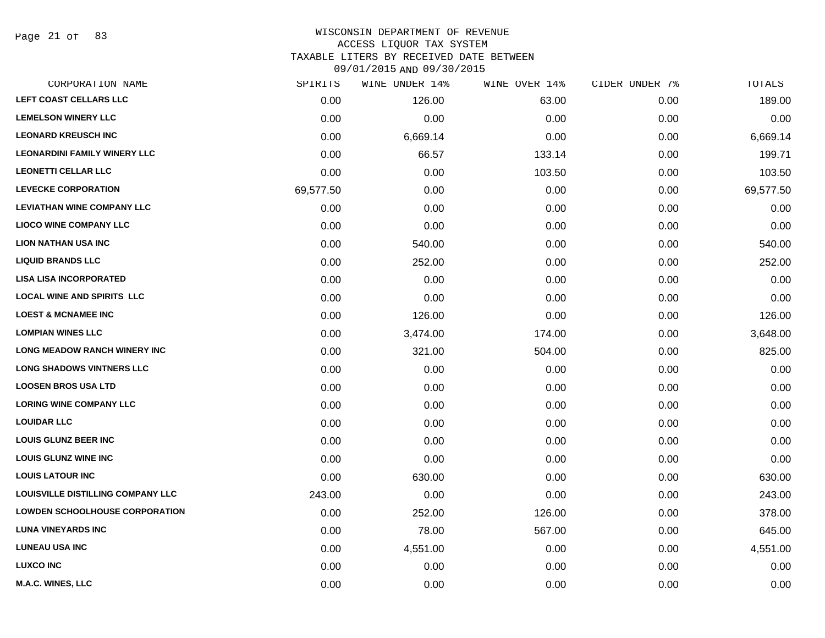Page 21 of 83

# WISCONSIN DEPARTMENT OF REVENUE ACCESS LIQUOR TAX SYSTEM TAXABLE LITERS BY RECEIVED DATE BETWEEN

| CORPORATION NAME                    | SPIRITS   | WINE UNDER 14% | WINE OVER 14% | CIDER UNDER 7% | TOTALS    |
|-------------------------------------|-----------|----------------|---------------|----------------|-----------|
| LEFT COAST CELLARS LLC              | 0.00      | 126.00         | 63.00         | 0.00           | 189.00    |
| <b>LEMELSON WINERY LLC</b>          | 0.00      | 0.00           | 0.00          | 0.00           | 0.00      |
| <b>LEONARD KREUSCH INC</b>          | 0.00      | 6,669.14       | 0.00          | 0.00           | 6,669.14  |
| <b>LEONARDINI FAMILY WINERY LLC</b> | 0.00      | 66.57          | 133.14        | 0.00           | 199.71    |
| <b>LEONETTI CELLAR LLC</b>          | 0.00      | 0.00           | 103.50        | 0.00           | 103.50    |
| <b>LEVECKE CORPORATION</b>          | 69,577.50 | 0.00           | 0.00          | 0.00           | 69,577.50 |
| <b>LEVIATHAN WINE COMPANY LLC</b>   | 0.00      | 0.00           | 0.00          | 0.00           | 0.00      |
| <b>LIOCO WINE COMPANY LLC</b>       | 0.00      | 0.00           | 0.00          | 0.00           | 0.00      |
| <b>LION NATHAN USA INC</b>          | 0.00      | 540.00         | 0.00          | 0.00           | 540.00    |
| <b>LIQUID BRANDS LLC</b>            | 0.00      | 252.00         | 0.00          | 0.00           | 252.00    |
| <b>LISA LISA INCORPORATED</b>       | 0.00      | 0.00           | 0.00          | 0.00           | 0.00      |
| <b>LOCAL WINE AND SPIRITS LLC</b>   | 0.00      | 0.00           | 0.00          | 0.00           | 0.00      |
| <b>LOEST &amp; MCNAMEE INC</b>      | 0.00      | 126.00         | 0.00          | 0.00           | 126.00    |
| <b>LOMPIAN WINES LLC</b>            | 0.00      | 3,474.00       | 174.00        | 0.00           | 3,648.00  |
| <b>LONG MEADOW RANCH WINERY INC</b> | 0.00      | 321.00         | 504.00        | 0.00           | 825.00    |
| <b>LONG SHADOWS VINTNERS LLC</b>    | 0.00      | 0.00           | 0.00          | 0.00           | 0.00      |
| <b>LOOSEN BROS USA LTD</b>          | 0.00      | 0.00           | 0.00          | 0.00           | 0.00      |
| <b>LORING WINE COMPANY LLC</b>      | 0.00      | 0.00           | 0.00          | 0.00           | 0.00      |
| <b>LOUIDAR LLC</b>                  | 0.00      | 0.00           | 0.00          | 0.00           | 0.00      |
| <b>LOUIS GLUNZ BEER INC</b>         | 0.00      | 0.00           | 0.00          | 0.00           | 0.00      |
| <b>LOUIS GLUNZ WINE INC</b>         | 0.00      | 0.00           | 0.00          | 0.00           | 0.00      |
| <b>LOUIS LATOUR INC</b>             | 0.00      | 630.00         | 0.00          | 0.00           | 630.00    |
| LOUISVILLE DISTILLING COMPANY LLC   | 243.00    | 0.00           | 0.00          | 0.00           | 243.00    |
| LOWDEN SCHOOLHOUSE CORPORATION      | 0.00      | 252.00         | 126.00        | 0.00           | 378.00    |
| <b>LUNA VINEYARDS INC</b>           | 0.00      | 78.00          | 567.00        | 0.00           | 645.00    |
| <b>LUNEAU USA INC</b>               | 0.00      | 4,551.00       | 0.00          | 0.00           | 4,551.00  |
| <b>LUXCO INC</b>                    | 0.00      | 0.00           | 0.00          | 0.00           | 0.00      |
| <b>M.A.C. WINES, LLC</b>            | 0.00      | 0.00           | 0.00          | 0.00           | 0.00      |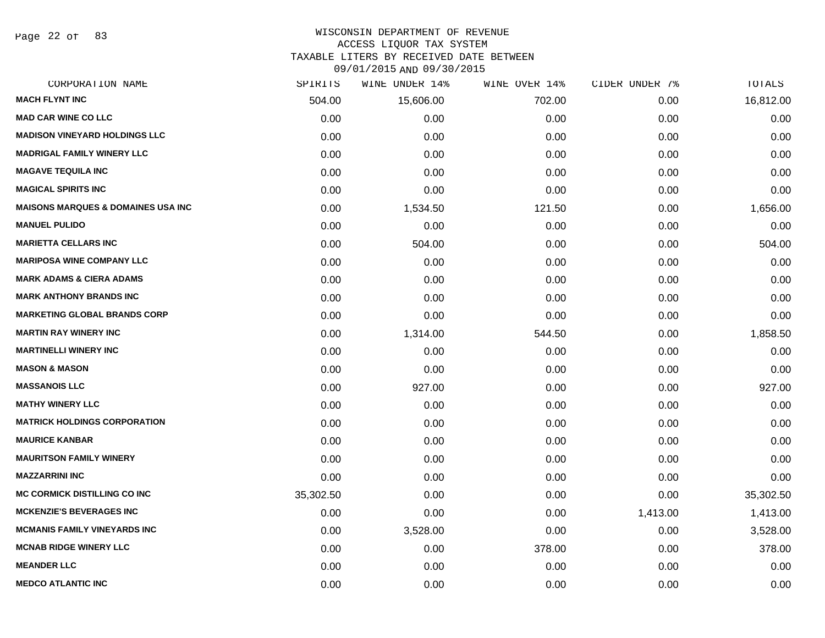Page 22 of 83

# WISCONSIN DEPARTMENT OF REVENUE

ACCESS LIQUOR TAX SYSTEM

TAXABLE LITERS BY RECEIVED DATE BETWEEN

| CORPORATION NAME                              | SPIRITS   | WINE UNDER 14% | WINE OVER 14% | CIDER UNDER 7% | TOTALS    |
|-----------------------------------------------|-----------|----------------|---------------|----------------|-----------|
| <b>MACH FLYNT INC</b>                         | 504.00    | 15,606.00      | 702.00        | 0.00           | 16,812.00 |
| <b>MAD CAR WINE CO LLC</b>                    | 0.00      | 0.00           | 0.00          | 0.00           | 0.00      |
| <b>MADISON VINEYARD HOLDINGS LLC</b>          | 0.00      | 0.00           | 0.00          | 0.00           | 0.00      |
| <b>MADRIGAL FAMILY WINERY LLC</b>             | 0.00      | 0.00           | 0.00          | 0.00           | 0.00      |
| <b>MAGAVE TEQUILA INC</b>                     | 0.00      | 0.00           | 0.00          | 0.00           | 0.00      |
| <b>MAGICAL SPIRITS INC</b>                    | 0.00      | 0.00           | 0.00          | 0.00           | 0.00      |
| <b>MAISONS MARQUES &amp; DOMAINES USA INC</b> | 0.00      | 1,534.50       | 121.50        | 0.00           | 1,656.00  |
| <b>MANUEL PULIDO</b>                          | 0.00      | 0.00           | 0.00          | 0.00           | 0.00      |
| <b>MARIETTA CELLARS INC</b>                   | 0.00      | 504.00         | 0.00          | 0.00           | 504.00    |
| <b>MARIPOSA WINE COMPANY LLC</b>              | 0.00      | 0.00           | 0.00          | 0.00           | 0.00      |
| <b>MARK ADAMS &amp; CIERA ADAMS</b>           | 0.00      | 0.00           | 0.00          | 0.00           | 0.00      |
| <b>MARK ANTHONY BRANDS INC</b>                | 0.00      | 0.00           | 0.00          | 0.00           | 0.00      |
| <b>MARKETING GLOBAL BRANDS CORP</b>           | 0.00      | 0.00           | 0.00          | 0.00           | 0.00      |
| <b>MARTIN RAY WINERY INC</b>                  | 0.00      | 1,314.00       | 544.50        | 0.00           | 1,858.50  |
| <b>MARTINELLI WINERY INC</b>                  | 0.00      | 0.00           | 0.00          | 0.00           | 0.00      |
| <b>MASON &amp; MASON</b>                      | 0.00      | 0.00           | 0.00          | 0.00           | 0.00      |
| <b>MASSANOIS LLC</b>                          | 0.00      | 927.00         | 0.00          | 0.00           | 927.00    |
| <b>MATHY WINERY LLC</b>                       | 0.00      | 0.00           | 0.00          | 0.00           | 0.00      |
| <b>MATRICK HOLDINGS CORPORATION</b>           | 0.00      | 0.00           | 0.00          | 0.00           | 0.00      |
| <b>MAURICE KANBAR</b>                         | 0.00      | 0.00           | 0.00          | 0.00           | 0.00      |
| <b>MAURITSON FAMILY WINERY</b>                | 0.00      | 0.00           | 0.00          | 0.00           | 0.00      |
| <b>MAZZARRINI INC</b>                         | 0.00      | 0.00           | 0.00          | 0.00           | 0.00      |
| <b>MC CORMICK DISTILLING CO INC</b>           | 35,302.50 | 0.00           | 0.00          | 0.00           | 35,302.50 |
| <b>MCKENZIE'S BEVERAGES INC</b>               | 0.00      | 0.00           | 0.00          | 1,413.00       | 1,413.00  |
| <b>MCMANIS FAMILY VINEYARDS INC</b>           | 0.00      | 3,528.00       | 0.00          | 0.00           | 3,528.00  |
| <b>MCNAB RIDGE WINERY LLC</b>                 | 0.00      | 0.00           | 378.00        | 0.00           | 378.00    |
| <b>MEANDER LLC</b>                            | 0.00      | 0.00           | 0.00          | 0.00           | 0.00      |
| <b>MEDCO ATLANTIC INC</b>                     | 0.00      | 0.00           | 0.00          | 0.00           | 0.00      |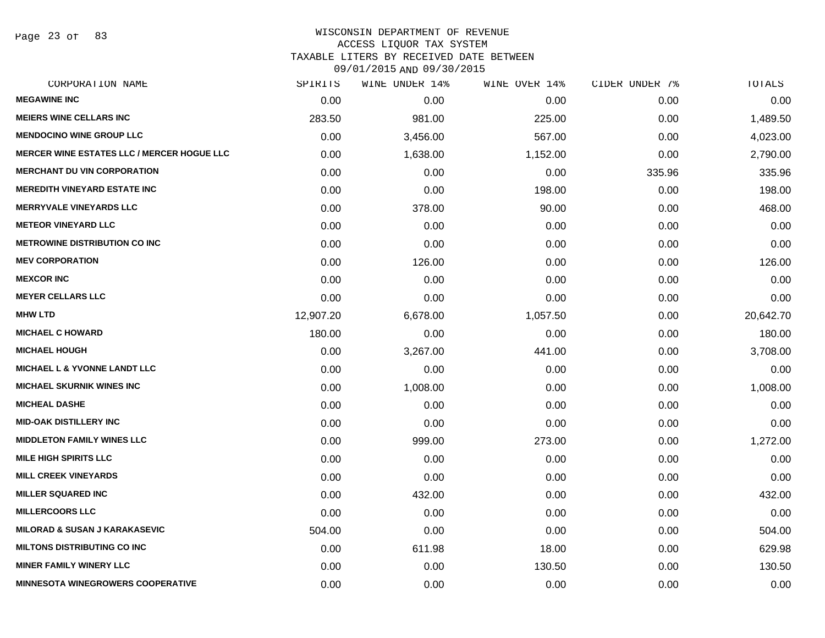Page 23 of 83

# WISCONSIN DEPARTMENT OF REVENUE ACCESS LIQUOR TAX SYSTEM TAXABLE LITERS BY RECEIVED DATE BETWEEN

| CORPORATION NAME                                  | SPIRITS   | WINE UNDER 14% | WINE OVER 14% | CIDER UNDER 7% | TOTALS    |
|---------------------------------------------------|-----------|----------------|---------------|----------------|-----------|
| <b>MEGAWINE INC</b>                               | 0.00      | 0.00           | 0.00          | 0.00           | 0.00      |
| <b>MEIERS WINE CELLARS INC</b>                    | 283.50    | 981.00         | 225.00        | 0.00           | 1,489.50  |
| <b>MENDOCINO WINE GROUP LLC</b>                   | 0.00      | 3,456.00       | 567.00        | 0.00           | 4,023.00  |
| <b>MERCER WINE ESTATES LLC / MERCER HOGUE LLC</b> | 0.00      | 1,638.00       | 1,152.00      | 0.00           | 2,790.00  |
| <b>MERCHANT DU VIN CORPORATION</b>                | 0.00      | 0.00           | 0.00          | 335.96         | 335.96    |
| <b>MEREDITH VINEYARD ESTATE INC</b>               | 0.00      | 0.00           | 198.00        | 0.00           | 198.00    |
| <b>MERRYVALE VINEYARDS LLC</b>                    | 0.00      | 378.00         | 90.00         | 0.00           | 468.00    |
| <b>METEOR VINEYARD LLC</b>                        | 0.00      | 0.00           | 0.00          | 0.00           | 0.00      |
| <b>METROWINE DISTRIBUTION CO INC</b>              | 0.00      | 0.00           | 0.00          | 0.00           | 0.00      |
| <b>MEV CORPORATION</b>                            | 0.00      | 126.00         | 0.00          | 0.00           | 126.00    |
| <b>MEXCOR INC</b>                                 | 0.00      | 0.00           | 0.00          | 0.00           | 0.00      |
| <b>MEYER CELLARS LLC</b>                          | 0.00      | 0.00           | 0.00          | 0.00           | 0.00      |
| <b>MHW LTD</b>                                    | 12,907.20 | 6,678.00       | 1,057.50      | 0.00           | 20,642.70 |
| <b>MICHAEL C HOWARD</b>                           | 180.00    | 0.00           | 0.00          | 0.00           | 180.00    |
| <b>MICHAEL HOUGH</b>                              | 0.00      | 3,267.00       | 441.00        | 0.00           | 3,708.00  |
| MICHAEL L & YVONNE LANDT LLC                      | 0.00      | 0.00           | 0.00          | 0.00           | 0.00      |
| <b>MICHAEL SKURNIK WINES INC</b>                  | 0.00      | 1,008.00       | 0.00          | 0.00           | 1,008.00  |
| <b>MICHEAL DASHE</b>                              | 0.00      | 0.00           | 0.00          | 0.00           | 0.00      |
| <b>MID-OAK DISTILLERY INC</b>                     | 0.00      | 0.00           | 0.00          | 0.00           | 0.00      |
| <b>MIDDLETON FAMILY WINES LLC</b>                 | 0.00      | 999.00         | 273.00        | 0.00           | 1,272.00  |
| <b>MILE HIGH SPIRITS LLC</b>                      | 0.00      | 0.00           | 0.00          | 0.00           | 0.00      |
| <b>MILL CREEK VINEYARDS</b>                       | 0.00      | 0.00           | 0.00          | 0.00           | 0.00      |
| <b>MILLER SQUARED INC</b>                         | 0.00      | 432.00         | 0.00          | 0.00           | 432.00    |
| <b>MILLERCOORS LLC</b>                            | 0.00      | 0.00           | 0.00          | 0.00           | 0.00      |
| <b>MILORAD &amp; SUSAN J KARAKASEVIC</b>          | 504.00    | 0.00           | 0.00          | 0.00           | 504.00    |
| <b>MILTONS DISTRIBUTING CO INC</b>                | 0.00      | 611.98         | 18.00         | 0.00           | 629.98    |
| <b>MINER FAMILY WINERY LLC</b>                    | 0.00      | 0.00           | 130.50        | 0.00           | 130.50    |
| <b>MINNESOTA WINEGROWERS COOPERATIVE</b>          | 0.00      | 0.00           | 0.00          | 0.00           | 0.00      |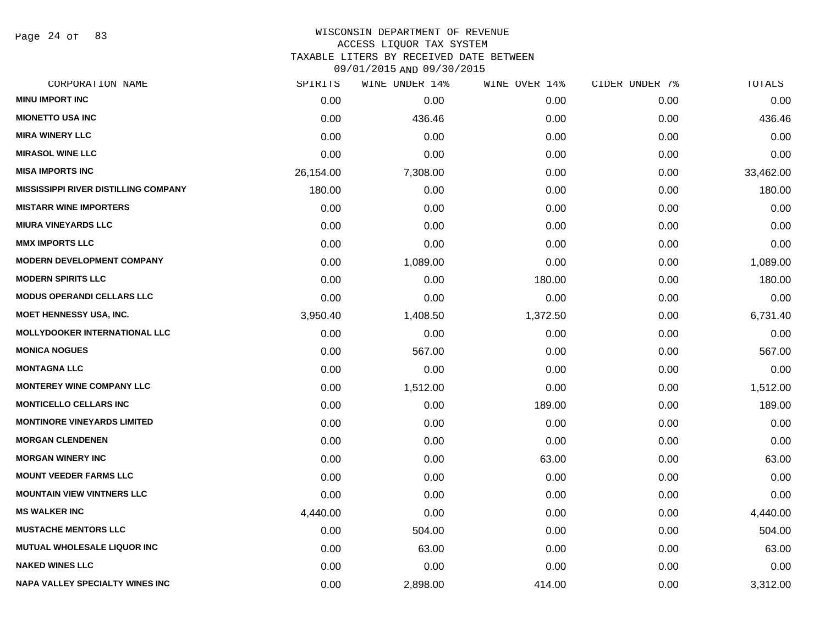Page 24 of 83

#### WISCONSIN DEPARTMENT OF REVENUE ACCESS LIQUOR TAX SYSTEM

TAXABLE LITERS BY RECEIVED DATE BETWEEN

| CORPORATION NAME                            | SPIRITS   | WINE UNDER 14% | WINE OVER 14% | CIDER UNDER 7% | TOTALS    |
|---------------------------------------------|-----------|----------------|---------------|----------------|-----------|
| <b>MINU IMPORT INC</b>                      | 0.00      | 0.00           | 0.00          | 0.00           | 0.00      |
| <b>MIONETTO USA INC</b>                     | 0.00      | 436.46         | 0.00          | 0.00           | 436.46    |
| <b>MIRA WINERY LLC</b>                      | 0.00      | 0.00           | 0.00          | 0.00           | 0.00      |
| <b>MIRASOL WINE LLC</b>                     | 0.00      | 0.00           | 0.00          | 0.00           | 0.00      |
| <b>MISA IMPORTS INC</b>                     | 26,154.00 | 7,308.00       | 0.00          | 0.00           | 33,462.00 |
| <b>MISSISSIPPI RIVER DISTILLING COMPANY</b> | 180.00    | 0.00           | 0.00          | 0.00           | 180.00    |
| <b>MISTARR WINE IMPORTERS</b>               | 0.00      | 0.00           | 0.00          | 0.00           | 0.00      |
| <b>MIURA VINEYARDS LLC</b>                  | 0.00      | 0.00           | 0.00          | 0.00           | 0.00      |
| <b>MMX IMPORTS LLC</b>                      | 0.00      | 0.00           | 0.00          | 0.00           | 0.00      |
| <b>MODERN DEVELOPMENT COMPANY</b>           | 0.00      | 1,089.00       | 0.00          | 0.00           | 1,089.00  |
| <b>MODERN SPIRITS LLC</b>                   | 0.00      | 0.00           | 180.00        | 0.00           | 180.00    |
| <b>MODUS OPERANDI CELLARS LLC</b>           | 0.00      | 0.00           | 0.00          | 0.00           | 0.00      |
| MOET HENNESSY USA, INC.                     | 3,950.40  | 1,408.50       | 1,372.50      | 0.00           | 6,731.40  |
| <b>MOLLYDOOKER INTERNATIONAL LLC</b>        | 0.00      | 0.00           | 0.00          | 0.00           | 0.00      |
| <b>MONICA NOGUES</b>                        | 0.00      | 567.00         | 0.00          | 0.00           | 567.00    |
| <b>MONTAGNA LLC</b>                         | 0.00      | 0.00           | 0.00          | 0.00           | 0.00      |
| <b>MONTEREY WINE COMPANY LLC</b>            | 0.00      | 1,512.00       | 0.00          | 0.00           | 1,512.00  |
| <b>MONTICELLO CELLARS INC</b>               | 0.00      | 0.00           | 189.00        | 0.00           | 189.00    |
| <b>MONTINORE VINEYARDS LIMITED</b>          | 0.00      | 0.00           | 0.00          | 0.00           | 0.00      |
| <b>MORGAN CLENDENEN</b>                     | 0.00      | 0.00           | 0.00          | 0.00           | 0.00      |
| <b>MORGAN WINERY INC</b>                    | 0.00      | 0.00           | 63.00         | 0.00           | 63.00     |
| <b>MOUNT VEEDER FARMS LLC</b>               | 0.00      | 0.00           | 0.00          | 0.00           | 0.00      |
| <b>MOUNTAIN VIEW VINTNERS LLC</b>           | 0.00      | 0.00           | 0.00          | 0.00           | 0.00      |
| <b>MS WALKER INC</b>                        | 4,440.00  | 0.00           | 0.00          | 0.00           | 4,440.00  |
| <b>MUSTACHE MENTORS LLC</b>                 | 0.00      | 504.00         | 0.00          | 0.00           | 504.00    |
| <b>MUTUAL WHOLESALE LIQUOR INC</b>          | 0.00      | 63.00          | 0.00          | 0.00           | 63.00     |
| <b>NAKED WINES LLC</b>                      | 0.00      | 0.00           | 0.00          | 0.00           | 0.00      |
| <b>NAPA VALLEY SPECIALTY WINES INC</b>      | 0.00      | 2,898.00       | 414.00        | 0.00           | 3,312.00  |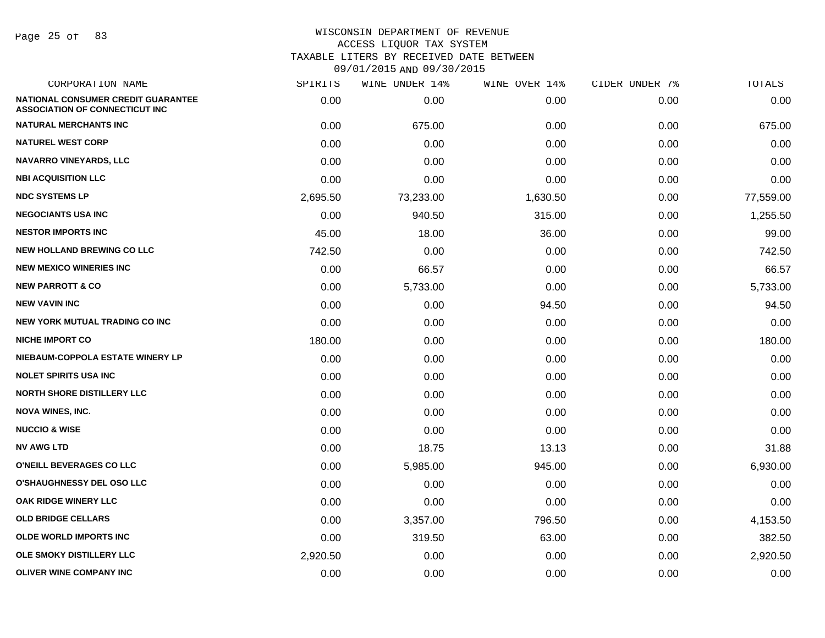Page 25 of 83

| CORPORATION NAME                                                            | SPIRITS  | WINE UNDER 14% | WINE OVER 14% | CIDER UNDER 7% | TOTALS    |
|-----------------------------------------------------------------------------|----------|----------------|---------------|----------------|-----------|
| NATIONAL CONSUMER CREDIT GUARANTEE<br><b>ASSOCIATION OF CONNECTICUT INC</b> | 0.00     | 0.00           | 0.00          | 0.00           | 0.00      |
| <b>NATURAL MERCHANTS INC</b>                                                | 0.00     | 675.00         | 0.00          | 0.00           | 675.00    |
| <b>NATUREL WEST CORP</b>                                                    | 0.00     | 0.00           | 0.00          | 0.00           | 0.00      |
| <b>NAVARRO VINEYARDS, LLC</b>                                               | 0.00     | 0.00           | 0.00          | 0.00           | 0.00      |
| <b>NBI ACQUISITION LLC</b>                                                  | 0.00     | 0.00           | 0.00          | 0.00           | 0.00      |
| <b>NDC SYSTEMS LP</b>                                                       | 2,695.50 | 73,233.00      | 1,630.50      | 0.00           | 77,559.00 |
| <b>NEGOCIANTS USA INC</b>                                                   | 0.00     | 940.50         | 315.00        | 0.00           | 1,255.50  |
| <b>NESTOR IMPORTS INC</b>                                                   | 45.00    | 18.00          | 36.00         | 0.00           | 99.00     |
| <b>NEW HOLLAND BREWING CO LLC</b>                                           | 742.50   | 0.00           | 0.00          | 0.00           | 742.50    |
| <b>NEW MEXICO WINERIES INC</b>                                              | 0.00     | 66.57          | 0.00          | 0.00           | 66.57     |
| <b>NEW PARROTT &amp; CO</b>                                                 | 0.00     | 5,733.00       | 0.00          | 0.00           | 5,733.00  |
| <b>NEW VAVIN INC</b>                                                        | 0.00     | 0.00           | 94.50         | 0.00           | 94.50     |
| <b>NEW YORK MUTUAL TRADING CO INC</b>                                       | 0.00     | 0.00           | 0.00          | 0.00           | 0.00      |
| <b>NICHE IMPORT CO</b>                                                      | 180.00   | 0.00           | 0.00          | 0.00           | 180.00    |
| NIEBAUM-COPPOLA ESTATE WINERY LP                                            | 0.00     | 0.00           | 0.00          | 0.00           | 0.00      |
| <b>NOLET SPIRITS USA INC</b>                                                | 0.00     | 0.00           | 0.00          | 0.00           | 0.00      |
| <b>NORTH SHORE DISTILLERY LLC</b>                                           | 0.00     | 0.00           | 0.00          | 0.00           | 0.00      |
| <b>NOVA WINES, INC.</b>                                                     | 0.00     | 0.00           | 0.00          | 0.00           | 0.00      |
| <b>NUCCIO &amp; WISE</b>                                                    | 0.00     | 0.00           | 0.00          | 0.00           | 0.00      |
| <b>NV AWG LTD</b>                                                           | 0.00     | 18.75          | 13.13         | 0.00           | 31.88     |
| O'NEILL BEVERAGES CO LLC                                                    | 0.00     | 5,985.00       | 945.00        | 0.00           | 6,930.00  |
| <b>O'SHAUGHNESSY DEL OSO LLC</b>                                            | 0.00     | 0.00           | 0.00          | 0.00           | 0.00      |
| OAK RIDGE WINERY LLC                                                        | 0.00     | 0.00           | 0.00          | 0.00           | 0.00      |
| <b>OLD BRIDGE CELLARS</b>                                                   | 0.00     | 3,357.00       | 796.50        | 0.00           | 4,153.50  |
| <b>OLDE WORLD IMPORTS INC</b>                                               | 0.00     | 319.50         | 63.00         | 0.00           | 382.50    |
| OLE SMOKY DISTILLERY LLC                                                    | 2,920.50 | 0.00           | 0.00          | 0.00           | 2,920.50  |
| <b>OLIVER WINE COMPANY INC</b>                                              | 0.00     | 0.00           | 0.00          | 0.00           | 0.00      |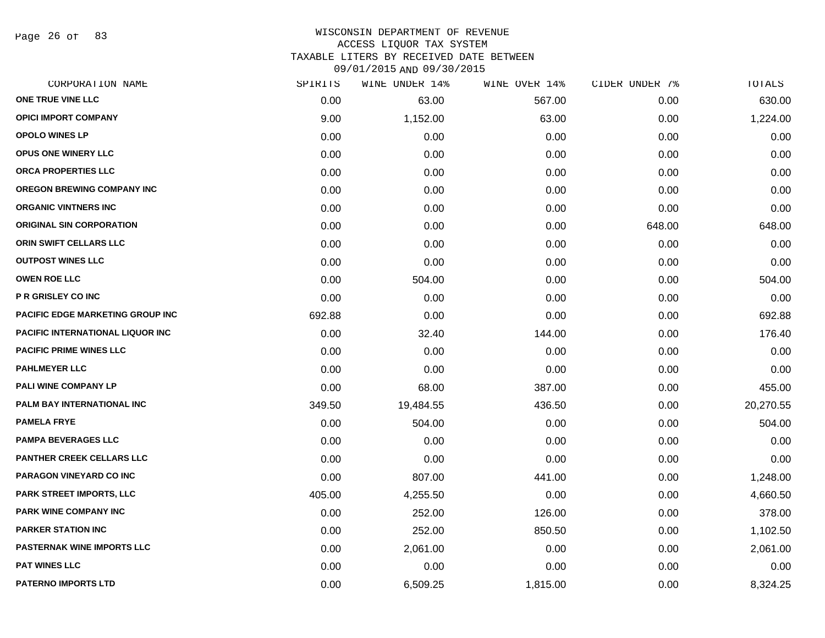Page 26 of 83

# WISCONSIN DEPARTMENT OF REVENUE ACCESS LIQUOR TAX SYSTEM

TAXABLE LITERS BY RECEIVED DATE BETWEEN

| CORPORATION NAME                        | SPIRITS | WINE UNDER 14% | WINE OVER 14% | CIDER UNDER 7% | TOTALS    |
|-----------------------------------------|---------|----------------|---------------|----------------|-----------|
| ONE TRUE VINE LLC                       | 0.00    | 63.00          | 567.00        | 0.00           | 630.00    |
| <b>OPICI IMPORT COMPANY</b>             | 9.00    | 1,152.00       | 63.00         | 0.00           | 1,224.00  |
| <b>OPOLO WINES LP</b>                   | 0.00    | 0.00           | 0.00          | 0.00           | 0.00      |
| <b>OPUS ONE WINERY LLC</b>              | 0.00    | 0.00           | 0.00          | 0.00           | 0.00      |
| ORCA PROPERTIES LLC                     | 0.00    | 0.00           | 0.00          | 0.00           | 0.00      |
| OREGON BREWING COMPANY INC              | 0.00    | 0.00           | 0.00          | 0.00           | 0.00      |
| <b>ORGANIC VINTNERS INC</b>             | 0.00    | 0.00           | 0.00          | 0.00           | 0.00      |
| <b>ORIGINAL SIN CORPORATION</b>         | 0.00    | 0.00           | 0.00          | 648.00         | 648.00    |
| ORIN SWIFT CELLARS LLC                  | 0.00    | 0.00           | 0.00          | 0.00           | 0.00      |
| <b>OUTPOST WINES LLC</b>                | 0.00    | 0.00           | 0.00          | 0.00           | 0.00      |
| <b>OWEN ROE LLC</b>                     | 0.00    | 504.00         | 0.00          | 0.00           | 504.00    |
| P R GRISLEY CO INC                      | 0.00    | 0.00           | 0.00          | 0.00           | 0.00      |
| <b>PACIFIC EDGE MARKETING GROUP INC</b> | 692.88  | 0.00           | 0.00          | 0.00           | 692.88    |
| <b>PACIFIC INTERNATIONAL LIQUOR INC</b> | 0.00    | 32.40          | 144.00        | 0.00           | 176.40    |
| <b>PACIFIC PRIME WINES LLC</b>          | 0.00    | 0.00           | 0.00          | 0.00           | 0.00      |
| <b>PAHLMEYER LLC</b>                    | 0.00    | 0.00           | 0.00          | 0.00           | 0.00      |
| PALI WINE COMPANY LP                    | 0.00    | 68.00          | 387.00        | 0.00           | 455.00    |
| <b>PALM BAY INTERNATIONAL INC</b>       | 349.50  | 19,484.55      | 436.50        | 0.00           | 20,270.55 |
| <b>PAMELA FRYE</b>                      | 0.00    | 504.00         | 0.00          | 0.00           | 504.00    |
| <b>PAMPA BEVERAGES LLC</b>              | 0.00    | 0.00           | 0.00          | 0.00           | 0.00      |
| <b>PANTHER CREEK CELLARS LLC</b>        | 0.00    | 0.00           | 0.00          | 0.00           | 0.00      |
| PARAGON VINEYARD CO INC                 | 0.00    | 807.00         | 441.00        | 0.00           | 1,248.00  |
| <b>PARK STREET IMPORTS, LLC</b>         | 405.00  | 4,255.50       | 0.00          | 0.00           | 4,660.50  |
| PARK WINE COMPANY INC                   | 0.00    | 252.00         | 126.00        | 0.00           | 378.00    |
| <b>PARKER STATION INC</b>               | 0.00    | 252.00         | 850.50        | 0.00           | 1,102.50  |
| <b>PASTERNAK WINE IMPORTS LLC</b>       | 0.00    | 2,061.00       | 0.00          | 0.00           | 2,061.00  |
| <b>PAT WINES LLC</b>                    | 0.00    | 0.00           | 0.00          | 0.00           | 0.00      |
| <b>PATERNO IMPORTS LTD</b>              | 0.00    | 6,509.25       | 1,815.00      | 0.00           | 8,324.25  |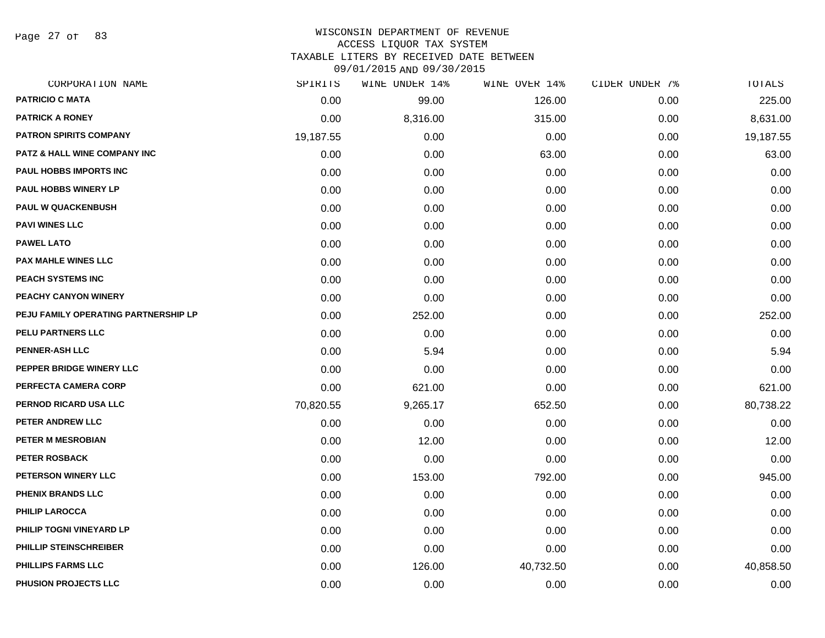Page 27 of 83

| <b>PATRICIO C MATA</b><br>0.00<br>126.00<br>99.00<br>0.00<br><b>PATRICK A RONEY</b><br>0.00<br>8,316.00<br>315.00<br>0.00<br><b>PATRON SPIRITS COMPANY</b><br>0.00<br>19,187.55<br>0.00<br>0.00<br><b>PATZ &amp; HALL WINE COMPANY INC</b><br>0.00<br>0.00<br>63.00<br>0.00<br>PAUL HOBBS IMPORTS INC<br>0.00<br>0.00<br>0.00<br>0.00<br>PAUL HOBBS WINERY LP<br>0.00<br>0.00<br>0.00<br>0.00<br><b>PAUL W QUACKENBUSH</b><br>0.00<br>0.00<br>0.00<br>0.00<br><b>PAVI WINES LLC</b><br>0.00<br>0.00<br>0.00<br>0.00<br><b>PAWEL LATO</b><br>0.00<br>0.00<br>0.00<br>0.00<br><b>PAX MAHLE WINES LLC</b><br>0.00<br>0.00<br>0.00<br>0.00<br>PEACH SYSTEMS INC<br>0.00<br>0.00<br>0.00<br>0.00<br>PEACHY CANYON WINERY<br>0.00<br>0.00<br>0.00<br>0.00<br>PEJU FAMILY OPERATING PARTNERSHIP LP<br>0.00<br>252.00<br>0.00<br>0.00<br>PELU PARTNERS LLC<br>0.00<br>0.00<br>0.00<br>0.00<br><b>PENNER-ASH LLC</b><br>0.00<br>5.94<br>0.00<br>0.00<br>PEPPER BRIDGE WINERY LLC<br>0.00<br>0.00<br>0.00<br>0.00<br>PERFECTA CAMERA CORP<br>0.00<br>621.00<br>0.00<br>0.00<br>PERNOD RICARD USA LLC<br>70,820.55<br>9,265.17<br>652.50<br>0.00<br>PETER ANDREW LLC<br>0.00<br>0.00<br>0.00<br>0.00<br>PETER M MESROBIAN<br>0.00<br>12.00<br>0.00<br>0.00<br><b>PETER ROSBACK</b><br>0.00<br>0.00<br>0.00<br>0.00<br>PETERSON WINERY LLC<br>0.00<br>153.00<br>792.00<br>0.00<br>PHENIX BRANDS LLC<br>0.00<br>0.00<br>0.00<br>0.00<br><b>PHILIP LAROCCA</b><br>0.00<br>0.00<br>0.00<br>0.00<br>PHILIP TOGNI VINEYARD LP<br>0.00<br>0.00<br>0.00<br>0.00<br>PHILLIP STEINSCHREIBER<br>0.00<br>0.00<br>0.00<br>0.00<br>PHILLIPS FARMS LLC<br>0.00<br>126.00<br>40,732.50<br>0.00<br>PHUSION PROJECTS LLC<br>0.00<br>0.00<br>0.00<br>0.00 | CORPORATION NAME | SPIRITS | WINE UNDER 14% | WINE OVER 14% | CIDER UNDER 7% | TOTALS    |
|-----------------------------------------------------------------------------------------------------------------------------------------------------------------------------------------------------------------------------------------------------------------------------------------------------------------------------------------------------------------------------------------------------------------------------------------------------------------------------------------------------------------------------------------------------------------------------------------------------------------------------------------------------------------------------------------------------------------------------------------------------------------------------------------------------------------------------------------------------------------------------------------------------------------------------------------------------------------------------------------------------------------------------------------------------------------------------------------------------------------------------------------------------------------------------------------------------------------------------------------------------------------------------------------------------------------------------------------------------------------------------------------------------------------------------------------------------------------------------------------------------------------------------------------------------------------------------------------------------------------------------------------------------------------------------------------------------------------------------|------------------|---------|----------------|---------------|----------------|-----------|
|                                                                                                                                                                                                                                                                                                                                                                                                                                                                                                                                                                                                                                                                                                                                                                                                                                                                                                                                                                                                                                                                                                                                                                                                                                                                                                                                                                                                                                                                                                                                                                                                                                                                                                                             |                  |         |                |               |                | 225.00    |
|                                                                                                                                                                                                                                                                                                                                                                                                                                                                                                                                                                                                                                                                                                                                                                                                                                                                                                                                                                                                                                                                                                                                                                                                                                                                                                                                                                                                                                                                                                                                                                                                                                                                                                                             |                  |         |                |               |                | 8,631.00  |
|                                                                                                                                                                                                                                                                                                                                                                                                                                                                                                                                                                                                                                                                                                                                                                                                                                                                                                                                                                                                                                                                                                                                                                                                                                                                                                                                                                                                                                                                                                                                                                                                                                                                                                                             |                  |         |                |               |                | 19,187.55 |
|                                                                                                                                                                                                                                                                                                                                                                                                                                                                                                                                                                                                                                                                                                                                                                                                                                                                                                                                                                                                                                                                                                                                                                                                                                                                                                                                                                                                                                                                                                                                                                                                                                                                                                                             |                  |         |                |               |                | 63.00     |
|                                                                                                                                                                                                                                                                                                                                                                                                                                                                                                                                                                                                                                                                                                                                                                                                                                                                                                                                                                                                                                                                                                                                                                                                                                                                                                                                                                                                                                                                                                                                                                                                                                                                                                                             |                  |         |                |               |                | 0.00      |
|                                                                                                                                                                                                                                                                                                                                                                                                                                                                                                                                                                                                                                                                                                                                                                                                                                                                                                                                                                                                                                                                                                                                                                                                                                                                                                                                                                                                                                                                                                                                                                                                                                                                                                                             |                  |         |                |               |                | 0.00      |
|                                                                                                                                                                                                                                                                                                                                                                                                                                                                                                                                                                                                                                                                                                                                                                                                                                                                                                                                                                                                                                                                                                                                                                                                                                                                                                                                                                                                                                                                                                                                                                                                                                                                                                                             |                  |         |                |               |                | 0.00      |
|                                                                                                                                                                                                                                                                                                                                                                                                                                                                                                                                                                                                                                                                                                                                                                                                                                                                                                                                                                                                                                                                                                                                                                                                                                                                                                                                                                                                                                                                                                                                                                                                                                                                                                                             |                  |         |                |               |                | 0.00      |
|                                                                                                                                                                                                                                                                                                                                                                                                                                                                                                                                                                                                                                                                                                                                                                                                                                                                                                                                                                                                                                                                                                                                                                                                                                                                                                                                                                                                                                                                                                                                                                                                                                                                                                                             |                  |         |                |               |                | 0.00      |
|                                                                                                                                                                                                                                                                                                                                                                                                                                                                                                                                                                                                                                                                                                                                                                                                                                                                                                                                                                                                                                                                                                                                                                                                                                                                                                                                                                                                                                                                                                                                                                                                                                                                                                                             |                  |         |                |               |                | 0.00      |
|                                                                                                                                                                                                                                                                                                                                                                                                                                                                                                                                                                                                                                                                                                                                                                                                                                                                                                                                                                                                                                                                                                                                                                                                                                                                                                                                                                                                                                                                                                                                                                                                                                                                                                                             |                  |         |                |               |                | 0.00      |
|                                                                                                                                                                                                                                                                                                                                                                                                                                                                                                                                                                                                                                                                                                                                                                                                                                                                                                                                                                                                                                                                                                                                                                                                                                                                                                                                                                                                                                                                                                                                                                                                                                                                                                                             |                  |         |                |               |                | 0.00      |
|                                                                                                                                                                                                                                                                                                                                                                                                                                                                                                                                                                                                                                                                                                                                                                                                                                                                                                                                                                                                                                                                                                                                                                                                                                                                                                                                                                                                                                                                                                                                                                                                                                                                                                                             |                  |         |                |               |                | 252.00    |
|                                                                                                                                                                                                                                                                                                                                                                                                                                                                                                                                                                                                                                                                                                                                                                                                                                                                                                                                                                                                                                                                                                                                                                                                                                                                                                                                                                                                                                                                                                                                                                                                                                                                                                                             |                  |         |                |               |                | 0.00      |
|                                                                                                                                                                                                                                                                                                                                                                                                                                                                                                                                                                                                                                                                                                                                                                                                                                                                                                                                                                                                                                                                                                                                                                                                                                                                                                                                                                                                                                                                                                                                                                                                                                                                                                                             |                  |         |                |               |                | 5.94      |
|                                                                                                                                                                                                                                                                                                                                                                                                                                                                                                                                                                                                                                                                                                                                                                                                                                                                                                                                                                                                                                                                                                                                                                                                                                                                                                                                                                                                                                                                                                                                                                                                                                                                                                                             |                  |         |                |               |                | 0.00      |
|                                                                                                                                                                                                                                                                                                                                                                                                                                                                                                                                                                                                                                                                                                                                                                                                                                                                                                                                                                                                                                                                                                                                                                                                                                                                                                                                                                                                                                                                                                                                                                                                                                                                                                                             |                  |         |                |               |                | 621.00    |
|                                                                                                                                                                                                                                                                                                                                                                                                                                                                                                                                                                                                                                                                                                                                                                                                                                                                                                                                                                                                                                                                                                                                                                                                                                                                                                                                                                                                                                                                                                                                                                                                                                                                                                                             |                  |         |                |               |                | 80,738.22 |
|                                                                                                                                                                                                                                                                                                                                                                                                                                                                                                                                                                                                                                                                                                                                                                                                                                                                                                                                                                                                                                                                                                                                                                                                                                                                                                                                                                                                                                                                                                                                                                                                                                                                                                                             |                  |         |                |               |                | 0.00      |
|                                                                                                                                                                                                                                                                                                                                                                                                                                                                                                                                                                                                                                                                                                                                                                                                                                                                                                                                                                                                                                                                                                                                                                                                                                                                                                                                                                                                                                                                                                                                                                                                                                                                                                                             |                  |         |                |               |                | 12.00     |
|                                                                                                                                                                                                                                                                                                                                                                                                                                                                                                                                                                                                                                                                                                                                                                                                                                                                                                                                                                                                                                                                                                                                                                                                                                                                                                                                                                                                                                                                                                                                                                                                                                                                                                                             |                  |         |                |               |                | 0.00      |
|                                                                                                                                                                                                                                                                                                                                                                                                                                                                                                                                                                                                                                                                                                                                                                                                                                                                                                                                                                                                                                                                                                                                                                                                                                                                                                                                                                                                                                                                                                                                                                                                                                                                                                                             |                  |         |                |               |                | 945.00    |
|                                                                                                                                                                                                                                                                                                                                                                                                                                                                                                                                                                                                                                                                                                                                                                                                                                                                                                                                                                                                                                                                                                                                                                                                                                                                                                                                                                                                                                                                                                                                                                                                                                                                                                                             |                  |         |                |               |                | 0.00      |
|                                                                                                                                                                                                                                                                                                                                                                                                                                                                                                                                                                                                                                                                                                                                                                                                                                                                                                                                                                                                                                                                                                                                                                                                                                                                                                                                                                                                                                                                                                                                                                                                                                                                                                                             |                  |         |                |               |                | 0.00      |
|                                                                                                                                                                                                                                                                                                                                                                                                                                                                                                                                                                                                                                                                                                                                                                                                                                                                                                                                                                                                                                                                                                                                                                                                                                                                                                                                                                                                                                                                                                                                                                                                                                                                                                                             |                  |         |                |               |                | 0.00      |
|                                                                                                                                                                                                                                                                                                                                                                                                                                                                                                                                                                                                                                                                                                                                                                                                                                                                                                                                                                                                                                                                                                                                                                                                                                                                                                                                                                                                                                                                                                                                                                                                                                                                                                                             |                  |         |                |               |                | 0.00      |
|                                                                                                                                                                                                                                                                                                                                                                                                                                                                                                                                                                                                                                                                                                                                                                                                                                                                                                                                                                                                                                                                                                                                                                                                                                                                                                                                                                                                                                                                                                                                                                                                                                                                                                                             |                  |         |                |               |                | 40,858.50 |
|                                                                                                                                                                                                                                                                                                                                                                                                                                                                                                                                                                                                                                                                                                                                                                                                                                                                                                                                                                                                                                                                                                                                                                                                                                                                                                                                                                                                                                                                                                                                                                                                                                                                                                                             |                  |         |                |               |                | 0.00      |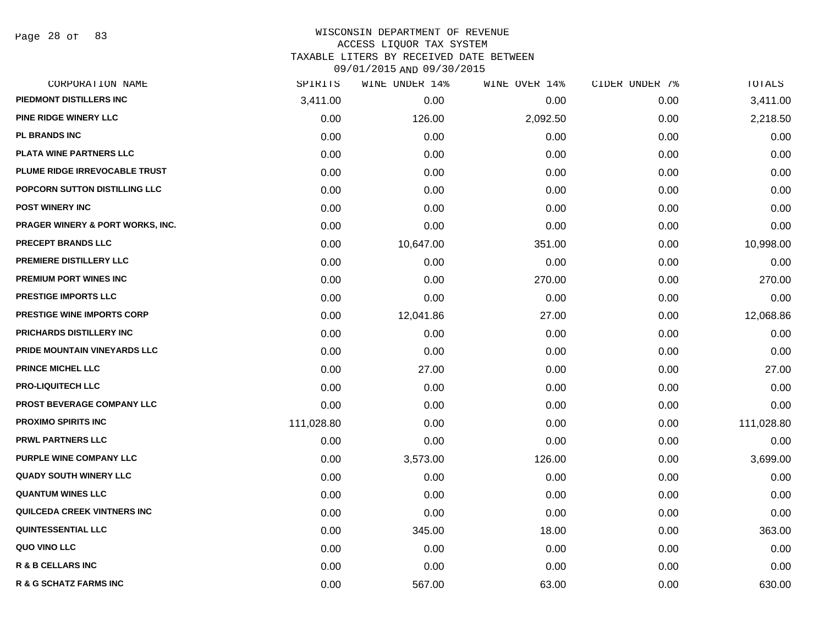Page 28 of 83

| CORPORATION NAME                            | SPIRITS    | WINE UNDER 14% | WINE OVER 14% | CIDER UNDER 7% | TOTALS     |
|---------------------------------------------|------------|----------------|---------------|----------------|------------|
| PIEDMONT DISTILLERS INC                     | 3,411.00   | 0.00           | 0.00          | 0.00           | 3,411.00   |
| PINE RIDGE WINERY LLC                       | 0.00       | 126.00         | 2,092.50      | 0.00           | 2,218.50   |
| <b>PL BRANDS INC</b>                        | 0.00       | 0.00           | 0.00          | 0.00           | 0.00       |
| PLATA WINE PARTNERS LLC                     | 0.00       | 0.00           | 0.00          | 0.00           | 0.00       |
| PLUME RIDGE IRREVOCABLE TRUST               | 0.00       | 0.00           | 0.00          | 0.00           | 0.00       |
| POPCORN SUTTON DISTILLING LLC               | 0.00       | 0.00           | 0.00          | 0.00           | 0.00       |
| <b>POST WINERY INC</b>                      | 0.00       | 0.00           | 0.00          | 0.00           | 0.00       |
| <b>PRAGER WINERY &amp; PORT WORKS, INC.</b> | 0.00       | 0.00           | 0.00          | 0.00           | 0.00       |
| <b>PRECEPT BRANDS LLC</b>                   | 0.00       | 10,647.00      | 351.00        | 0.00           | 10,998.00  |
| PREMIERE DISTILLERY LLC                     | 0.00       | 0.00           | 0.00          | 0.00           | 0.00       |
| PREMIUM PORT WINES INC                      | 0.00       | 0.00           | 270.00        | 0.00           | 270.00     |
| PRESTIGE IMPORTS LLC                        | 0.00       | 0.00           | 0.00          | 0.00           | 0.00       |
| PRESTIGE WINE IMPORTS CORP                  | 0.00       | 12,041.86      | 27.00         | 0.00           | 12,068.86  |
| PRICHARDS DISTILLERY INC                    | 0.00       | 0.00           | 0.00          | 0.00           | 0.00       |
| PRIDE MOUNTAIN VINEYARDS LLC                | 0.00       | 0.00           | 0.00          | 0.00           | 0.00       |
| <b>PRINCE MICHEL LLC</b>                    | 0.00       | 27.00          | 0.00          | 0.00           | 27.00      |
| <b>PRO-LIQUITECH LLC</b>                    | 0.00       | 0.00           | 0.00          | 0.00           | 0.00       |
| PROST BEVERAGE COMPANY LLC                  | 0.00       | 0.00           | 0.00          | 0.00           | 0.00       |
| <b>PROXIMO SPIRITS INC</b>                  | 111,028.80 | 0.00           | 0.00          | 0.00           | 111,028.80 |
| <b>PRWL PARTNERS LLC</b>                    | 0.00       | 0.00           | 0.00          | 0.00           | 0.00       |
| PURPLE WINE COMPANY LLC                     | 0.00       | 3,573.00       | 126.00        | 0.00           | 3,699.00   |
| <b>QUADY SOUTH WINERY LLC</b>               | 0.00       | 0.00           | 0.00          | 0.00           | 0.00       |
| <b>QUANTUM WINES LLC</b>                    | 0.00       | 0.00           | 0.00          | 0.00           | 0.00       |
| QUILCEDA CREEK VINTNERS INC                 | 0.00       | 0.00           | 0.00          | 0.00           | 0.00       |
| <b>QUINTESSENTIAL LLC</b>                   | 0.00       | 345.00         | 18.00         | 0.00           | 363.00     |
| QUO VINO LLC                                | 0.00       | 0.00           | 0.00          | 0.00           | 0.00       |
| <b>R &amp; B CELLARS INC</b>                | 0.00       | 0.00           | 0.00          | 0.00           | 0.00       |
| <b>R &amp; G SCHATZ FARMS INC</b>           | 0.00       | 567.00         | 63.00         | 0.00           | 630.00     |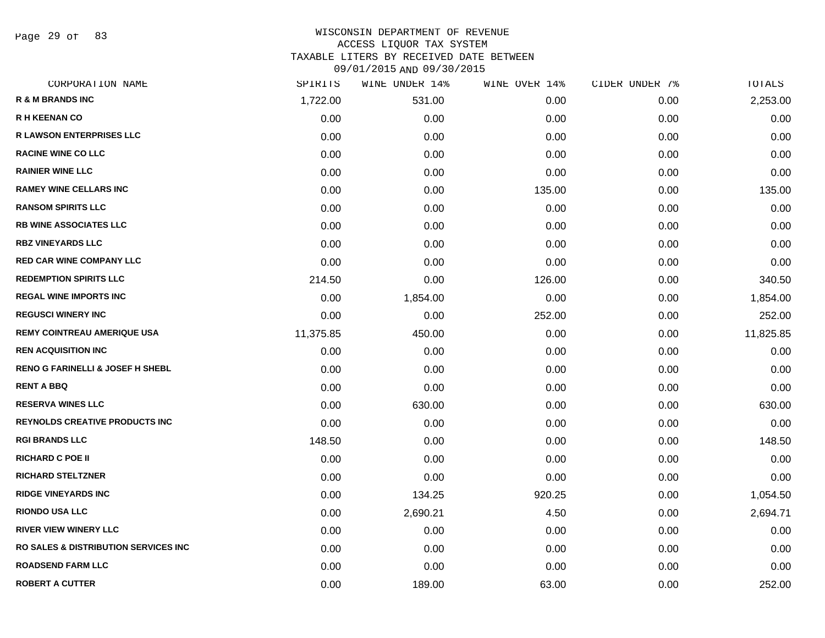Page 29 of 83

| CORPORATION NAME                                 | SPIRITS   | WINE UNDER 14% | WINE OVER 14% | CIDER UNDER 7% | TOTALS    |
|--------------------------------------------------|-----------|----------------|---------------|----------------|-----------|
| <b>R &amp; M BRANDS INC</b>                      | 1,722.00  | 531.00         | 0.00          | 0.00           | 2,253.00  |
| <b>R H KEENAN CO</b>                             | 0.00      | 0.00           | 0.00          | 0.00           | 0.00      |
| <b>R LAWSON ENTERPRISES LLC</b>                  | 0.00      | 0.00           | 0.00          | 0.00           | 0.00      |
| <b>RACINE WINE CO LLC</b>                        | 0.00      | 0.00           | 0.00          | 0.00           | 0.00      |
| <b>RAINIER WINE LLC</b>                          | 0.00      | 0.00           | 0.00          | 0.00           | 0.00      |
| <b>RAMEY WINE CELLARS INC</b>                    | 0.00      | 0.00           | 135.00        | 0.00           | 135.00    |
| <b>RANSOM SPIRITS LLC</b>                        | 0.00      | 0.00           | 0.00          | 0.00           | 0.00      |
| <b>RB WINE ASSOCIATES LLC</b>                    | 0.00      | 0.00           | 0.00          | 0.00           | 0.00      |
| <b>RBZ VINEYARDS LLC</b>                         | 0.00      | 0.00           | 0.00          | 0.00           | 0.00      |
| <b>RED CAR WINE COMPANY LLC</b>                  | 0.00      | 0.00           | 0.00          | 0.00           | 0.00      |
| <b>REDEMPTION SPIRITS LLC</b>                    | 214.50    | 0.00           | 126.00        | 0.00           | 340.50    |
| <b>REGAL WINE IMPORTS INC</b>                    | 0.00      | 1,854.00       | 0.00          | 0.00           | 1,854.00  |
| <b>REGUSCI WINERY INC</b>                        | 0.00      | 0.00           | 252.00        | 0.00           | 252.00    |
| <b>REMY COINTREAU AMERIQUE USA</b>               | 11,375.85 | 450.00         | 0.00          | 0.00           | 11,825.85 |
| <b>REN ACQUISITION INC</b>                       | 0.00      | 0.00           | 0.00          | 0.00           | 0.00      |
| <b>RENO G FARINELLI &amp; JOSEF H SHEBL</b>      | 0.00      | 0.00           | 0.00          | 0.00           | 0.00      |
| <b>RENT A BBQ</b>                                | 0.00      | 0.00           | 0.00          | 0.00           | 0.00      |
| <b>RESERVA WINES LLC</b>                         | 0.00      | 630.00         | 0.00          | 0.00           | 630.00    |
| <b>REYNOLDS CREATIVE PRODUCTS INC</b>            | 0.00      | 0.00           | 0.00          | 0.00           | 0.00      |
| <b>RGI BRANDS LLC</b>                            | 148.50    | 0.00           | 0.00          | 0.00           | 148.50    |
| <b>RICHARD C POE II</b>                          | 0.00      | 0.00           | 0.00          | 0.00           | 0.00      |
| <b>RICHARD STELTZNER</b>                         | 0.00      | 0.00           | 0.00          | 0.00           | 0.00      |
| <b>RIDGE VINEYARDS INC</b>                       | 0.00      | 134.25         | 920.25        | 0.00           | 1,054.50  |
| <b>RIONDO USA LLC</b>                            | 0.00      | 2,690.21       | 4.50          | 0.00           | 2,694.71  |
| <b>RIVER VIEW WINERY LLC</b>                     | 0.00      | 0.00           | 0.00          | 0.00           | 0.00      |
| <b>RO SALES &amp; DISTRIBUTION SERVICES INC.</b> | 0.00      | 0.00           | 0.00          | 0.00           | 0.00      |
| <b>ROADSEND FARM LLC</b>                         | 0.00      | 0.00           | 0.00          | 0.00           | 0.00      |
| <b>ROBERT A CUTTER</b>                           | 0.00      | 189.00         | 63.00         | 0.00           | 252.00    |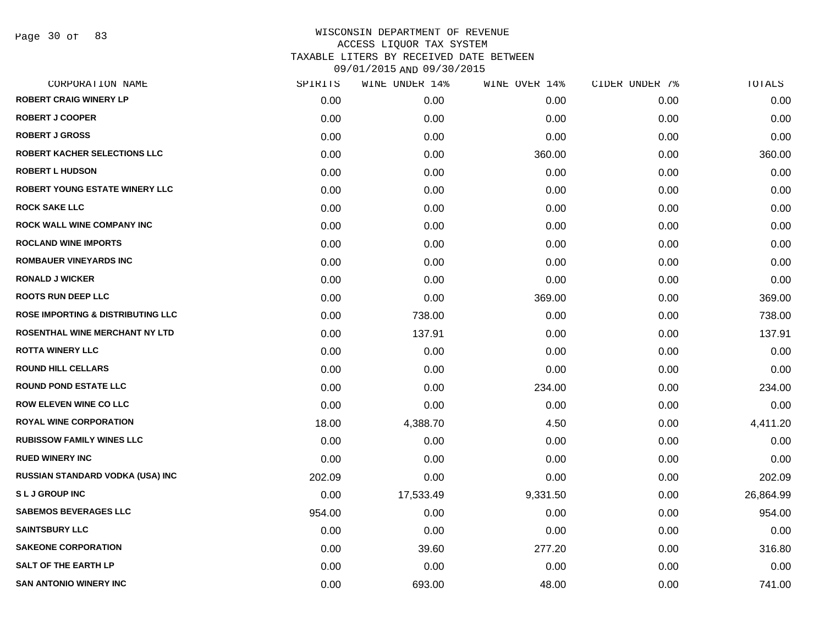| CORPORATION NAME                             | SPIRITS | WINE UNDER 14% | WINE OVER 14% | CIDER UNDER 7% | TOTALS    |
|----------------------------------------------|---------|----------------|---------------|----------------|-----------|
| <b>ROBERT CRAIG WINERY LP</b>                | 0.00    | 0.00           | 0.00          | 0.00           | 0.00      |
| <b>ROBERT J COOPER</b>                       | 0.00    | 0.00           | 0.00          | 0.00           | 0.00      |
| <b>ROBERT J GROSS</b>                        | 0.00    | 0.00           | 0.00          | 0.00           | 0.00      |
| <b>ROBERT KACHER SELECTIONS LLC</b>          | 0.00    | 0.00           | 360.00        | 0.00           | 360.00    |
| <b>ROBERT L HUDSON</b>                       | 0.00    | 0.00           | 0.00          | 0.00           | 0.00      |
| ROBERT YOUNG ESTATE WINERY LLC               | 0.00    | 0.00           | 0.00          | 0.00           | 0.00      |
| <b>ROCK SAKE LLC</b>                         | 0.00    | 0.00           | 0.00          | 0.00           | 0.00      |
| <b>ROCK WALL WINE COMPANY INC</b>            | 0.00    | 0.00           | 0.00          | 0.00           | 0.00      |
| <b>ROCLAND WINE IMPORTS</b>                  | 0.00    | 0.00           | 0.00          | 0.00           | 0.00      |
| <b>ROMBAUER VINEYARDS INC</b>                | 0.00    | 0.00           | 0.00          | 0.00           | 0.00      |
| <b>RONALD J WICKER</b>                       | 0.00    | 0.00           | 0.00          | 0.00           | 0.00      |
| <b>ROOTS RUN DEEP LLC</b>                    | 0.00    | 0.00           | 369.00        | 0.00           | 369.00    |
| <b>ROSE IMPORTING &amp; DISTRIBUTING LLC</b> | 0.00    | 738.00         | 0.00          | 0.00           | 738.00    |
| <b>ROSENTHAL WINE MERCHANT NY LTD</b>        | 0.00    | 137.91         | 0.00          | 0.00           | 137.91    |
| <b>ROTTA WINERY LLC</b>                      | 0.00    | 0.00           | 0.00          | 0.00           | 0.00      |
| <b>ROUND HILL CELLARS</b>                    | 0.00    | 0.00           | 0.00          | 0.00           | 0.00      |
| <b>ROUND POND ESTATE LLC</b>                 | 0.00    | 0.00           | 234.00        | 0.00           | 234.00    |
| <b>ROW ELEVEN WINE CO LLC</b>                | 0.00    | 0.00           | 0.00          | 0.00           | 0.00      |
| <b>ROYAL WINE CORPORATION</b>                | 18.00   | 4,388.70       | 4.50          | 0.00           | 4,411.20  |
| <b>RUBISSOW FAMILY WINES LLC</b>             | 0.00    | 0.00           | 0.00          | 0.00           | 0.00      |
| <b>RUED WINERY INC</b>                       | 0.00    | 0.00           | 0.00          | 0.00           | 0.00      |
| RUSSIAN STANDARD VODKA (USA) INC             | 202.09  | 0.00           | 0.00          | 0.00           | 202.09    |
| <b>SLJ GROUP INC</b>                         | 0.00    | 17,533.49      | 9,331.50      | 0.00           | 26,864.99 |
| <b>SABEMOS BEVERAGES LLC</b>                 | 954.00  | 0.00           | 0.00          | 0.00           | 954.00    |
| <b>SAINTSBURY LLC</b>                        | 0.00    | 0.00           | 0.00          | 0.00           | 0.00      |
| <b>SAKEONE CORPORATION</b>                   | 0.00    | 39.60          | 277.20        | 0.00           | 316.80    |
| <b>SALT OF THE EARTH LP</b>                  | 0.00    | 0.00           | 0.00          | 0.00           | 0.00      |
| <b>SAN ANTONIO WINERY INC</b>                | 0.00    | 693.00         | 48.00         | 0.00           | 741.00    |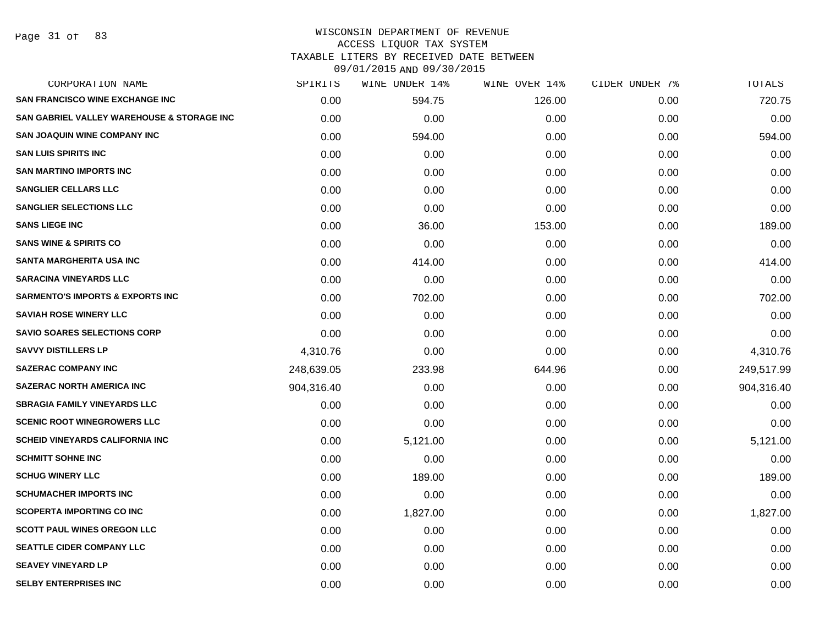# WISCONSIN DEPARTMENT OF REVENUE ACCESS LIQUOR TAX SYSTEM TAXABLE LITERS BY RECEIVED DATE BETWEEN

| CORPORATION NAME                                      | SPIRITS    | WINE UNDER 14% | WINE OVER 14% | CIDER UNDER 7% | TOTALS     |
|-------------------------------------------------------|------------|----------------|---------------|----------------|------------|
| <b>SAN FRANCISCO WINE EXCHANGE INC</b>                | 0.00       | 594.75         | 126.00        | 0.00           | 720.75     |
| <b>SAN GABRIEL VALLEY WAREHOUSE &amp; STORAGE INC</b> | 0.00       | 0.00           | 0.00          | 0.00           | 0.00       |
| <b>SAN JOAQUIN WINE COMPANY INC</b>                   | 0.00       | 594.00         | 0.00          | 0.00           | 594.00     |
| <b>SAN LUIS SPIRITS INC</b>                           | 0.00       | 0.00           | 0.00          | 0.00           | 0.00       |
| <b>SAN MARTINO IMPORTS INC</b>                        | 0.00       | 0.00           | 0.00          | 0.00           | 0.00       |
| <b>SANGLIER CELLARS LLC</b>                           | 0.00       | 0.00           | 0.00          | 0.00           | 0.00       |
| <b>SANGLIER SELECTIONS LLC</b>                        | 0.00       | 0.00           | 0.00          | 0.00           | 0.00       |
| <b>SANS LIEGE INC</b>                                 | 0.00       | 36.00          | 153.00        | 0.00           | 189.00     |
| <b>SANS WINE &amp; SPIRITS CO</b>                     | 0.00       | 0.00           | 0.00          | 0.00           | 0.00       |
| <b>SANTA MARGHERITA USA INC</b>                       | 0.00       | 414.00         | 0.00          | 0.00           | 414.00     |
| <b>SARACINA VINEYARDS LLC</b>                         | 0.00       | 0.00           | 0.00          | 0.00           | 0.00       |
| <b>SARMENTO'S IMPORTS &amp; EXPORTS INC</b>           | 0.00       | 702.00         | 0.00          | 0.00           | 702.00     |
| <b>SAVIAH ROSE WINERY LLC</b>                         | 0.00       | 0.00           | 0.00          | 0.00           | 0.00       |
| <b>SAVIO SOARES SELECTIONS CORP</b>                   | 0.00       | 0.00           | 0.00          | 0.00           | 0.00       |
| <b>SAVVY DISTILLERS LP</b>                            | 4,310.76   | 0.00           | 0.00          | 0.00           | 4,310.76   |
| <b>SAZERAC COMPANY INC</b>                            | 248,639.05 | 233.98         | 644.96        | 0.00           | 249,517.99 |
| <b>SAZERAC NORTH AMERICA INC</b>                      | 904,316.40 | 0.00           | 0.00          | 0.00           | 904,316.40 |
| <b>SBRAGIA FAMILY VINEYARDS LLC</b>                   | 0.00       | 0.00           | 0.00          | 0.00           | 0.00       |
| <b>SCENIC ROOT WINEGROWERS LLC</b>                    | 0.00       | 0.00           | 0.00          | 0.00           | 0.00       |
| <b>SCHEID VINEYARDS CALIFORNIA INC</b>                | 0.00       | 5,121.00       | 0.00          | 0.00           | 5,121.00   |
| <b>SCHMITT SOHNE INC</b>                              | 0.00       | 0.00           | 0.00          | 0.00           | 0.00       |
| <b>SCHUG WINERY LLC</b>                               | 0.00       | 189.00         | 0.00          | 0.00           | 189.00     |
| <b>SCHUMACHER IMPORTS INC</b>                         | 0.00       | 0.00           | 0.00          | 0.00           | 0.00       |
| <b>SCOPERTA IMPORTING CO INC</b>                      | 0.00       | 1,827.00       | 0.00          | 0.00           | 1,827.00   |
| <b>SCOTT PAUL WINES OREGON LLC</b>                    | 0.00       | 0.00           | 0.00          | 0.00           | 0.00       |
| <b>SEATTLE CIDER COMPANY LLC</b>                      | 0.00       | 0.00           | 0.00          | 0.00           | 0.00       |
| <b>SEAVEY VINEYARD LP</b>                             | 0.00       | 0.00           | 0.00          | 0.00           | 0.00       |
| <b>SELBY ENTERPRISES INC</b>                          | 0.00       | 0.00           | 0.00          | 0.00           | 0.00       |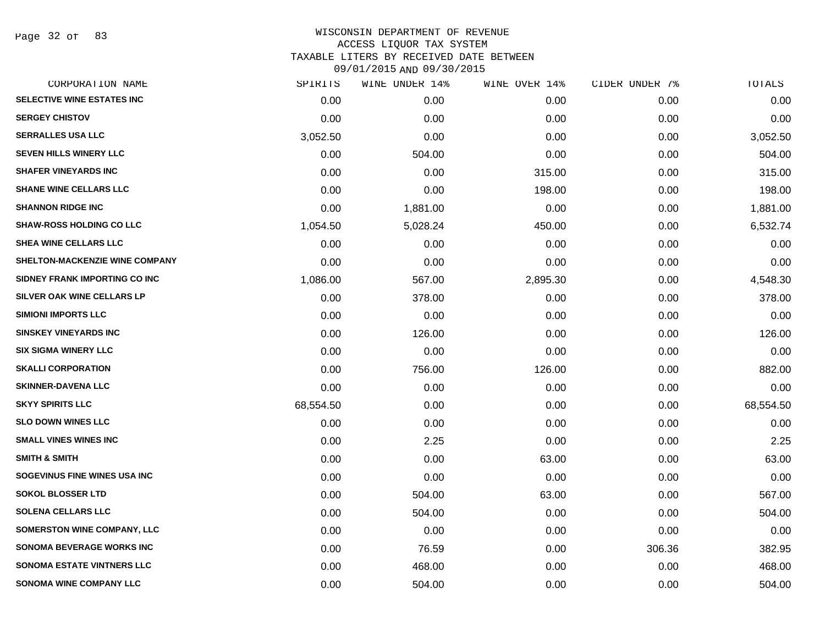Page 32 of 83

| CORPORATION NAME                   | SPIRITS   | WINE UNDER 14% | WINE OVER 14% | CIDER UNDER 7% | TOTALS    |
|------------------------------------|-----------|----------------|---------------|----------------|-----------|
| SELECTIVE WINE ESTATES INC         | 0.00      | 0.00           | 0.00          | 0.00           | 0.00      |
| <b>SERGEY CHISTOV</b>              | 0.00      | 0.00           | 0.00          | 0.00           | 0.00      |
| <b>SERRALLES USA LLC</b>           | 3,052.50  | 0.00           | 0.00          | 0.00           | 3,052.50  |
| <b>SEVEN HILLS WINERY LLC</b>      | 0.00      | 504.00         | 0.00          | 0.00           | 504.00    |
| <b>SHAFER VINEYARDS INC</b>        | 0.00      | 0.00           | 315.00        | 0.00           | 315.00    |
| <b>SHANE WINE CELLARS LLC</b>      | 0.00      | 0.00           | 198.00        | 0.00           | 198.00    |
| <b>SHANNON RIDGE INC</b>           | 0.00      | 1,881.00       | 0.00          | 0.00           | 1,881.00  |
| <b>SHAW-ROSS HOLDING CO LLC</b>    | 1,054.50  | 5,028.24       | 450.00        | 0.00           | 6,532.74  |
| <b>SHEA WINE CELLARS LLC</b>       | 0.00      | 0.00           | 0.00          | 0.00           | 0.00      |
| SHELTON-MACKENZIE WINE COMPANY     | 0.00      | 0.00           | 0.00          | 0.00           | 0.00      |
| SIDNEY FRANK IMPORTING CO INC      | 1,086.00  | 567.00         | 2,895.30      | 0.00           | 4,548.30  |
| SILVER OAK WINE CELLARS LP         | 0.00      | 378.00         | 0.00          | 0.00           | 378.00    |
| <b>SIMIONI IMPORTS LLC</b>         | 0.00      | 0.00           | 0.00          | 0.00           | 0.00      |
| <b>SINSKEY VINEYARDS INC</b>       | 0.00      | 126.00         | 0.00          | 0.00           | 126.00    |
| <b>SIX SIGMA WINERY LLC</b>        | 0.00      | 0.00           | 0.00          | 0.00           | 0.00      |
| <b>SKALLI CORPORATION</b>          | 0.00      | 756.00         | 126.00        | 0.00           | 882.00    |
| <b>SKINNER-DAVENA LLC</b>          | 0.00      | 0.00           | 0.00          | 0.00           | 0.00      |
| <b>SKYY SPIRITS LLC</b>            | 68,554.50 | 0.00           | 0.00          | 0.00           | 68,554.50 |
| <b>SLO DOWN WINES LLC</b>          | 0.00      | 0.00           | 0.00          | 0.00           | 0.00      |
| <b>SMALL VINES WINES INC</b>       | 0.00      | 2.25           | 0.00          | 0.00           | 2.25      |
| <b>SMITH &amp; SMITH</b>           | 0.00      | 0.00           | 63.00         | 0.00           | 63.00     |
| SOGEVINUS FINE WINES USA INC       | 0.00      | 0.00           | 0.00          | 0.00           | 0.00      |
| <b>SOKOL BLOSSER LTD</b>           | 0.00      | 504.00         | 63.00         | 0.00           | 567.00    |
| <b>SOLENA CELLARS LLC</b>          | 0.00      | 504.00         | 0.00          | 0.00           | 504.00    |
| <b>SOMERSTON WINE COMPANY, LLC</b> | 0.00      | 0.00           | 0.00          | 0.00           | 0.00      |
| SONOMA BEVERAGE WORKS INC          | 0.00      | 76.59          | 0.00          | 306.36         | 382.95    |
| <b>SONOMA ESTATE VINTNERS LLC</b>  | 0.00      | 468.00         | 0.00          | 0.00           | 468.00    |
| <b>SONOMA WINE COMPANY LLC</b>     | 0.00      | 504.00         | 0.00          | 0.00           | 504.00    |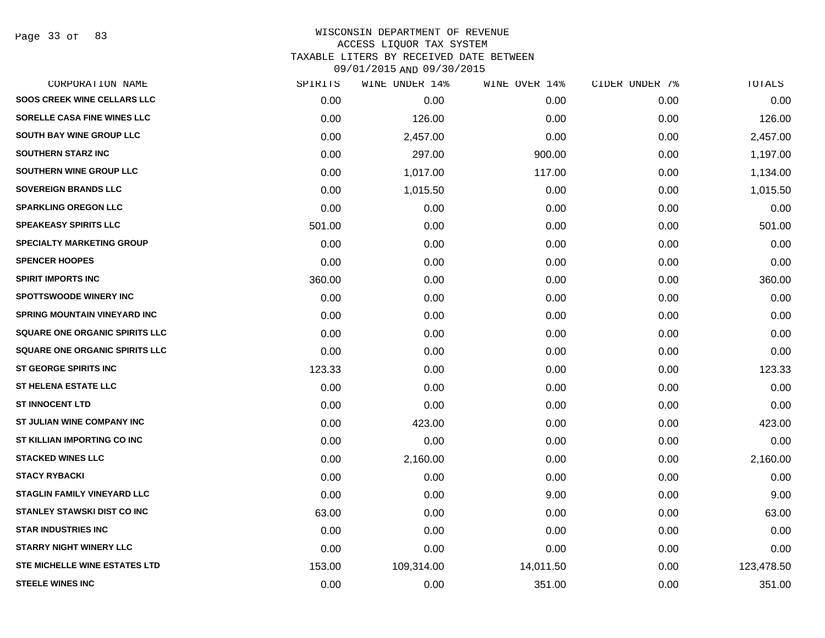Page 33 of 83

| 0.00<br>0.00<br>0.00 | 0.00<br>126.00 | 0.00<br>0.00 | 0.00<br>0.00 | 0.00       |
|----------------------|----------------|--------------|--------------|------------|
|                      |                |              |              |            |
|                      |                |              |              | 126.00     |
|                      |                | 0.00         | 0.00         | 2,457.00   |
|                      | 297.00         | 900.00       | 0.00         | 1,197.00   |
| 0.00                 | 1,017.00       | 117.00       | 0.00         | 1,134.00   |
| 0.00                 | 1,015.50       | 0.00         | 0.00         | 1,015.50   |
| 0.00                 | 0.00           | 0.00         | 0.00         | 0.00       |
| 501.00               | 0.00           | 0.00         | 0.00         | 501.00     |
| 0.00                 | 0.00           | 0.00         | 0.00         | 0.00       |
| 0.00                 | 0.00           | 0.00         | 0.00         | 0.00       |
| 360.00               | 0.00           | 0.00         | 0.00         | 360.00     |
| 0.00                 | 0.00           | 0.00         | 0.00         | 0.00       |
| 0.00                 | 0.00           | 0.00         | 0.00         | 0.00       |
| 0.00                 | 0.00           | 0.00         | 0.00         | 0.00       |
| 0.00                 | 0.00           | 0.00         | 0.00         | 0.00       |
| 123.33               | 0.00           | 0.00         | 0.00         | 123.33     |
| 0.00                 | 0.00           | 0.00         | 0.00         | 0.00       |
| 0.00                 | 0.00           | 0.00         | 0.00         | 0.00       |
| 0.00                 | 423.00         | 0.00         | 0.00         | 423.00     |
| 0.00                 | 0.00           | 0.00         | 0.00         | 0.00       |
| 0.00                 | 2,160.00       | 0.00         | 0.00         | 2,160.00   |
| 0.00                 | 0.00           | 0.00         | 0.00         | 0.00       |
| 0.00                 | 0.00           | 9.00         | 0.00         | 9.00       |
| 63.00                | 0.00           | 0.00         | 0.00         | 63.00      |
| 0.00                 | 0.00           | 0.00         | 0.00         | 0.00       |
| 0.00                 | 0.00           | 0.00         | 0.00         | 0.00       |
| 153.00               | 109,314.00     | 14,011.50    | 0.00         | 123,478.50 |
| 0.00                 | 0.00           | 351.00       | 0.00         | 351.00     |
|                      | 0.00           | 2,457.00     |              |            |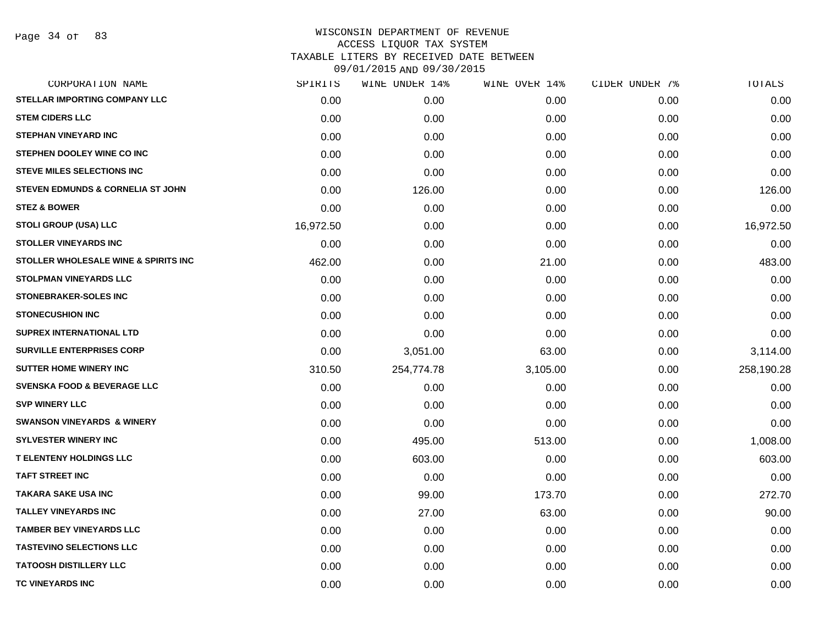Page 34 of 83

| CORPORATION NAME                             | SPIRITS   | WINE UNDER 14% | WINE OVER 14% | CIDER UNDER 7% | TOTALS     |
|----------------------------------------------|-----------|----------------|---------------|----------------|------------|
| STELLAR IMPORTING COMPANY LLC                | 0.00      | 0.00           | 0.00          | 0.00           | 0.00       |
| <b>STEM CIDERS LLC</b>                       | 0.00      | 0.00           | 0.00          | 0.00           | 0.00       |
| <b>STEPHAN VINEYARD INC</b>                  | 0.00      | 0.00           | 0.00          | 0.00           | 0.00       |
| STEPHEN DOOLEY WINE CO INC                   | 0.00      | 0.00           | 0.00          | 0.00           | 0.00       |
| <b>STEVE MILES SELECTIONS INC</b>            | 0.00      | 0.00           | 0.00          | 0.00           | 0.00       |
| <b>STEVEN EDMUNDS &amp; CORNELIA ST JOHN</b> | 0.00      | 126.00         | 0.00          | 0.00           | 126.00     |
| <b>STEZ &amp; BOWER</b>                      | 0.00      | 0.00           | 0.00          | 0.00           | 0.00       |
| <b>STOLI GROUP (USA) LLC</b>                 | 16,972.50 | 0.00           | 0.00          | 0.00           | 16,972.50  |
| <b>STOLLER VINEYARDS INC</b>                 | 0.00      | 0.00           | 0.00          | 0.00           | 0.00       |
| STOLLER WHOLESALE WINE & SPIRITS INC         | 462.00    | 0.00           | 21.00         | 0.00           | 483.00     |
| <b>STOLPMAN VINEYARDS LLC</b>                | 0.00      | 0.00           | 0.00          | 0.00           | 0.00       |
| <b>STONEBRAKER-SOLES INC</b>                 | 0.00      | 0.00           | 0.00          | 0.00           | 0.00       |
| <b>STONECUSHION INC</b>                      | 0.00      | 0.00           | 0.00          | 0.00           | 0.00       |
| SUPREX INTERNATIONAL LTD                     | 0.00      | 0.00           | 0.00          | 0.00           | 0.00       |
| <b>SURVILLE ENTERPRISES CORP</b>             | 0.00      | 3,051.00       | 63.00         | 0.00           | 3,114.00   |
| <b>SUTTER HOME WINERY INC</b>                | 310.50    | 254,774.78     | 3,105.00      | 0.00           | 258,190.28 |
| <b>SVENSKA FOOD &amp; BEVERAGE LLC</b>       | 0.00      | 0.00           | 0.00          | 0.00           | 0.00       |
| <b>SVP WINERY LLC</b>                        | 0.00      | 0.00           | 0.00          | 0.00           | 0.00       |
| <b>SWANSON VINEYARDS &amp; WINERY</b>        | 0.00      | 0.00           | 0.00          | 0.00           | 0.00       |
| <b>SYLVESTER WINERY INC</b>                  | 0.00      | 495.00         | 513.00        | 0.00           | 1,008.00   |
| <b>T ELENTENY HOLDINGS LLC</b>               | 0.00      | 603.00         | 0.00          | 0.00           | 603.00     |
| <b>TAFT STREET INC</b>                       | 0.00      | 0.00           | 0.00          | 0.00           | 0.00       |
| <b>TAKARA SAKE USA INC</b>                   | 0.00      | 99.00          | 173.70        | 0.00           | 272.70     |
| <b>TALLEY VINEYARDS INC</b>                  | 0.00      | 27.00          | 63.00         | 0.00           | 90.00      |
| <b>TAMBER BEY VINEYARDS LLC</b>              | 0.00      | 0.00           | 0.00          | 0.00           | 0.00       |
| <b>TASTEVINO SELECTIONS LLC</b>              | 0.00      | 0.00           | 0.00          | 0.00           | 0.00       |
| <b>TATOOSH DISTILLERY LLC</b>                | 0.00      | 0.00           | 0.00          | 0.00           | 0.00       |
| TC VINEYARDS INC                             | 0.00      | 0.00           | 0.00          | 0.00           | 0.00       |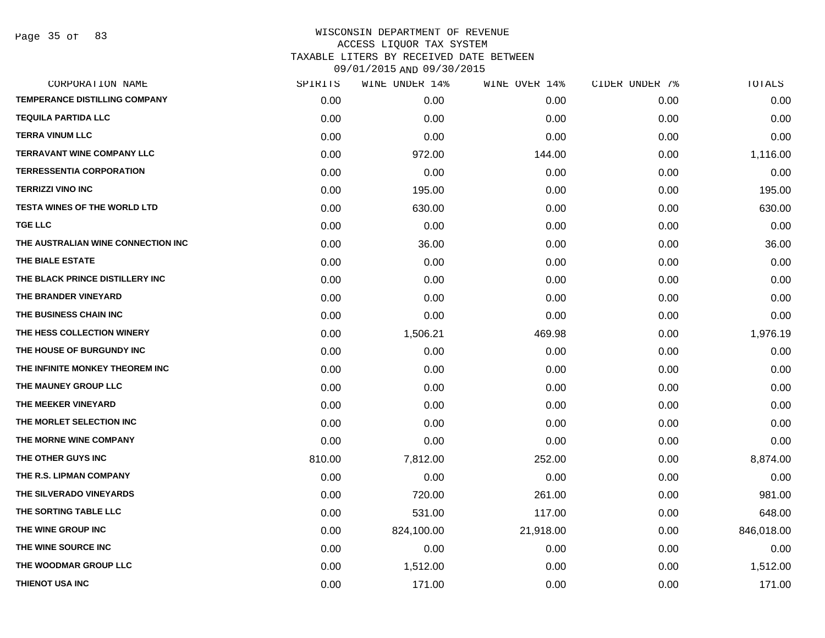Page 35 of 83

| CORPORATION NAME                     | SPIRITS | WINE UNDER 14% | WINE OVER 14% | CIDER UNDER 7% | TOTALS     |
|--------------------------------------|---------|----------------|---------------|----------------|------------|
| <b>TEMPERANCE DISTILLING COMPANY</b> | 0.00    | 0.00           | 0.00          | 0.00           | 0.00       |
| <b>TEQUILA PARTIDA LLC</b>           | 0.00    | 0.00           | 0.00          | 0.00           | 0.00       |
| <b>TERRA VINUM LLC</b>               | 0.00    | 0.00           | 0.00          | 0.00           | 0.00       |
| <b>TERRAVANT WINE COMPANY LLC</b>    | 0.00    | 972.00         | 144.00        | 0.00           | 1,116.00   |
| <b>TERRESSENTIA CORPORATION</b>      | 0.00    | 0.00           | 0.00          | 0.00           | 0.00       |
| <b>TERRIZZI VINO INC</b>             | 0.00    | 195.00         | 0.00          | 0.00           | 195.00     |
| <b>TESTA WINES OF THE WORLD LTD</b>  | 0.00    | 630.00         | 0.00          | 0.00           | 630.00     |
| <b>TGE LLC</b>                       | 0.00    | 0.00           | 0.00          | 0.00           | 0.00       |
| THE AUSTRALIAN WINE CONNECTION INC   | 0.00    | 36.00          | 0.00          | 0.00           | 36.00      |
| THE BIALE ESTATE                     | 0.00    | 0.00           | 0.00          | 0.00           | 0.00       |
| THE BLACK PRINCE DISTILLERY INC      | 0.00    | 0.00           | 0.00          | 0.00           | 0.00       |
| THE BRANDER VINEYARD                 | 0.00    | 0.00           | 0.00          | 0.00           | 0.00       |
| THE BUSINESS CHAIN INC               | 0.00    | 0.00           | 0.00          | 0.00           | 0.00       |
| THE HESS COLLECTION WINERY           | 0.00    | 1,506.21       | 469.98        | 0.00           | 1,976.19   |
| THE HOUSE OF BURGUNDY INC            | 0.00    | 0.00           | 0.00          | 0.00           | 0.00       |
| THE INFINITE MONKEY THEOREM INC      | 0.00    | 0.00           | 0.00          | 0.00           | 0.00       |
| THE MAUNEY GROUP LLC                 | 0.00    | 0.00           | 0.00          | 0.00           | 0.00       |
| THE MEEKER VINEYARD                  | 0.00    | 0.00           | 0.00          | 0.00           | 0.00       |
| THE MORLET SELECTION INC             | 0.00    | 0.00           | 0.00          | 0.00           | 0.00       |
| THE MORNE WINE COMPANY               | 0.00    | 0.00           | 0.00          | 0.00           | 0.00       |
| THE OTHER GUYS INC                   | 810.00  | 7,812.00       | 252.00        | 0.00           | 8,874.00   |
| THE R.S. LIPMAN COMPANY              | 0.00    | 0.00           | 0.00          | 0.00           | 0.00       |
| THE SILVERADO VINEYARDS              | 0.00    | 720.00         | 261.00        | 0.00           | 981.00     |
| THE SORTING TABLE LLC                | 0.00    | 531.00         | 117.00        | 0.00           | 648.00     |
| THE WINE GROUP INC                   | 0.00    | 824,100.00     | 21,918.00     | 0.00           | 846,018.00 |
| THE WINE SOURCE INC                  | 0.00    | 0.00           | 0.00          | 0.00           | 0.00       |
| THE WOODMAR GROUP LLC                | 0.00    | 1,512.00       | 0.00          | 0.00           | 1,512.00   |
| THIENOT USA INC                      | 0.00    | 171.00         | 0.00          | 0.00           | 171.00     |
|                                      |         |                |               |                |            |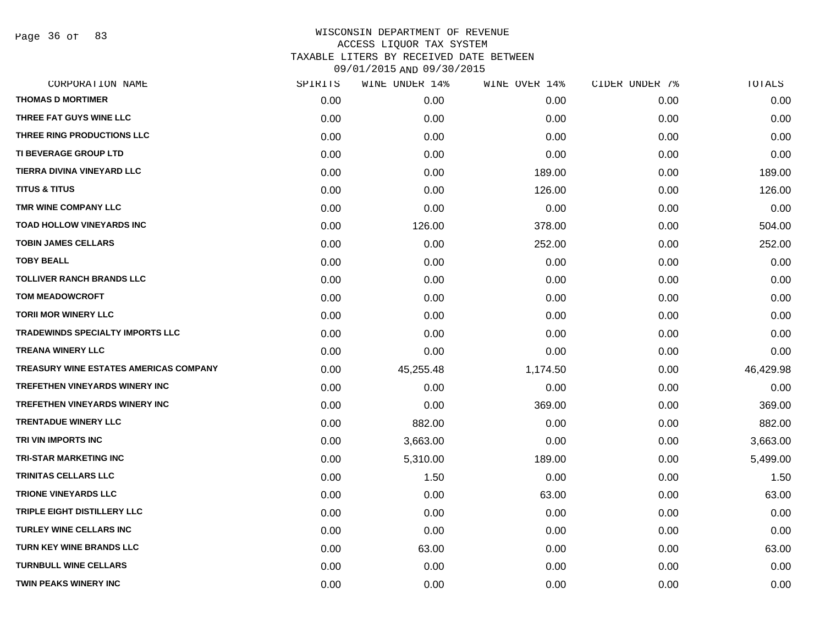Page 36 of 83

| CORPORATION NAME                        | SPIRITS | WINE UNDER 14% | WINE OVER 14% | CIDER UNDER 7% | TOTALS    |
|-----------------------------------------|---------|----------------|---------------|----------------|-----------|
| <b>THOMAS D MORTIMER</b>                | 0.00    | 0.00           | 0.00          | 0.00           | 0.00      |
| THREE FAT GUYS WINE LLC                 | 0.00    | 0.00           | 0.00          | 0.00           | 0.00      |
| THREE RING PRODUCTIONS LLC              | 0.00    | 0.00           | 0.00          | 0.00           | 0.00      |
| TI BEVERAGE GROUP LTD                   | 0.00    | 0.00           | 0.00          | 0.00           | 0.00      |
| TIERRA DIVINA VINEYARD LLC              | 0.00    | 0.00           | 189.00        | 0.00           | 189.00    |
| <b>TITUS &amp; TITUS</b>                | 0.00    | 0.00           | 126.00        | 0.00           | 126.00    |
| TMR WINE COMPANY LLC                    | 0.00    | 0.00           | 0.00          | 0.00           | 0.00      |
| <b>TOAD HOLLOW VINEYARDS INC</b>        | 0.00    | 126.00         | 378.00        | 0.00           | 504.00    |
| <b>TOBIN JAMES CELLARS</b>              | 0.00    | 0.00           | 252.00        | 0.00           | 252.00    |
| <b>TOBY BEALL</b>                       | 0.00    | 0.00           | 0.00          | 0.00           | 0.00      |
| <b>TOLLIVER RANCH BRANDS LLC</b>        | 0.00    | 0.00           | 0.00          | 0.00           | 0.00      |
| <b>TOM MEADOWCROFT</b>                  | 0.00    | 0.00           | 0.00          | 0.00           | 0.00      |
| <b>TORII MOR WINERY LLC</b>             | 0.00    | 0.00           | 0.00          | 0.00           | 0.00      |
| <b>TRADEWINDS SPECIALTY IMPORTS LLC</b> | 0.00    | 0.00           | 0.00          | 0.00           | 0.00      |
| <b>TREANA WINERY LLC</b>                | 0.00    | 0.00           | 0.00          | 0.00           | 0.00      |
| TREASURY WINE ESTATES AMERICAS COMPANY  | 0.00    | 45,255.48      | 1,174.50      | 0.00           | 46,429.98 |
| TREFETHEN VINEYARDS WINERY INC          | 0.00    | 0.00           | 0.00          | 0.00           | 0.00      |
| <b>TREFETHEN VINEYARDS WINERY INC</b>   | 0.00    | 0.00           | 369.00        | 0.00           | 369.00    |
| <b>TRENTADUE WINERY LLC</b>             | 0.00    | 882.00         | 0.00          | 0.00           | 882.00    |
| TRI VIN IMPORTS INC                     | 0.00    | 3,663.00       | 0.00          | 0.00           | 3,663.00  |
| <b>TRI-STAR MARKETING INC</b>           | 0.00    | 5,310.00       | 189.00        | 0.00           | 5,499.00  |
| TRINITAS CELLARS LLC                    | 0.00    | 1.50           | 0.00          | 0.00           | 1.50      |
| <b>TRIONE VINEYARDS LLC</b>             | 0.00    | 0.00           | 63.00         | 0.00           | 63.00     |
| TRIPLE EIGHT DISTILLERY LLC             | 0.00    | 0.00           | 0.00          | 0.00           | 0.00      |
| <b>TURLEY WINE CELLARS INC</b>          | 0.00    | 0.00           | 0.00          | 0.00           | 0.00      |
| <b>TURN KEY WINE BRANDS LLC</b>         | 0.00    | 63.00          | 0.00          | 0.00           | 63.00     |
| <b>TURNBULL WINE CELLARS</b>            | 0.00    | 0.00           | 0.00          | 0.00           | 0.00      |
| <b>TWIN PEAKS WINERY INC</b>            | 0.00    | 0.00           | 0.00          | 0.00           | 0.00      |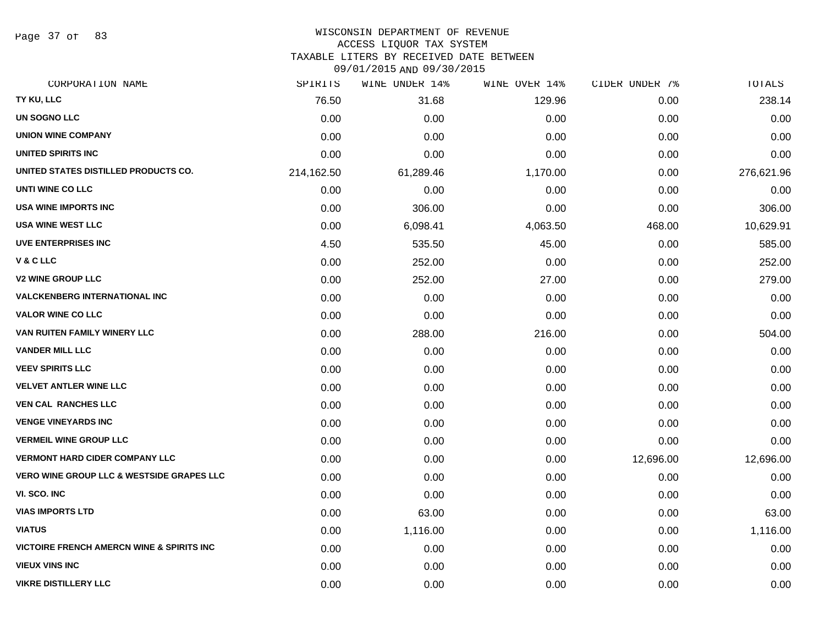Page 37 of 83

# WISCONSIN DEPARTMENT OF REVENUE

#### ACCESS LIQUOR TAX SYSTEM

TAXABLE LITERS BY RECEIVED DATE BETWEEN

09/01/2015 AND 09/30/2015

| CORPORATION NAME                                     | SPIRITS    | WINE UNDER 14% | WINE OVER 14% | CIDER UNDER 7% | TOTALS     |
|------------------------------------------------------|------------|----------------|---------------|----------------|------------|
| TY KU, LLC                                           | 76.50      | 31.68          | 129.96        | 0.00           | 238.14     |
| <b>UN SOGNO LLC</b>                                  | 0.00       | 0.00           | 0.00          | 0.00           | 0.00       |
| <b>UNION WINE COMPANY</b>                            | 0.00       | 0.00           | 0.00          | 0.00           | 0.00       |
| UNITED SPIRITS INC                                   | 0.00       | 0.00           | 0.00          | 0.00           | 0.00       |
| UNITED STATES DISTILLED PRODUCTS CO.                 | 214,162.50 | 61,289.46      | 1,170.00      | 0.00           | 276,621.96 |
| UNTI WINE CO LLC                                     | 0.00       | 0.00           | 0.00          | 0.00           | 0.00       |
| <b>USA WINE IMPORTS INC</b>                          | 0.00       | 306.00         | 0.00          | 0.00           | 306.00     |
| <b>USA WINE WEST LLC</b>                             | 0.00       | 6,098.41       | 4,063.50      | 468.00         | 10,629.91  |
| <b>UVE ENTERPRISES INC</b>                           | 4.50       | 535.50         | 45.00         | 0.00           | 585.00     |
| V & C LLC                                            | 0.00       | 252.00         | 0.00          | 0.00           | 252.00     |
| <b>V2 WINE GROUP LLC</b>                             | 0.00       | 252.00         | 27.00         | 0.00           | 279.00     |
| <b>VALCKENBERG INTERNATIONAL INC</b>                 | 0.00       | 0.00           | 0.00          | 0.00           | 0.00       |
| <b>VALOR WINE CO LLC</b>                             | 0.00       | 0.00           | 0.00          | 0.00           | 0.00       |
| VAN RUITEN FAMILY WINERY LLC                         | 0.00       | 288.00         | 216.00        | 0.00           | 504.00     |
| <b>VANDER MILL LLC</b>                               | 0.00       | 0.00           | 0.00          | 0.00           | 0.00       |
| <b>VEEV SPIRITS LLC</b>                              | 0.00       | 0.00           | 0.00          | 0.00           | 0.00       |
| <b>VELVET ANTLER WINE LLC</b>                        | 0.00       | 0.00           | 0.00          | 0.00           | 0.00       |
| <b>VEN CAL RANCHES LLC</b>                           | 0.00       | 0.00           | 0.00          | 0.00           | 0.00       |
| <b>VENGE VINEYARDS INC</b>                           | 0.00       | 0.00           | 0.00          | 0.00           | 0.00       |
| <b>VERMEIL WINE GROUP LLC</b>                        | 0.00       | 0.00           | 0.00          | 0.00           | 0.00       |
| <b>VERMONT HARD CIDER COMPANY LLC</b>                | 0.00       | 0.00           | 0.00          | 12,696.00      | 12,696.00  |
| <b>VERO WINE GROUP LLC &amp; WESTSIDE GRAPES LLC</b> | 0.00       | 0.00           | 0.00          | 0.00           | 0.00       |
| VI. SCO. INC                                         | 0.00       | 0.00           | 0.00          | 0.00           | 0.00       |
| <b>VIAS IMPORTS LTD</b>                              | 0.00       | 63.00          | 0.00          | 0.00           | 63.00      |
| <b>VIATUS</b>                                        | 0.00       | 1,116.00       | 0.00          | 0.00           | 1,116.00   |
| <b>VICTOIRE FRENCH AMERCN WINE &amp; SPIRITS INC</b> | 0.00       | 0.00           | 0.00          | 0.00           | 0.00       |
| <b>VIEUX VINS INC</b>                                | 0.00       | 0.00           | 0.00          | 0.00           | 0.00       |
| <b>VIKRE DISTILLERY LLC</b>                          | 0.00       | 0.00           | 0.00          | 0.00           | 0.00       |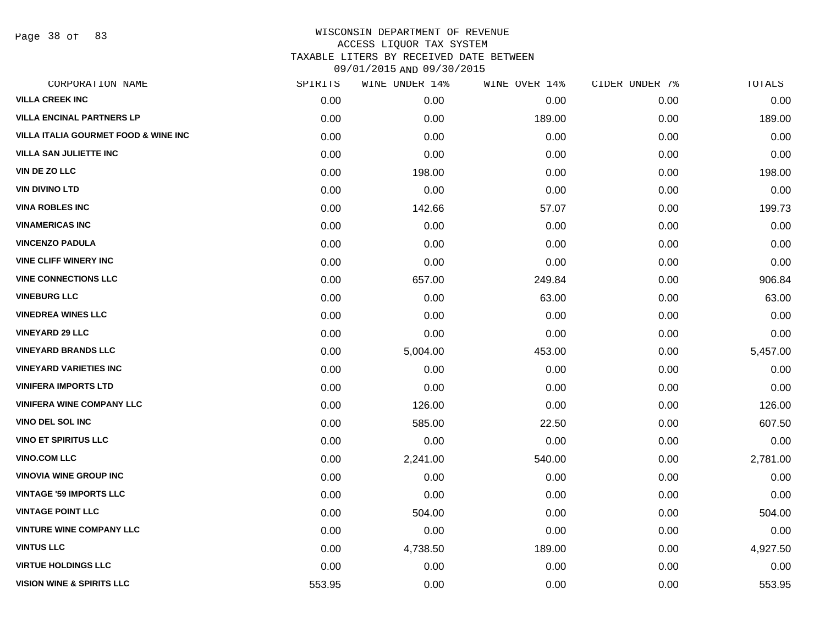Page 38 of 83

| CORPORATION NAME                                | SPIRITS | WINE UNDER 14% | WINE OVER 14% | CIDER UNDER 7% | TOTALS   |
|-------------------------------------------------|---------|----------------|---------------|----------------|----------|
| <b>VILLA CREEK INC</b>                          | 0.00    | 0.00           | 0.00          | 0.00           | 0.00     |
| <b>VILLA ENCINAL PARTNERS LP</b>                | 0.00    | 0.00           | 189.00        | 0.00           | 189.00   |
| <b>VILLA ITALIA GOURMET FOOD &amp; WINE INC</b> | 0.00    | 0.00           | 0.00          | 0.00           | 0.00     |
| <b>VILLA SAN JULIETTE INC</b>                   | 0.00    | 0.00           | 0.00          | 0.00           | 0.00     |
| VIN DE ZO LLC                                   | 0.00    | 198.00         | 0.00          | 0.00           | 198.00   |
| <b>VIN DIVINO LTD</b>                           | 0.00    | 0.00           | 0.00          | 0.00           | 0.00     |
| <b>VINA ROBLES INC</b>                          | 0.00    | 142.66         | 57.07         | 0.00           | 199.73   |
| <b>VINAMERICAS INC</b>                          | 0.00    | 0.00           | 0.00          | 0.00           | 0.00     |
| <b>VINCENZO PADULA</b>                          | 0.00    | 0.00           | 0.00          | 0.00           | 0.00     |
| <b>VINE CLIFF WINERY INC</b>                    | 0.00    | 0.00           | 0.00          | 0.00           | 0.00     |
| <b>VINE CONNECTIONS LLC</b>                     | 0.00    | 657.00         | 249.84        | 0.00           | 906.84   |
| <b>VINEBURG LLC</b>                             | 0.00    | 0.00           | 63.00         | 0.00           | 63.00    |
| <b>VINEDREA WINES LLC</b>                       | 0.00    | 0.00           | 0.00          | 0.00           | 0.00     |
| <b>VINEYARD 29 LLC</b>                          | 0.00    | 0.00           | 0.00          | 0.00           | 0.00     |
| <b>VINEYARD BRANDS LLC</b>                      | 0.00    | 5,004.00       | 453.00        | 0.00           | 5,457.00 |
| <b>VINEYARD VARIETIES INC</b>                   | 0.00    | 0.00           | 0.00          | 0.00           | 0.00     |
| <b>VINIFERA IMPORTS LTD</b>                     | 0.00    | 0.00           | 0.00          | 0.00           | 0.00     |
| <b>VINIFERA WINE COMPANY LLC</b>                | 0.00    | 126.00         | 0.00          | 0.00           | 126.00   |
| VINO DEL SOL INC                                | 0.00    | 585.00         | 22.50         | 0.00           | 607.50   |
| <b>VINO ET SPIRITUS LLC</b>                     | 0.00    | 0.00           | 0.00          | 0.00           | 0.00     |
| <b>VINO.COM LLC</b>                             | 0.00    | 2,241.00       | 540.00        | 0.00           | 2,781.00 |
| <b>VINOVIA WINE GROUP INC</b>                   | 0.00    | 0.00           | 0.00          | 0.00           | 0.00     |
| <b>VINTAGE '59 IMPORTS LLC</b>                  | 0.00    | 0.00           | 0.00          | 0.00           | 0.00     |
| <b>VINTAGE POINT LLC</b>                        | 0.00    | 504.00         | 0.00          | 0.00           | 504.00   |
| <b>VINTURE WINE COMPANY LLC</b>                 | 0.00    | 0.00           | 0.00          | 0.00           | 0.00     |
| <b>VINTUS LLC</b>                               | 0.00    | 4,738.50       | 189.00        | 0.00           | 4,927.50 |
| <b>VIRTUE HOLDINGS LLC</b>                      | 0.00    | 0.00           | 0.00          | 0.00           | 0.00     |
| <b>VISION WINE &amp; SPIRITS LLC</b>            | 553.95  | 0.00           | 0.00          | 0.00           | 553.95   |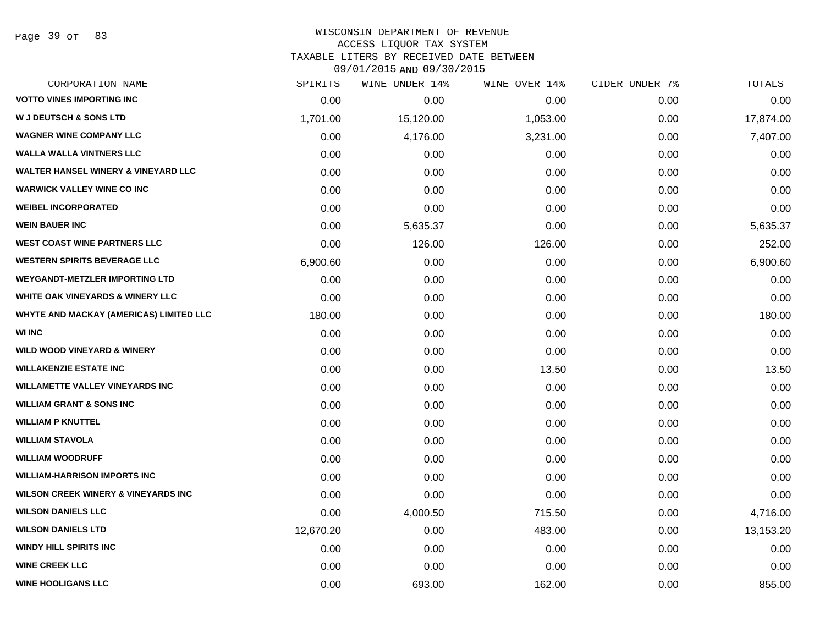Page 39 of 83

#### WISCONSIN DEPARTMENT OF REVENUE ACCESS LIQUOR TAX SYSTEM

TAXABLE LITERS BY RECEIVED DATE BETWEEN

09/01/2015 AND 09/30/2015

| CORPORATION NAME                               | SPIRITS   | WINE UNDER 14% | WINE OVER 14% | CIDER UNDER 7% | TOTALS    |
|------------------------------------------------|-----------|----------------|---------------|----------------|-----------|
| <b>VOTTO VINES IMPORTING INC</b>               | 0.00      | 0.00           | 0.00          | 0.00           | 0.00      |
| <b>W J DEUTSCH &amp; SONS LTD</b>              | 1,701.00  | 15,120.00      | 1,053.00      | 0.00           | 17,874.00 |
| <b>WAGNER WINE COMPANY LLC</b>                 | 0.00      | 4,176.00       | 3,231.00      | 0.00           | 7,407.00  |
| <b>WALLA WALLA VINTNERS LLC</b>                | 0.00      | 0.00           | 0.00          | 0.00           | 0.00      |
| <b>WALTER HANSEL WINERY &amp; VINEYARD LLC</b> | 0.00      | 0.00           | 0.00          | 0.00           | 0.00      |
| <b>WARWICK VALLEY WINE CO INC</b>              | 0.00      | 0.00           | 0.00          | 0.00           | 0.00      |
| <b>WEIBEL INCORPORATED</b>                     | 0.00      | 0.00           | 0.00          | 0.00           | 0.00      |
| <b>WEIN BAUER INC</b>                          | 0.00      | 5,635.37       | 0.00          | 0.00           | 5,635.37  |
| <b>WEST COAST WINE PARTNERS LLC</b>            | 0.00      | 126.00         | 126.00        | 0.00           | 252.00    |
| <b>WESTERN SPIRITS BEVERAGE LLC</b>            | 6,900.60  | 0.00           | 0.00          | 0.00           | 6,900.60  |
| <b>WEYGANDT-METZLER IMPORTING LTD</b>          | 0.00      | 0.00           | 0.00          | 0.00           | 0.00      |
| WHITE OAK VINEYARDS & WINERY LLC               | 0.00      | 0.00           | 0.00          | 0.00           | 0.00      |
| WHYTE AND MACKAY (AMERICAS) LIMITED LLC        | 180.00    | 0.00           | 0.00          | 0.00           | 180.00    |
| <b>WI INC</b>                                  | 0.00      | 0.00           | 0.00          | 0.00           | 0.00      |
| <b>WILD WOOD VINEYARD &amp; WINERY</b>         | 0.00      | 0.00           | 0.00          | 0.00           | 0.00      |
| <b>WILLAKENZIE ESTATE INC</b>                  | 0.00      | 0.00           | 13.50         | 0.00           | 13.50     |
| <b>WILLAMETTE VALLEY VINEYARDS INC</b>         | 0.00      | 0.00           | 0.00          | 0.00           | 0.00      |
| <b>WILLIAM GRANT &amp; SONS INC</b>            | 0.00      | 0.00           | 0.00          | 0.00           | 0.00      |
| <b>WILLIAM P KNUTTEL</b>                       | 0.00      | 0.00           | 0.00          | 0.00           | 0.00      |
| <b>WILLIAM STAVOLA</b>                         | 0.00      | 0.00           | 0.00          | 0.00           | 0.00      |
| <b>WILLIAM WOODRUFF</b>                        | 0.00      | 0.00           | 0.00          | 0.00           | 0.00      |
| <b>WILLIAM-HARRISON IMPORTS INC</b>            | 0.00      | 0.00           | 0.00          | 0.00           | 0.00      |
| <b>WILSON CREEK WINERY &amp; VINEYARDS INC</b> | 0.00      | 0.00           | 0.00          | 0.00           | 0.00      |
| <b>WILSON DANIELS LLC</b>                      | 0.00      | 4,000.50       | 715.50        | 0.00           | 4,716.00  |
| <b>WILSON DANIELS LTD</b>                      | 12,670.20 | 0.00           | 483.00        | 0.00           | 13,153.20 |
| <b>WINDY HILL SPIRITS INC</b>                  | 0.00      | 0.00           | 0.00          | 0.00           | 0.00      |
| <b>WINE CREEK LLC</b>                          | 0.00      | 0.00           | 0.00          | 0.00           | 0.00      |
| <b>WINE HOOLIGANS LLC</b>                      | 0.00      | 693.00         | 162.00        | 0.00           | 855.00    |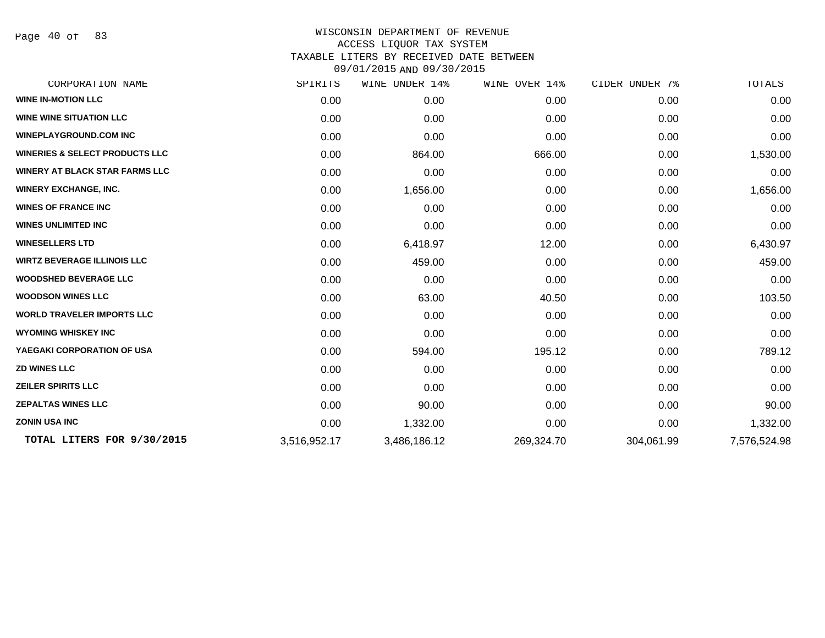Page 40 of 83

| CORPORATION NAME                          | SPIRITS      | WINE UNDER 14% | WINE OVER 14% | CIDER UNDER 7% | TOTALS       |
|-------------------------------------------|--------------|----------------|---------------|----------------|--------------|
| <b>WINE IN-MOTION LLC</b>                 | 0.00         | 0.00           | 0.00          | 0.00           | 0.00         |
| <b>WINE WINE SITUATION LLC</b>            | 0.00         | 0.00           | 0.00          | 0.00           | 0.00         |
| <b>WINEPLAYGROUND.COM INC</b>             | 0.00         | 0.00           | 0.00          | 0.00           | 0.00         |
| <b>WINERIES &amp; SELECT PRODUCTS LLC</b> | 0.00         | 864.00         | 666.00        | 0.00           | 1,530.00     |
| <b>WINERY AT BLACK STAR FARMS LLC</b>     | 0.00         | 0.00           | 0.00          | 0.00           | 0.00         |
| <b>WINERY EXCHANGE, INC.</b>              | 0.00         | 1,656.00       | 0.00          | 0.00           | 1,656.00     |
| <b>WINES OF FRANCE INC</b>                | 0.00         | 0.00           | 0.00          | 0.00           | 0.00         |
| <b>WINES UNLIMITED INC</b>                | 0.00         | 0.00           | 0.00          | 0.00           | 0.00         |
| <b>WINESELLERS LTD</b>                    | 0.00         | 6,418.97       | 12.00         | 0.00           | 6,430.97     |
| <b>WIRTZ BEVERAGE ILLINOIS LLC</b>        | 0.00         | 459.00         | 0.00          | 0.00           | 459.00       |
| <b>WOODSHED BEVERAGE LLC</b>              | 0.00         | 0.00           | 0.00          | 0.00           | 0.00         |
| <b>WOODSON WINES LLC</b>                  | 0.00         | 63.00          | 40.50         | 0.00           | 103.50       |
| <b>WORLD TRAVELER IMPORTS LLC</b>         | 0.00         | 0.00           | 0.00          | 0.00           | 0.00         |
| <b>WYOMING WHISKEY INC</b>                | 0.00         | 0.00           | 0.00          | 0.00           | 0.00         |
| YAEGAKI CORPORATION OF USA                | 0.00         | 594.00         | 195.12        | 0.00           | 789.12       |
| <b>ZD WINES LLC</b>                       | 0.00         | 0.00           | 0.00          | 0.00           | 0.00         |
| <b>ZEILER SPIRITS LLC</b>                 | 0.00         | 0.00           | 0.00          | 0.00           | 0.00         |
| <b>ZEPALTAS WINES LLC</b>                 | 0.00         | 90.00          | 0.00          | 0.00           | 90.00        |
| <b>ZONIN USA INC</b>                      | 0.00         | 1,332.00       | 0.00          | 0.00           | 1,332.00     |
| TOTAL LITERS FOR 9/30/2015                | 3,516,952.17 | 3,486,186.12   | 269,324.70    | 304,061.99     | 7,576,524.98 |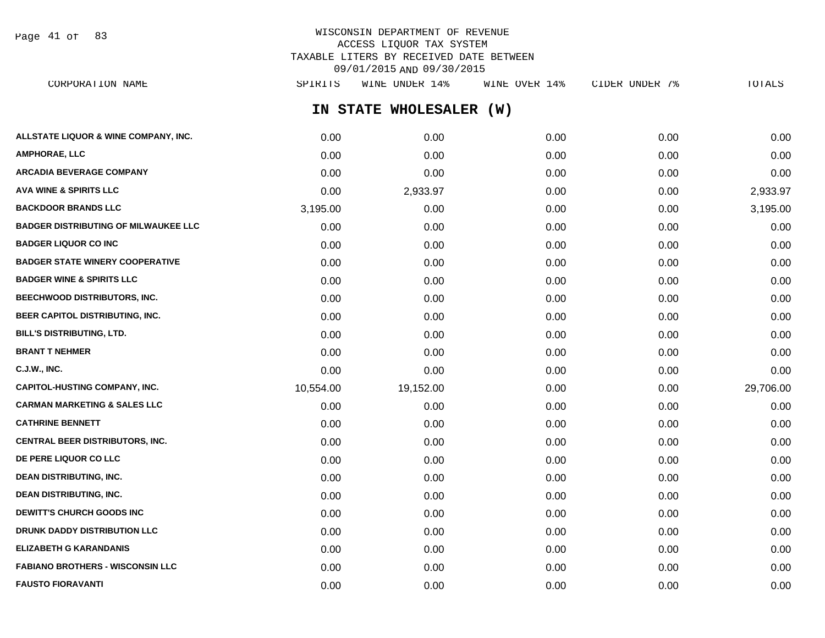Page 41 of 83

# WISCONSIN DEPARTMENT OF REVENUE ACCESS LIQUOR TAX SYSTEM TAXABLE LITERS BY RECEIVED DATE BETWEEN 09/01/2015 AND 09/30/2015

**IN STATE WHOLESALER (W) ALLSTATE LIQUOR & WINE COMPANY, INC.**  $0.00$   $0.00$   $0.00$   $0.00$   $0.00$   $0.00$   $0.00$   $0.00$   $0.00$   $0.00$   $0.00$   $0.00$   $0.00$   $0.00$   $0.00$   $0.00$   $0.00$   $0.00$   $0.00$   $0.00$   $0.00$   $0.00$   $0.00$   $0.00$   $0.00$   $0.00$  **AMPHORAE, LLC** 0.00 0.00 0.00 0.00 0.00 **ARCADIA BEVERAGE COMPANY** 0.00 0.00 0.00 0.00 0.00 **AVA WINE & SPIRITS LLC** 0.00 2,933.97 0.00 0.00 2,933.97 **BACKDOOR BRANDS LLC** 3,195.00 0.00 0.00 0.00 3,195.00 **BADGER DISTRIBUTING OF MILWAUKEE LLC** 0.00 0.00 0.00 0.00 0.00 **BADGER LIQUOR CO INC** 0.00 0.00 0.00 0.00 0.00 **BADGER STATE WINERY COOPERATIVE** 0.00 0.00 0.00 0.00 0.00 **BADGER WINE & SPIRITS LLC**  $\begin{array}{ccc} 0.00 & 0.00 & 0.00 \\ 0.00 & 0.00 & 0.00 \end{array}$ **BEECHWOOD DISTRIBUTORS, INC.** 0.00 0.00 0.00 0.00 0.00 **BEER CAPITOL DISTRIBUTING, INC.** 0.00 0.00 0.00 0.00 0.00 **BILL'S DISTRIBUTING, LTD.** 0.00 0.00 0.00 0.00 0.00 **BRANT T NEHMER** 0.00 0.00 0.00 0.00 0.00 **C.J.W., INC.** 6.00 **0.00 0.00 0.00 0.00 0.00 0.00 0.00 0.00 0.00 0.00 0.00 0.00 0.00 0.00 CAPITOL-HUSTING COMPANY, INC.** 10,554.00 19,152.00 0.00 0.00 29,706.00 **CARMAN MARKETING & SALES LLC** 0.00 0.00 0.00 0.00 0.00 **CATHRINE BENNETT** 0.00 0.00 0.00 0.00 0.00 **CENTRAL BEER DISTRIBUTORS, INC.** 0.00 0.00 0.00 0.00 0.00 **DE PERE LIQUOR CO LLC** 0.00 0.00 0.00 0.00 0.00 **DEAN DISTRIBUTING, INC.** 0.00 0.00 0.00 0.00 0.00 **DEAN DISTRIBUTING, INC.** 0.00 0.00 0.00 0.00 0.00 **DEWITT'S CHURCH GOODS INC**  $0.00$   $0.00$   $0.00$   $0.00$   $0.00$   $0.00$   $0.00$   $0.00$   $0.00$   $0.00$   $0.00$   $0.00$   $0.00$   $0.00$   $0.00$   $0.00$   $0.00$   $0.00$   $0.00$   $0.00$   $0.00$   $0.00$   $0.00$   $0.00$   $0.00$   $0.00$   $0.00$   $0.00$ **DRUNK DADDY DISTRIBUTION LLC** 0.00 0.00 0.00 0.00 0.00 **ELIZABETH G KARANDANIS** 0.00 0.00 0.00 0.00 0.00 **FABIANO BROTHERS - WISCONSIN LLC** 0.00 0.00 0.00 0.00 0.00 CORPORATION NAME SPIRITS WINE UNDER 14% WINE OVER 14% CIDER UNDER 7% TOTALS

**FAUSTO FIORAVANTI** 0.00 0.00 0.00 0.00 0.00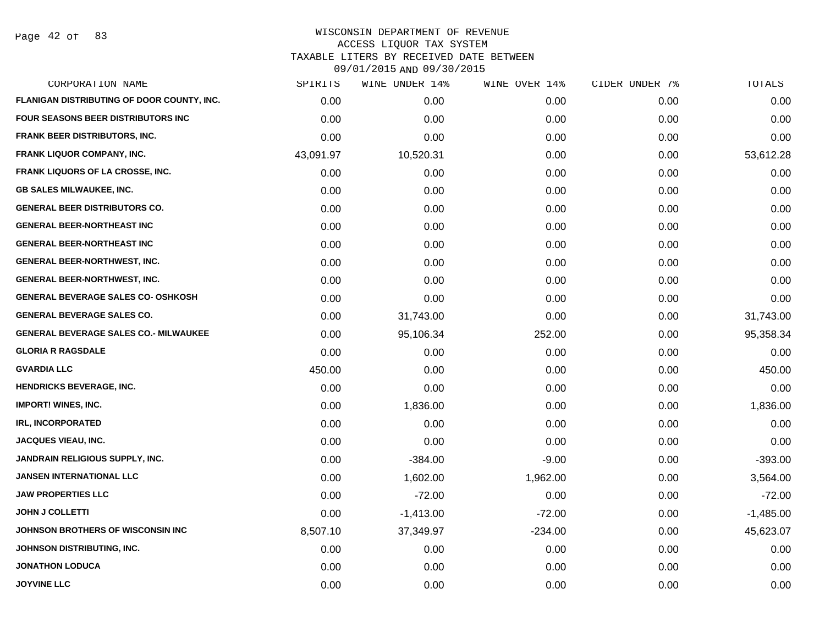Page 42 of 83

|           | WINE UNDER 14% |           |               | TOTALS         |
|-----------|----------------|-----------|---------------|----------------|
| 0.00      | 0.00           | 0.00      | 0.00          | 0.00           |
| 0.00      | 0.00           | 0.00      | 0.00          | 0.00           |
| 0.00      | 0.00           | 0.00      | 0.00          | 0.00           |
| 43,091.97 | 10,520.31      | 0.00      | 0.00          | 53,612.28      |
| 0.00      | 0.00           | 0.00      | 0.00          | 0.00           |
| 0.00      | 0.00           | 0.00      | 0.00          | 0.00           |
| 0.00      | 0.00           | 0.00      | 0.00          | 0.00           |
| 0.00      | 0.00           | 0.00      | 0.00          | 0.00           |
| 0.00      | 0.00           | 0.00      | 0.00          | 0.00           |
| 0.00      | 0.00           | 0.00      | 0.00          | 0.00           |
| 0.00      | 0.00           | 0.00      | 0.00          | 0.00           |
| 0.00      | 0.00           | 0.00      | 0.00          | 0.00           |
| 0.00      | 31,743.00      | 0.00      | 0.00          | 31,743.00      |
| 0.00      | 95,106.34      | 252.00    | 0.00          | 95,358.34      |
| 0.00      | 0.00           | 0.00      | 0.00          | 0.00           |
| 450.00    | 0.00           | 0.00      | 0.00          | 450.00         |
| 0.00      | 0.00           | 0.00      | 0.00          | 0.00           |
| 0.00      | 1,836.00       | 0.00      | 0.00          | 1,836.00       |
| 0.00      | 0.00           | 0.00      | 0.00          | 0.00           |
| 0.00      | 0.00           | 0.00      | 0.00          | 0.00           |
| 0.00      | $-384.00$      | $-9.00$   | 0.00          | $-393.00$      |
| 0.00      | 1,602.00       | 1,962.00  | 0.00          | 3,564.00       |
| 0.00      | $-72.00$       | 0.00      | 0.00          | $-72.00$       |
| 0.00      | $-1,413.00$    | $-72.00$  | 0.00          | $-1,485.00$    |
| 8,507.10  | 37,349.97      | $-234.00$ | 0.00          | 45,623.07      |
| 0.00      | 0.00           | 0.00      | 0.00          | 0.00           |
| 0.00      | 0.00           | 0.00      | 0.00          | 0.00           |
| 0.00      | 0.00           | 0.00      | 0.00          | 0.00           |
|           | SPIRITS        |           | WINE OVER 14% | CIDER UNDER 7% |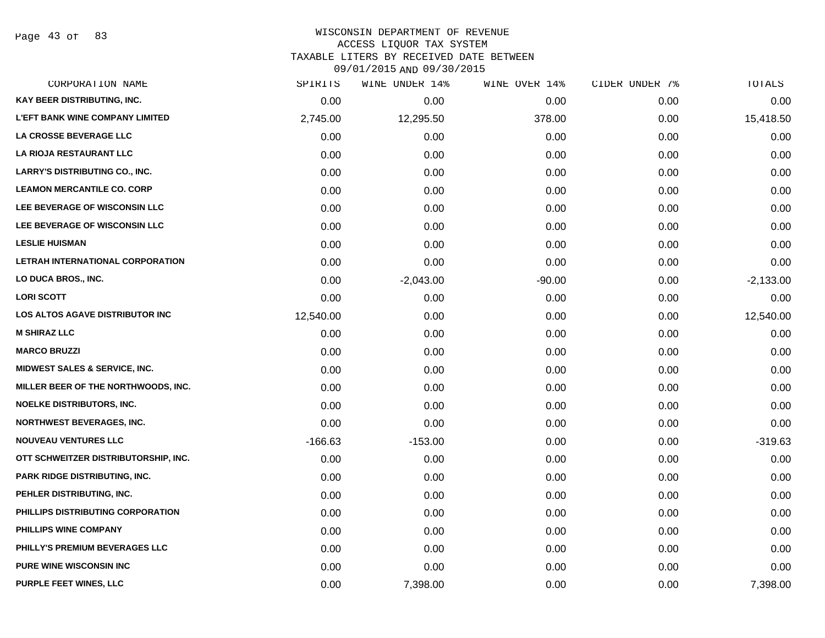Page 43 of 83

#### WISCONSIN DEPARTMENT OF REVENUE ACCESS LIQUOR TAX SYSTEM TAXABLE LITERS BY RECEIVED DATE BETWEEN

09/01/2015 AND 09/30/2015

| CORPORATION NAME                         | SPIRITS   | WINE UNDER 14% | WINE OVER 14% | CIDER UNDER 7% | TOTALS      |
|------------------------------------------|-----------|----------------|---------------|----------------|-------------|
| <b>KAY BEER DISTRIBUTING, INC.</b>       | 0.00      | 0.00           | 0.00          | 0.00           | 0.00        |
| <b>L'EFT BANK WINE COMPANY LIMITED</b>   | 2,745.00  | 12,295.50      | 378.00        | 0.00           | 15,418.50   |
| LA CROSSE BEVERAGE LLC                   | 0.00      | 0.00           | 0.00          | 0.00           | 0.00        |
| LA RIOJA RESTAURANT LLC                  | 0.00      | 0.00           | 0.00          | 0.00           | 0.00        |
| <b>LARRY'S DISTRIBUTING CO., INC.</b>    | 0.00      | 0.00           | 0.00          | 0.00           | 0.00        |
| <b>LEAMON MERCANTILE CO. CORP</b>        | 0.00      | 0.00           | 0.00          | 0.00           | 0.00        |
| LEE BEVERAGE OF WISCONSIN LLC            | 0.00      | 0.00           | 0.00          | 0.00           | 0.00        |
| <b>LEE BEVERAGE OF WISCONSIN LLC</b>     | 0.00      | 0.00           | 0.00          | 0.00           | 0.00        |
| <b>LESLIE HUISMAN</b>                    | 0.00      | 0.00           | 0.00          | 0.00           | 0.00        |
| LETRAH INTERNATIONAL CORPORATION         | 0.00      | 0.00           | 0.00          | 0.00           | 0.00        |
| LO DUCA BROS., INC.                      | 0.00      | $-2,043.00$    | $-90.00$      | 0.00           | $-2,133.00$ |
| <b>LORI SCOTT</b>                        | 0.00      | 0.00           | 0.00          | 0.00           | 0.00        |
| LOS ALTOS AGAVE DISTRIBUTOR INC          | 12,540.00 | 0.00           | 0.00          | 0.00           | 12,540.00   |
| <b>M SHIRAZ LLC</b>                      | 0.00      | 0.00           | 0.00          | 0.00           | 0.00        |
| <b>MARCO BRUZZI</b>                      | 0.00      | 0.00           | 0.00          | 0.00           | 0.00        |
| <b>MIDWEST SALES &amp; SERVICE, INC.</b> | 0.00      | 0.00           | 0.00          | 0.00           | 0.00        |
| MILLER BEER OF THE NORTHWOODS, INC.      | 0.00      | 0.00           | 0.00          | 0.00           | 0.00        |
| <b>NOELKE DISTRIBUTORS, INC.</b>         | 0.00      | 0.00           | 0.00          | 0.00           | 0.00        |
| <b>NORTHWEST BEVERAGES, INC.</b>         | 0.00      | 0.00           | 0.00          | 0.00           | 0.00        |
| <b>NOUVEAU VENTURES LLC</b>              | $-166.63$ | $-153.00$      | 0.00          | 0.00           | $-319.63$   |
| OTT SCHWEITZER DISTRIBUTORSHIP, INC.     | 0.00      | 0.00           | 0.00          | 0.00           | 0.00        |
| <b>PARK RIDGE DISTRIBUTING, INC.</b>     | 0.00      | 0.00           | 0.00          | 0.00           | 0.00        |
| PEHLER DISTRIBUTING, INC.                | 0.00      | 0.00           | 0.00          | 0.00           | 0.00        |
| PHILLIPS DISTRIBUTING CORPORATION        | 0.00      | 0.00           | 0.00          | 0.00           | 0.00        |
| PHILLIPS WINE COMPANY                    | 0.00      | 0.00           | 0.00          | 0.00           | 0.00        |
| PHILLY'S PREMIUM BEVERAGES LLC           | 0.00      | 0.00           | 0.00          | 0.00           | 0.00        |
| PURE WINE WISCONSIN INC                  | 0.00      | 0.00           | 0.00          | 0.00           | 0.00        |
| PURPLE FEET WINES, LLC                   | 0.00      | 7,398.00       | 0.00          | 0.00           | 7,398.00    |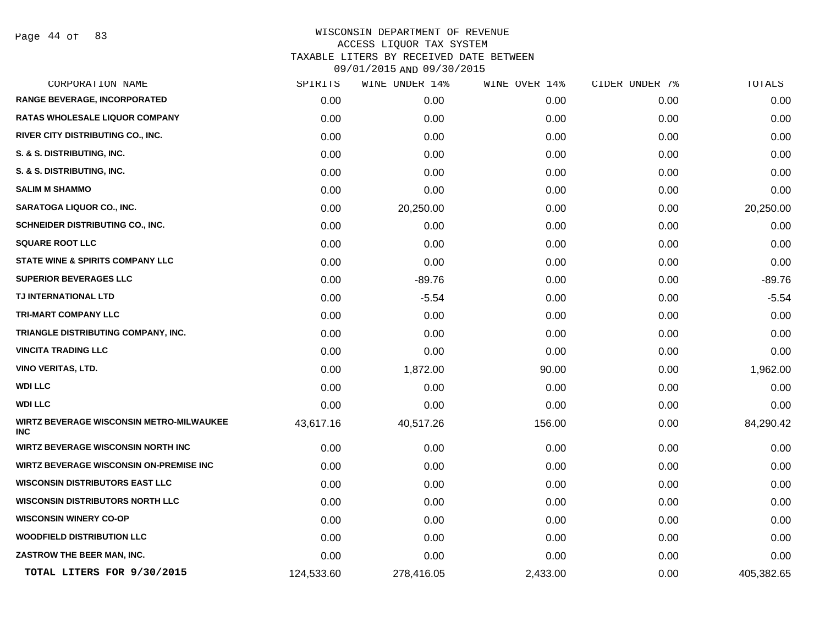Page 44 of 83

| CORPORATION NAME                                              | SPIRITS    | WINE UNDER 14% | WINE OVER 14% | CIDER UNDER 7% | TOTALS     |
|---------------------------------------------------------------|------------|----------------|---------------|----------------|------------|
| <b>RANGE BEVERAGE, INCORPORATED</b>                           | 0.00       | 0.00           | 0.00          | 0.00           | 0.00       |
| <b>RATAS WHOLESALE LIQUOR COMPANY</b>                         | 0.00       | 0.00           | 0.00          | 0.00           | 0.00       |
| RIVER CITY DISTRIBUTING CO., INC.                             | 0.00       | 0.00           | 0.00          | 0.00           | 0.00       |
| S. & S. DISTRIBUTING, INC.                                    | 0.00       | 0.00           | 0.00          | 0.00           | 0.00       |
| S. & S. DISTRIBUTING, INC.                                    | 0.00       | 0.00           | 0.00          | 0.00           | 0.00       |
| <b>SALIM M SHAMMO</b>                                         | 0.00       | 0.00           | 0.00          | 0.00           | 0.00       |
| SARATOGA LIQUOR CO., INC.                                     | 0.00       | 20,250.00      | 0.00          | 0.00           | 20,250.00  |
| <b>SCHNEIDER DISTRIBUTING CO., INC.</b>                       | 0.00       | 0.00           | 0.00          | 0.00           | 0.00       |
| <b>SQUARE ROOT LLC</b>                                        | 0.00       | 0.00           | 0.00          | 0.00           | 0.00       |
| <b>STATE WINE &amp; SPIRITS COMPANY LLC</b>                   | 0.00       | 0.00           | 0.00          | 0.00           | 0.00       |
| <b>SUPERIOR BEVERAGES LLC</b>                                 | 0.00       | $-89.76$       | 0.00          | 0.00           | $-89.76$   |
| TJ INTERNATIONAL LTD                                          | 0.00       | $-5.54$        | 0.00          | 0.00           | $-5.54$    |
| <b>TRI-MART COMPANY LLC</b>                                   | 0.00       | 0.00           | 0.00          | 0.00           | 0.00       |
| TRIANGLE DISTRIBUTING COMPANY, INC.                           | 0.00       | 0.00           | 0.00          | 0.00           | 0.00       |
| <b>VINCITA TRADING LLC</b>                                    | 0.00       | 0.00           | 0.00          | 0.00           | 0.00       |
| <b>VINO VERITAS, LTD.</b>                                     | 0.00       | 1,872.00       | 90.00         | 0.00           | 1,962.00   |
| <b>WDI LLC</b>                                                | 0.00       | 0.00           | 0.00          | 0.00           | 0.00       |
| <b>WDI LLC</b>                                                | 0.00       | 0.00           | 0.00          | 0.00           | 0.00       |
| <b>WIRTZ BEVERAGE WISCONSIN METRO-MILWAUKEE</b><br><b>INC</b> | 43,617.16  | 40,517.26      | 156.00        | 0.00           | 84,290.42  |
| <b>WIRTZ BEVERAGE WISCONSIN NORTH INC</b>                     | 0.00       | 0.00           | 0.00          | 0.00           | 0.00       |
| <b>WIRTZ BEVERAGE WISCONSIN ON-PREMISE INC</b>                | 0.00       | 0.00           | 0.00          | 0.00           | 0.00       |
| <b>WISCONSIN DISTRIBUTORS EAST LLC</b>                        | 0.00       | 0.00           | 0.00          | 0.00           | 0.00       |
| <b>WISCONSIN DISTRIBUTORS NORTH LLC</b>                       | 0.00       | 0.00           | 0.00          | 0.00           | 0.00       |
| <b>WISCONSIN WINERY CO-OP</b>                                 | 0.00       | 0.00           | 0.00          | 0.00           | 0.00       |
| <b>WOODFIELD DISTRIBUTION LLC</b>                             | 0.00       | 0.00           | 0.00          | 0.00           | 0.00       |
| ZASTROW THE BEER MAN, INC.                                    | 0.00       | 0.00           | 0.00          | 0.00           | 0.00       |
| TOTAL LITERS FOR 9/30/2015                                    | 124,533.60 | 278,416.05     | 2,433.00      | 0.00           | 405,382.65 |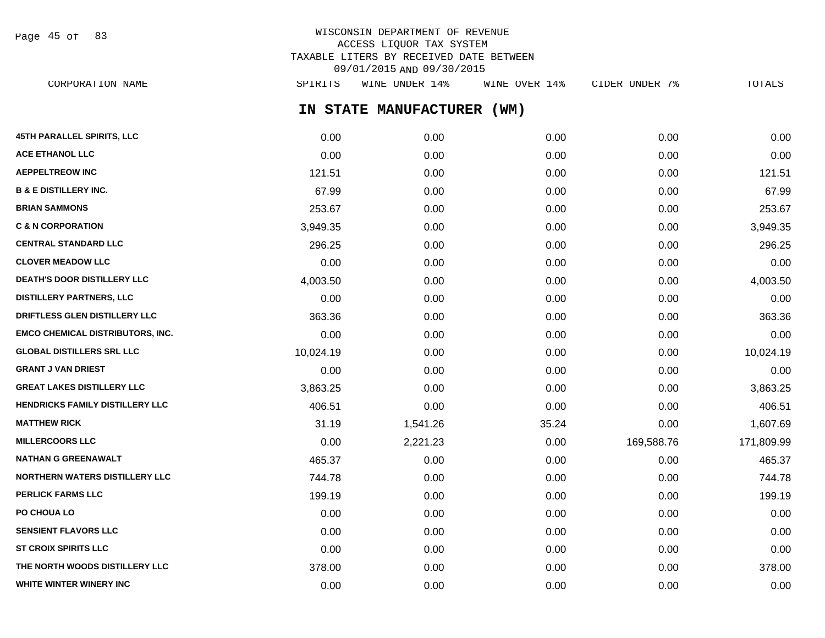WISCONSIN DEPARTMENT OF REVENUE ACCESS LIQUOR TAX SYSTEM TAXABLE LITERS BY RECEIVED DATE BETWEEN Page 45 of 83

09/01/2015 AND 09/30/2015

CORPORATION NAME SPIRITS WINE UNDER 14% WINE OVER 14% CIDER UNDER 7% TOTALS

**IN STATE MANUFACTURER (WM)**

| 45TH PARALLEL SPIRITS, LLC              | 0.00      | 0.00     | 0.00  | 0.00       | 0.00       |
|-----------------------------------------|-----------|----------|-------|------------|------------|
| <b>ACE ETHANOL LLC</b>                  | 0.00      | 0.00     | 0.00  | 0.00       | 0.00       |
| <b>AEPPELTREOW INC</b>                  | 121.51    | 0.00     | 0.00  | 0.00       | 121.51     |
| <b>B &amp; E DISTILLERY INC.</b>        | 67.99     | 0.00     | 0.00  | 0.00       | 67.99      |
| <b>BRIAN SAMMONS</b>                    | 253.67    | 0.00     | 0.00  | 0.00       | 253.67     |
| <b>C &amp; N CORPORATION</b>            | 3,949.35  | 0.00     | 0.00  | 0.00       | 3,949.35   |
| <b>CENTRAL STANDARD LLC</b>             | 296.25    | 0.00     | 0.00  | 0.00       | 296.25     |
| <b>CLOVER MEADOW LLC</b>                | 0.00      | 0.00     | 0.00  | 0.00       | 0.00       |
| DEATH'S DOOR DISTILLERY LLC             | 4,003.50  | 0.00     | 0.00  | 0.00       | 4,003.50   |
| <b>DISTILLERY PARTNERS, LLC</b>         | 0.00      | 0.00     | 0.00  | 0.00       | 0.00       |
| DRIFTLESS GLEN DISTILLERY LLC           | 363.36    | 0.00     | 0.00  | 0.00       | 363.36     |
| <b>EMCO CHEMICAL DISTRIBUTORS, INC.</b> | 0.00      | 0.00     | 0.00  | 0.00       | 0.00       |
| <b>GLOBAL DISTILLERS SRL LLC</b>        | 10,024.19 | 0.00     | 0.00  | 0.00       | 10,024.19  |
| <b>GRANT J VAN DRIEST</b>               | 0.00      | 0.00     | 0.00  | 0.00       | 0.00       |
| <b>GREAT LAKES DISTILLERY LLC</b>       | 3,863.25  | 0.00     | 0.00  | 0.00       | 3,863.25   |
| HENDRICKS FAMILY DISTILLERY LLC         | 406.51    | 0.00     | 0.00  | 0.00       | 406.51     |
| <b>MATTHEW RICK</b>                     | 31.19     | 1,541.26 | 35.24 | 0.00       | 1,607.69   |
| <b>MILLERCOORS LLC</b>                  | 0.00      | 2,221.23 | 0.00  | 169,588.76 | 171,809.99 |
| <b>NATHAN G GREENAWALT</b>              | 465.37    | 0.00     | 0.00  | 0.00       | 465.37     |
| <b>NORTHERN WATERS DISTILLERY LLC</b>   | 744.78    | 0.00     | 0.00  | 0.00       | 744.78     |
| <b>PERLICK FARMS LLC</b>                | 199.19    | 0.00     | 0.00  | 0.00       | 199.19     |
| PO CHOUA LO                             | 0.00      | 0.00     | 0.00  | 0.00       | 0.00       |
| <b>SENSIENT FLAVORS LLC</b>             | 0.00      | 0.00     | 0.00  | 0.00       | 0.00       |
| <b>ST CROIX SPIRITS LLC</b>             | 0.00      | 0.00     | 0.00  | 0.00       | 0.00       |
| THE NORTH WOODS DISTILLERY LLC          | 378.00    | 0.00     | 0.00  | 0.00       | 378.00     |
| WHITE WINTER WINERY INC                 | 0.00      | 0.00     | 0.00  | 0.00       | 0.00       |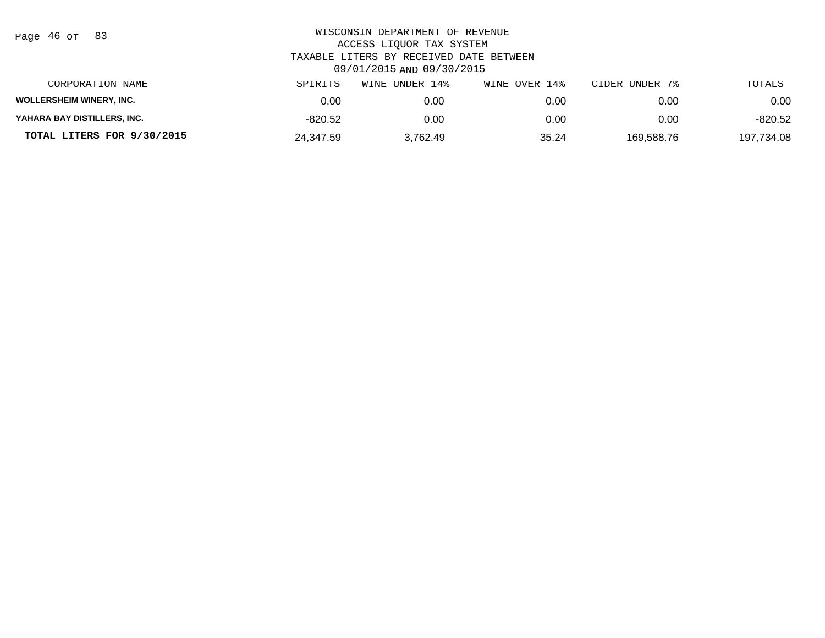| Page 46 of |  |  | 83 |
|------------|--|--|----|
|------------|--|--|----|

| CORPORATION NAME                | SPIRITS   | WINE UNDER 14% | WINE OVER 14% | CIDER UNDER 7% | TOTALS     |
|---------------------------------|-----------|----------------|---------------|----------------|------------|
| <b>WOLLERSHEIM WINERY, INC.</b> | 0.00      | 0.00           | 0.00          | 0.00           | 0.00       |
| YAHARA BAY DISTILLERS, INC.     | -820.52   | 0.00           | 0.00          | 0.00           | $-820.52$  |
| TOTAL LITERS FOR 9/30/2015      | 24.347.59 | 3.762.49       | 35.24         | 169.588.76     | 197.734.08 |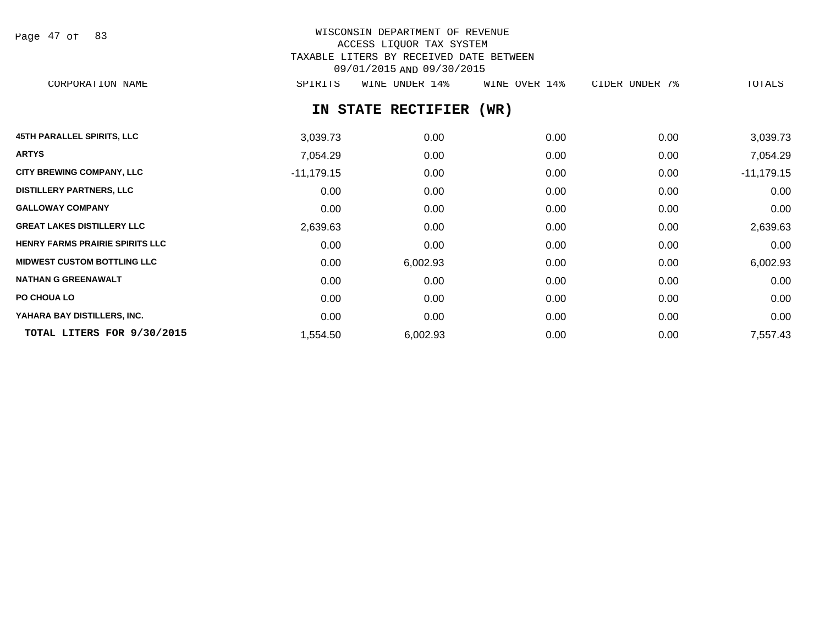| Page 47 of |  |  | 83 |
|------------|--|--|----|
|------------|--|--|----|

# WISCONSIN DEPARTMENT OF REVENUE ACCESS LIQUOR TAX SYSTEM TAXABLE LITERS BY RECEIVED DATE BETWEEN 09/01/2015 AND 09/30/2015

CORPORATION NAME SPIRITS WINE UNDER 14% WINE OVER 14% CIDER UNDER 7% TOTALS

# **IN STATE RECTIFIER (WR)**

| <b>45TH PARALLEL SPIRITS, LLC</b>      | 3,039.73     | 0.00     | 0.00 | 0.00 | 3,039.73     |
|----------------------------------------|--------------|----------|------|------|--------------|
| <b>ARTYS</b>                           | 7,054.29     | 0.00     | 0.00 | 0.00 | 7,054.29     |
| <b>CITY BREWING COMPANY, LLC</b>       | $-11,179.15$ | 0.00     | 0.00 | 0.00 | $-11,179.15$ |
| <b>DISTILLERY PARTNERS, LLC</b>        | 0.00         | 0.00     | 0.00 | 0.00 | 0.00         |
| <b>GALLOWAY COMPANY</b>                | 0.00         | 0.00     | 0.00 | 0.00 | 0.00         |
| <b>GREAT LAKES DISTILLERY LLC</b>      | 2,639.63     | 0.00     | 0.00 | 0.00 | 2,639.63     |
| <b>HENRY FARMS PRAIRIE SPIRITS LLC</b> | 0.00         | 0.00     | 0.00 | 0.00 | 0.00         |
| <b>MIDWEST CUSTOM BOTTLING LLC</b>     | 0.00         | 6,002.93 | 0.00 | 0.00 | 6,002.93     |
| <b>NATHAN G GREENAWALT</b>             | 0.00         | 0.00     | 0.00 | 0.00 | 0.00         |
| PO CHOUA LO                            | 0.00         | 0.00     | 0.00 | 0.00 | 0.00         |
| YAHARA BAY DISTILLERS, INC.            | 0.00         | 0.00     | 0.00 | 0.00 | 0.00         |
| TOTAL LITERS FOR 9/30/2015             | 1,554.50     | 6,002.93 | 0.00 | 0.00 | 7,557.43     |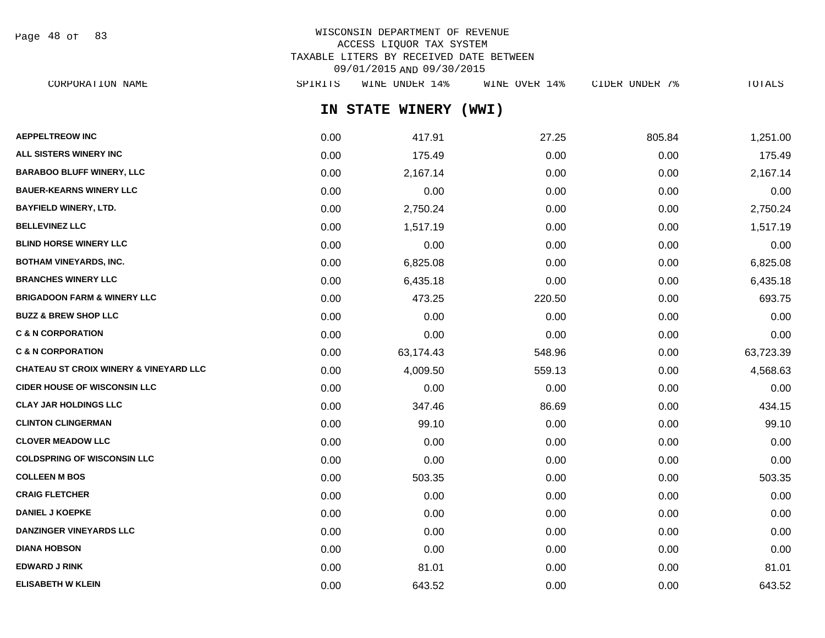Page 48 of 83

## WISCONSIN DEPARTMENT OF REVENUE ACCESS LIQUOR TAX SYSTEM TAXABLE LITERS BY RECEIVED DATE BETWEEN 09/01/2015 AND 09/30/2015

| CORPORATION NAME                                  | SPIRITS | WINE UNDER 14%  | WINE OVER 14% | CIDER UNDER 7% | TOTALS    |
|---------------------------------------------------|---------|-----------------|---------------|----------------|-----------|
|                                                   |         | IN STATE WINERY | (WWI)         |                |           |
| <b>AEPPELTREOW INC</b>                            | 0.00    | 417.91          | 27.25         | 805.84         | 1,251.00  |
| <b>ALL SISTERS WINERY INC</b>                     | 0.00    | 175.49          | 0.00          | 0.00           | 175.49    |
| <b>BARABOO BLUFF WINERY, LLC</b>                  | 0.00    | 2,167.14        | 0.00          | 0.00           | 2,167.14  |
| <b>BAUER-KEARNS WINERY LLC</b>                    | 0.00    | 0.00            | 0.00          | 0.00           | 0.00      |
| BAYFIELD WINERY, LTD.                             | 0.00    | 2,750.24        | 0.00          | 0.00           | 2,750.24  |
| <b>BELLEVINEZ LLC</b>                             | 0.00    | 1,517.19        | 0.00          | 0.00           | 1,517.19  |
| BLIND HORSE WINERY LLC                            | 0.00    | 0.00            | 0.00          | 0.00           | 0.00      |
| <b>BOTHAM VINEYARDS, INC.</b>                     | 0.00    | 6,825.08        | 0.00          | 0.00           | 6,825.08  |
| <b>BRANCHES WINERY LLC</b>                        | 0.00    | 6,435.18        | 0.00          | 0.00           | 6,435.18  |
| BRIGADOON FARM & WINERY LLC                       | 0.00    | 473.25          | 220.50        | 0.00           | 693.75    |
| <b>BUZZ &amp; BREW SHOP LLC</b>                   | 0.00    | 0.00            | 0.00          | 0.00           | 0.00      |
| <b>C &amp; N CORPORATION</b>                      | 0.00    | 0.00            | 0.00          | 0.00           | 0.00      |
| <b>C &amp; N CORPORATION</b>                      | 0.00    | 63,174.43       | 548.96        | 0.00           | 63,723.39 |
| <b>CHATEAU ST CROIX WINERY &amp; VINEYARD LLC</b> | 0.00    | 4,009.50        | 559.13        | 0.00           | 4,568.63  |
| <b>CIDER HOUSE OF WISCONSIN LLC</b>               | 0.00    | 0.00            | 0.00          | 0.00           | 0.00      |
| CLAY JAR HOLDINGS LLC                             | 0.00    | 347.46          | 86.69         | 0.00           | 434.15    |
| <b>CLINTON CLINGERMAN</b>                         | 0.00    | 99.10           | 0.00          | 0.00           | 99.10     |
| <b>CLOVER MEADOW LLC</b>                          | 0.00    | 0.00            | 0.00          | 0.00           | 0.00      |
| <b>COLDSPRING OF WISCONSIN LLC</b>                | 0.00    | 0.00            | 0.00          | 0.00           | 0.00      |
| <b>COLLEEN M BOS</b>                              | 0.00    | 503.35          | 0.00          | 0.00           | 503.35    |
| <b>CRAIG FLETCHER</b>                             | 0.00    | 0.00            | 0.00          | 0.00           | 0.00      |
| <b>DANIEL J KOEPKE</b>                            | 0.00    | 0.00            | 0.00          | 0.00           | 0.00      |
| <b>DANZINGER VINEYARDS LLC</b>                    | 0.00    | 0.00            | 0.00          | 0.00           | 0.00      |
| <b>DIANA HOBSON</b>                               | 0.00    | 0.00            | 0.00          | 0.00           | 0.00      |
| EDWARD J RINK                                     | 0.00    | 81.01           | 0.00          | 0.00           | 81.01     |

**ELISABETH W KLEIN** 0.00 643.52 0.00 0.00 643.52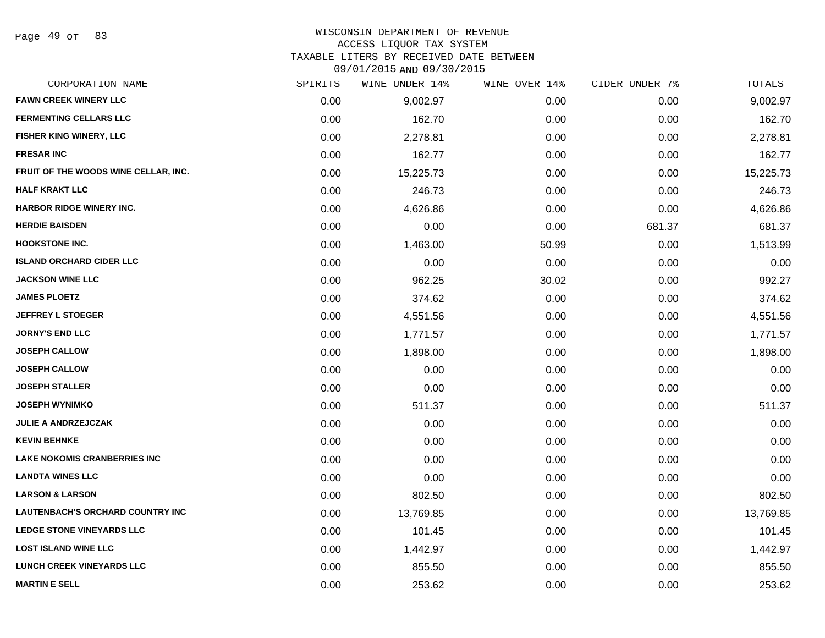#### WISCONSIN DEPARTMENT OF REVENUE ACCESS LIQUOR TAX SYSTEM

TAXABLE LITERS BY RECEIVED DATE BETWEEN

09/01/2015 AND 09/30/2015

| CORPORATION NAME                        | SPIRITS | WINE UNDER 14% | WINE OVER 14% | CIDER UNDER 7% | TOTALS    |
|-----------------------------------------|---------|----------------|---------------|----------------|-----------|
| <b>FAWN CREEK WINERY LLC</b>            | 0.00    | 9,002.97       | 0.00          | 0.00           | 9,002.97  |
| <b>FERMENTING CELLARS LLC</b>           | 0.00    | 162.70         | 0.00          | 0.00           | 162.70    |
| FISHER KING WINERY, LLC                 | 0.00    | 2,278.81       | 0.00          | 0.00           | 2,278.81  |
| <b>FRESAR INC</b>                       | 0.00    | 162.77         | 0.00          | 0.00           | 162.77    |
| FRUIT OF THE WOODS WINE CELLAR, INC.    | 0.00    | 15,225.73      | 0.00          | 0.00           | 15,225.73 |
| <b>HALF KRAKT LLC</b>                   | 0.00    | 246.73         | 0.00          | 0.00           | 246.73    |
| HARBOR RIDGE WINERY INC.                | 0.00    | 4,626.86       | 0.00          | 0.00           | 4,626.86  |
| <b>HERDIE BAISDEN</b>                   | 0.00    | 0.00           | 0.00          | 681.37         | 681.37    |
| <b>HOOKSTONE INC.</b>                   | 0.00    | 1,463.00       | 50.99         | 0.00           | 1,513.99  |
| <b>ISLAND ORCHARD CIDER LLC</b>         | 0.00    | 0.00           | 0.00          | 0.00           | 0.00      |
| <b>JACKSON WINE LLC</b>                 | 0.00    | 962.25         | 30.02         | 0.00           | 992.27    |
| <b>JAMES PLOETZ</b>                     | 0.00    | 374.62         | 0.00          | 0.00           | 374.62    |
| <b>JEFFREY L STOEGER</b>                | 0.00    | 4,551.56       | 0.00          | 0.00           | 4,551.56  |
| <b>JORNY'S END LLC</b>                  | 0.00    | 1,771.57       | 0.00          | 0.00           | 1,771.57  |
| <b>JOSEPH CALLOW</b>                    | 0.00    | 1,898.00       | 0.00          | 0.00           | 1,898.00  |
| <b>JOSEPH CALLOW</b>                    | 0.00    | 0.00           | 0.00          | 0.00           | 0.00      |
| <b>JOSEPH STALLER</b>                   | 0.00    | 0.00           | 0.00          | 0.00           | 0.00      |
| <b>JOSEPH WYNIMKO</b>                   | 0.00    | 511.37         | 0.00          | 0.00           | 511.37    |
| <b>JULIE A ANDRZEJCZAK</b>              | 0.00    | 0.00           | 0.00          | 0.00           | 0.00      |
| <b>KEVIN BEHNKE</b>                     | 0.00    | 0.00           | 0.00          | 0.00           | 0.00      |
| <b>LAKE NOKOMIS CRANBERRIES INC</b>     | 0.00    | 0.00           | 0.00          | 0.00           | 0.00      |
| <b>LANDTA WINES LLC</b>                 | 0.00    | 0.00           | 0.00          | 0.00           | 0.00      |
| <b>LARSON &amp; LARSON</b>              | 0.00    | 802.50         | 0.00          | 0.00           | 802.50    |
| <b>LAUTENBACH'S ORCHARD COUNTRY INC</b> | 0.00    | 13,769.85      | 0.00          | 0.00           | 13,769.85 |
| <b>LEDGE STONE VINEYARDS LLC</b>        | 0.00    | 101.45         | 0.00          | 0.00           | 101.45    |
| <b>LOST ISLAND WINE LLC</b>             | 0.00    | 1,442.97       | 0.00          | 0.00           | 1,442.97  |
| <b>LUNCH CREEK VINEYARDS LLC</b>        | 0.00    | 855.50         | 0.00          | 0.00           | 855.50    |
| <b>MARTIN E SELL</b>                    | 0.00    | 253.62         | 0.00          | 0.00           | 253.62    |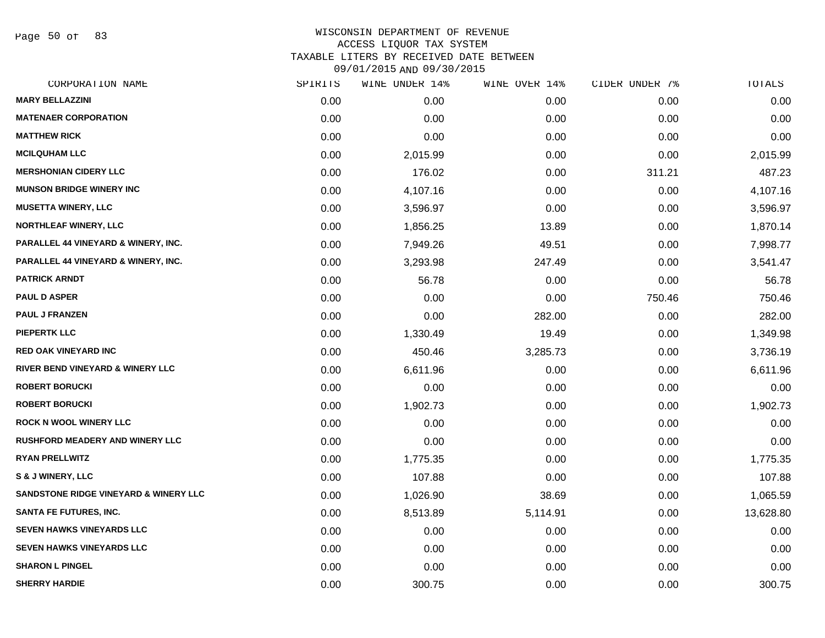Page 50 of 83

| CORPORATION NAME                                 | SPIRITS | WINE UNDER 14% | WINE OVER 14% | CIDER UNDER 7% | TOTALS    |
|--------------------------------------------------|---------|----------------|---------------|----------------|-----------|
| <b>MARY BELLAZZINI</b>                           | 0.00    | 0.00           | 0.00          | 0.00           | 0.00      |
| <b>MATENAER CORPORATION</b>                      | 0.00    | 0.00           | 0.00          | 0.00           | 0.00      |
| <b>MATTHEW RICK</b>                              | 0.00    | 0.00           | 0.00          | 0.00           | 0.00      |
| <b>MCILQUHAM LLC</b>                             | 0.00    | 2,015.99       | 0.00          | 0.00           | 2,015.99  |
| <b>MERSHONIAN CIDERY LLC</b>                     | 0.00    | 176.02         | 0.00          | 311.21         | 487.23    |
| <b>MUNSON BRIDGE WINERY INC</b>                  | 0.00    | 4,107.16       | 0.00          | 0.00           | 4,107.16  |
| <b>MUSETTA WINERY, LLC</b>                       | 0.00    | 3,596.97       | 0.00          | 0.00           | 3,596.97  |
| <b>NORTHLEAF WINERY, LLC</b>                     | 0.00    | 1,856.25       | 13.89         | 0.00           | 1,870.14  |
| PARALLEL 44 VINEYARD & WINERY, INC.              | 0.00    | 7,949.26       | 49.51         | 0.00           | 7,998.77  |
| PARALLEL 44 VINEYARD & WINERY, INC.              | 0.00    | 3,293.98       | 247.49        | 0.00           | 3,541.47  |
| <b>PATRICK ARNDT</b>                             | 0.00    | 56.78          | 0.00          | 0.00           | 56.78     |
| <b>PAUL D ASPER</b>                              | 0.00    | 0.00           | 0.00          | 750.46         | 750.46    |
| <b>PAUL J FRANZEN</b>                            | 0.00    | 0.00           | 282.00        | 0.00           | 282.00    |
| <b>PIEPERTK LLC</b>                              | 0.00    | 1,330.49       | 19.49         | 0.00           | 1,349.98  |
| <b>RED OAK VINEYARD INC</b>                      | 0.00    | 450.46         | 3,285.73      | 0.00           | 3,736.19  |
| RIVER BEND VINEYARD & WINERY LLC                 | 0.00    | 6,611.96       | 0.00          | 0.00           | 6,611.96  |
| <b>ROBERT BORUCKI</b>                            | 0.00    | 0.00           | 0.00          | 0.00           | 0.00      |
| <b>ROBERT BORUCKI</b>                            | 0.00    | 1,902.73       | 0.00          | 0.00           | 1,902.73  |
| <b>ROCK N WOOL WINERY LLC</b>                    | 0.00    | 0.00           | 0.00          | 0.00           | 0.00      |
| <b>RUSHFORD MEADERY AND WINERY LLC</b>           | 0.00    | 0.00           | 0.00          | 0.00           | 0.00      |
| <b>RYAN PRELLWITZ</b>                            | 0.00    | 1,775.35       | 0.00          | 0.00           | 1,775.35  |
| <b>S &amp; J WINERY, LLC</b>                     | 0.00    | 107.88         | 0.00          | 0.00           | 107.88    |
| <b>SANDSTONE RIDGE VINEYARD &amp; WINERY LLC</b> | 0.00    | 1,026.90       | 38.69         | 0.00           | 1,065.59  |
| <b>SANTA FE FUTURES, INC.</b>                    | 0.00    | 8,513.89       | 5,114.91      | 0.00           | 13,628.80 |
| <b>SEVEN HAWKS VINEYARDS LLC</b>                 | 0.00    | 0.00           | 0.00          | 0.00           | 0.00      |
| <b>SEVEN HAWKS VINEYARDS LLC</b>                 | 0.00    | 0.00           | 0.00          | 0.00           | 0.00      |
| <b>SHARON L PINGEL</b>                           | 0.00    | 0.00           | 0.00          | 0.00           | 0.00      |
| <b>SHERRY HARDIE</b>                             | 0.00    | 300.75         | 0.00          | 0.00           | 300.75    |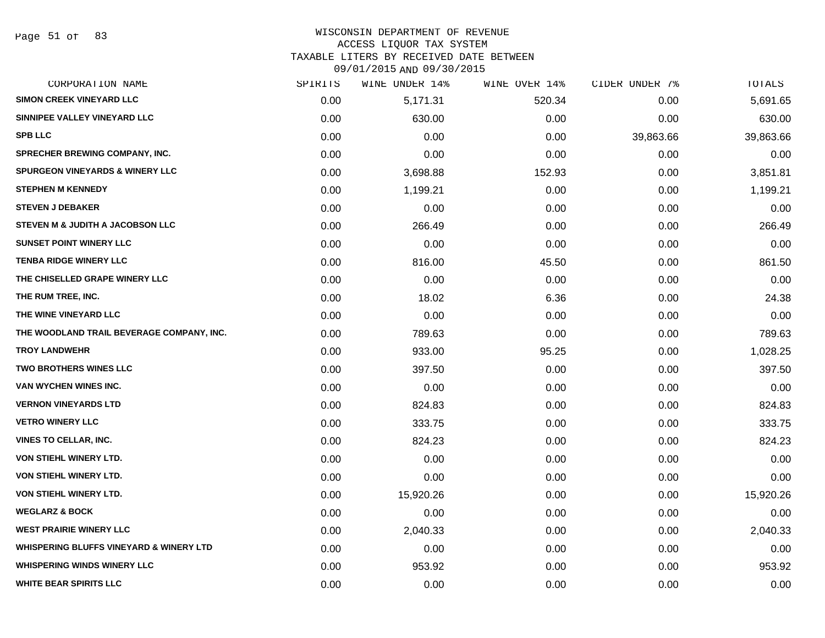#### WISCONSIN DEPARTMENT OF REVENUE ACCESS LIQUOR TAX SYSTEM

TAXABLE LITERS BY RECEIVED DATE BETWEEN

09/01/2015 AND 09/30/2015

| CORPORATION NAME                                   | SPIRITS | WINE UNDER 14% | WINE OVER 14% | CIDER UNDER 7% | TOTALS    |
|----------------------------------------------------|---------|----------------|---------------|----------------|-----------|
| <b>SIMON CREEK VINEYARD LLC</b>                    | 0.00    | 5,171.31       | 520.34        | 0.00           | 5,691.65  |
| SINNIPEE VALLEY VINEYARD LLC                       | 0.00    | 630.00         | 0.00          | 0.00           | 630.00    |
| <b>SPB LLC</b>                                     | 0.00    | 0.00           | 0.00          | 39,863.66      | 39,863.66 |
| SPRECHER BREWING COMPANY, INC.                     | 0.00    | 0.00           | 0.00          | 0.00           | 0.00      |
| <b>SPURGEON VINEYARDS &amp; WINERY LLC</b>         | 0.00    | 3,698.88       | 152.93        | 0.00           | 3,851.81  |
| <b>STEPHEN M KENNEDY</b>                           | 0.00    | 1,199.21       | 0.00          | 0.00           | 1,199.21  |
| <b>STEVEN J DEBAKER</b>                            | 0.00    | 0.00           | 0.00          | 0.00           | 0.00      |
| STEVEN M & JUDITH A JACOBSON LLC                   | 0.00    | 266.49         | 0.00          | 0.00           | 266.49    |
| <b>SUNSET POINT WINERY LLC</b>                     | 0.00    | 0.00           | 0.00          | 0.00           | 0.00      |
| <b>TENBA RIDGE WINERY LLC</b>                      | 0.00    | 816.00         | 45.50         | 0.00           | 861.50    |
| THE CHISELLED GRAPE WINERY LLC                     | 0.00    | 0.00           | 0.00          | 0.00           | 0.00      |
| THE RUM TREE, INC.                                 | 0.00    | 18.02          | 6.36          | 0.00           | 24.38     |
| THE WINE VINEYARD LLC                              | 0.00    | 0.00           | 0.00          | 0.00           | 0.00      |
| THE WOODLAND TRAIL BEVERAGE COMPANY, INC.          | 0.00    | 789.63         | 0.00          | 0.00           | 789.63    |
| <b>TROY LANDWEHR</b>                               | 0.00    | 933.00         | 95.25         | 0.00           | 1,028.25  |
| <b>TWO BROTHERS WINES LLC</b>                      | 0.00    | 397.50         | 0.00          | 0.00           | 397.50    |
| VAN WYCHEN WINES INC.                              | 0.00    | 0.00           | 0.00          | 0.00           | 0.00      |
| <b>VERNON VINEYARDS LTD</b>                        | 0.00    | 824.83         | 0.00          | 0.00           | 824.83    |
| <b>VETRO WINERY LLC</b>                            | 0.00    | 333.75         | 0.00          | 0.00           | 333.75    |
| <b>VINES TO CELLAR, INC.</b>                       | 0.00    | 824.23         | 0.00          | 0.00           | 824.23    |
| <b>VON STIEHL WINERY LTD.</b>                      | 0.00    | 0.00           | 0.00          | 0.00           | 0.00      |
| VON STIEHL WINERY LTD.                             | 0.00    | 0.00           | 0.00          | 0.00           | 0.00      |
| VON STIEHL WINERY LTD.                             | 0.00    | 15,920.26      | 0.00          | 0.00           | 15,920.26 |
| <b>WEGLARZ &amp; BOCK</b>                          | 0.00    | 0.00           | 0.00          | 0.00           | 0.00      |
| <b>WEST PRAIRIE WINERY LLC</b>                     | 0.00    | 2,040.33       | 0.00          | 0.00           | 2,040.33  |
| <b>WHISPERING BLUFFS VINEYARD &amp; WINERY LTD</b> | 0.00    | 0.00           | 0.00          | 0.00           | 0.00      |
| <b>WHISPERING WINDS WINERY LLC</b>                 | 0.00    | 953.92         | 0.00          | 0.00           | 953.92    |
| <b>WHITE BEAR SPIRITS LLC</b>                      | 0.00    | 0.00           | 0.00          | 0.00           | 0.00      |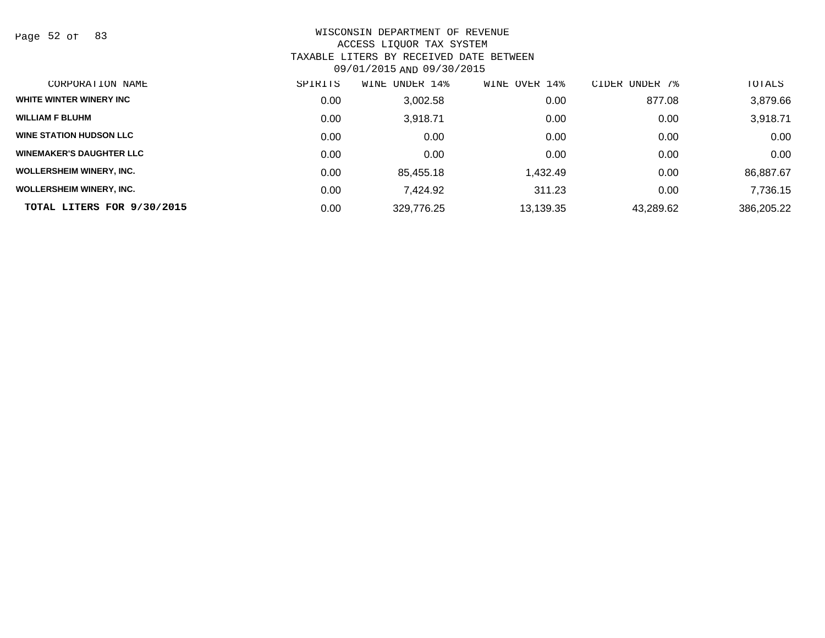Page 52 of 83

| CORPORATION NAME                | SPIRITS | UNDER 14%<br>WINE | OVER 14%<br>WINE | CIDER UNDER 7% | TOTALS     |
|---------------------------------|---------|-------------------|------------------|----------------|------------|
| WHITE WINTER WINERY INC         | 0.00    | 3,002.58          | 0.00             | 877.08         | 3,879.66   |
| <b>WILLIAM F BLUHM</b>          | 0.00    | 3.918.71          | 0.00             | 0.00           | 3,918.71   |
| <b>WINE STATION HUDSON LLC</b>  | 0.00    | 0.00              | 0.00             | 0.00           | 0.00       |
| <b>WINEMAKER'S DAUGHTER LLC</b> | 0.00    | 0.00              | 0.00             | 0.00           | 0.00       |
| <b>WOLLERSHEIM WINERY, INC.</b> | 0.00    | 85.455.18         | 432.49. ا        | 0.00           | 86,887.67  |
| <b>WOLLERSHEIM WINERY, INC.</b> | 0.00    | 7.424.92          | 311.23           | 0.00           | 7,736.15   |
| TOTAL LITERS FOR 9/30/2015      | 0.00    | 329,776.25        | 13,139.35        | 43,289.62      | 386,205.22 |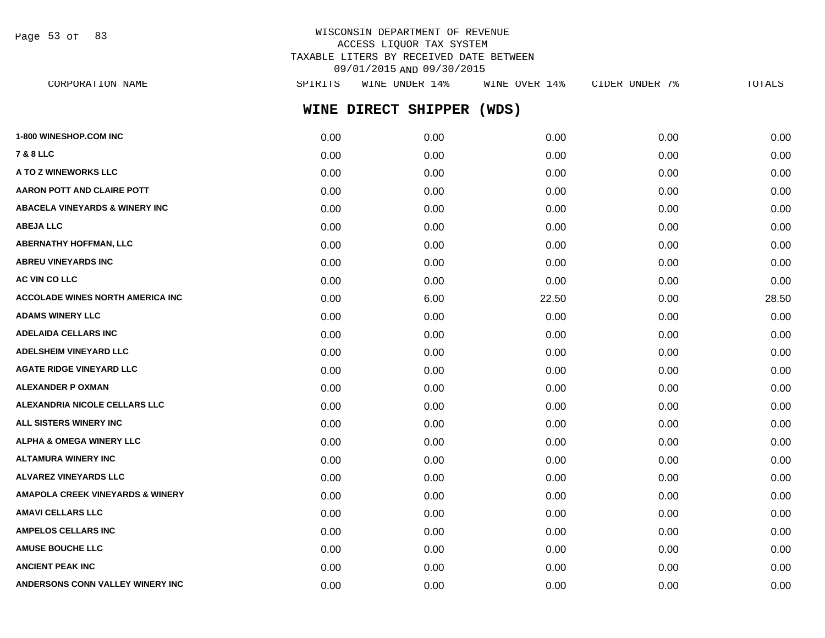Page 53 of 83

## WISCONSIN DEPARTMENT OF REVENUE ACCESS LIQUOR TAX SYSTEM TAXABLE LITERS BY RECEIVED DATE BETWEEN 09/01/2015 AND 09/30/2015

**WINE DIRECT SHIPPER (WDS) 1-800 WINESHOP.COM INC** 0.00 0.00 0.00 0.00 0.00 **7 & 8 LLC** 0.00 0.00 0.00 0.00 0.00 **A TO Z WINEWORKS LLC** 0.00 0.00 0.00 0.00 0.00 **AARON POTT AND CLAIRE POTT**  $0.00$   $0.00$   $0.00$   $0.00$   $0.00$   $0.00$   $0.00$   $0.00$   $0.00$   $0.00$   $0.00$   $0.00$   $0.00$ **ABACELA VINEYARDS & WINERY INC** 0.00 0.00 0.00 0.00 0.00 **ABEJA LLC** 0.00 0.00 0.00 0.00 0.00 **ABERNATHY HOFFMAN, LLC** 0.00 0.00 0.00 0.00 0.00 **ABREU VINEYARDS INC** 0.00 0.00 0.00 0.00 0.00 **AC VIN CO LLC** 0.00 0.00 0.00 0.00 0.00 **ACCOLADE WINES NORTH AMERICA INC** 0.00 6.00 22.50 0.00 28.50 **ADAMS WINERY LLC** 0.00 0.00 0.00 0.00 0.00 **ADELAIDA CELLARS INC** 0.00 0.00 0.00 0.00 0.00 **ADELSHEIM VINEYARD LLC** 0.00 0.00 0.00 0.00 0.00 **AGATE RIDGE VINEYARD LLC** 0.00 0.00 0.00 0.00 0.00 **ALEXANDER P OXMAN** 0.00 0.00 0.00 0.00 0.00 **ALEXANDRIA NICOLE CELLARS LLC** 0.00 0.00 0.00 0.00 0.00 **ALL SISTERS WINERY INC** 0.00 0.00 0.00 0.00 0.00 **ALPHA & OMEGA WINERY LLC** 0.00 0.00 0.00 0.00 0.00 **ALTAMURA WINERY INC** 0.00 0.00 0.00 0.00 0.00 **ALVAREZ VINEYARDS LLC** 0.00 0.00 0.00 0.00 0.00 **AMAPOLA CREEK VINEYARDS & WINERY** 0.00 0.00 0.00 0.00 0.00 **AMAVI CELLARS LLC** 0.00 0.00 0.00 0.00 0.00 **AMPELOS CELLARS INC** 0.00 0.00 0.00 0.00 0.00 **AMUSE BOUCHE LLC** 0.00 0.00 0.00 0.00 0.00 **ANCIENT PEAK INC** 0.00 0.00 0.00 0.00 0.00 **ANDERSONS CONN VALLEY WINERY INC** 0.00 0.00 0.00 0.00 0.00 CORPORATION NAME SPIRITS WINE UNDER 14% WINE OVER 14% CIDER UNDER 7% TOTALS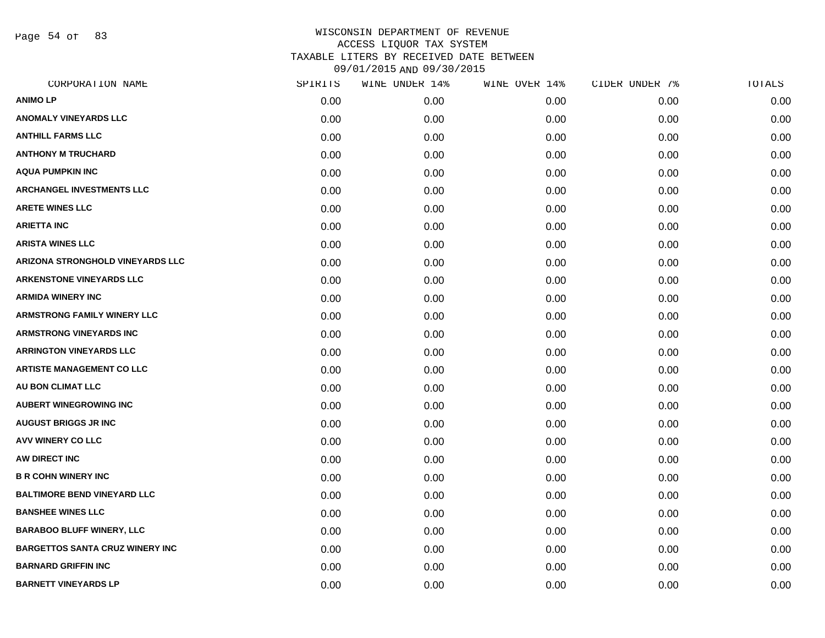Page 54 of 83

| CORPORATION NAME                        | SPIRITS | WINE UNDER 14% | WINE OVER 14% | CIDER UNDER 7% | TOTALS |
|-----------------------------------------|---------|----------------|---------------|----------------|--------|
| <b>ANIMOLP</b>                          | 0.00    | 0.00           | 0.00          | 0.00           | 0.00   |
| <b>ANOMALY VINEYARDS LLC</b>            | 0.00    | 0.00           | 0.00          | 0.00           | 0.00   |
| <b>ANTHILL FARMS LLC</b>                | 0.00    | 0.00           | 0.00          | 0.00           | 0.00   |
| <b>ANTHONY M TRUCHARD</b>               | 0.00    | 0.00           | 0.00          | 0.00           | 0.00   |
| <b>AQUA PUMPKIN INC</b>                 | 0.00    | 0.00           | 0.00          | 0.00           | 0.00   |
| <b>ARCHANGEL INVESTMENTS LLC</b>        | 0.00    | 0.00           | 0.00          | 0.00           | 0.00   |
| <b>ARETE WINES LLC</b>                  | 0.00    | 0.00           | 0.00          | 0.00           | 0.00   |
| <b>ARIETTA INC</b>                      | 0.00    | 0.00           | 0.00          | 0.00           | 0.00   |
| <b>ARISTA WINES LLC</b>                 | 0.00    | 0.00           | 0.00          | 0.00           | 0.00   |
| <b>ARIZONA STRONGHOLD VINEYARDS LLC</b> | 0.00    | 0.00           | 0.00          | 0.00           | 0.00   |
| <b>ARKENSTONE VINEYARDS LLC</b>         | 0.00    | 0.00           | 0.00          | 0.00           | 0.00   |
| <b>ARMIDA WINERY INC</b>                | 0.00    | 0.00           | 0.00          | 0.00           | 0.00   |
| <b>ARMSTRONG FAMILY WINERY LLC</b>      | 0.00    | 0.00           | 0.00          | 0.00           | 0.00   |
| <b>ARMSTRONG VINEYARDS INC</b>          | 0.00    | 0.00           | 0.00          | 0.00           | 0.00   |
| <b>ARRINGTON VINEYARDS LLC</b>          | 0.00    | 0.00           | 0.00          | 0.00           | 0.00   |
| <b>ARTISTE MANAGEMENT CO LLC</b>        | 0.00    | 0.00           | 0.00          | 0.00           | 0.00   |
| <b>AU BON CLIMAT LLC</b>                | 0.00    | 0.00           | 0.00          | 0.00           | 0.00   |
| <b>AUBERT WINEGROWING INC</b>           | 0.00    | 0.00           | 0.00          | 0.00           | 0.00   |
| <b>AUGUST BRIGGS JR INC</b>             | 0.00    | 0.00           | 0.00          | 0.00           | 0.00   |
| <b>AVV WINERY CO LLC</b>                | 0.00    | 0.00           | 0.00          | 0.00           | 0.00   |
| AW DIRECT INC                           | 0.00    | 0.00           | 0.00          | 0.00           | 0.00   |
| <b>B R COHN WINERY INC</b>              | 0.00    | 0.00           | 0.00          | 0.00           | 0.00   |
| <b>BALTIMORE BEND VINEYARD LLC</b>      | 0.00    | 0.00           | 0.00          | 0.00           | 0.00   |
| <b>BANSHEE WINES LLC</b>                | 0.00    | 0.00           | 0.00          | 0.00           | 0.00   |
| <b>BARABOO BLUFF WINERY, LLC</b>        | 0.00    | 0.00           | 0.00          | 0.00           | 0.00   |
| <b>BARGETTOS SANTA CRUZ WINERY INC</b>  | 0.00    | 0.00           | 0.00          | 0.00           | 0.00   |
| <b>BARNARD GRIFFIN INC</b>              | 0.00    | 0.00           | 0.00          | 0.00           | 0.00   |
| <b>BARNETT VINEYARDS LP</b>             | 0.00    | 0.00           | 0.00          | 0.00           | 0.00   |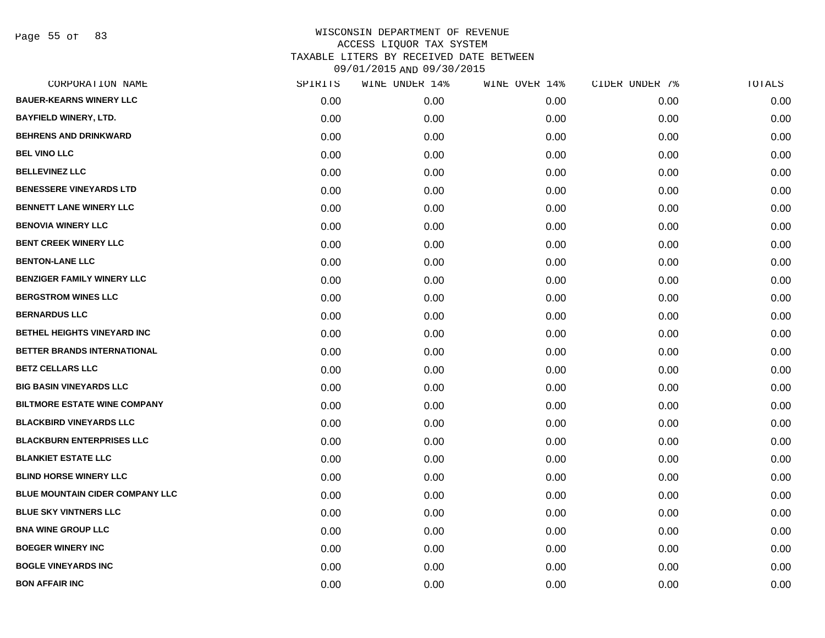Page 55 of 83

| CORPORATION NAME                       | SPIRITS | WINE UNDER 14% | WINE OVER 14% | CIDER UNDER 7% | TOTALS |
|----------------------------------------|---------|----------------|---------------|----------------|--------|
| <b>BAUER-KEARNS WINERY LLC</b>         | 0.00    | 0.00           | 0.00          | 0.00           | 0.00   |
| <b>BAYFIELD WINERY, LTD.</b>           | 0.00    | 0.00           | 0.00          | 0.00           | 0.00   |
| <b>BEHRENS AND DRINKWARD</b>           | 0.00    | 0.00           | 0.00          | 0.00           | 0.00   |
| <b>BEL VINO LLC</b>                    | 0.00    | 0.00           | 0.00          | 0.00           | 0.00   |
| <b>BELLEVINEZ LLC</b>                  | 0.00    | 0.00           | 0.00          | 0.00           | 0.00   |
| <b>BENESSERE VINEYARDS LTD</b>         | 0.00    | 0.00           | 0.00          | 0.00           | 0.00   |
| <b>BENNETT LANE WINERY LLC</b>         | 0.00    | 0.00           | 0.00          | 0.00           | 0.00   |
| <b>BENOVIA WINERY LLC</b>              | 0.00    | 0.00           | 0.00          | 0.00           | 0.00   |
| <b>BENT CREEK WINERY LLC</b>           | 0.00    | 0.00           | 0.00          | 0.00           | 0.00   |
| <b>BENTON-LANE LLC</b>                 | 0.00    | 0.00           | 0.00          | 0.00           | 0.00   |
| <b>BENZIGER FAMILY WINERY LLC</b>      | 0.00    | 0.00           | 0.00          | 0.00           | 0.00   |
| <b>BERGSTROM WINES LLC</b>             | 0.00    | 0.00           | 0.00          | 0.00           | 0.00   |
| <b>BERNARDUS LLC</b>                   | 0.00    | 0.00           | 0.00          | 0.00           | 0.00   |
| BETHEL HEIGHTS VINEYARD INC            | 0.00    | 0.00           | 0.00          | 0.00           | 0.00   |
| BETTER BRANDS INTERNATIONAL            | 0.00    | 0.00           | 0.00          | 0.00           | 0.00   |
| <b>BETZ CELLARS LLC</b>                | 0.00    | 0.00           | 0.00          | 0.00           | 0.00   |
| <b>BIG BASIN VINEYARDS LLC</b>         | 0.00    | 0.00           | 0.00          | 0.00           | 0.00   |
| <b>BILTMORE ESTATE WINE COMPANY</b>    | 0.00    | 0.00           | 0.00          | 0.00           | 0.00   |
| <b>BLACKBIRD VINEYARDS LLC</b>         | 0.00    | 0.00           | 0.00          | 0.00           | 0.00   |
| <b>BLACKBURN ENTERPRISES LLC</b>       | 0.00    | 0.00           | 0.00          | 0.00           | 0.00   |
| <b>BLANKIET ESTATE LLC</b>             | 0.00    | 0.00           | 0.00          | 0.00           | 0.00   |
| <b>BLIND HORSE WINERY LLC</b>          | 0.00    | 0.00           | 0.00          | 0.00           | 0.00   |
| <b>BLUE MOUNTAIN CIDER COMPANY LLC</b> | 0.00    | 0.00           | 0.00          | 0.00           | 0.00   |
| <b>BLUE SKY VINTNERS LLC</b>           | 0.00    | 0.00           | 0.00          | 0.00           | 0.00   |
| <b>BNA WINE GROUP LLC</b>              | 0.00    | 0.00           | 0.00          | 0.00           | 0.00   |
| <b>BOEGER WINERY INC</b>               | 0.00    | 0.00           | 0.00          | 0.00           | 0.00   |
| <b>BOGLE VINEYARDS INC</b>             | 0.00    | 0.00           | 0.00          | 0.00           | 0.00   |
| <b>BON AFFAIR INC</b>                  | 0.00    | 0.00           | 0.00          | 0.00           | 0.00   |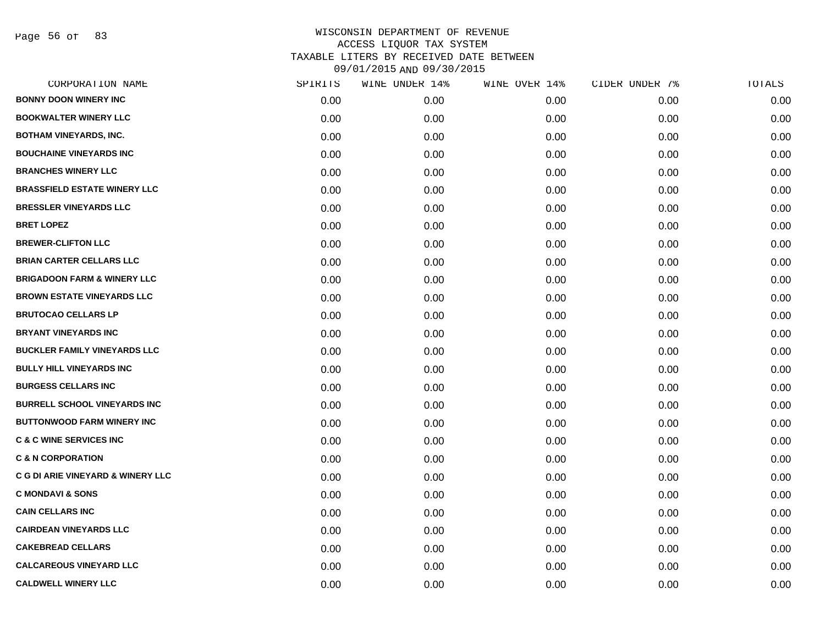Page 56 of 83

| CORPORATION NAME                             | SPIRITS | WINE UNDER 14% | WINE OVER 14% | CIDER UNDER 7% | TOTALS |
|----------------------------------------------|---------|----------------|---------------|----------------|--------|
| <b>BONNY DOON WINERY INC</b>                 | 0.00    | 0.00           | 0.00          | 0.00           | 0.00   |
| <b>BOOKWALTER WINERY LLC</b>                 | 0.00    | 0.00           | 0.00          | 0.00           | 0.00   |
| <b>BOTHAM VINEYARDS, INC.</b>                | 0.00    | 0.00           | 0.00          | 0.00           | 0.00   |
| <b>BOUCHAINE VINEYARDS INC</b>               | 0.00    | 0.00           | 0.00          | 0.00           | 0.00   |
| <b>BRANCHES WINERY LLC</b>                   | 0.00    | 0.00           | 0.00          | 0.00           | 0.00   |
| <b>BRASSFIELD ESTATE WINERY LLC</b>          | 0.00    | 0.00           | 0.00          | 0.00           | 0.00   |
| <b>BRESSLER VINEYARDS LLC</b>                | 0.00    | 0.00           | 0.00          | 0.00           | 0.00   |
| <b>BRET LOPEZ</b>                            | 0.00    | 0.00           | 0.00          | 0.00           | 0.00   |
| <b>BREWER-CLIFTON LLC</b>                    | 0.00    | 0.00           | 0.00          | 0.00           | 0.00   |
| <b>BRIAN CARTER CELLARS LLC</b>              | 0.00    | 0.00           | 0.00          | 0.00           | 0.00   |
| <b>BRIGADOON FARM &amp; WINERY LLC</b>       | 0.00    | 0.00           | 0.00          | 0.00           | 0.00   |
| <b>BROWN ESTATE VINEYARDS LLC</b>            | 0.00    | 0.00           | 0.00          | 0.00           | 0.00   |
| <b>BRUTOCAO CELLARS LP</b>                   | 0.00    | 0.00           | 0.00          | 0.00           | 0.00   |
| <b>BRYANT VINEYARDS INC</b>                  | 0.00    | 0.00           | 0.00          | 0.00           | 0.00   |
| <b>BUCKLER FAMILY VINEYARDS LLC</b>          | 0.00    | 0.00           | 0.00          | 0.00           | 0.00   |
| <b>BULLY HILL VINEYARDS INC</b>              | 0.00    | 0.00           | 0.00          | 0.00           | 0.00   |
| <b>BURGESS CELLARS INC</b>                   | 0.00    | 0.00           | 0.00          | 0.00           | 0.00   |
| <b>BURRELL SCHOOL VINEYARDS INC</b>          | 0.00    | 0.00           | 0.00          | 0.00           | 0.00   |
| <b>BUTTONWOOD FARM WINERY INC</b>            | 0.00    | 0.00           | 0.00          | 0.00           | 0.00   |
| <b>C &amp; C WINE SERVICES INC</b>           | 0.00    | 0.00           | 0.00          | 0.00           | 0.00   |
| <b>C &amp; N CORPORATION</b>                 | 0.00    | 0.00           | 0.00          | 0.00           | 0.00   |
| <b>C G DI ARIE VINEYARD &amp; WINERY LLC</b> | 0.00    | 0.00           | 0.00          | 0.00           | 0.00   |
| <b>C MONDAVI &amp; SONS</b>                  | 0.00    | 0.00           | 0.00          | 0.00           | 0.00   |
| <b>CAIN CELLARS INC</b>                      | 0.00    | 0.00           | 0.00          | 0.00           | 0.00   |
| <b>CAIRDEAN VINEYARDS LLC</b>                | 0.00    | 0.00           | 0.00          | 0.00           | 0.00   |
| <b>CAKEBREAD CELLARS</b>                     | 0.00    | 0.00           | 0.00          | 0.00           | 0.00   |
| <b>CALCAREOUS VINEYARD LLC</b>               | 0.00    | 0.00           | 0.00          | 0.00           | 0.00   |
| <b>CALDWELL WINERY LLC</b>                   | 0.00    | 0.00           | 0.00          | 0.00           | 0.00   |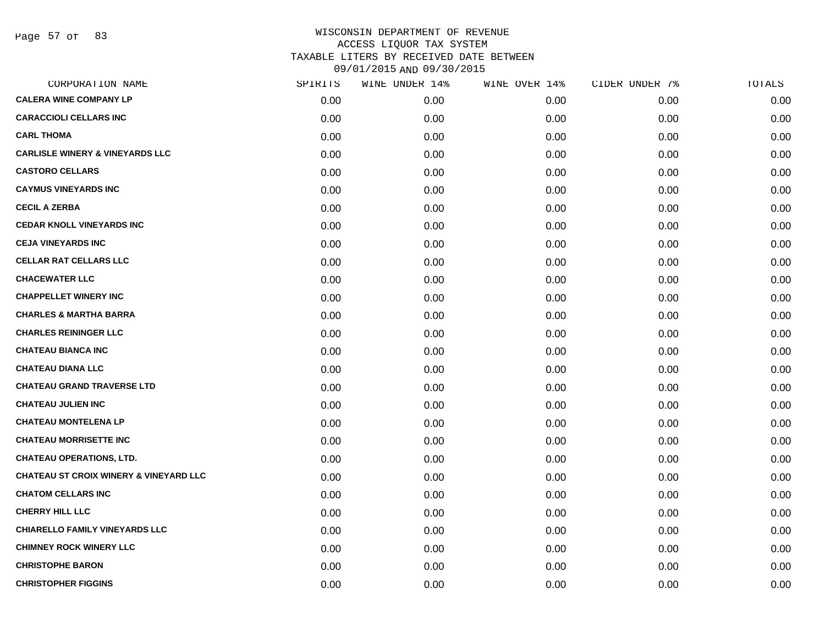| CORPORATION NAME                                  | SPIRITS | WINE UNDER 14% | WINE OVER 14% | CIDER UNDER 7% | TOTALS |
|---------------------------------------------------|---------|----------------|---------------|----------------|--------|
| <b>CALERA WINE COMPANY LP</b>                     | 0.00    | 0.00           | 0.00          | 0.00           | 0.00   |
| <b>CARACCIOLI CELLARS INC</b>                     | 0.00    | 0.00           | 0.00          | 0.00           | 0.00   |
| <b>CARL THOMA</b>                                 | 0.00    | 0.00           | 0.00          | 0.00           | 0.00   |
| <b>CARLISLE WINERY &amp; VINEYARDS LLC</b>        | 0.00    | 0.00           | 0.00          | 0.00           | 0.00   |
| <b>CASTORO CELLARS</b>                            | 0.00    | 0.00           | 0.00          | 0.00           | 0.00   |
| <b>CAYMUS VINEYARDS INC</b>                       | 0.00    | 0.00           | 0.00          | 0.00           | 0.00   |
| <b>CECIL A ZERBA</b>                              | 0.00    | 0.00           | 0.00          | 0.00           | 0.00   |
| <b>CEDAR KNOLL VINEYARDS INC</b>                  | 0.00    | 0.00           | 0.00          | 0.00           | 0.00   |
| <b>CEJA VINEYARDS INC</b>                         | 0.00    | 0.00           | 0.00          | 0.00           | 0.00   |
| <b>CELLAR RAT CELLARS LLC</b>                     | 0.00    | 0.00           | 0.00          | 0.00           | 0.00   |
| <b>CHACEWATER LLC</b>                             | 0.00    | 0.00           | 0.00          | 0.00           | 0.00   |
| <b>CHAPPELLET WINERY INC</b>                      | 0.00    | 0.00           | 0.00          | 0.00           | 0.00   |
| <b>CHARLES &amp; MARTHA BARRA</b>                 | 0.00    | 0.00           | 0.00          | 0.00           | 0.00   |
| <b>CHARLES REININGER LLC</b>                      | 0.00    | 0.00           | 0.00          | 0.00           | 0.00   |
| <b>CHATEAU BIANCA INC</b>                         | 0.00    | 0.00           | 0.00          | 0.00           | 0.00   |
| <b>CHATEAU DIANA LLC</b>                          | 0.00    | 0.00           | 0.00          | 0.00           | 0.00   |
| <b>CHATEAU GRAND TRAVERSE LTD</b>                 | 0.00    | 0.00           | 0.00          | 0.00           | 0.00   |
| <b>CHATEAU JULIEN INC</b>                         | 0.00    | 0.00           | 0.00          | 0.00           | 0.00   |
| <b>CHATEAU MONTELENA LP</b>                       | 0.00    | 0.00           | 0.00          | 0.00           | 0.00   |
| <b>CHATEAU MORRISETTE INC</b>                     | 0.00    | 0.00           | 0.00          | 0.00           | 0.00   |
| <b>CHATEAU OPERATIONS, LTD.</b>                   | 0.00    | 0.00           | 0.00          | 0.00           | 0.00   |
| <b>CHATEAU ST CROIX WINERY &amp; VINEYARD LLC</b> | 0.00    | 0.00           | 0.00          | 0.00           | 0.00   |
| <b>CHATOM CELLARS INC</b>                         | 0.00    | 0.00           | 0.00          | 0.00           | 0.00   |
| <b>CHERRY HILL LLC</b>                            | 0.00    | 0.00           | 0.00          | 0.00           | 0.00   |
| <b>CHIARELLO FAMILY VINEYARDS LLC</b>             | 0.00    | 0.00           | 0.00          | 0.00           | 0.00   |
| <b>CHIMNEY ROCK WINERY LLC</b>                    | 0.00    | 0.00           | 0.00          | 0.00           | 0.00   |
| <b>CHRISTOPHE BARON</b>                           | 0.00    | 0.00           | 0.00          | 0.00           | 0.00   |
| <b>CHRISTOPHER FIGGINS</b>                        | 0.00    | 0.00           | 0.00          | 0.00           | 0.00   |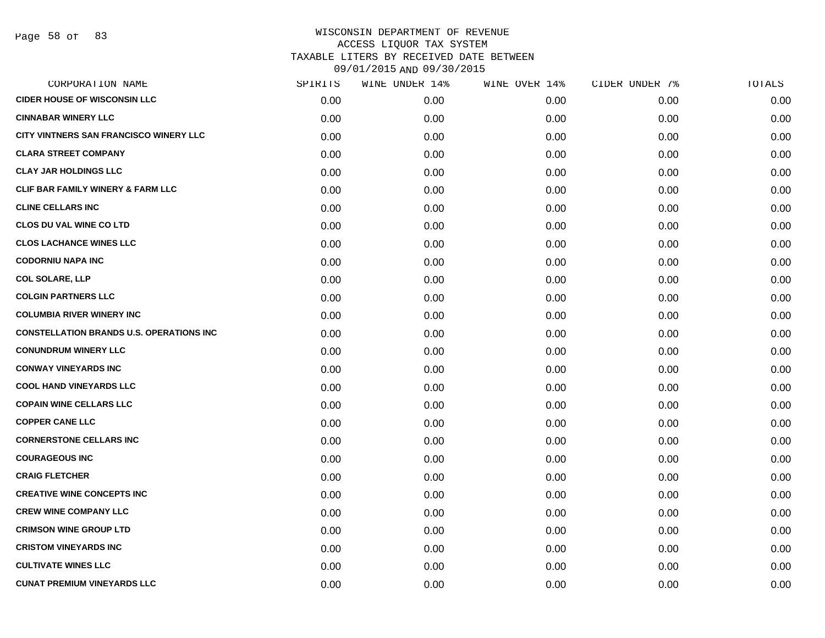| CORPORATION NAME                                 | SPIRITS | WINE UNDER 14% | WINE OVER 14% | CIDER UNDER 7% | TOTALS |
|--------------------------------------------------|---------|----------------|---------------|----------------|--------|
| <b>CIDER HOUSE OF WISCONSIN LLC</b>              | 0.00    | 0.00           | 0.00          | 0.00           | 0.00   |
| <b>CINNABAR WINERY LLC</b>                       | 0.00    | 0.00           | 0.00          | 0.00           | 0.00   |
| CITY VINTNERS SAN FRANCISCO WINERY LLC           | 0.00    | 0.00           | 0.00          | 0.00           | 0.00   |
| <b>CLARA STREET COMPANY</b>                      | 0.00    | 0.00           | 0.00          | 0.00           | 0.00   |
| <b>CLAY JAR HOLDINGS LLC</b>                     | 0.00    | 0.00           | 0.00          | 0.00           | 0.00   |
| <b>CLIF BAR FAMILY WINERY &amp; FARM LLC</b>     | 0.00    | 0.00           | 0.00          | 0.00           | 0.00   |
| <b>CLINE CELLARS INC</b>                         | 0.00    | 0.00           | 0.00          | 0.00           | 0.00   |
| <b>CLOS DU VAL WINE CO LTD</b>                   | 0.00    | 0.00           | 0.00          | 0.00           | 0.00   |
| <b>CLOS LACHANCE WINES LLC</b>                   | 0.00    | 0.00           | 0.00          | 0.00           | 0.00   |
| <b>CODORNIU NAPA INC</b>                         | 0.00    | 0.00           | 0.00          | 0.00           | 0.00   |
| <b>COL SOLARE, LLP</b>                           | 0.00    | 0.00           | 0.00          | 0.00           | 0.00   |
| <b>COLGIN PARTNERS LLC</b>                       | 0.00    | 0.00           | 0.00          | 0.00           | 0.00   |
| <b>COLUMBIA RIVER WINERY INC</b>                 | 0.00    | 0.00           | 0.00          | 0.00           | 0.00   |
| <b>CONSTELLATION BRANDS U.S. OPERATIONS INC.</b> | 0.00    | 0.00           | 0.00          | 0.00           | 0.00   |
| <b>CONUNDRUM WINERY LLC</b>                      | 0.00    | 0.00           | 0.00          | 0.00           | 0.00   |
| <b>CONWAY VINEYARDS INC</b>                      | 0.00    | 0.00           | 0.00          | 0.00           | 0.00   |
| <b>COOL HAND VINEYARDS LLC</b>                   | 0.00    | 0.00           | 0.00          | 0.00           | 0.00   |
| <b>COPAIN WINE CELLARS LLC</b>                   | 0.00    | 0.00           | 0.00          | 0.00           | 0.00   |
| <b>COPPER CANE LLC</b>                           | 0.00    | 0.00           | 0.00          | 0.00           | 0.00   |
| <b>CORNERSTONE CELLARS INC</b>                   | 0.00    | 0.00           | 0.00          | 0.00           | 0.00   |
| <b>COURAGEOUS INC</b>                            | 0.00    | 0.00           | 0.00          | 0.00           | 0.00   |
| <b>CRAIG FLETCHER</b>                            | 0.00    | 0.00           | 0.00          | 0.00           | 0.00   |
| <b>CREATIVE WINE CONCEPTS INC</b>                | 0.00    | 0.00           | 0.00          | 0.00           | 0.00   |
| <b>CREW WINE COMPANY LLC</b>                     | 0.00    | 0.00           | 0.00          | 0.00           | 0.00   |
| <b>CRIMSON WINE GROUP LTD</b>                    | 0.00    | 0.00           | 0.00          | 0.00           | 0.00   |
| <b>CRISTOM VINEYARDS INC</b>                     | 0.00    | 0.00           | 0.00          | 0.00           | 0.00   |
| <b>CULTIVATE WINES LLC</b>                       | 0.00    | 0.00           | 0.00          | 0.00           | 0.00   |
| <b>CUNAT PREMIUM VINEYARDS LLC</b>               | 0.00    | 0.00           | 0.00          | 0.00           | 0.00   |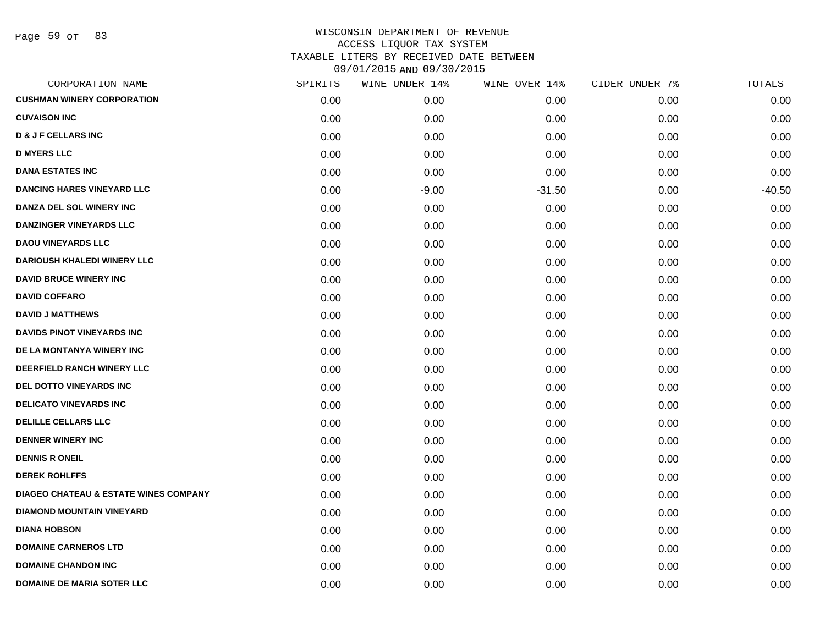Page 59 of 83

| CORPORATION NAME                                 | SPIRITS | WINE UNDER 14% | WINE OVER 14% | CIDER UNDER 7% | TOTALS   |
|--------------------------------------------------|---------|----------------|---------------|----------------|----------|
| <b>CUSHMAN WINERY CORPORATION</b>                | 0.00    | 0.00           | 0.00          | 0.00           | 0.00     |
| <b>CUVAISON INC</b>                              | 0.00    | 0.00           | 0.00          | 0.00           | 0.00     |
| <b>D &amp; J F CELLARS INC</b>                   | 0.00    | 0.00           | 0.00          | 0.00           | 0.00     |
| <b>D MYERS LLC</b>                               | 0.00    | 0.00           | 0.00          | 0.00           | 0.00     |
| <b>DANA ESTATES INC</b>                          | 0.00    | 0.00           | 0.00          | 0.00           | 0.00     |
| <b>DANCING HARES VINEYARD LLC</b>                | 0.00    | $-9.00$        | $-31.50$      | 0.00           | $-40.50$ |
| DANZA DEL SOL WINERY INC                         | 0.00    | 0.00           | 0.00          | 0.00           | 0.00     |
| DANZINGER VINEYARDS LLC                          | 0.00    | 0.00           | 0.00          | 0.00           | 0.00     |
| <b>DAOU VINEYARDS LLC</b>                        | 0.00    | 0.00           | 0.00          | 0.00           | 0.00     |
| <b>DARIOUSH KHALEDI WINERY LLC</b>               | 0.00    | 0.00           | 0.00          | 0.00           | 0.00     |
| <b>DAVID BRUCE WINERY INC</b>                    | 0.00    | 0.00           | 0.00          | 0.00           | 0.00     |
| <b>DAVID COFFARO</b>                             | 0.00    | 0.00           | 0.00          | 0.00           | 0.00     |
| <b>DAVID J MATTHEWS</b>                          | 0.00    | 0.00           | 0.00          | 0.00           | 0.00     |
| DAVIDS PINOT VINEYARDS INC                       | 0.00    | 0.00           | 0.00          | 0.00           | 0.00     |
| DE LA MONTANYA WINERY INC                        | 0.00    | 0.00           | 0.00          | 0.00           | 0.00     |
| DEERFIELD RANCH WINERY LLC                       | 0.00    | 0.00           | 0.00          | 0.00           | 0.00     |
| <b>DEL DOTTO VINEYARDS INC</b>                   | 0.00    | 0.00           | 0.00          | 0.00           | 0.00     |
| <b>DELICATO VINEYARDS INC</b>                    | 0.00    | 0.00           | 0.00          | 0.00           | 0.00     |
| <b>DELILLE CELLARS LLC</b>                       | 0.00    | 0.00           | 0.00          | 0.00           | 0.00     |
| <b>DENNER WINERY INC</b>                         | 0.00    | 0.00           | 0.00          | 0.00           | 0.00     |
| <b>DENNIS R ONEIL</b>                            | 0.00    | 0.00           | 0.00          | 0.00           | 0.00     |
| <b>DEREK ROHLFFS</b>                             | 0.00    | 0.00           | 0.00          | 0.00           | 0.00     |
| <b>DIAGEO CHATEAU &amp; ESTATE WINES COMPANY</b> | 0.00    | 0.00           | 0.00          | 0.00           | 0.00     |
| <b>DIAMOND MOUNTAIN VINEYARD</b>                 | 0.00    | 0.00           | 0.00          | 0.00           | 0.00     |
| <b>DIANA HOBSON</b>                              | 0.00    | 0.00           | 0.00          | 0.00           | 0.00     |
| <b>DOMAINE CARNEROS LTD</b>                      | 0.00    | 0.00           | 0.00          | 0.00           | 0.00     |
| <b>DOMAINE CHANDON INC</b>                       | 0.00    | 0.00           | 0.00          | 0.00           | 0.00     |
| <b>DOMAINE DE MARIA SOTER LLC</b>                | 0.00    | 0.00           | 0.00          | 0.00           | 0.00     |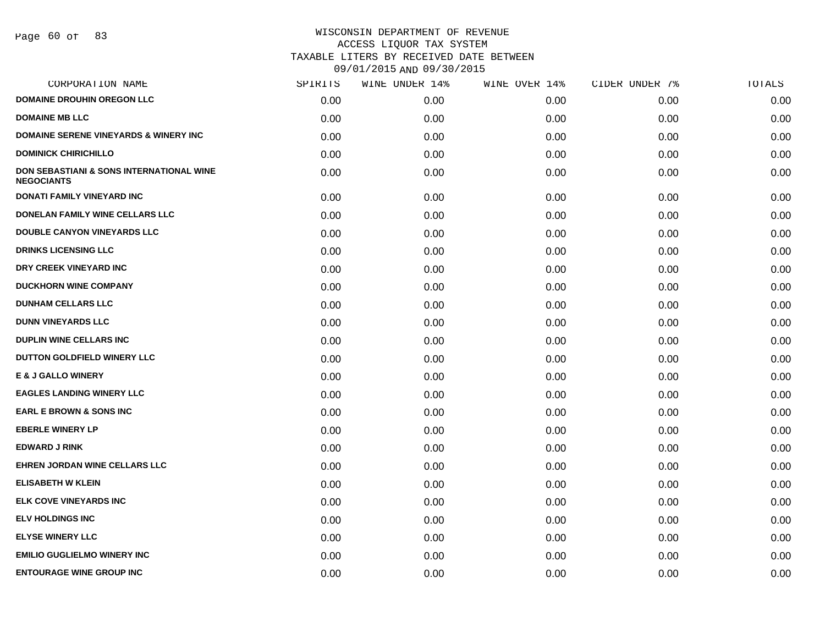| CORPORATION NAME                                              | SPIRITS | WINE UNDER 14% | WINE OVER 14% | CIDER UNDER 7% | TOTALS |
|---------------------------------------------------------------|---------|----------------|---------------|----------------|--------|
| <b>DOMAINE DROUHIN OREGON LLC</b>                             | 0.00    | 0.00           | 0.00          | 0.00           | 0.00   |
| <b>DOMAINE MB LLC</b>                                         | 0.00    | 0.00           | 0.00          | 0.00           | 0.00   |
| <b>DOMAINE SERENE VINEYARDS &amp; WINERY INC</b>              | 0.00    | 0.00           | 0.00          | 0.00           | 0.00   |
| <b>DOMINICK CHIRICHILLO</b>                                   | 0.00    | 0.00           | 0.00          | 0.00           | 0.00   |
| DON SEBASTIANI & SONS INTERNATIONAL WINE<br><b>NEGOCIANTS</b> | 0.00    | 0.00           | 0.00          | 0.00           | 0.00   |
| <b>DONATI FAMILY VINEYARD INC</b>                             | 0.00    | 0.00           | 0.00          | 0.00           | 0.00   |
| DONELAN FAMILY WINE CELLARS LLC                               | 0.00    | 0.00           | 0.00          | 0.00           | 0.00   |
| <b>DOUBLE CANYON VINEYARDS LLC</b>                            | 0.00    | 0.00           | 0.00          | 0.00           | 0.00   |
| <b>DRINKS LICENSING LLC</b>                                   | 0.00    | 0.00           | 0.00          | 0.00           | 0.00   |
| DRY CREEK VINEYARD INC                                        | 0.00    | 0.00           | 0.00          | 0.00           | 0.00   |
| <b>DUCKHORN WINE COMPANY</b>                                  | 0.00    | 0.00           | 0.00          | 0.00           | 0.00   |
| <b>DUNHAM CELLARS LLC</b>                                     | 0.00    | 0.00           | 0.00          | 0.00           | 0.00   |
| <b>DUNN VINEYARDS LLC</b>                                     | 0.00    | 0.00           | 0.00          | 0.00           | 0.00   |
| <b>DUPLIN WINE CELLARS INC</b>                                | 0.00    | 0.00           | 0.00          | 0.00           | 0.00   |
| DUTTON GOLDFIELD WINERY LLC                                   | 0.00    | 0.00           | 0.00          | 0.00           | 0.00   |
| <b>E &amp; J GALLO WINERY</b>                                 | 0.00    | 0.00           | 0.00          | 0.00           | 0.00   |
| <b>EAGLES LANDING WINERY LLC</b>                              | 0.00    | 0.00           | 0.00          | 0.00           | 0.00   |
| <b>EARL E BROWN &amp; SONS INC</b>                            | 0.00    | 0.00           | 0.00          | 0.00           | 0.00   |
| <b>EBERLE WINERY LP</b>                                       | 0.00    | 0.00           | 0.00          | 0.00           | 0.00   |
| <b>EDWARD J RINK</b>                                          | 0.00    | 0.00           | 0.00          | 0.00           | 0.00   |
| EHREN JORDAN WINE CELLARS LLC                                 | 0.00    | 0.00           | 0.00          | 0.00           | 0.00   |
| <b>ELISABETH W KLEIN</b>                                      | 0.00    | 0.00           | 0.00          | 0.00           | 0.00   |
| ELK COVE VINEYARDS INC                                        | 0.00    | 0.00           | 0.00          | 0.00           | 0.00   |
| <b>ELV HOLDINGS INC</b>                                       | 0.00    | 0.00           | 0.00          | 0.00           | 0.00   |
| <b>ELYSE WINERY LLC</b>                                       | 0.00    | 0.00           | 0.00          | 0.00           | 0.00   |
| <b>EMILIO GUGLIELMO WINERY INC</b>                            | 0.00    | 0.00           | 0.00          | 0.00           | 0.00   |
| <b>ENTOURAGE WINE GROUP INC</b>                               | 0.00    | 0.00           | 0.00          | 0.00           | 0.00   |
|                                                               |         |                |               |                |        |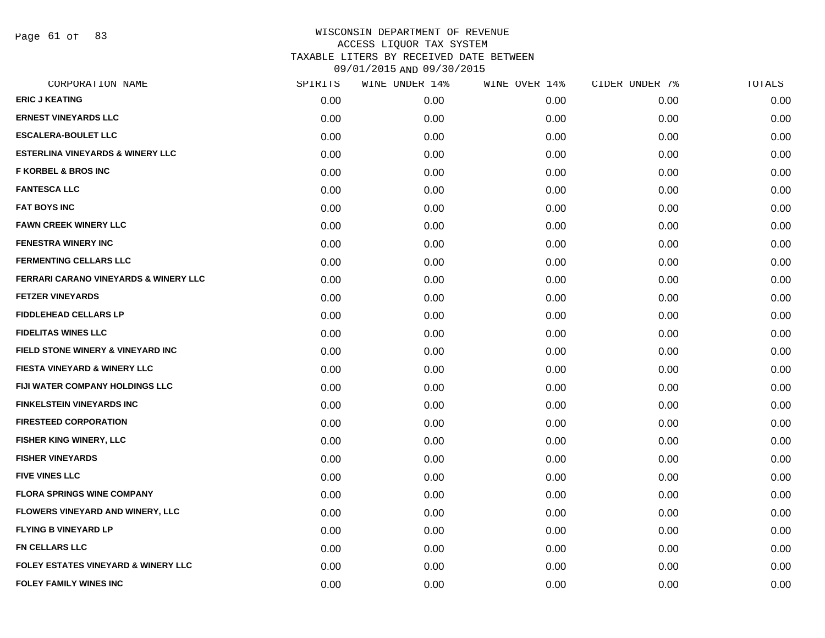Page 61 of 83

| CORPORATION NAME                                 | SPIRITS | WINE UNDER 14% | WINE OVER 14% | CIDER UNDER 7% | TOTALS |
|--------------------------------------------------|---------|----------------|---------------|----------------|--------|
| <b>ERIC J KEATING</b>                            | 0.00    | 0.00           | 0.00          | 0.00           | 0.00   |
| <b>ERNEST VINEYARDS LLC</b>                      | 0.00    | 0.00           | 0.00          | 0.00           | 0.00   |
| <b>ESCALERA-BOULET LLC</b>                       | 0.00    | 0.00           | 0.00          | 0.00           | 0.00   |
| <b>ESTERLINA VINEYARDS &amp; WINERY LLC</b>      | 0.00    | 0.00           | 0.00          | 0.00           | 0.00   |
| <b>F KORBEL &amp; BROS INC</b>                   | 0.00    | 0.00           | 0.00          | 0.00           | 0.00   |
| <b>FANTESCA LLC</b>                              | 0.00    | 0.00           | 0.00          | 0.00           | 0.00   |
| <b>FAT BOYS INC</b>                              | 0.00    | 0.00           | 0.00          | 0.00           | 0.00   |
| <b>FAWN CREEK WINERY LLC</b>                     | 0.00    | 0.00           | 0.00          | 0.00           | 0.00   |
| <b>FENESTRA WINERY INC</b>                       | 0.00    | 0.00           | 0.00          | 0.00           | 0.00   |
| <b>FERMENTING CELLARS LLC</b>                    | 0.00    | 0.00           | 0.00          | 0.00           | 0.00   |
| <b>FERRARI CARANO VINEYARDS &amp; WINERY LLC</b> | 0.00    | 0.00           | 0.00          | 0.00           | 0.00   |
| <b>FETZER VINEYARDS</b>                          | 0.00    | 0.00           | 0.00          | 0.00           | 0.00   |
| <b>FIDDLEHEAD CELLARS LP</b>                     | 0.00    | 0.00           | 0.00          | 0.00           | 0.00   |
| <b>FIDELITAS WINES LLC</b>                       | 0.00    | 0.00           | 0.00          | 0.00           | 0.00   |
| <b>FIELD STONE WINERY &amp; VINEYARD INC</b>     | 0.00    | 0.00           | 0.00          | 0.00           | 0.00   |
| FIESTA VINEYARD & WINERY LLC                     | 0.00    | 0.00           | 0.00          | 0.00           | 0.00   |
| FIJI WATER COMPANY HOLDINGS LLC                  | 0.00    | 0.00           | 0.00          | 0.00           | 0.00   |
| <b>FINKELSTEIN VINEYARDS INC</b>                 | 0.00    | 0.00           | 0.00          | 0.00           | 0.00   |
| <b>FIRESTEED CORPORATION</b>                     | 0.00    | 0.00           | 0.00          | 0.00           | 0.00   |
| FISHER KING WINERY, LLC                          | 0.00    | 0.00           | 0.00          | 0.00           | 0.00   |
| <b>FISHER VINEYARDS</b>                          | 0.00    | 0.00           | 0.00          | 0.00           | 0.00   |
| <b>FIVE VINES LLC</b>                            | 0.00    | 0.00           | 0.00          | 0.00           | 0.00   |
| <b>FLORA SPRINGS WINE COMPANY</b>                | 0.00    | 0.00           | 0.00          | 0.00           | 0.00   |
| <b>FLOWERS VINEYARD AND WINERY, LLC</b>          | 0.00    | 0.00           | 0.00          | 0.00           | 0.00   |
| <b>FLYING B VINEYARD LP</b>                      | 0.00    | 0.00           | 0.00          | 0.00           | 0.00   |
| <b>FN CELLARS LLC</b>                            | 0.00    | 0.00           | 0.00          | 0.00           | 0.00   |
| <b>FOLEY ESTATES VINEYARD &amp; WINERY LLC</b>   | 0.00    | 0.00           | 0.00          | 0.00           | 0.00   |
| <b>FOLEY FAMILY WINES INC</b>                    | 0.00    | 0.00           | 0.00          | 0.00           | 0.00   |
|                                                  |         |                |               |                |        |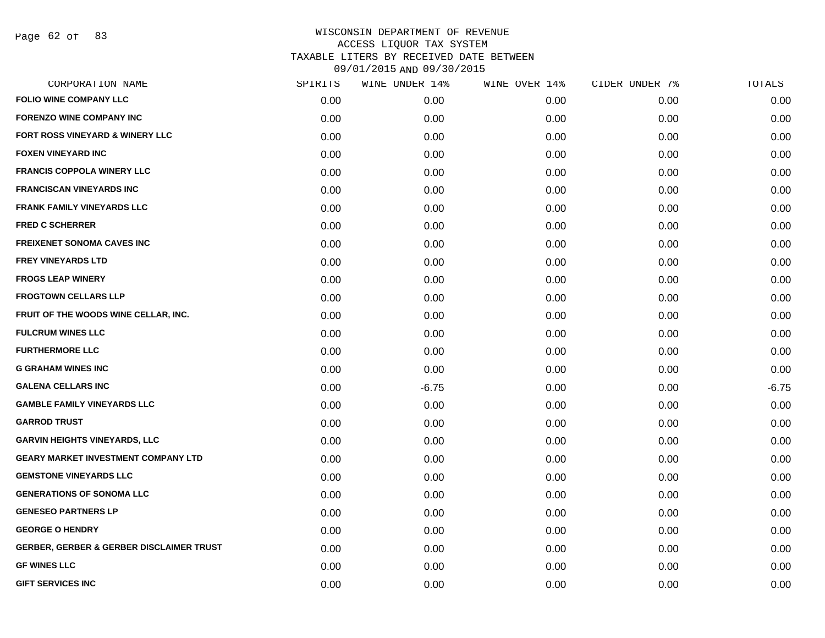Page 62 of 83

|      | WINE UNDER 14% |      | CIDER UNDER 7% | TOTALS  |
|------|----------------|------|----------------|---------|
| 0.00 | 0.00           | 0.00 | 0.00           | 0.00    |
| 0.00 | 0.00           | 0.00 | 0.00           | 0.00    |
| 0.00 | 0.00           | 0.00 | 0.00           | 0.00    |
| 0.00 | 0.00           | 0.00 | 0.00           | 0.00    |
| 0.00 | 0.00           | 0.00 | 0.00           | 0.00    |
| 0.00 | 0.00           | 0.00 | 0.00           | 0.00    |
| 0.00 | 0.00           | 0.00 | 0.00           | 0.00    |
| 0.00 | 0.00           | 0.00 | 0.00           | 0.00    |
| 0.00 | 0.00           | 0.00 | 0.00           | 0.00    |
| 0.00 | 0.00           | 0.00 | 0.00           | 0.00    |
| 0.00 | 0.00           | 0.00 | 0.00           | 0.00    |
| 0.00 | 0.00           | 0.00 | 0.00           | 0.00    |
| 0.00 | 0.00           | 0.00 | 0.00           | 0.00    |
| 0.00 | 0.00           | 0.00 | 0.00           | 0.00    |
| 0.00 | 0.00           | 0.00 | 0.00           | 0.00    |
| 0.00 | 0.00           | 0.00 | 0.00           | 0.00    |
| 0.00 | $-6.75$        | 0.00 | 0.00           | $-6.75$ |
| 0.00 | 0.00           | 0.00 | 0.00           | 0.00    |
| 0.00 | 0.00           | 0.00 | 0.00           | 0.00    |
| 0.00 | 0.00           | 0.00 | 0.00           | 0.00    |
| 0.00 | 0.00           | 0.00 | 0.00           | 0.00    |
| 0.00 | 0.00           | 0.00 | 0.00           | 0.00    |
| 0.00 | 0.00           | 0.00 | 0.00           | 0.00    |
| 0.00 | 0.00           | 0.00 | 0.00           | 0.00    |
| 0.00 | 0.00           | 0.00 | 0.00           | 0.00    |
| 0.00 | 0.00           | 0.00 | 0.00           | 0.00    |
| 0.00 | 0.00           | 0.00 | 0.00           | 0.00    |
| 0.00 | 0.00           | 0.00 | 0.00           | 0.00    |
|      | SPIRITS        |      | WINE OVER 14%  |         |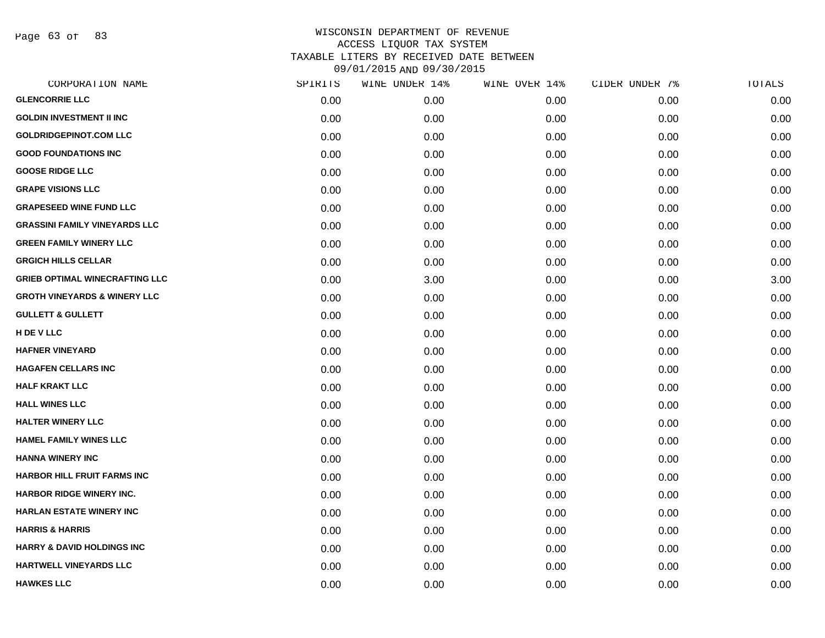Page 63 of 83

| CORPORATION NAME                        | SPIRITS | WINE UNDER 14% | WINE OVER 14% | CIDER UNDER 7% | TOTALS |
|-----------------------------------------|---------|----------------|---------------|----------------|--------|
| <b>GLENCORRIE LLC</b>                   | 0.00    | 0.00           | 0.00          | 0.00           | 0.00   |
| <b>GOLDIN INVESTMENT II INC</b>         | 0.00    | 0.00           | 0.00          | 0.00           | 0.00   |
| <b>GOLDRIDGEPINOT.COM LLC</b>           | 0.00    | 0.00           | 0.00          | 0.00           | 0.00   |
| <b>GOOD FOUNDATIONS INC</b>             | 0.00    | 0.00           | 0.00          | 0.00           | 0.00   |
| <b>GOOSE RIDGE LLC</b>                  | 0.00    | 0.00           | 0.00          | 0.00           | 0.00   |
| <b>GRAPE VISIONS LLC</b>                | 0.00    | 0.00           | 0.00          | 0.00           | 0.00   |
| <b>GRAPESEED WINE FUND LLC</b>          | 0.00    | 0.00           | 0.00          | 0.00           | 0.00   |
| <b>GRASSINI FAMILY VINEYARDS LLC</b>    | 0.00    | 0.00           | 0.00          | 0.00           | 0.00   |
| <b>GREEN FAMILY WINERY LLC</b>          | 0.00    | 0.00           | 0.00          | 0.00           | 0.00   |
| <b>GRGICH HILLS CELLAR</b>              | 0.00    | 0.00           | 0.00          | 0.00           | 0.00   |
| <b>GRIEB OPTIMAL WINECRAFTING LLC</b>   | 0.00    | 3.00           | 0.00          | 0.00           | 3.00   |
| <b>GROTH VINEYARDS &amp; WINERY LLC</b> | 0.00    | 0.00           | 0.00          | 0.00           | 0.00   |
| <b>GULLETT &amp; GULLETT</b>            | 0.00    | 0.00           | 0.00          | 0.00           | 0.00   |
| H DE V LLC                              | 0.00    | 0.00           | 0.00          | 0.00           | 0.00   |
| <b>HAFNER VINEYARD</b>                  | 0.00    | 0.00           | 0.00          | 0.00           | 0.00   |
| <b>HAGAFEN CELLARS INC</b>              | 0.00    | 0.00           | 0.00          | 0.00           | 0.00   |
| <b>HALF KRAKT LLC</b>                   | 0.00    | 0.00           | 0.00          | 0.00           | 0.00   |
| <b>HALL WINES LLC</b>                   | 0.00    | 0.00           | 0.00          | 0.00           | 0.00   |
| <b>HALTER WINERY LLC</b>                | 0.00    | 0.00           | 0.00          | 0.00           | 0.00   |
| <b>HAMEL FAMILY WINES LLC</b>           | 0.00    | 0.00           | 0.00          | 0.00           | 0.00   |
| <b>HANNA WINERY INC</b>                 | 0.00    | 0.00           | 0.00          | 0.00           | 0.00   |
| <b>HARBOR HILL FRUIT FARMS INC</b>      | 0.00    | 0.00           | 0.00          | 0.00           | 0.00   |
| HARBOR RIDGE WINERY INC.                | 0.00    | 0.00           | 0.00          | 0.00           | 0.00   |
| <b>HARLAN ESTATE WINERY INC</b>         | 0.00    | 0.00           | 0.00          | 0.00           | 0.00   |
| <b>HARRIS &amp; HARRIS</b>              | 0.00    | 0.00           | 0.00          | 0.00           | 0.00   |
| <b>HARRY &amp; DAVID HOLDINGS INC</b>   | 0.00    | 0.00           | 0.00          | 0.00           | 0.00   |
| <b>HARTWELL VINEYARDS LLC</b>           | 0.00    | 0.00           | 0.00          | 0.00           | 0.00   |
| <b>HAWKES LLC</b>                       | 0.00    | 0.00           | 0.00          | 0.00           | 0.00   |
|                                         |         |                |               |                |        |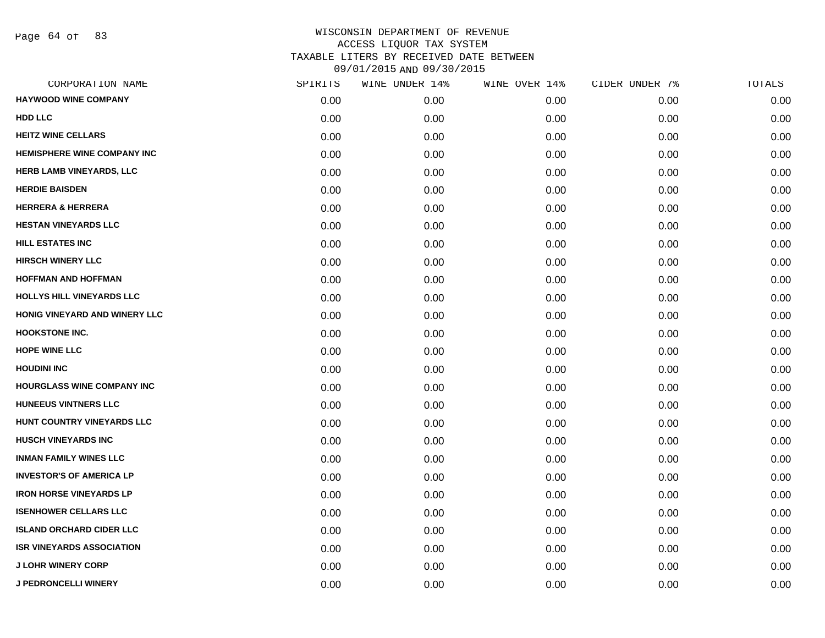Page 64 of 83

| CORPORATION NAME                   | SPIRITS | WINE UNDER 14% | WINE OVER 14% | CIDER UNDER 7% | TOTALS |
|------------------------------------|---------|----------------|---------------|----------------|--------|
| <b>HAYWOOD WINE COMPANY</b>        | 0.00    | 0.00           | 0.00          | 0.00           | 0.00   |
| HDD LLC                            | 0.00    | 0.00           | 0.00          | 0.00           | 0.00   |
| <b>HEITZ WINE CELLARS</b>          | 0.00    | 0.00           | 0.00          | 0.00           | 0.00   |
| <b>HEMISPHERE WINE COMPANY INC</b> | 0.00    | 0.00           | 0.00          | 0.00           | 0.00   |
| HERB LAMB VINEYARDS, LLC           | 0.00    | 0.00           | 0.00          | 0.00           | 0.00   |
| <b>HERDIE BAISDEN</b>              | 0.00    | 0.00           | 0.00          | 0.00           | 0.00   |
| <b>HERRERA &amp; HERRERA</b>       | 0.00    | 0.00           | 0.00          | 0.00           | 0.00   |
| <b>HESTAN VINEYARDS LLC</b>        | 0.00    | 0.00           | 0.00          | 0.00           | 0.00   |
| <b>HILL ESTATES INC</b>            | 0.00    | 0.00           | 0.00          | 0.00           | 0.00   |
| <b>HIRSCH WINERY LLC</b>           | 0.00    | 0.00           | 0.00          | 0.00           | 0.00   |
| <b>HOFFMAN AND HOFFMAN</b>         | 0.00    | 0.00           | 0.00          | 0.00           | 0.00   |
| HOLLYS HILL VINEYARDS LLC          | 0.00    | 0.00           | 0.00          | 0.00           | 0.00   |
| HONIG VINEYARD AND WINERY LLC      | 0.00    | 0.00           | 0.00          | 0.00           | 0.00   |
| <b>HOOKSTONE INC.</b>              | 0.00    | 0.00           | 0.00          | 0.00           | 0.00   |
| <b>HOPE WINE LLC</b>               | 0.00    | 0.00           | 0.00          | 0.00           | 0.00   |
| <b>HOUDINI INC</b>                 | 0.00    | 0.00           | 0.00          | 0.00           | 0.00   |
| HOURGLASS WINE COMPANY INC         | 0.00    | 0.00           | 0.00          | 0.00           | 0.00   |
| <b>HUNEEUS VINTNERS LLC</b>        | 0.00    | 0.00           | 0.00          | 0.00           | 0.00   |
| HUNT COUNTRY VINEYARDS LLC         | 0.00    | 0.00           | 0.00          | 0.00           | 0.00   |
| <b>HUSCH VINEYARDS INC</b>         | 0.00    | 0.00           | 0.00          | 0.00           | 0.00   |
| <b>INMAN FAMILY WINES LLC</b>      | 0.00    | 0.00           | 0.00          | 0.00           | 0.00   |
| <b>INVESTOR'S OF AMERICA LP</b>    | 0.00    | 0.00           | 0.00          | 0.00           | 0.00   |
| <b>IRON HORSE VINEYARDS LP</b>     | 0.00    | 0.00           | 0.00          | 0.00           | 0.00   |
| <b>ISENHOWER CELLARS LLC</b>       | 0.00    | 0.00           | 0.00          | 0.00           | 0.00   |
| <b>ISLAND ORCHARD CIDER LLC</b>    | 0.00    | 0.00           | 0.00          | 0.00           | 0.00   |
| <b>ISR VINEYARDS ASSOCIATION</b>   | 0.00    | 0.00           | 0.00          | 0.00           | 0.00   |
| <b>J LOHR WINERY CORP</b>          | 0.00    | 0.00           | 0.00          | 0.00           | 0.00   |
| <b>J PEDRONCELLI WINERY</b>        | 0.00    | 0.00           | 0.00          | 0.00           | 0.00   |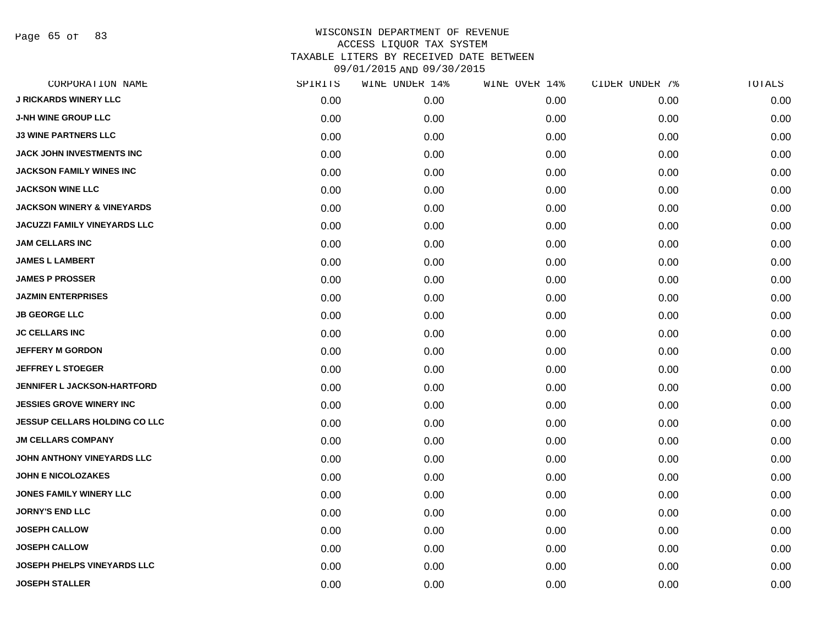Page 65 of 83

|      | WINE UNDER 14% |      |               | TOTALS         |
|------|----------------|------|---------------|----------------|
| 0.00 | 0.00           | 0.00 | 0.00          | 0.00           |
| 0.00 | 0.00           | 0.00 | 0.00          | 0.00           |
| 0.00 | 0.00           | 0.00 | 0.00          | 0.00           |
| 0.00 | 0.00           | 0.00 | 0.00          | 0.00           |
| 0.00 | 0.00           | 0.00 | 0.00          | 0.00           |
| 0.00 | 0.00           | 0.00 | 0.00          | 0.00           |
| 0.00 | 0.00           | 0.00 | 0.00          | 0.00           |
| 0.00 | 0.00           | 0.00 | 0.00          | 0.00           |
| 0.00 | 0.00           | 0.00 | 0.00          | 0.00           |
| 0.00 | 0.00           | 0.00 | 0.00          | 0.00           |
| 0.00 | 0.00           | 0.00 | 0.00          | 0.00           |
| 0.00 | 0.00           | 0.00 | 0.00          | 0.00           |
| 0.00 | 0.00           | 0.00 | 0.00          | 0.00           |
| 0.00 | 0.00           | 0.00 | 0.00          | 0.00           |
| 0.00 | 0.00           | 0.00 | 0.00          | 0.00           |
| 0.00 | 0.00           | 0.00 | 0.00          | 0.00           |
| 0.00 | 0.00           | 0.00 | 0.00          | 0.00           |
| 0.00 | 0.00           | 0.00 | 0.00          | 0.00           |
| 0.00 | 0.00           | 0.00 | 0.00          | 0.00           |
| 0.00 | 0.00           | 0.00 | 0.00          | 0.00           |
| 0.00 | 0.00           | 0.00 | 0.00          | 0.00           |
| 0.00 | 0.00           | 0.00 | 0.00          | 0.00           |
| 0.00 | 0.00           | 0.00 | 0.00          | 0.00           |
| 0.00 | 0.00           | 0.00 | 0.00          | 0.00           |
| 0.00 | 0.00           | 0.00 | 0.00          | 0.00           |
| 0.00 | 0.00           | 0.00 | 0.00          | 0.00           |
| 0.00 | 0.00           | 0.00 | 0.00          | 0.00           |
| 0.00 | 0.00           | 0.00 | 0.00          | 0.00           |
|      | SPIRITS        |      | WINE OVER 14% | CIDER UNDER 7% |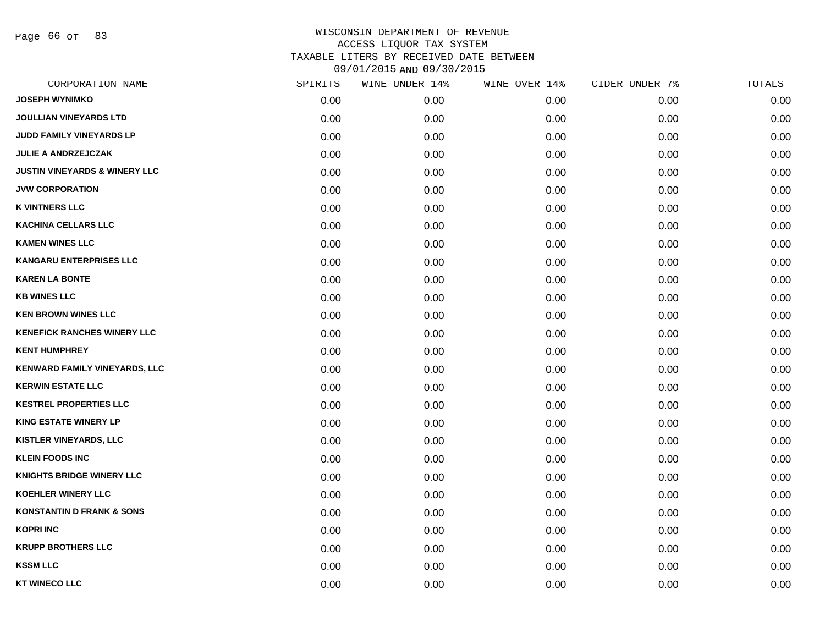Page 66 of 83

| CORPORATION NAME                         | SPIRITS | WINE UNDER 14% | WINE OVER 14% | CIDER UNDER 7% | TOTALS |
|------------------------------------------|---------|----------------|---------------|----------------|--------|
| <b>JOSEPH WYNIMKO</b>                    | 0.00    | 0.00           | 0.00          | 0.00           | 0.00   |
| <b>JOULLIAN VINEYARDS LTD</b>            | 0.00    | 0.00           | 0.00          | 0.00           | 0.00   |
| JUDD FAMILY VINEYARDS LP                 | 0.00    | 0.00           | 0.00          | 0.00           | 0.00   |
| <b>JULIE A ANDRZEJCZAK</b>               | 0.00    | 0.00           | 0.00          | 0.00           | 0.00   |
| <b>JUSTIN VINEYARDS &amp; WINERY LLC</b> | 0.00    | 0.00           | 0.00          | 0.00           | 0.00   |
| <b>JVW CORPORATION</b>                   | 0.00    | 0.00           | 0.00          | 0.00           | 0.00   |
| <b>K VINTNERS LLC</b>                    | 0.00    | 0.00           | 0.00          | 0.00           | 0.00   |
| <b>KACHINA CELLARS LLC</b>               | 0.00    | 0.00           | 0.00          | 0.00           | 0.00   |
| <b>KAMEN WINES LLC</b>                   | 0.00    | 0.00           | 0.00          | 0.00           | 0.00   |
| <b>KANGARU ENTERPRISES LLC</b>           | 0.00    | 0.00           | 0.00          | 0.00           | 0.00   |
| <b>KAREN LA BONTE</b>                    | 0.00    | 0.00           | 0.00          | 0.00           | 0.00   |
| <b>KB WINES LLC</b>                      | 0.00    | 0.00           | 0.00          | 0.00           | 0.00   |
| <b>KEN BROWN WINES LLC</b>               | 0.00    | 0.00           | 0.00          | 0.00           | 0.00   |
| <b>KENEFICK RANCHES WINERY LLC</b>       | 0.00    | 0.00           | 0.00          | 0.00           | 0.00   |
| <b>KENT HUMPHREY</b>                     | 0.00    | 0.00           | 0.00          | 0.00           | 0.00   |
| KENWARD FAMILY VINEYARDS, LLC            | 0.00    | 0.00           | 0.00          | 0.00           | 0.00   |
| <b>KERWIN ESTATE LLC</b>                 | 0.00    | 0.00           | 0.00          | 0.00           | 0.00   |
| <b>KESTREL PROPERTIES LLC</b>            | 0.00    | 0.00           | 0.00          | 0.00           | 0.00   |
| <b>KING ESTATE WINERY LP</b>             | 0.00    | 0.00           | 0.00          | 0.00           | 0.00   |
| <b>KISTLER VINEYARDS, LLC</b>            | 0.00    | 0.00           | 0.00          | 0.00           | 0.00   |
| <b>KLEIN FOODS INC</b>                   | 0.00    | 0.00           | 0.00          | 0.00           | 0.00   |
| <b>KNIGHTS BRIDGE WINERY LLC</b>         | 0.00    | 0.00           | 0.00          | 0.00           | 0.00   |
| <b>KOEHLER WINERY LLC</b>                | 0.00    | 0.00           | 0.00          | 0.00           | 0.00   |
| <b>KONSTANTIN D FRANK &amp; SONS</b>     | 0.00    | 0.00           | 0.00          | 0.00           | 0.00   |
| <b>KOPRI INC</b>                         | 0.00    | 0.00           | 0.00          | 0.00           | 0.00   |
| <b>KRUPP BROTHERS LLC</b>                | 0.00    | 0.00           | 0.00          | 0.00           | 0.00   |
| <b>KSSM LLC</b>                          | 0.00    | 0.00           | 0.00          | 0.00           | 0.00   |
| <b>KT WINECO LLC</b>                     | 0.00    | 0.00           | 0.00          | 0.00           | 0.00   |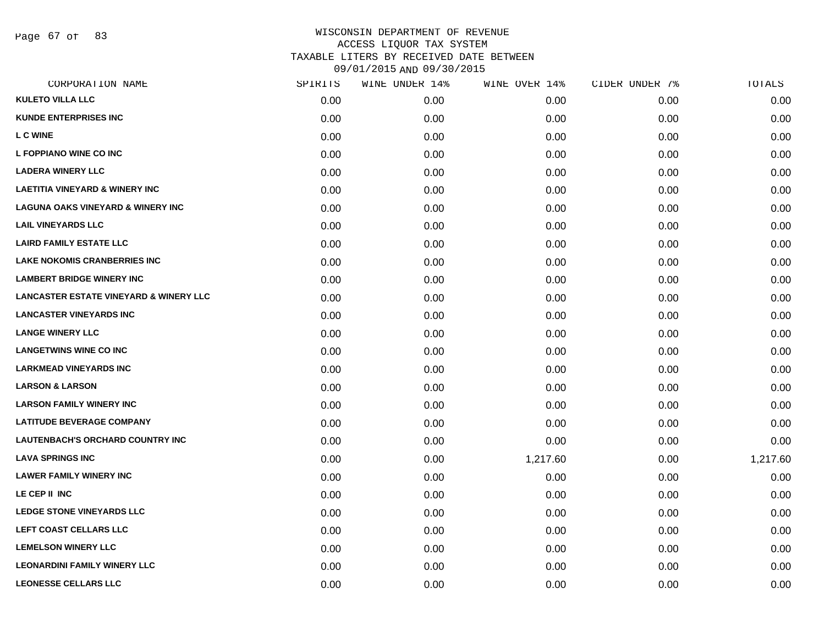Page 67 of 83

| CORPORATION NAME                                  | SPIRITS | WINE UNDER 14% | WINE OVER 14% | CIDER UNDER 7% | TOTALS   |
|---------------------------------------------------|---------|----------------|---------------|----------------|----------|
| <b>KULETO VILLA LLC</b>                           | 0.00    | 0.00           | 0.00          | 0.00           | 0.00     |
| <b>KUNDE ENTERPRISES INC</b>                      | 0.00    | 0.00           | 0.00          | 0.00           | 0.00     |
| <b>L C WINE</b>                                   | 0.00    | 0.00           | 0.00          | 0.00           | 0.00     |
| L FOPPIANO WINE CO INC                            | 0.00    | 0.00           | 0.00          | 0.00           | 0.00     |
| <b>LADERA WINERY LLC</b>                          | 0.00    | 0.00           | 0.00          | 0.00           | 0.00     |
| <b>LAETITIA VINEYARD &amp; WINERY INC</b>         | 0.00    | 0.00           | 0.00          | 0.00           | 0.00     |
| <b>LAGUNA OAKS VINEYARD &amp; WINERY INC</b>      | 0.00    | 0.00           | 0.00          | 0.00           | 0.00     |
| <b>LAIL VINEYARDS LLC</b>                         | 0.00    | 0.00           | 0.00          | 0.00           | 0.00     |
| <b>LAIRD FAMILY ESTATE LLC</b>                    | 0.00    | 0.00           | 0.00          | 0.00           | 0.00     |
| <b>LAKE NOKOMIS CRANBERRIES INC</b>               | 0.00    | 0.00           | 0.00          | 0.00           | 0.00     |
| <b>LAMBERT BRIDGE WINERY INC</b>                  | 0.00    | 0.00           | 0.00          | 0.00           | 0.00     |
| <b>LANCASTER ESTATE VINEYARD &amp; WINERY LLC</b> | 0.00    | 0.00           | 0.00          | 0.00           | 0.00     |
| <b>LANCASTER VINEYARDS INC</b>                    | 0.00    | 0.00           | 0.00          | 0.00           | 0.00     |
| <b>LANGE WINERY LLC</b>                           | 0.00    | 0.00           | 0.00          | 0.00           | 0.00     |
| <b>LANGETWINS WINE CO INC</b>                     | 0.00    | 0.00           | 0.00          | 0.00           | 0.00     |
| <b>LARKMEAD VINEYARDS INC</b>                     | 0.00    | 0.00           | 0.00          | 0.00           | 0.00     |
| <b>LARSON &amp; LARSON</b>                        | 0.00    | 0.00           | 0.00          | 0.00           | 0.00     |
| <b>LARSON FAMILY WINERY INC</b>                   | 0.00    | 0.00           | 0.00          | 0.00           | 0.00     |
| <b>LATITUDE BEVERAGE COMPANY</b>                  | 0.00    | 0.00           | 0.00          | 0.00           | 0.00     |
| <b>LAUTENBACH'S ORCHARD COUNTRY INC</b>           | 0.00    | 0.00           | 0.00          | 0.00           | 0.00     |
| <b>LAVA SPRINGS INC</b>                           | 0.00    | 0.00           | 1,217.60      | 0.00           | 1,217.60 |
| <b>LAWER FAMILY WINERY INC</b>                    | 0.00    | 0.00           | 0.00          | 0.00           | 0.00     |
| LE CEP II INC                                     | 0.00    | 0.00           | 0.00          | 0.00           | 0.00     |
| <b>LEDGE STONE VINEYARDS LLC</b>                  | 0.00    | 0.00           | 0.00          | 0.00           | 0.00     |
| LEFT COAST CELLARS LLC                            | 0.00    | 0.00           | 0.00          | 0.00           | 0.00     |
| <b>LEMELSON WINERY LLC</b>                        | 0.00    | 0.00           | 0.00          | 0.00           | 0.00     |
| <b>LEONARDINI FAMILY WINERY LLC</b>               | 0.00    | 0.00           | 0.00          | 0.00           | 0.00     |
| <b>LEONESSE CELLARS LLC</b>                       | 0.00    | 0.00           | 0.00          | 0.00           | 0.00     |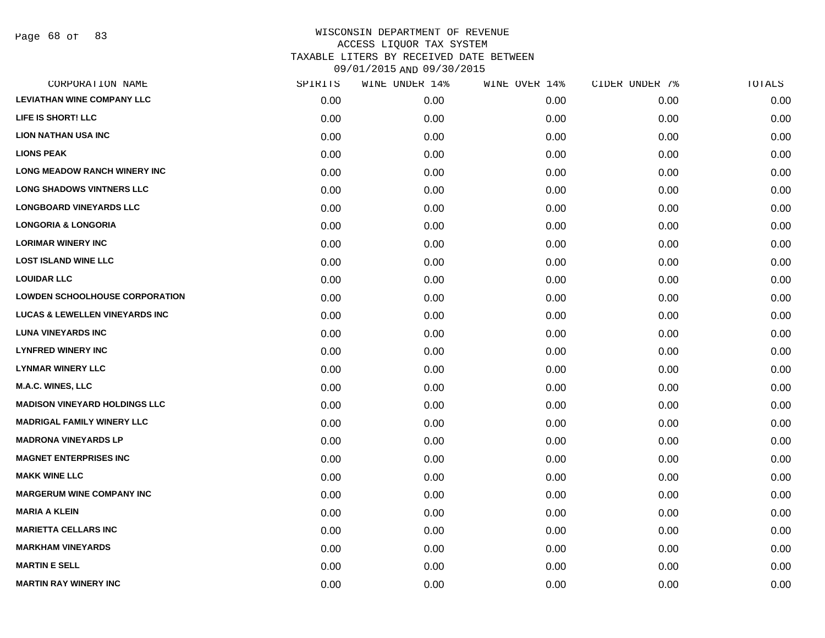| SPIRITS | WINE UNDER 14% | WINE OVER 14% | CIDER UNDER 7% | TOTALS |
|---------|----------------|---------------|----------------|--------|
| 0.00    | 0.00           | 0.00          | 0.00           | 0.00   |
| 0.00    | 0.00           | 0.00          | 0.00           | 0.00   |
| 0.00    | 0.00           | 0.00          | 0.00           | 0.00   |
| 0.00    | 0.00           | 0.00          | 0.00           | 0.00   |
| 0.00    | 0.00           | 0.00          | 0.00           | 0.00   |
| 0.00    | 0.00           | 0.00          | 0.00           | 0.00   |
| 0.00    | 0.00           | 0.00          | 0.00           | 0.00   |
| 0.00    | 0.00           | 0.00          | 0.00           | 0.00   |
| 0.00    | 0.00           | 0.00          | 0.00           | 0.00   |
| 0.00    | 0.00           | 0.00          | 0.00           | 0.00   |
| 0.00    | 0.00           | 0.00          | 0.00           | 0.00   |
| 0.00    | 0.00           | 0.00          | 0.00           | 0.00   |
| 0.00    | 0.00           | 0.00          | 0.00           | 0.00   |
| 0.00    | 0.00           | 0.00          | 0.00           | 0.00   |
| 0.00    | 0.00           | 0.00          | 0.00           | 0.00   |
| 0.00    | 0.00           | 0.00          | 0.00           | 0.00   |
| 0.00    | 0.00           | 0.00          | 0.00           | 0.00   |
| 0.00    | 0.00           | 0.00          | 0.00           | 0.00   |
| 0.00    | 0.00           | 0.00          | 0.00           | 0.00   |
| 0.00    | 0.00           | 0.00          | 0.00           | 0.00   |
| 0.00    | 0.00           | 0.00          | 0.00           | 0.00   |
| 0.00    | 0.00           | 0.00          | 0.00           | 0.00   |
| 0.00    | 0.00           | 0.00          | 0.00           | 0.00   |
| 0.00    | 0.00           | 0.00          | 0.00           | 0.00   |
| 0.00    | 0.00           | 0.00          | 0.00           | 0.00   |
| 0.00    | 0.00           | 0.00          | 0.00           | 0.00   |
| 0.00    | 0.00           | 0.00          | 0.00           | 0.00   |
| 0.00    | 0.00           | 0.00          | 0.00           | 0.00   |
|         |                |               |                |        |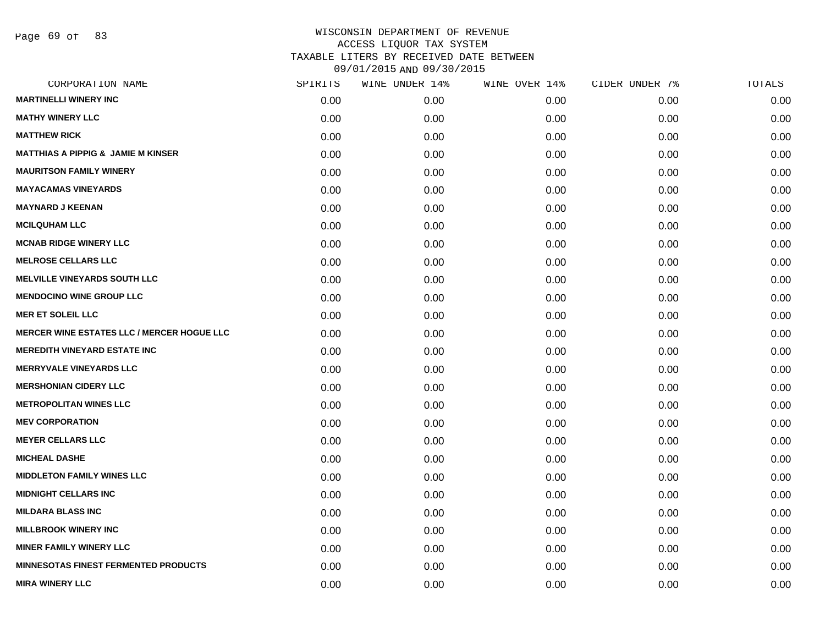Page 69 of 83

| CORPORATION NAME                                  | SPIRITS | WINE UNDER 14% | WINE OVER 14% | CIDER UNDER 7% | TOTALS |
|---------------------------------------------------|---------|----------------|---------------|----------------|--------|
| <b>MARTINELLI WINERY INC</b>                      | 0.00    | 0.00           | 0.00          | 0.00           | 0.00   |
| <b>MATHY WINERY LLC</b>                           | 0.00    | 0.00           | 0.00          | 0.00           | 0.00   |
| <b>MATTHEW RICK</b>                               | 0.00    | 0.00           | 0.00          | 0.00           | 0.00   |
| <b>MATTHIAS A PIPPIG &amp; JAMIE M KINSER</b>     | 0.00    | 0.00           | 0.00          | 0.00           | 0.00   |
| <b>MAURITSON FAMILY WINERY</b>                    | 0.00    | 0.00           | 0.00          | 0.00           | 0.00   |
| <b>MAYACAMAS VINEYARDS</b>                        | 0.00    | 0.00           | 0.00          | 0.00           | 0.00   |
| <b>MAYNARD J KEENAN</b>                           | 0.00    | 0.00           | 0.00          | 0.00           | 0.00   |
| <b>MCILQUHAM LLC</b>                              | 0.00    | 0.00           | 0.00          | 0.00           | 0.00   |
| <b>MCNAB RIDGE WINERY LLC</b>                     | 0.00    | 0.00           | 0.00          | 0.00           | 0.00   |
| <b>MELROSE CELLARS LLC</b>                        | 0.00    | 0.00           | 0.00          | 0.00           | 0.00   |
| <b>MELVILLE VINEYARDS SOUTH LLC</b>               | 0.00    | 0.00           | 0.00          | 0.00           | 0.00   |
| <b>MENDOCINO WINE GROUP LLC</b>                   | 0.00    | 0.00           | 0.00          | 0.00           | 0.00   |
| <b>MER ET SOLEIL LLC</b>                          | 0.00    | 0.00           | 0.00          | 0.00           | 0.00   |
| <b>MERCER WINE ESTATES LLC / MERCER HOGUE LLC</b> | 0.00    | 0.00           | 0.00          | 0.00           | 0.00   |
| <b>MEREDITH VINEYARD ESTATE INC</b>               | 0.00    | 0.00           | 0.00          | 0.00           | 0.00   |
| <b>MERRYVALE VINEYARDS LLC</b>                    | 0.00    | 0.00           | 0.00          | 0.00           | 0.00   |
| <b>MERSHONIAN CIDERY LLC</b>                      | 0.00    | 0.00           | 0.00          | 0.00           | 0.00   |
| <b>METROPOLITAN WINES LLC</b>                     | 0.00    | 0.00           | 0.00          | 0.00           | 0.00   |
| <b>MEV CORPORATION</b>                            | 0.00    | 0.00           | 0.00          | 0.00           | 0.00   |
| <b>MEYER CELLARS LLC</b>                          | 0.00    | 0.00           | 0.00          | 0.00           | 0.00   |
| <b>MICHEAL DASHE</b>                              | 0.00    | 0.00           | 0.00          | 0.00           | 0.00   |
| <b>MIDDLETON FAMILY WINES LLC</b>                 | 0.00    | 0.00           | 0.00          | 0.00           | 0.00   |
| <b>MIDNIGHT CELLARS INC</b>                       | 0.00    | 0.00           | 0.00          | 0.00           | 0.00   |
| <b>MILDARA BLASS INC</b>                          | 0.00    | 0.00           | 0.00          | 0.00           | 0.00   |
| <b>MILLBROOK WINERY INC</b>                       | 0.00    | 0.00           | 0.00          | 0.00           | 0.00   |
| <b>MINER FAMILY WINERY LLC</b>                    | 0.00    | 0.00           | 0.00          | 0.00           | 0.00   |
| MINNESOTAS FINEST FERMENTED PRODUCTS              | 0.00    | 0.00           | 0.00          | 0.00           | 0.00   |
| <b>MIRA WINERY LLC</b>                            | 0.00    | 0.00           | 0.00          | 0.00           | 0.00   |
|                                                   |         |                |               |                |        |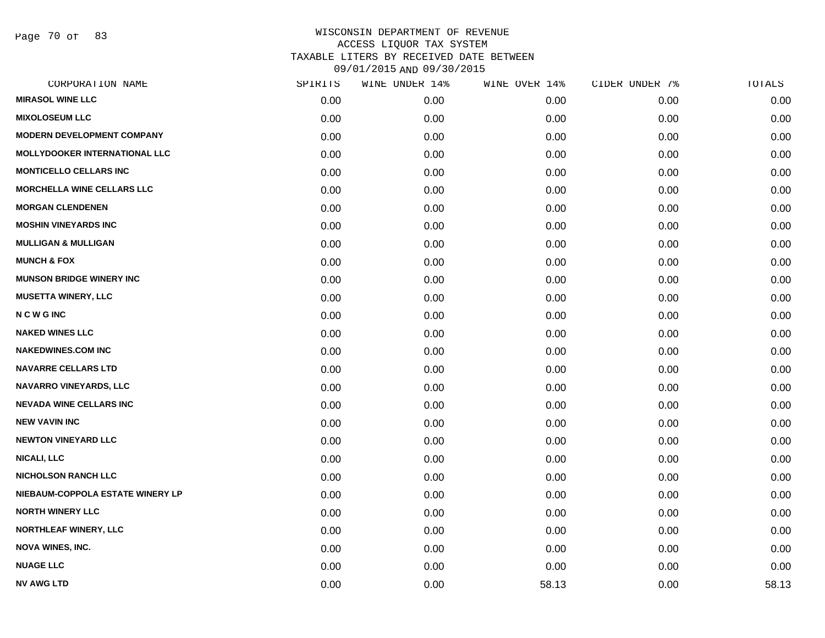Page 70 of 83

| CORPORATION NAME                     | SPIRITS | WINE UNDER 14% | WINE OVER 14% | CIDER UNDER 7% | TOTALS |
|--------------------------------------|---------|----------------|---------------|----------------|--------|
| <b>MIRASOL WINE LLC</b>              | 0.00    | 0.00           | 0.00          | 0.00           | 0.00   |
| <b>MIXOLOSEUM LLC</b>                | 0.00    | 0.00           | 0.00          | 0.00           | 0.00   |
| <b>MODERN DEVELOPMENT COMPANY</b>    | 0.00    | 0.00           | 0.00          | 0.00           | 0.00   |
| <b>MOLLYDOOKER INTERNATIONAL LLC</b> | 0.00    | 0.00           | 0.00          | 0.00           | 0.00   |
| <b>MONTICELLO CELLARS INC</b>        | 0.00    | 0.00           | 0.00          | 0.00           | 0.00   |
| <b>MORCHELLA WINE CELLARS LLC</b>    | 0.00    | 0.00           | 0.00          | 0.00           | 0.00   |
| <b>MORGAN CLENDENEN</b>              | 0.00    | 0.00           | 0.00          | 0.00           | 0.00   |
| <b>MOSHIN VINEYARDS INC</b>          | 0.00    | 0.00           | 0.00          | 0.00           | 0.00   |
| <b>MULLIGAN &amp; MULLIGAN</b>       | 0.00    | 0.00           | 0.00          | 0.00           | 0.00   |
| <b>MUNCH &amp; FOX</b>               | 0.00    | 0.00           | 0.00          | 0.00           | 0.00   |
| <b>MUNSON BRIDGE WINERY INC</b>      | 0.00    | 0.00           | 0.00          | 0.00           | 0.00   |
| <b>MUSETTA WINERY, LLC</b>           | 0.00    | 0.00           | 0.00          | 0.00           | 0.00   |
| <b>NCWGINC</b>                       | 0.00    | 0.00           | 0.00          | 0.00           | 0.00   |
| <b>NAKED WINES LLC</b>               | 0.00    | 0.00           | 0.00          | 0.00           | 0.00   |
| <b>NAKEDWINES.COM INC</b>            | 0.00    | 0.00           | 0.00          | 0.00           | 0.00   |
| <b>NAVARRE CELLARS LTD</b>           | 0.00    | 0.00           | 0.00          | 0.00           | 0.00   |
| <b>NAVARRO VINEYARDS, LLC</b>        | 0.00    | 0.00           | 0.00          | 0.00           | 0.00   |
| <b>NEVADA WINE CELLARS INC</b>       | 0.00    | 0.00           | 0.00          | 0.00           | 0.00   |
| <b>NEW VAVIN INC</b>                 | 0.00    | 0.00           | 0.00          | 0.00           | 0.00   |
| <b>NEWTON VINEYARD LLC</b>           | 0.00    | 0.00           | 0.00          | 0.00           | 0.00   |
| <b>NICALI, LLC</b>                   | 0.00    | 0.00           | 0.00          | 0.00           | 0.00   |
| <b>NICHOLSON RANCH LLC</b>           | 0.00    | 0.00           | 0.00          | 0.00           | 0.00   |
| NIEBAUM-COPPOLA ESTATE WINERY LP     | 0.00    | 0.00           | 0.00          | 0.00           | 0.00   |
| <b>NORTH WINERY LLC</b>              | 0.00    | 0.00           | 0.00          | 0.00           | 0.00   |
| <b>NORTHLEAF WINERY, LLC</b>         | 0.00    | 0.00           | 0.00          | 0.00           | 0.00   |
| <b>NOVA WINES, INC.</b>              | 0.00    | 0.00           | 0.00          | 0.00           | 0.00   |
| <b>NUAGE LLC</b>                     | 0.00    | 0.00           | 0.00          | 0.00           | 0.00   |
| <b>NV AWG LTD</b>                    | 0.00    | 0.00           | 58.13         | 0.00           | 58.13  |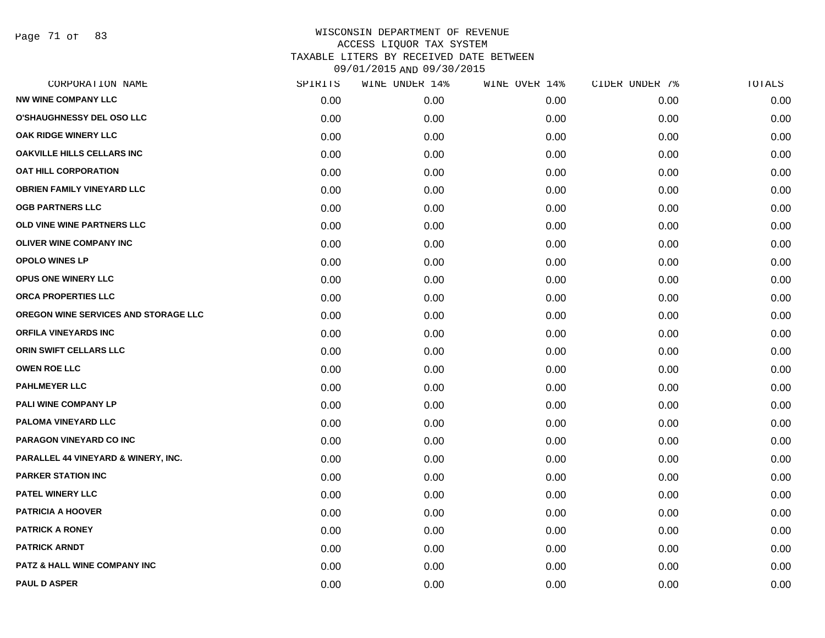Page 71 of 83

|      | WINE UNDER 14% |      | CIDER UNDER 7% | TOTALS |
|------|----------------|------|----------------|--------|
| 0.00 | 0.00           | 0.00 | 0.00           | 0.00   |
| 0.00 | 0.00           | 0.00 | 0.00           | 0.00   |
| 0.00 | 0.00           | 0.00 | 0.00           | 0.00   |
| 0.00 | 0.00           | 0.00 | 0.00           | 0.00   |
| 0.00 | 0.00           | 0.00 | 0.00           | 0.00   |
| 0.00 | 0.00           | 0.00 | 0.00           | 0.00   |
| 0.00 | 0.00           | 0.00 | 0.00           | 0.00   |
| 0.00 | 0.00           | 0.00 | 0.00           | 0.00   |
| 0.00 | 0.00           | 0.00 | 0.00           | 0.00   |
| 0.00 | 0.00           | 0.00 | 0.00           | 0.00   |
| 0.00 | 0.00           | 0.00 | 0.00           | 0.00   |
| 0.00 | 0.00           | 0.00 | 0.00           | 0.00   |
| 0.00 | 0.00           | 0.00 | 0.00           | 0.00   |
| 0.00 | 0.00           | 0.00 | 0.00           | 0.00   |
| 0.00 | 0.00           | 0.00 | 0.00           | 0.00   |
| 0.00 | 0.00           | 0.00 | 0.00           | 0.00   |
| 0.00 | 0.00           | 0.00 | 0.00           | 0.00   |
| 0.00 | 0.00           | 0.00 | 0.00           | 0.00   |
| 0.00 | 0.00           | 0.00 | 0.00           | 0.00   |
| 0.00 | 0.00           | 0.00 | 0.00           | 0.00   |
| 0.00 | 0.00           | 0.00 | 0.00           | 0.00   |
| 0.00 | 0.00           | 0.00 | 0.00           | 0.00   |
| 0.00 | 0.00           | 0.00 | 0.00           | 0.00   |
| 0.00 | 0.00           | 0.00 | 0.00           | 0.00   |
| 0.00 | 0.00           | 0.00 | 0.00           | 0.00   |
| 0.00 | 0.00           | 0.00 | 0.00           | 0.00   |
| 0.00 | 0.00           | 0.00 | 0.00           | 0.00   |
| 0.00 | 0.00           | 0.00 | 0.00           | 0.00   |
|      | SPIRITS        |      | WINE OVER 14%  |        |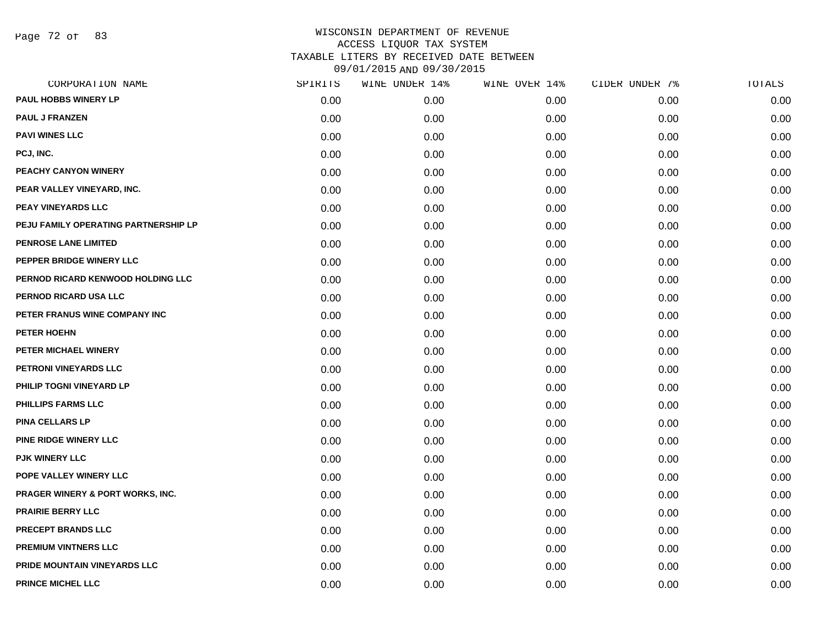Page 72 of 83

| CORPORATION NAME                            | SPIRITS | WINE UNDER 14% | WINE OVER 14% | CIDER UNDER 7% | TOTALS |
|---------------------------------------------|---------|----------------|---------------|----------------|--------|
| <b>PAUL HOBBS WINERY LP</b>                 | 0.00    | 0.00           | 0.00          | 0.00           | 0.00   |
| <b>PAUL J FRANZEN</b>                       | 0.00    | 0.00           | 0.00          | 0.00           | 0.00   |
| <b>PAVI WINES LLC</b>                       | 0.00    | 0.00           | 0.00          | 0.00           | 0.00   |
| PCJ, INC.                                   | 0.00    | 0.00           | 0.00          | 0.00           | 0.00   |
| PEACHY CANYON WINERY                        | 0.00    | 0.00           | 0.00          | 0.00           | 0.00   |
| PEAR VALLEY VINEYARD, INC.                  | 0.00    | 0.00           | 0.00          | 0.00           | 0.00   |
| PEAY VINEYARDS LLC                          | 0.00    | 0.00           | 0.00          | 0.00           | 0.00   |
| PEJU FAMILY OPERATING PARTNERSHIP LP        | 0.00    | 0.00           | 0.00          | 0.00           | 0.00   |
| <b>PENROSE LANE LIMITED</b>                 | 0.00    | 0.00           | 0.00          | 0.00           | 0.00   |
| PEPPER BRIDGE WINERY LLC                    | 0.00    | 0.00           | 0.00          | 0.00           | 0.00   |
| PERNOD RICARD KENWOOD HOLDING LLC           | 0.00    | 0.00           | 0.00          | 0.00           | 0.00   |
| PERNOD RICARD USA LLC                       | 0.00    | 0.00           | 0.00          | 0.00           | 0.00   |
| PETER FRANUS WINE COMPANY INC               | 0.00    | 0.00           | 0.00          | 0.00           | 0.00   |
| PETER HOEHN                                 | 0.00    | 0.00           | 0.00          | 0.00           | 0.00   |
| PETER MICHAEL WINERY                        | 0.00    | 0.00           | 0.00          | 0.00           | 0.00   |
| PETRONI VINEYARDS LLC                       | 0.00    | 0.00           | 0.00          | 0.00           | 0.00   |
| PHILIP TOGNI VINEYARD LP                    | 0.00    | 0.00           | 0.00          | 0.00           | 0.00   |
| PHILLIPS FARMS LLC                          | 0.00    | 0.00           | 0.00          | 0.00           | 0.00   |
| <b>PINA CELLARS LP</b>                      | 0.00    | 0.00           | 0.00          | 0.00           | 0.00   |
| PINE RIDGE WINERY LLC                       | 0.00    | 0.00           | 0.00          | 0.00           | 0.00   |
| <b>PJK WINERY LLC</b>                       | 0.00    | 0.00           | 0.00          | 0.00           | 0.00   |
| POPE VALLEY WINERY LLC                      | 0.00    | 0.00           | 0.00          | 0.00           | 0.00   |
| <b>PRAGER WINERY &amp; PORT WORKS, INC.</b> | 0.00    | 0.00           | 0.00          | 0.00           | 0.00   |
| <b>PRAIRIE BERRY LLC</b>                    | 0.00    | 0.00           | 0.00          | 0.00           | 0.00   |
| <b>PRECEPT BRANDS LLC</b>                   | 0.00    | 0.00           | 0.00          | 0.00           | 0.00   |
| <b>PREMIUM VINTNERS LLC</b>                 | 0.00    | 0.00           | 0.00          | 0.00           | 0.00   |
| PRIDE MOUNTAIN VINEYARDS LLC                | 0.00    | 0.00           | 0.00          | 0.00           | 0.00   |
| PRINCE MICHEL LLC                           | 0.00    | 0.00           | 0.00          | 0.00           | 0.00   |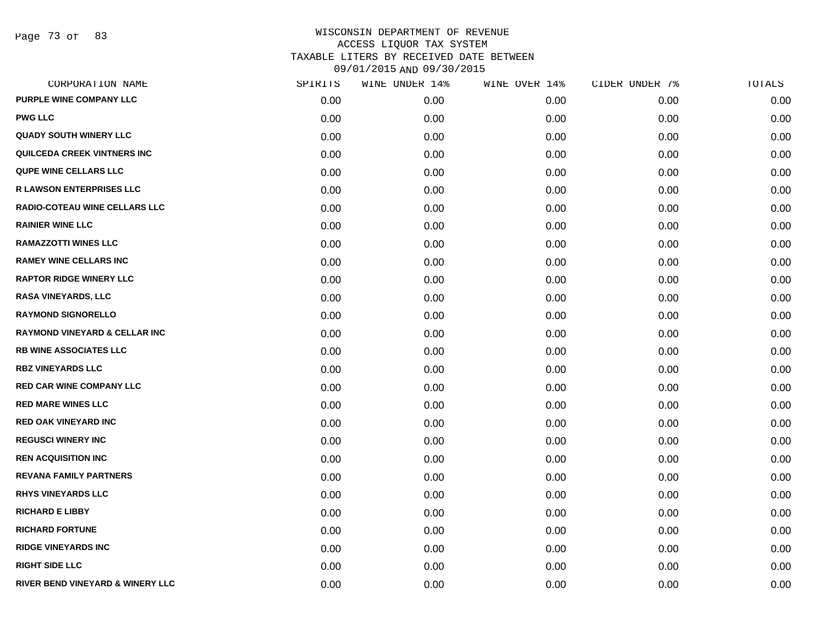| CORPORATION NAME                            | SPIRITS | WINE UNDER 14% | WINE OVER 14% | CIDER UNDER 7% | TOTALS |
|---------------------------------------------|---------|----------------|---------------|----------------|--------|
| <b>PURPLE WINE COMPANY LLC</b>              | 0.00    | 0.00           | 0.00          | 0.00           | 0.00   |
| <b>PWG LLC</b>                              | 0.00    | 0.00           | 0.00          | 0.00           | 0.00   |
| <b>QUADY SOUTH WINERY LLC</b>               | 0.00    | 0.00           | 0.00          | 0.00           | 0.00   |
| QUILCEDA CREEK VINTNERS INC                 | 0.00    | 0.00           | 0.00          | 0.00           | 0.00   |
| <b>QUPE WINE CELLARS LLC</b>                | 0.00    | 0.00           | 0.00          | 0.00           | 0.00   |
| <b>R LAWSON ENTERPRISES LLC</b>             | 0.00    | 0.00           | 0.00          | 0.00           | 0.00   |
| <b>RADIO-COTEAU WINE CELLARS LLC</b>        | 0.00    | 0.00           | 0.00          | 0.00           | 0.00   |
| <b>RAINIER WINE LLC</b>                     | 0.00    | 0.00           | 0.00          | 0.00           | 0.00   |
| <b>RAMAZZOTTI WINES LLC</b>                 | 0.00    | 0.00           | 0.00          | 0.00           | 0.00   |
| <b>RAMEY WINE CELLARS INC</b>               | 0.00    | 0.00           | 0.00          | 0.00           | 0.00   |
| <b>RAPTOR RIDGE WINERY LLC</b>              | 0.00    | 0.00           | 0.00          | 0.00           | 0.00   |
| <b>RASA VINEYARDS, LLC</b>                  | 0.00    | 0.00           | 0.00          | 0.00           | 0.00   |
| <b>RAYMOND SIGNORELLO</b>                   | 0.00    | 0.00           | 0.00          | 0.00           | 0.00   |
| <b>RAYMOND VINEYARD &amp; CELLAR INC</b>    | 0.00    | 0.00           | 0.00          | 0.00           | 0.00   |
| <b>RB WINE ASSOCIATES LLC</b>               | 0.00    | 0.00           | 0.00          | 0.00           | 0.00   |
| <b>RBZ VINEYARDS LLC</b>                    | 0.00    | 0.00           | 0.00          | 0.00           | 0.00   |
| <b>RED CAR WINE COMPANY LLC</b>             | 0.00    | 0.00           | 0.00          | 0.00           | 0.00   |
| <b>RED MARE WINES LLC</b>                   | 0.00    | 0.00           | 0.00          | 0.00           | 0.00   |
| <b>RED OAK VINEYARD INC</b>                 | 0.00    | 0.00           | 0.00          | 0.00           | 0.00   |
| <b>REGUSCI WINERY INC</b>                   | 0.00    | 0.00           | 0.00          | 0.00           | 0.00   |
| <b>REN ACQUISITION INC</b>                  | 0.00    | 0.00           | 0.00          | 0.00           | 0.00   |
| <b>REVANA FAMILY PARTNERS</b>               | 0.00    | 0.00           | 0.00          | 0.00           | 0.00   |
| <b>RHYS VINEYARDS LLC</b>                   | 0.00    | 0.00           | 0.00          | 0.00           | 0.00   |
| <b>RICHARD E LIBBY</b>                      | 0.00    | 0.00           | 0.00          | 0.00           | 0.00   |
| <b>RICHARD FORTUNE</b>                      | 0.00    | 0.00           | 0.00          | 0.00           | 0.00   |
| <b>RIDGE VINEYARDS INC</b>                  | 0.00    | 0.00           | 0.00          | 0.00           | 0.00   |
| <b>RIGHT SIDE LLC</b>                       | 0.00    | 0.00           | 0.00          | 0.00           | 0.00   |
| <b>RIVER BEND VINEYARD &amp; WINERY LLC</b> | 0.00    | 0.00           | 0.00          | 0.00           | 0.00   |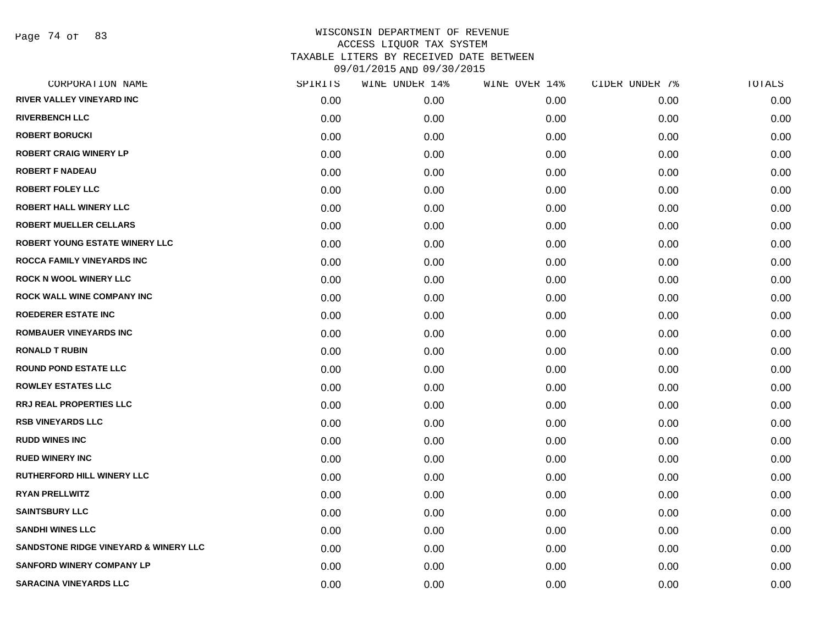Page 74 of 83

| CORPORATION NAME                                 | SPIRITS | WINE UNDER 14% | WINE OVER 14% | CIDER UNDER 7% | TOTALS |
|--------------------------------------------------|---------|----------------|---------------|----------------|--------|
| RIVER VALLEY VINEYARD INC                        | 0.00    | 0.00           | 0.00          | 0.00           | 0.00   |
| <b>RIVERBENCH LLC</b>                            | 0.00    | 0.00           | 0.00          | 0.00           | 0.00   |
| <b>ROBERT BORUCKI</b>                            | 0.00    | 0.00           | 0.00          | 0.00           | 0.00   |
| <b>ROBERT CRAIG WINERY LP</b>                    | 0.00    | 0.00           | 0.00          | 0.00           | 0.00   |
| <b>ROBERT F NADEAU</b>                           | 0.00    | 0.00           | 0.00          | 0.00           | 0.00   |
| <b>ROBERT FOLEY LLC</b>                          | 0.00    | 0.00           | 0.00          | 0.00           | 0.00   |
| <b>ROBERT HALL WINERY LLC</b>                    | 0.00    | 0.00           | 0.00          | 0.00           | 0.00   |
| <b>ROBERT MUELLER CELLARS</b>                    | 0.00    | 0.00           | 0.00          | 0.00           | 0.00   |
| <b>ROBERT YOUNG ESTATE WINERY LLC</b>            | 0.00    | 0.00           | 0.00          | 0.00           | 0.00   |
| <b>ROCCA FAMILY VINEYARDS INC</b>                | 0.00    | 0.00           | 0.00          | 0.00           | 0.00   |
| <b>ROCK N WOOL WINERY LLC</b>                    | 0.00    | 0.00           | 0.00          | 0.00           | 0.00   |
| <b>ROCK WALL WINE COMPANY INC</b>                | 0.00    | 0.00           | 0.00          | 0.00           | 0.00   |
| <b>ROEDERER ESTATE INC</b>                       | 0.00    | 0.00           | 0.00          | 0.00           | 0.00   |
| <b>ROMBAUER VINEYARDS INC</b>                    | 0.00    | 0.00           | 0.00          | 0.00           | 0.00   |
| <b>RONALD T RUBIN</b>                            | 0.00    | 0.00           | 0.00          | 0.00           | 0.00   |
| <b>ROUND POND ESTATE LLC</b>                     | 0.00    | 0.00           | 0.00          | 0.00           | 0.00   |
| <b>ROWLEY ESTATES LLC</b>                        | 0.00    | 0.00           | 0.00          | 0.00           | 0.00   |
| <b>RRJ REAL PROPERTIES LLC</b>                   | 0.00    | 0.00           | 0.00          | 0.00           | 0.00   |
| <b>RSB VINEYARDS LLC</b>                         | 0.00    | 0.00           | 0.00          | 0.00           | 0.00   |
| <b>RUDD WINES INC</b>                            | 0.00    | 0.00           | 0.00          | 0.00           | 0.00   |
| <b>RUED WINERY INC</b>                           | 0.00    | 0.00           | 0.00          | 0.00           | 0.00   |
| RUTHERFORD HILL WINERY LLC                       | 0.00    | 0.00           | 0.00          | 0.00           | 0.00   |
| <b>RYAN PRELLWITZ</b>                            | 0.00    | 0.00           | 0.00          | 0.00           | 0.00   |
| <b>SAINTSBURY LLC</b>                            | 0.00    | 0.00           | 0.00          | 0.00           | 0.00   |
| <b>SANDHI WINES LLC</b>                          | 0.00    | 0.00           | 0.00          | 0.00           | 0.00   |
| <b>SANDSTONE RIDGE VINEYARD &amp; WINERY LLC</b> | 0.00    | 0.00           | 0.00          | 0.00           | 0.00   |
| <b>SANFORD WINERY COMPANY LP</b>                 | 0.00    | 0.00           | 0.00          | 0.00           | 0.00   |
| <b>SARACINA VINEYARDS LLC</b>                    | 0.00    | 0.00           | 0.00          | 0.00           | 0.00   |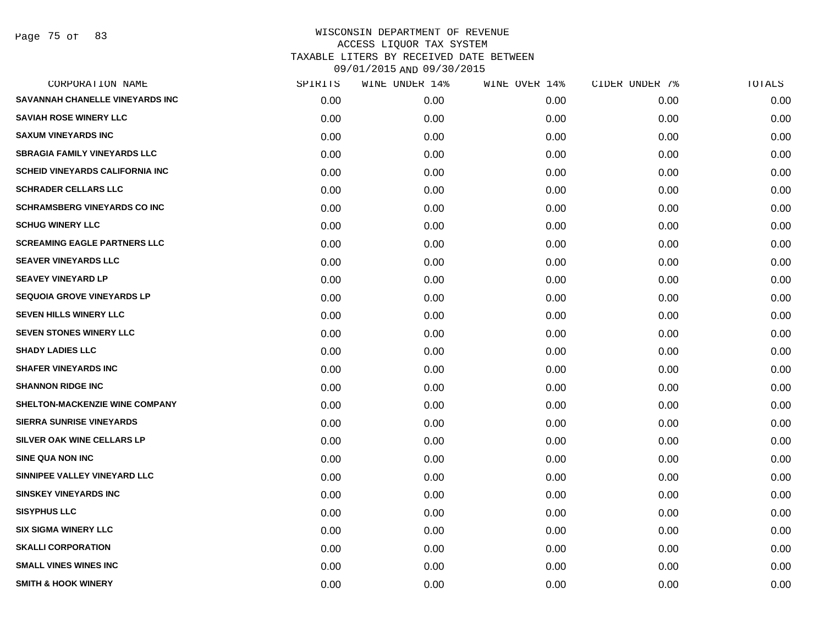Page 75 of 83

| CORPORATION NAME                       | SPIRITS | WINE UNDER 14% | WINE OVER 14% | CIDER UNDER 7% | TOTALS |
|----------------------------------------|---------|----------------|---------------|----------------|--------|
| SAVANNAH CHANELLE VINEYARDS INC        | 0.00    | 0.00           | 0.00          | 0.00           | 0.00   |
| <b>SAVIAH ROSE WINERY LLC</b>          | 0.00    | 0.00           | 0.00          | 0.00           | 0.00   |
| <b>SAXUM VINEYARDS INC</b>             | 0.00    | 0.00           | 0.00          | 0.00           | 0.00   |
| <b>SBRAGIA FAMILY VINEYARDS LLC</b>    | 0.00    | 0.00           | 0.00          | 0.00           | 0.00   |
| <b>SCHEID VINEYARDS CALIFORNIA INC</b> | 0.00    | 0.00           | 0.00          | 0.00           | 0.00   |
| <b>SCHRADER CELLARS LLC</b>            | 0.00    | 0.00           | 0.00          | 0.00           | 0.00   |
| <b>SCHRAMSBERG VINEYARDS CO INC</b>    | 0.00    | 0.00           | 0.00          | 0.00           | 0.00   |
| <b>SCHUG WINERY LLC</b>                | 0.00    | 0.00           | 0.00          | 0.00           | 0.00   |
| <b>SCREAMING EAGLE PARTNERS LLC</b>    | 0.00    | 0.00           | 0.00          | 0.00           | 0.00   |
| <b>SEAVER VINEYARDS LLC</b>            | 0.00    | 0.00           | 0.00          | 0.00           | 0.00   |
| <b>SEAVEY VINEYARD LP</b>              | 0.00    | 0.00           | 0.00          | 0.00           | 0.00   |
| <b>SEQUOIA GROVE VINEYARDS LP</b>      | 0.00    | 0.00           | 0.00          | 0.00           | 0.00   |
| <b>SEVEN HILLS WINERY LLC</b>          | 0.00    | 0.00           | 0.00          | 0.00           | 0.00   |
| <b>SEVEN STONES WINERY LLC</b>         | 0.00    | 0.00           | 0.00          | 0.00           | 0.00   |
| <b>SHADY LADIES LLC</b>                | 0.00    | 0.00           | 0.00          | 0.00           | 0.00   |
| <b>SHAFER VINEYARDS INC</b>            | 0.00    | 0.00           | 0.00          | 0.00           | 0.00   |
| <b>SHANNON RIDGE INC</b>               | 0.00    | 0.00           | 0.00          | 0.00           | 0.00   |
| SHELTON-MACKENZIE WINE COMPANY         | 0.00    | 0.00           | 0.00          | 0.00           | 0.00   |
| <b>SIERRA SUNRISE VINEYARDS</b>        | 0.00    | 0.00           | 0.00          | 0.00           | 0.00   |
| SILVER OAK WINE CELLARS LP             | 0.00    | 0.00           | 0.00          | 0.00           | 0.00   |
| <b>SINE QUA NON INC</b>                | 0.00    | 0.00           | 0.00          | 0.00           | 0.00   |
| SINNIPEE VALLEY VINEYARD LLC           | 0.00    | 0.00           | 0.00          | 0.00           | 0.00   |
| <b>SINSKEY VINEYARDS INC</b>           | 0.00    | 0.00           | 0.00          | 0.00           | 0.00   |
| <b>SISYPHUS LLC</b>                    | 0.00    | 0.00           | 0.00          | 0.00           | 0.00   |
| <b>SIX SIGMA WINERY LLC</b>            | 0.00    | 0.00           | 0.00          | 0.00           | 0.00   |
| <b>SKALLI CORPORATION</b>              | 0.00    | 0.00           | 0.00          | 0.00           | 0.00   |
| <b>SMALL VINES WINES INC</b>           | 0.00    | 0.00           | 0.00          | 0.00           | 0.00   |
| <b>SMITH &amp; HOOK WINERY</b>         | 0.00    | 0.00           | 0.00          | 0.00           | 0.00   |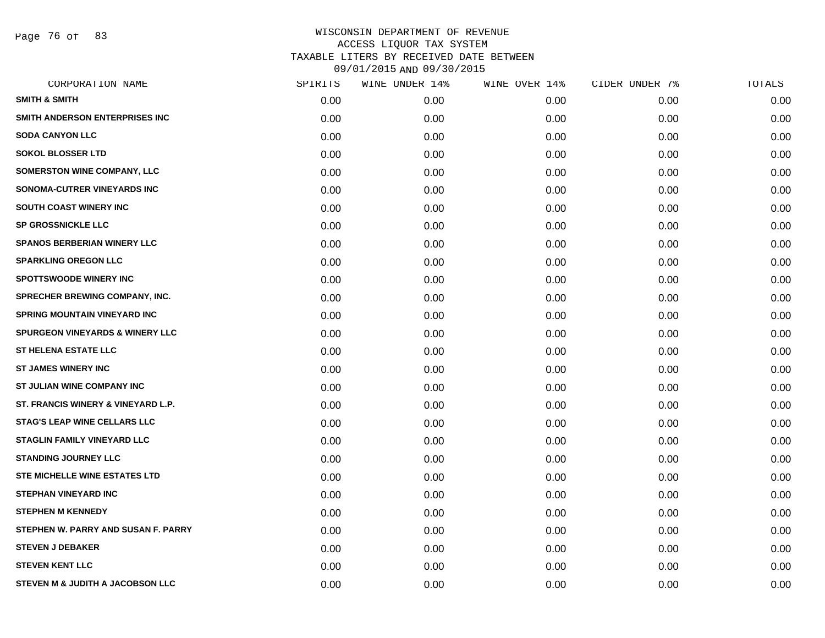Page 76 of 83

| CORPORATION NAME                           | SPIRITS | WINE UNDER 14% | WINE OVER 14% | CIDER UNDER 7% | TOTALS |
|--------------------------------------------|---------|----------------|---------------|----------------|--------|
| <b>SMITH &amp; SMITH</b>                   | 0.00    | 0.00           | 0.00          | 0.00           | 0.00   |
| SMITH ANDERSON ENTERPRISES INC             | 0.00    | 0.00           | 0.00          | 0.00           | 0.00   |
| <b>SODA CANYON LLC</b>                     | 0.00    | 0.00           | 0.00          | 0.00           | 0.00   |
| <b>SOKOL BLOSSER LTD</b>                   | 0.00    | 0.00           | 0.00          | 0.00           | 0.00   |
| <b>SOMERSTON WINE COMPANY, LLC</b>         | 0.00    | 0.00           | 0.00          | 0.00           | 0.00   |
| SONOMA-CUTRER VINEYARDS INC                | 0.00    | 0.00           | 0.00          | 0.00           | 0.00   |
| <b>SOUTH COAST WINERY INC</b>              | 0.00    | 0.00           | 0.00          | 0.00           | 0.00   |
| <b>SP GROSSNICKLE LLC</b>                  | 0.00    | 0.00           | 0.00          | 0.00           | 0.00   |
| <b>SPANOS BERBERIAN WINERY LLC</b>         | 0.00    | 0.00           | 0.00          | 0.00           | 0.00   |
| <b>SPARKLING OREGON LLC</b>                | 0.00    | 0.00           | 0.00          | 0.00           | 0.00   |
| <b>SPOTTSWOODE WINERY INC</b>              | 0.00    | 0.00           | 0.00          | 0.00           | 0.00   |
| SPRECHER BREWING COMPANY, INC.             | 0.00    | 0.00           | 0.00          | 0.00           | 0.00   |
| <b>SPRING MOUNTAIN VINEYARD INC</b>        | 0.00    | 0.00           | 0.00          | 0.00           | 0.00   |
| <b>SPURGEON VINEYARDS &amp; WINERY LLC</b> | 0.00    | 0.00           | 0.00          | 0.00           | 0.00   |
| ST HELENA ESTATE LLC                       | 0.00    | 0.00           | 0.00          | 0.00           | 0.00   |
| <b>ST JAMES WINERY INC</b>                 | 0.00    | 0.00           | 0.00          | 0.00           | 0.00   |
| ST JULIAN WINE COMPANY INC                 | 0.00    | 0.00           | 0.00          | 0.00           | 0.00   |
| ST. FRANCIS WINERY & VINEYARD L.P.         | 0.00    | 0.00           | 0.00          | 0.00           | 0.00   |
| <b>STAG'S LEAP WINE CELLARS LLC</b>        | 0.00    | 0.00           | 0.00          | 0.00           | 0.00   |
| <b>STAGLIN FAMILY VINEYARD LLC</b>         | 0.00    | 0.00           | 0.00          | 0.00           | 0.00   |
| <b>STANDING JOURNEY LLC</b>                | 0.00    | 0.00           | 0.00          | 0.00           | 0.00   |
| <b>STE MICHELLE WINE ESTATES LTD</b>       | 0.00    | 0.00           | 0.00          | 0.00           | 0.00   |
| <b>STEPHAN VINEYARD INC</b>                | 0.00    | 0.00           | 0.00          | 0.00           | 0.00   |
| <b>STEPHEN M KENNEDY</b>                   | 0.00    | 0.00           | 0.00          | 0.00           | 0.00   |
| STEPHEN W. PARRY AND SUSAN F. PARRY        | 0.00    | 0.00           | 0.00          | 0.00           | 0.00   |
| <b>STEVEN J DEBAKER</b>                    | 0.00    | 0.00           | 0.00          | 0.00           | 0.00   |
| <b>STEVEN KENT LLC</b>                     | 0.00    | 0.00           | 0.00          | 0.00           | 0.00   |
| STEVEN M & JUDITH A JACOBSON LLC           | 0.00    | 0.00           | 0.00          | 0.00           | 0.00   |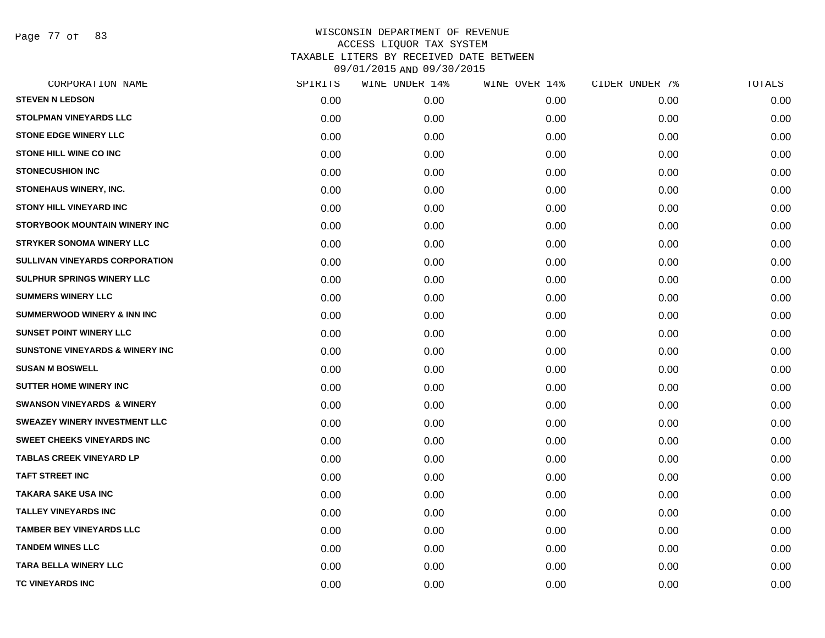Page 77 of 83

|      | WINE UNDER 14% |      | CIDER UNDER 7% | TOTALS |
|------|----------------|------|----------------|--------|
| 0.00 | 0.00           | 0.00 | 0.00           | 0.00   |
| 0.00 | 0.00           | 0.00 | 0.00           | 0.00   |
| 0.00 | 0.00           | 0.00 | 0.00           | 0.00   |
| 0.00 | 0.00           | 0.00 | 0.00           | 0.00   |
| 0.00 | 0.00           | 0.00 | 0.00           | 0.00   |
| 0.00 | 0.00           | 0.00 | 0.00           | 0.00   |
| 0.00 | 0.00           | 0.00 | 0.00           | 0.00   |
| 0.00 | 0.00           | 0.00 | 0.00           | 0.00   |
| 0.00 | 0.00           | 0.00 | 0.00           | 0.00   |
| 0.00 | 0.00           | 0.00 | 0.00           | 0.00   |
| 0.00 | 0.00           | 0.00 | 0.00           | 0.00   |
| 0.00 | 0.00           | 0.00 | 0.00           | 0.00   |
| 0.00 | 0.00           | 0.00 | 0.00           | 0.00   |
| 0.00 | 0.00           | 0.00 | 0.00           | 0.00   |
| 0.00 | 0.00           | 0.00 | 0.00           | 0.00   |
| 0.00 | 0.00           | 0.00 | 0.00           | 0.00   |
| 0.00 | 0.00           | 0.00 | 0.00           | 0.00   |
| 0.00 | 0.00           | 0.00 | 0.00           | 0.00   |
| 0.00 | 0.00           | 0.00 | 0.00           | 0.00   |
| 0.00 | 0.00           | 0.00 | 0.00           | 0.00   |
| 0.00 | 0.00           | 0.00 | 0.00           | 0.00   |
| 0.00 | 0.00           | 0.00 | 0.00           | 0.00   |
| 0.00 | 0.00           | 0.00 | 0.00           | 0.00   |
| 0.00 | 0.00           | 0.00 | 0.00           | 0.00   |
| 0.00 | 0.00           | 0.00 | 0.00           | 0.00   |
| 0.00 | 0.00           | 0.00 | 0.00           | 0.00   |
| 0.00 | 0.00           | 0.00 | 0.00           | 0.00   |
| 0.00 | 0.00           | 0.00 | 0.00           | 0.00   |
|      | SPIRITS        |      | WINE OVER 14%  |        |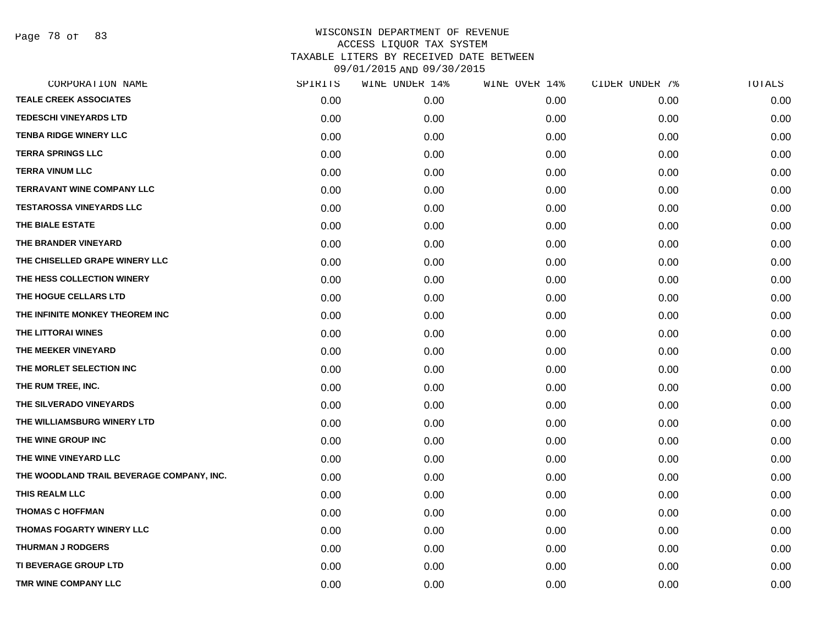Page 78 of 83

| CORPORATION NAME                          | SPIRITS | WINE UNDER 14% | WINE OVER 14% | CIDER UNDER 7% | TOTALS |
|-------------------------------------------|---------|----------------|---------------|----------------|--------|
| <b>TEALE CREEK ASSOCIATES</b>             | 0.00    | 0.00           | 0.00          | 0.00           | 0.00   |
| <b>TEDESCHI VINEYARDS LTD</b>             | 0.00    | 0.00           | 0.00          | 0.00           | 0.00   |
| <b>TENBA RIDGE WINERY LLC</b>             | 0.00    | 0.00           | 0.00          | 0.00           | 0.00   |
| <b>TERRA SPRINGS LLC</b>                  | 0.00    | 0.00           | 0.00          | 0.00           | 0.00   |
| <b>TERRA VINUM LLC</b>                    | 0.00    | 0.00           | 0.00          | 0.00           | 0.00   |
| <b>TERRAVANT WINE COMPANY LLC</b>         | 0.00    | 0.00           | 0.00          | 0.00           | 0.00   |
| <b>TESTAROSSA VINEYARDS LLC</b>           | 0.00    | 0.00           | 0.00          | 0.00           | 0.00   |
| THE BIALE ESTATE                          | 0.00    | 0.00           | 0.00          | 0.00           | 0.00   |
| THE BRANDER VINEYARD                      | 0.00    | 0.00           | 0.00          | 0.00           | 0.00   |
| THE CHISELLED GRAPE WINERY LLC            | 0.00    | 0.00           | 0.00          | 0.00           | 0.00   |
| THE HESS COLLECTION WINERY                | 0.00    | 0.00           | 0.00          | 0.00           | 0.00   |
| THE HOGUE CELLARS LTD                     | 0.00    | 0.00           | 0.00          | 0.00           | 0.00   |
| THE INFINITE MONKEY THEOREM INC           | 0.00    | 0.00           | 0.00          | 0.00           | 0.00   |
| THE LITTORAI WINES                        | 0.00    | 0.00           | 0.00          | 0.00           | 0.00   |
| THE MEEKER VINEYARD                       | 0.00    | 0.00           | 0.00          | 0.00           | 0.00   |
| THE MORLET SELECTION INC                  | 0.00    | 0.00           | 0.00          | 0.00           | 0.00   |
| THE RUM TREE, INC.                        | 0.00    | 0.00           | 0.00          | 0.00           | 0.00   |
| THE SILVERADO VINEYARDS                   | 0.00    | 0.00           | 0.00          | 0.00           | 0.00   |
| THE WILLIAMSBURG WINERY LTD               | 0.00    | 0.00           | 0.00          | 0.00           | 0.00   |
| THE WINE GROUP INC                        | 0.00    | 0.00           | 0.00          | 0.00           | 0.00   |
| THE WINE VINEYARD LLC                     | 0.00    | 0.00           | 0.00          | 0.00           | 0.00   |
| THE WOODLAND TRAIL BEVERAGE COMPANY, INC. | 0.00    | 0.00           | 0.00          | 0.00           | 0.00   |
| THIS REALM LLC                            | 0.00    | 0.00           | 0.00          | 0.00           | 0.00   |
| <b>THOMAS C HOFFMAN</b>                   | 0.00    | 0.00           | 0.00          | 0.00           | 0.00   |
| THOMAS FOGARTY WINERY LLC                 | 0.00    | 0.00           | 0.00          | 0.00           | 0.00   |
| <b>THURMAN J RODGERS</b>                  | 0.00    | 0.00           | 0.00          | 0.00           | 0.00   |
| <b>TI BEVERAGE GROUP LTD</b>              | 0.00    | 0.00           | 0.00          | 0.00           | 0.00   |
| TMR WINE COMPANY LLC                      | 0.00    | 0.00           | 0.00          | 0.00           | 0.00   |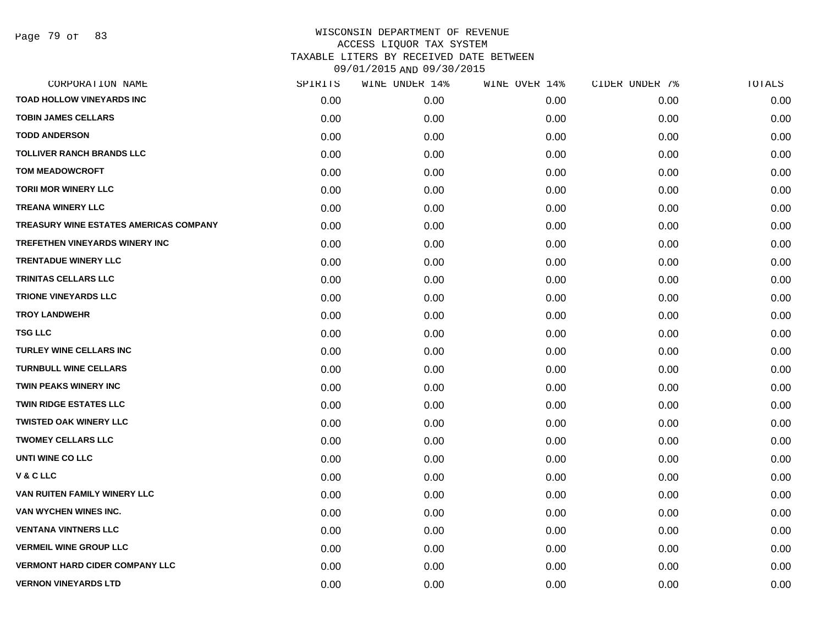| CORPORATION NAME                       | SPIRITS | WINE UNDER 14% | WINE OVER 14% | CIDER UNDER 7% | TOTALS |
|----------------------------------------|---------|----------------|---------------|----------------|--------|
| <b>TOAD HOLLOW VINEYARDS INC</b>       | 0.00    | 0.00           | 0.00          | 0.00           | 0.00   |
| <b>TOBIN JAMES CELLARS</b>             | 0.00    | 0.00           | 0.00          | 0.00           | 0.00   |
| <b>TODD ANDERSON</b>                   | 0.00    | 0.00           | 0.00          | 0.00           | 0.00   |
| <b>TOLLIVER RANCH BRANDS LLC</b>       | 0.00    | 0.00           | 0.00          | 0.00           | 0.00   |
| <b>TOM MEADOWCROFT</b>                 | 0.00    | 0.00           | 0.00          | 0.00           | 0.00   |
| <b>TORII MOR WINERY LLC</b>            | 0.00    | 0.00           | 0.00          | 0.00           | 0.00   |
| <b>TREANA WINERY LLC</b>               | 0.00    | 0.00           | 0.00          | 0.00           | 0.00   |
| TREASURY WINE ESTATES AMERICAS COMPANY | 0.00    | 0.00           | 0.00          | 0.00           | 0.00   |
| <b>TREFETHEN VINEYARDS WINERY INC</b>  | 0.00    | 0.00           | 0.00          | 0.00           | 0.00   |
| <b>TRENTADUE WINERY LLC</b>            | 0.00    | 0.00           | 0.00          | 0.00           | 0.00   |
| <b>TRINITAS CELLARS LLC</b>            | 0.00    | 0.00           | 0.00          | 0.00           | 0.00   |
| <b>TRIONE VINEYARDS LLC</b>            | 0.00    | 0.00           | 0.00          | 0.00           | 0.00   |
| <b>TROY LANDWEHR</b>                   | 0.00    | 0.00           | 0.00          | 0.00           | 0.00   |
| <b>TSG LLC</b>                         | 0.00    | 0.00           | 0.00          | 0.00           | 0.00   |
| <b>TURLEY WINE CELLARS INC</b>         | 0.00    | 0.00           | 0.00          | 0.00           | 0.00   |
| <b>TURNBULL WINE CELLARS</b>           | 0.00    | 0.00           | 0.00          | 0.00           | 0.00   |
| TWIN PEAKS WINERY INC                  | 0.00    | 0.00           | 0.00          | 0.00           | 0.00   |
| <b>TWIN RIDGE ESTATES LLC</b>          | 0.00    | 0.00           | 0.00          | 0.00           | 0.00   |
| <b>TWISTED OAK WINERY LLC</b>          | 0.00    | 0.00           | 0.00          | 0.00           | 0.00   |
| <b>TWOMEY CELLARS LLC</b>              | 0.00    | 0.00           | 0.00          | 0.00           | 0.00   |
| UNTI WINE CO LLC                       | 0.00    | 0.00           | 0.00          | 0.00           | 0.00   |
| V&CLLC                                 | 0.00    | 0.00           | 0.00          | 0.00           | 0.00   |
| VAN RUITEN FAMILY WINERY LLC           | 0.00    | 0.00           | 0.00          | 0.00           | 0.00   |
| VAN WYCHEN WINES INC.                  | 0.00    | 0.00           | 0.00          | 0.00           | 0.00   |
| <b>VENTANA VINTNERS LLC</b>            | 0.00    | 0.00           | 0.00          | 0.00           | 0.00   |
| <b>VERMEIL WINE GROUP LLC</b>          | 0.00    | 0.00           | 0.00          | 0.00           | 0.00   |
| <b>VERMONT HARD CIDER COMPANY LLC</b>  | 0.00    | 0.00           | 0.00          | 0.00           | 0.00   |
| <b>VERNON VINEYARDS LTD</b>            | 0.00    | 0.00           | 0.00          | 0.00           | 0.00   |
|                                        |         |                |               |                |        |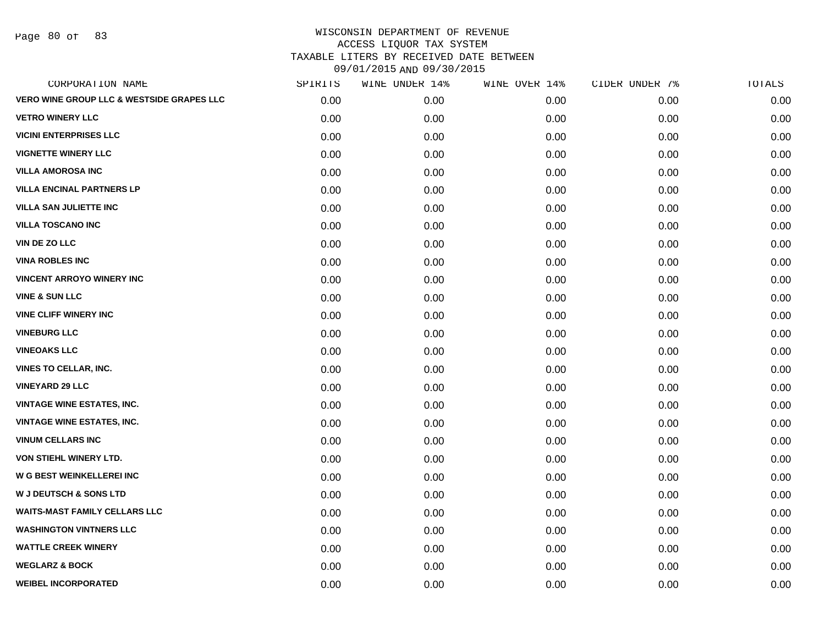Page 80 of 83

| CORPORATION NAME                                     | SPIRITS | WINE UNDER 14% | WINE OVER 14% | CIDER UNDER 7% | TOTALS |
|------------------------------------------------------|---------|----------------|---------------|----------------|--------|
| <b>VERO WINE GROUP LLC &amp; WESTSIDE GRAPES LLC</b> | 0.00    | 0.00           | 0.00          | 0.00           | 0.00   |
| <b>VETRO WINERY LLC</b>                              | 0.00    | 0.00           | 0.00          | 0.00           | 0.00   |
| <b>VICINI ENTERPRISES LLC</b>                        | 0.00    | 0.00           | 0.00          | 0.00           | 0.00   |
| <b>VIGNETTE WINERY LLC</b>                           | 0.00    | 0.00           | 0.00          | 0.00           | 0.00   |
| <b>VILLA AMOROSA INC</b>                             | 0.00    | 0.00           | 0.00          | 0.00           | 0.00   |
| <b>VILLA ENCINAL PARTNERS LP</b>                     | 0.00    | 0.00           | 0.00          | 0.00           | 0.00   |
| <b>VILLA SAN JULIETTE INC</b>                        | 0.00    | 0.00           | 0.00          | 0.00           | 0.00   |
| <b>VILLA TOSCANO INC</b>                             | 0.00    | 0.00           | 0.00          | 0.00           | 0.00   |
| <b>VIN DE ZO LLC</b>                                 | 0.00    | 0.00           | 0.00          | 0.00           | 0.00   |
| <b>VINA ROBLES INC</b>                               | 0.00    | 0.00           | 0.00          | 0.00           | 0.00   |
| <b>VINCENT ARROYO WINERY INC</b>                     | 0.00    | 0.00           | 0.00          | 0.00           | 0.00   |
| <b>VINE &amp; SUN LLC</b>                            | 0.00    | 0.00           | 0.00          | 0.00           | 0.00   |
| <b>VINE CLIFF WINERY INC</b>                         | 0.00    | 0.00           | 0.00          | 0.00           | 0.00   |
| <b>VINEBURG LLC</b>                                  | 0.00    | 0.00           | 0.00          | 0.00           | 0.00   |
| <b>VINEOAKS LLC</b>                                  | 0.00    | 0.00           | 0.00          | 0.00           | 0.00   |
| <b>VINES TO CELLAR, INC.</b>                         | 0.00    | 0.00           | 0.00          | 0.00           | 0.00   |
| <b>VINEYARD 29 LLC</b>                               | 0.00    | 0.00           | 0.00          | 0.00           | 0.00   |
| <b>VINTAGE WINE ESTATES, INC.</b>                    | 0.00    | 0.00           | 0.00          | 0.00           | 0.00   |
| <b>VINTAGE WINE ESTATES, INC.</b>                    | 0.00    | 0.00           | 0.00          | 0.00           | 0.00   |
| <b>VINUM CELLARS INC</b>                             | 0.00    | 0.00           | 0.00          | 0.00           | 0.00   |
| VON STIEHL WINERY LTD.                               | 0.00    | 0.00           | 0.00          | 0.00           | 0.00   |
| <b>W G BEST WEINKELLEREI INC</b>                     | 0.00    | 0.00           | 0.00          | 0.00           | 0.00   |
| <b>W J DEUTSCH &amp; SONS LTD</b>                    | 0.00    | 0.00           | 0.00          | 0.00           | 0.00   |
| <b>WAITS-MAST FAMILY CELLARS LLC</b>                 | 0.00    | 0.00           | 0.00          | 0.00           | 0.00   |
| <b>WASHINGTON VINTNERS LLC</b>                       | 0.00    | 0.00           | 0.00          | 0.00           | 0.00   |
| <b>WATTLE CREEK WINERY</b>                           | 0.00    | 0.00           | 0.00          | 0.00           | 0.00   |
| <b>WEGLARZ &amp; BOCK</b>                            | 0.00    | 0.00           | 0.00          | 0.00           | 0.00   |
| <b>WEIBEL INCORPORATED</b>                           | 0.00    | 0.00           | 0.00          | 0.00           | 0.00   |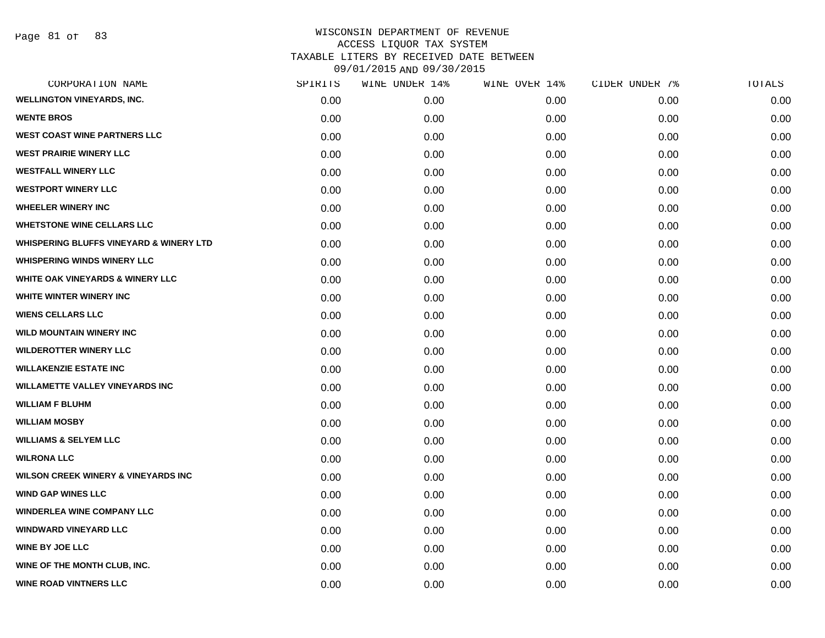| SPIRITS | WINE UNDER 14% | WINE OVER 14% | CIDER UNDER 7% | TOTALS |
|---------|----------------|---------------|----------------|--------|
| 0.00    | 0.00           | 0.00          | 0.00           | 0.00   |
| 0.00    | 0.00           | 0.00          | 0.00           | 0.00   |
| 0.00    | 0.00           | 0.00          | 0.00           | 0.00   |
| 0.00    | 0.00           | 0.00          | 0.00           | 0.00   |
| 0.00    | 0.00           | 0.00          | 0.00           | 0.00   |
| 0.00    | 0.00           | 0.00          | 0.00           | 0.00   |
| 0.00    | 0.00           | 0.00          | 0.00           | 0.00   |
| 0.00    | 0.00           | 0.00          | 0.00           | 0.00   |
| 0.00    | 0.00           | 0.00          | 0.00           | 0.00   |
| 0.00    | 0.00           | 0.00          | 0.00           | 0.00   |
| 0.00    | 0.00           | 0.00          | 0.00           | 0.00   |
| 0.00    | 0.00           | 0.00          | 0.00           | 0.00   |
| 0.00    | 0.00           | 0.00          | 0.00           | 0.00   |
| 0.00    | 0.00           | 0.00          | 0.00           | 0.00   |
| 0.00    | 0.00           | 0.00          | 0.00           | 0.00   |
| 0.00    | 0.00           | 0.00          | 0.00           | 0.00   |
| 0.00    | 0.00           | 0.00          | 0.00           | 0.00   |
| 0.00    | 0.00           | 0.00          | 0.00           | 0.00   |
| 0.00    | 0.00           | 0.00          | 0.00           | 0.00   |
| 0.00    | 0.00           | 0.00          | 0.00           | 0.00   |
| 0.00    | 0.00           | 0.00          | 0.00           | 0.00   |
| 0.00    | 0.00           | 0.00          | 0.00           | 0.00   |
| 0.00    | 0.00           | 0.00          | 0.00           | 0.00   |
| 0.00    | 0.00           | 0.00          | 0.00           | 0.00   |
| 0.00    | 0.00           | 0.00          | 0.00           | 0.00   |
| 0.00    | 0.00           | 0.00          | 0.00           | 0.00   |
| 0.00    | 0.00           | 0.00          | 0.00           | 0.00   |
| 0.00    | 0.00           | 0.00          | 0.00           | 0.00   |
|         |                |               |                |        |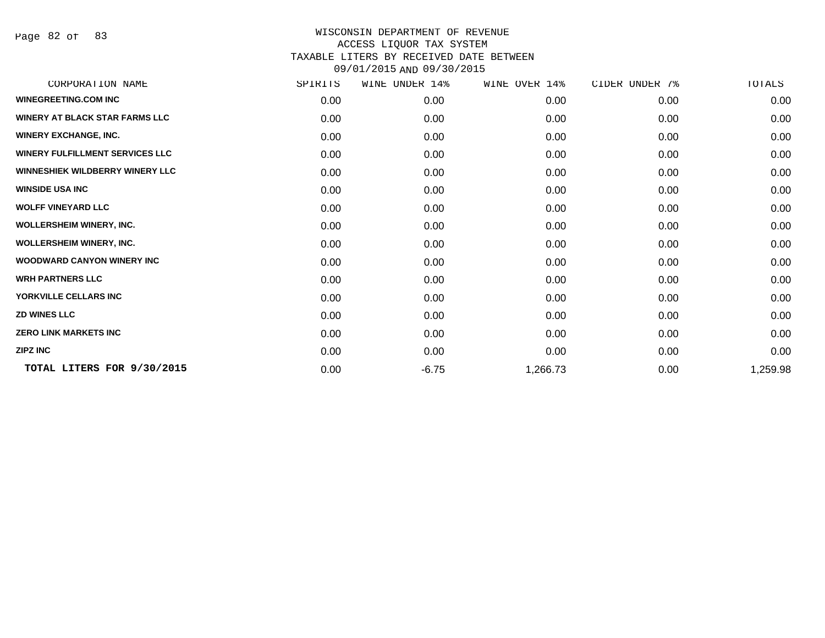Page 82 of 83

| CORPORATION NAME                       | SPIRITS | UNDER 14%<br>WINE | WINE OVER 14% | CIDER UNDER 7% | TOTALS   |
|----------------------------------------|---------|-------------------|---------------|----------------|----------|
| <b>WINEGREETING.COM INC</b>            | 0.00    | 0.00              | 0.00          | 0.00           | 0.00     |
| <b>WINERY AT BLACK STAR FARMS LLC</b>  | 0.00    | 0.00              | 0.00          | 0.00           | 0.00     |
| <b>WINERY EXCHANGE, INC.</b>           | 0.00    | 0.00              | 0.00          | 0.00           | 0.00     |
| <b>WINERY FULFILLMENT SERVICES LLC</b> | 0.00    | 0.00              | 0.00          | 0.00           | 0.00     |
| <b>WINNESHIEK WILDBERRY WINERY LLC</b> | 0.00    | 0.00              | 0.00          | 0.00           | 0.00     |
| <b>WINSIDE USA INC</b>                 | 0.00    | 0.00              | 0.00          | 0.00           | 0.00     |
| <b>WOLFF VINEYARD LLC</b>              | 0.00    | 0.00              | 0.00          | 0.00           | 0.00     |
| <b>WOLLERSHEIM WINERY, INC.</b>        | 0.00    | 0.00              | 0.00          | 0.00           | 0.00     |
| <b>WOLLERSHEIM WINERY, INC.</b>        | 0.00    | 0.00              | 0.00          | 0.00           | 0.00     |
| <b>WOODWARD CANYON WINERY INC</b>      | 0.00    | 0.00              | 0.00          | 0.00           | 0.00     |
| <b>WRH PARTNERS LLC</b>                | 0.00    | 0.00              | 0.00          | 0.00           | 0.00     |
| YORKVILLE CELLARS INC                  | 0.00    | 0.00              | 0.00          | 0.00           | 0.00     |
| <b>ZD WINES LLC</b>                    | 0.00    | 0.00              | 0.00          | 0.00           | 0.00     |
| <b>ZERO LINK MARKETS INC</b>           | 0.00    | 0.00              | 0.00          | 0.00           | 0.00     |
| <b>ZIPZ INC</b>                        | 0.00    | 0.00              | 0.00          | 0.00           | 0.00     |
| TOTAL LITERS FOR 9/30/2015             | 0.00    | $-6.75$           | 1,266.73      | 0.00           | 1,259.98 |